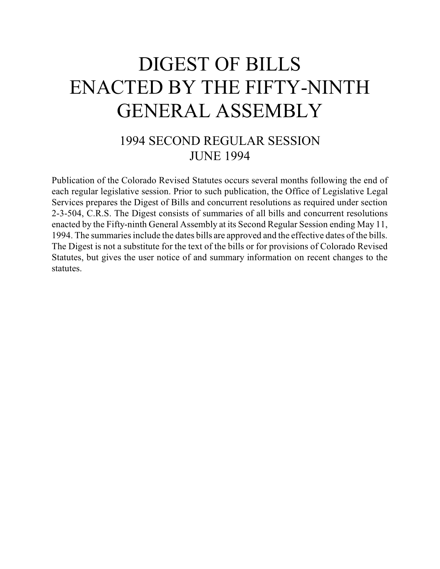# DIGEST OF BILLS ENACTED BY THE FIFTY-NINTH GENERAL ASSEMBLY

## 1994 SECOND REGULAR SESSION JUNE 1994

Publication of the Colorado Revised Statutes occurs several months following the end of each regular legislative session. Prior to such publication, the Office of Legislative Legal Services prepares the Digest of Bills and concurrent resolutions as required under section 2-3-504, C.R.S. The Digest consists of summaries of all bills and concurrent resolutions enacted by the Fifty-ninth General Assembly at its Second Regular Session ending May 11, 1994. The summaries include the dates bills are approved and the effective dates of the bills. The Digest is not a substitute for the text of the bills or for provisions of Colorado Revised Statutes, but gives the user notice of and summary information on recent changes to the statutes.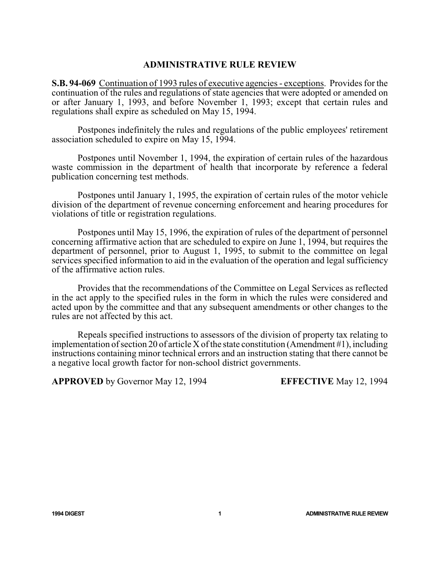#### **ADMINISTRATIVE RULE REVIEW**

**S.B. 94-069** Continuation of 1993 rules of executive agencies - exceptions. Provides for the continuation of the rules and regulations of state agencies that were adopted or amended on or after January 1, 1993, and before November 1, 1993; except that certain rules and regulations shall expire as scheduled on May 15, 1994.

Postpones indefinitely the rules and regulations of the public employees' retirement association scheduled to expire on May 15, 1994.

Postpones until November 1, 1994, the expiration of certain rules of the hazardous waste commission in the department of health that incorporate by reference a federal publication concerning test methods.

Postpones until January 1, 1995, the expiration of certain rules of the motor vehicle division of the department of revenue concerning enforcement and hearing procedures for violations of title or registration regulations.

Postpones until May 15, 1996, the expiration of rules of the department of personnel concerning affirmative action that are scheduled to expire on June 1, 1994, but requires the department of personnel, prior to August 1, 1995, to submit to the committee on legal services specified information to aid in the evaluation of the operation and legal sufficiency of the affirmative action rules.

Provides that the recommendations of the Committee on Legal Services as reflected in the act apply to the specified rules in the form in which the rules were considered and acted upon by the committee and that any subsequent amendments or other changes to the rules are not affected by this act.

Repeals specified instructions to assessors of the division of property tax relating to implementation of section 20 of article X of the state constitution (Amendment #1), including instructions containing minor technical errors and an instruction stating that there cannot be a negative local growth factor for non-school district governments.

**APPROVED** by Governor May 12, 1994 **EFFECTIVE** May 12, 1994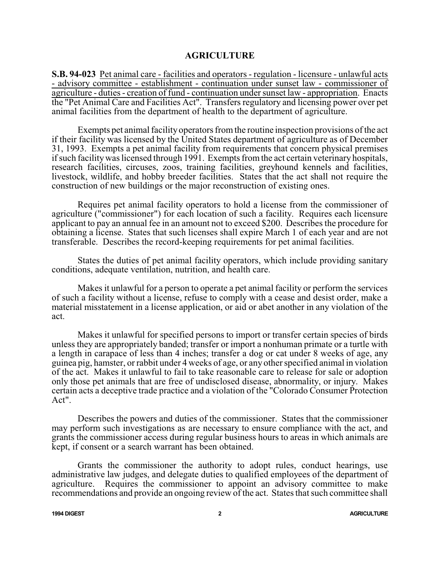#### **AGRICULTURE**

**S.B. 94-023** Pet animal care - facilities and operators - regulation - licensure - unlawful acts - advisory committee - establishment - continuation under sunset law - commissioner of agriculture - duties - creation of fund - continuation under sunset law - appropriation. Enacts the "Pet Animal Care and Facilities Act". Transfers regulatory and licensing power over pet animal facilities from the department of health to the department of agriculture.

Exempts pet animal facility operators fromthe routine inspection provisions of the act if their facility was licensed by the United States department of agriculture as of December 31, 1993. Exempts a pet animal facility from requirements that concern physical premises ifsuch facilitywas licensed through 1991. Exempts fromthe act certain veterinary hospitals, research facilities, circuses, zoos, training facilities, greyhound kennels and facilities, livestock, wildlife, and hobby breeder facilities. States that the act shall not require the construction of new buildings or the major reconstruction of existing ones.

Requires pet animal facility operators to hold a license from the commissioner of agriculture ("commissioner") for each location of such a facility. Requires each licensure applicant to pay an annual fee in an amount not to exceed \$200. Describes the procedure for obtaining a license. States that such licenses shall expire March 1 of each year and are not transferable. Describes the record-keeping requirements for pet animal facilities.

States the duties of pet animal facility operators, which include providing sanitary conditions, adequate ventilation, nutrition, and health care.

Makes it unlawful for a person to operate a pet animal facility or perform the services of such a facility without a license, refuse to comply with a cease and desist order, make a material misstatement in a license application, or aid or abet another in any violation of the act.

Makes it unlawful for specified persons to import or transfer certain species of birds unless they are appropriately banded; transfer or import a nonhuman primate or a turtle with a length in carapace of less than 4 inches; transfer a dog or cat under 8 weeks of age, any guinea pig, hamster, or rabbit under 4 weeks of age, or any other specified animal in violation of the act. Makes it unlawful to fail to take reasonable care to release for sale or adoption only those pet animals that are free of undisclosed disease, abnormality, or injury. Makes certain acts a deceptive trade practice and a violation of the "Colorado Consumer Protection Act".

Describes the powers and duties of the commissioner. States that the commissioner may perform such investigations as are necessary to ensure compliance with the act, and grants the commissioner access during regular business hours to areas in which animals are kept, if consent or a search warrant has been obtained.

Grants the commissioner the authority to adopt rules, conduct hearings, use administrative law judges, and delegate duties to qualified employees of the department of agriculture. Requires the commissioner to appoint an advisory committee to make recommendations and provide an ongoing review of the act. States that such committee shall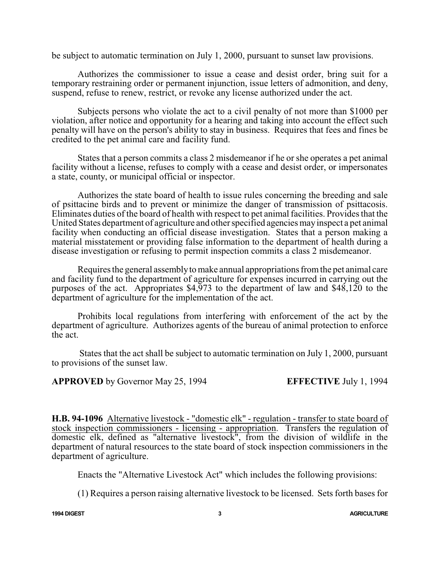be subject to automatic termination on July 1, 2000, pursuant to sunset law provisions.

Authorizes the commissioner to issue a cease and desist order, bring suit for a temporary restraining order or permanent injunction, issue letters of admonition, and deny, suspend, refuse to renew, restrict, or revoke any license authorized under the act.

Subjects persons who violate the act to a civil penalty of not more than \$1000 per violation, after notice and opportunity for a hearing and taking into account the effect such penalty will have on the person's ability to stay in business. Requires that fees and fines be credited to the pet animal care and facility fund.

States that a person commits a class 2 misdemeanor if he or she operates a pet animal facility without a license, refuses to comply with a cease and desist order, or impersonates a state, county, or municipal official or inspector.

Authorizes the state board of health to issue rules concerning the breeding and sale of psittacine birds and to prevent or minimize the danger of transmission of psittacosis. Eliminates duties of the board of health with respect to pet animal facilities. Provides that the United States department of agriculture and other specified agencies mayinspect a pet animal facility when conducting an official disease investigation. States that a person making a material misstatement or providing false information to the department of health during a disease investigation or refusing to permit inspection commits a class 2 misdemeanor.

Requires the general assemblyto make annual appropriations fromthe pet animal care and facility fund to the department of agriculture for expenses incurred in carrying out the purposes of the act. Appropriates \$4,973 to the department of law and \$48,120 to the department of agriculture for the implementation of the act.

Prohibits local regulations from interfering with enforcement of the act by the department of agriculture. Authorizes agents of the bureau of animal protection to enforce the act.

States that the act shall be subject to automatic termination on July 1, 2000, pursuant to provisions of the sunset law.

**APPROVED** by Governor May 25, 1994 **EFFECTIVE** July 1, 1994

**H.B. 94-1096** Alternative livestock - "domestic elk" - regulation - transfer to state board of stock inspection commissioners - licensing - appropriation. Transfers the regulation of domestic elk, defined as "alternative livestock", from the division of wildlife in the department of natural resources to the state board of stock inspection commissioners in the department of agriculture.

Enacts the "Alternative Livestock Act" which includes the following provisions:

(1) Requires a person raising alternative livestock to be licensed. Sets forth bases for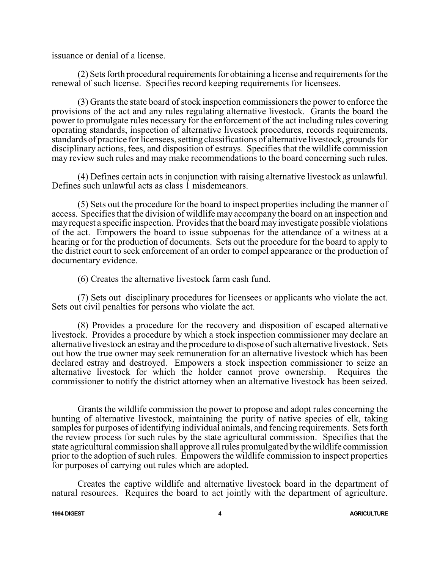issuance or denial of a license.

(2) Sets forth procedural requirements for obtaining a license and requirements for the renewal of such license. Specifies record keeping requirements for licensees.

(3) Grants the state board of stock inspection commissioners the power to enforce the provisions of the act and any rules regulating alternative livestock. Grants the board the power to promulgate rules necessary for the enforcement of the act including rules covering operating standards, inspection of alternative livestock procedures, records requirements, standards of practice for licensees, setting classifications of alternative livestock, grounds for disciplinary actions, fees, and disposition of estrays. Specifies that the wildlife commission may review such rules and may make recommendations to the board concerning such rules.

(4) Defines certain acts in conjunction with raising alternative livestock as unlawful. Defines such unlawful acts as class 1 misdemeanors.

(5) Sets out the procedure for the board to inspect properties including the manner of access. Specifies that the division of wildlife may accompany the board on an inspection and mayrequest a specific inspection. Provides that the board mayinvestigate possible violations of the act. Empowers the board to issue subpoenas for the attendance of a witness at a hearing or for the production of documents. Sets out the procedure for the board to apply to the district court to seek enforcement of an order to compel appearance or the production of documentary evidence.

(6) Creates the alternative livestock farm cash fund.

(7) Sets out disciplinary procedures for licensees or applicants who violate the act. Sets out civil penalties for persons who violate the act.

(8) Provides a procedure for the recovery and disposition of escaped alternative livestock. Provides a procedure by which a stock inspection commissioner may declare an alternative livestock an estray and the procedure to dispose of such alternative livestock. Sets out how the true owner may seek remuneration for an alternative livestock which has been declared estray and destroyed. Empowers a stock inspection commissioner to seize an alternative livestock for which the holder cannot prove ownership. Requires the commissioner to notify the district attorney when an alternative livestock has been seized.

Grants the wildlife commission the power to propose and adopt rules concerning the hunting of alternative livestock, maintaining the purity of native species of elk, taking samples for purposes of identifying individual animals, and fencing requirements. Sets forth the review process for such rules by the state agricultural commission. Specifies that the state agricultural commission shall approve all rules promulgated bythe wildlife commission prior to the adoption of such rules. Empowers the wildlife commission to inspect properties for purposes of carrying out rules which are adopted.

Creates the captive wildlife and alternative livestock board in the department of natural resources. Requires the board to act jointly with the department of agriculture.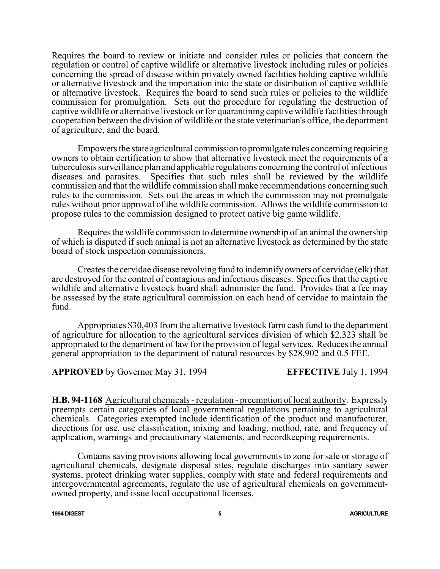Requires the board to review or initiate and consider rules or policies that concern the regulation or control of captive wildlife or alternative livestock including rules or policies concerning the spread of disease within privately owned facilities holding captive wildlife or alternative livestock and the importation into the state or distribution of captive wildlife or alternative livestock. Requires the board to send such rules or policies to the wildlife commission for promulgation. Sets out the procedure for regulating the destruction of captive wildlife or alternative livestock or for quarantining captive wildlife facilities through cooperation between the division of wildlife or the state veterinarian's office, the department of agriculture, and the board.

Empowers the state agricultural commission to promulgate rules concerning requiring owners to obtain certification to show that alternative livestock meet the requirements of a tuberculosis surveillance plan and applicable regulations concerning the control of infectious diseases and parasites. Specifies that such rules shall be reviewed by the wildlife commission and that the wildlife commission shall make recommendations concerning such rules to the commission. Sets out the areas in which the commission may not promulgate rules without prior approval of the wildlife commission. Allows the wildlife commission to propose rules to the commission designed to protect native big game wildlife.

Requires the wildlife commission to determine ownership of an animal the ownership of which is disputed if such animal is not an alternative livestock as determined by the state board of stock inspection commissioners.

Creates the cervidae disease revolving fund to indemnifyowners of cervidae (elk) that are destroyed for the control of contagious and infectious diseases. Specifies that the captive wildlife and alternative livestock board shall administer the fund. Provides that a fee may be assessed by the state agricultural commission on each head of cervidae to maintain the fund.

Appropriates \$30,403 from the alternative livestock farm cash fund to the department of agriculture for allocation to the agricultural services division of which \$2,323 shall be appropriated to the department of law for the provision of legal services. Reduces the annual general appropriation to the department of natural resources by \$28,902 and 0.5 FEE.

**APPROVED** by Governor May 31, 1994 **EFFECTIVE** July 1, 1994

**H.B. 94-1168** Agricultural chemicals - regulation - preemption of local authority. Expressly preempts certain categories of local governmental regulations pertaining to agricultural chemicals. Categories exempted include identification of the product and manufacturer, directions for use, use classification, mixing and loading, method, rate, and frequency of application, warnings and precautionary statements, and recordkeeping requirements.

Contains saving provisions allowing local governments to zone for sale or storage of agricultural chemicals, designate disposal sites, regulate discharges into sanitary sewer systems, protect drinking water supplies, comply with state and federal requirements and intergovernmental agreements, regulate the use of agricultural chemicals on governmentowned property, and issue local occupational licenses.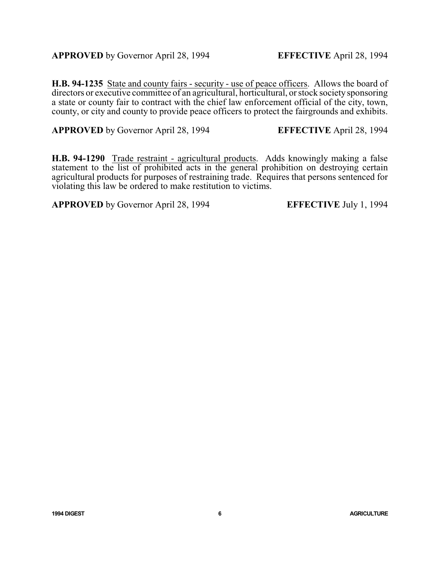**H.B. 94-1235** State and county fairs - security - use of peace officers. Allows the board of directors or executive committee of an agricultural, horticultural, or stock society sponsoring a state or county fair to contract with the chief law enforcement official of the city, town, county, or city and county to provide peace officers to protect the fairgrounds and exhibits.

**APPROVED** by Governor April 28, 1994 **EFFECTIVE** April 28, 1994

**H.B. 94-1290** Trade restraint - agricultural products. Adds knowingly making a false statement to the list of prohibited acts in the general prohibition on destroying certain agricultural products for purposes of restraining trade. Requires that persons sentenced for violating this law be ordered to make restitution to victims.

**APPROVED** by Governor April 28, 1994 **EFFECTIVE** July 1, 1994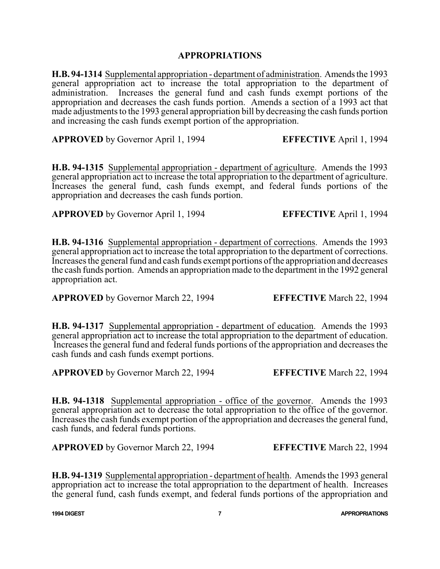### **APPROPRIATIONS**

**H.B. 94-1314** Supplemental appropriation - department of administration. Amends the 1993 general appropriation act to increase the total appropriation to the department of administration. Increases the general fund and cash funds exempt portions of the appropriation and decreases the cash funds portion. Amends a section of a 1993 act that made adjustments to the 1993 general appropriation bill by decreasing the cash funds portion and increasing the cash funds exempt portion of the appropriation.

**APPROVED** by Governor April 1, 1994 **EFFECTIVE** April 1, 1994

**H.B. 94-1315** Supplemental appropriation - department of agriculture. Amends the 1993 general appropriation act to increase the total appropriation to the department of agriculture. Increases the general fund, cash funds exempt, and federal funds portions of the appropriation and decreases the cash funds portion.

**APPROVED** by Governor April 1, 1994 **EFFECTIVE** April 1, 1994

**H.B. 94-1316** Supplemental appropriation - department of corrections. Amends the 1993 general appropriation act to increase the total appropriation to the department of corrections. Increases the general fund and cash funds exempt portions ofthe appropriation and decreases the cash funds portion. Amends an appropriation made to the department in the 1992 general appropriation act.

**APPROVED** by Governor March 22, 1994 **EFFECTIVE** March 22, 1994

**H.B. 94-1317** Supplemental appropriation - department of education. Amends the 1993 general appropriation act to increase the total appropriation to the department of education. Increases the general fund and federal funds portions of the appropriation and decreases the cash funds and cash funds exempt portions.

**APPROVED** by Governor March 22, 1994 **EFFECTIVE** March 22, 1994

**H.B. 94-1318** Supplemental appropriation - office of the governor. Amends the 1993 general appropriation act to decrease the total appropriation to the office of the governor. Increases the cash funds exempt portion of the appropriation and decreases the general fund, cash funds, and federal funds portions.

**APPROVED** by Governor March 22, 1994 **EFFECTIVE** March 22, 1994

**H.B. 94-1319** Supplemental appropriation - department of health. Amends the 1993 general appropriation act to increase the total appropriation to the department of health. Increases the general fund, cash funds exempt, and federal funds portions of the appropriation and

**1994 DIGEST 7 APPROPRIATIONS**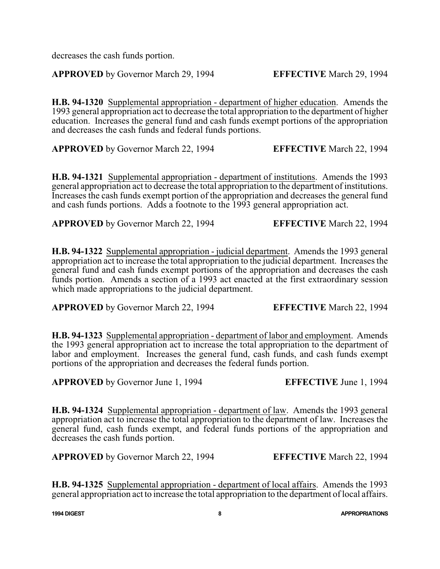decreases the cash funds portion.

**APPROVED** by Governor March 29, 1994 **EFFECTIVE** March 29, 1994

**H.B. 94-1320** Supplemental appropriation - department of higher education. Amends the 1993 general appropriation act to decrease the total appropriation to the department of higher education. Increases the general fund and cash funds exempt portions of the appropriation and decreases the cash funds and federal funds portions.

**APPROVED** by Governor March 22, 1994 **EFFECTIVE** March 22, 1994

**H.B. 94-1321** Supplemental appropriation - department of institutions. Amends the 1993 general appropriation act to decrease the total appropriation to the department of institutions. Increases the cash funds exempt portion of the appropriation and decreases the general fund and cash funds portions. Adds a footnote to the 1993 general appropriation act.

**APPROVED** by Governor March 22, 1994 **EFFECTIVE** March 22, 1994

**H.B. 94-1322** Supplemental appropriation - judicial department. Amends the 1993 general appropriation act to increase the total appropriation to the judicial department. Increases the general fund and cash funds exempt portions of the appropriation and decreases the cash funds portion. Amends a section of a 1993 act enacted at the first extraordinary session which made appropriations to the judicial department.

**APPROVED** by Governor March 22, 1994 **EFFECTIVE** March 22, 1994

**H.B. 94-1323** Supplemental appropriation - department of labor and employment. Amends the 1993 general appropriation act to increase the total appropriation to the department of labor and employment. Increases the general fund, cash funds, and cash funds exempt portions of the appropriation and decreases the federal funds portion.

**APPROVED** by Governor June 1, 1994 **EFFECTIVE** June 1, 1994

**H.B. 94-1324** Supplemental appropriation - department of law. Amends the 1993 general appropriation act to increase the total appropriation to the department of law. Increases the general fund, cash funds exempt, and federal funds portions of the appropriation and decreases the cash funds portion.

**APPROVED** by Governor March 22, 1994 **EFFECTIVE** March 22, 1994

**H.B. 94-1325** Supplemental appropriation - department of local affairs. Amends the 1993 general appropriation act to increase the total appropriation to the department of local affairs.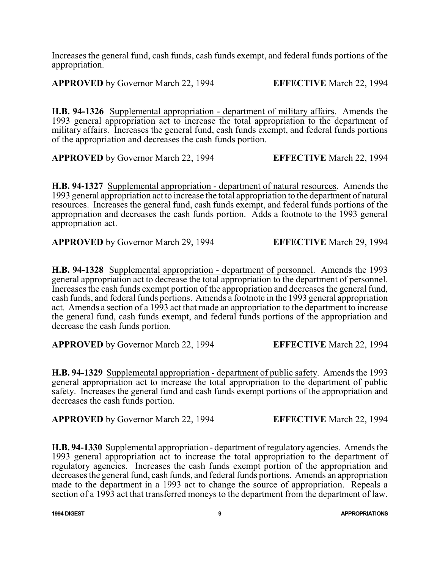Increases the general fund, cash funds, cash funds exempt, and federal funds portions of the appropriation.

**APPROVED** by Governor March 22, 1994 **EFFECTIVE** March 22, 1994

**H.B. 94-1326** Supplemental appropriation - department of military affairs. Amends the 1993 general appropriation act to increase the total appropriation to the department of military affairs. Increases the general fund, cash funds exempt, and federal funds portions of the appropriation and decreases the cash funds portion.

**APPROVED** by Governor March 22, 1994 **EFFECTIVE** March 22, 1994

**H.B. 94-1327** Supplemental appropriation - department of natural resources. Amends the 1993 general appropriation act to increase the total appropriation to the department of natural resources. Increases the general fund, cash funds exempt, and federal funds portions of the appropriation and decreases the cash funds portion. Adds a footnote to the 1993 general appropriation act.

**APPROVED** by Governor March 29, 1994 **EFFECTIVE** March 29, 1994

**H.B. 94-1328** Supplemental appropriation - department of personnel. Amends the 1993 general appropriation act to decrease the total appropriation to the department of personnel. Increases the cash funds exempt portion of the appropriation and decreases the general fund, cash funds, and federal funds portions. Amends a footnote in the 1993 general appropriation act. Amends a section of a 1993 act that made an appropriation to the department to increase the general fund, cash funds exempt, and federal funds portions of the appropriation and decrease the cash funds portion.

**APPROVED** by Governor March 22, 1994 **EFFECTIVE** March 22, 1994

**H.B. 94-1329** Supplemental appropriation - department of public safety. Amends the 1993 general appropriation act to increase the total appropriation to the department of public safety. Increases the general fund and cash funds exempt portions of the appropriation and decreases the cash funds portion.

**APPROVED** by Governor March 22, 1994 **EFFECTIVE** March 22, 1994

**H.B. 94-1330** Supplemental appropriation - department ofregulatory agencies. Amends the 1993 general appropriation act to increase the total appropriation to the department of regulatory agencies. Increases the cash funds exempt portion of the appropriation and decreases the general fund, cash funds, and federal funds portions. Amends an appropriation made to the department in a 1993 act to change the source of appropriation. Repeals a section of a 1993 act that transferred moneys to the department from the department of law.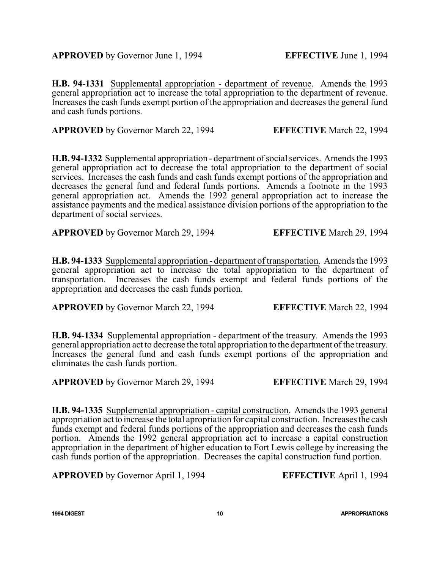**H.B. 94-1331** Supplemental appropriation - department of revenue. Amends the 1993 general appropriation act to increase the total appropriation to the department of revenue. Increases the cash funds exempt portion of the appropriation and decreases the general fund and cash funds portions.

**APPROVED** by Governor March 22, 1994 **EFFECTIVE** March 22, 1994

**H.B. 94-1332** Supplemental appropriation - department ofsocial services. Amends the 1993 general appropriation act to decrease the total appropriation to the department of social services. Increases the cash funds and cash funds exempt portions of the appropriation and decreases the general fund and federal funds portions. Amends a footnote in the 1993 general appropriation act. Amends the 1992 general appropriation act to increase the assistance payments and the medical assistance division portions of the appropriation to the department of social services.

**APPROVED** by Governor March 29, 1994 **EFFECTIVE** March 29, 1994

**H.B. 94-1333** Supplemental appropriation - department of transportation. Amends the 1993 general appropriation act to increase the total appropriation to the department of transportation. Increases the cash funds exempt and federal funds portions of the appropriation and decreases the cash funds portion.

**APPROVED** by Governor March 22, 1994 **EFFECTIVE** March 22, 1994

**H.B. 94-1334** Supplemental appropriation - department of the treasury. Amends the 1993 general appropriation act to decrease the total appropriation to the department of the treasury. Increases the general fund and cash funds exempt portions of the appropriation and eliminates the cash funds portion.

**APPROVED** by Governor March 29, 1994 **EFFECTIVE** March 29, 1994

**H.B. 94-1335** Supplemental appropriation - capital construction. Amends the 1993 general appropriation act to increase the total apropriation for capital construction. Increases the cash funds exempt and federal funds portions of the appropriation and decreases the cash funds portion. Amends the 1992 general appropriation act to increase a capital construction appropriation in the department of higher education to Fort Lewis college by increasing the cash funds portion of the appropriation. Decreases the capital construction fund portion.

**APPROVED** by Governor April 1, 1994 **EFFECTIVE** April 1, 1994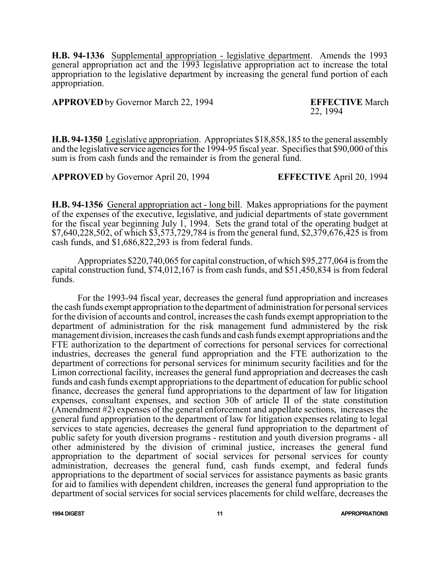**H.B. 94-1336** Supplemental appropriation - legislative department. Amends the 1993 general appropriation act and the 1993 legislative appropriation act to increase the total appropriation to the legislative department by increasing the general fund portion of each appropriation.

**APPROVED** by Governor March 22, 1994 **EFFECTIVE** March

22, 1994

**H.B. 94-1350** Legislative appropriation. Appropriates \$18,858,185 to the general assembly and the legislative service agencies for the 1994-95 fiscal year. Specifies that \$90,000 of this sum is from cash funds and the remainder is from the general fund.

**APPROVED** by Governor April 20, 1994 **EFFECTIVE** April 20, 1994

**H.B. 94-1356** General appropriation act - long bill. Makes appropriations for the payment of the expenses of the executive, legislative, and judicial departments of state government for the fiscal year beginning July 1, 1994. Sets the grand total of the operating budget at \$7,640,228,502, of which \$3,573,729,784 is from the general fund, \$2,379,676,425 is from cash funds, and \$1,686,822,293 is from federal funds.

Appropriates \$220,740,065 for capital construction, of which \$95,277,064 is fromthe capital construction fund, \$74,012,167 is from cash funds, and \$51,450,834 is from federal funds.

For the 1993-94 fiscal year, decreases the general fund appropriation and increases the cash funds exempt appropriation to the department of administration for personal services for the division of accounts and control, increases the cash funds exempt appropriation to the department of administration for the risk management fund administered by the risk management division, increases the cash funds and cash funds exempt appropriations and the FTE authorization to the department of corrections for personal services for correctional industries, decreases the general fund appropriation and the FTE authorization to the department of corrections for personal services for minimum security facilities and for the Limon correctional facility, increases the general fund appropriation and decreases the cash funds and cash funds exempt appropriations to the department of education for public school finance, decreases the general fund appropriations to the department of law for litigation expenses, consultant expenses, and section 30b of article II of the state constitution (Amendment #2) expenses of the general enforcement and appellate sections, increases the general fund appropriation to the department of law for litigation expenses relating to legal services to state agencies, decreases the general fund appropriation to the department of public safety for youth diversion programs - restitution and youth diversion programs - all other administered by the division of criminal justice, increases the general fund appropriation to the department of social services for personal services for county administration, decreases the general fund, cash funds exempt, and federal funds appropriations to the department of social services for assistance payments as basic grants for aid to families with dependent children, increases the general fund appropriation to the department of social services for social services placements for child welfare, decreases the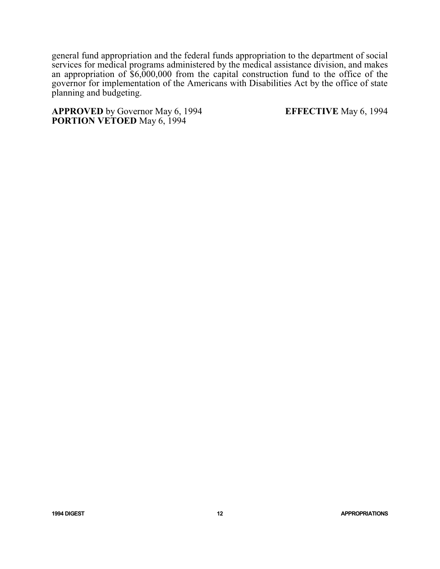general fund appropriation and the federal funds appropriation to the department of social services for medical programs administered by the medical assistance division, and makes an appropriation of \$6,000,000 from the capital construction fund to the office of the governor for implementation of the Americans with Disabilities Act by the office of state planning and budgeting.

**APPROVED** by Governor May 6, 1994 **EFFECTIVE** May 6, 1994 **PORTION VETOED** May 6, 1994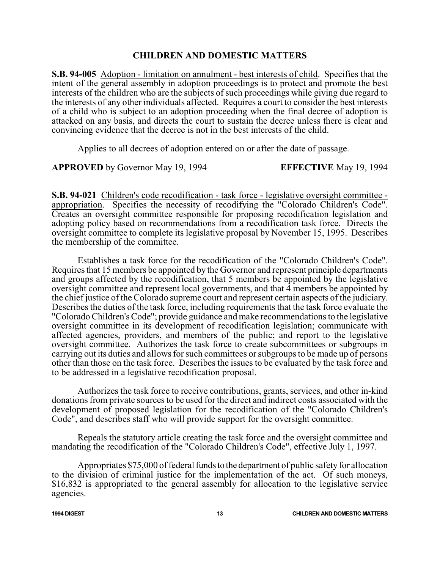#### **CHILDREN AND DOMESTIC MATTERS**

**S.B. 94-005** Adoption - limitation on annulment - best interests of child. Specifies that the intent of the general assembly in adoption proceedings is to protect and promote the best interests of the children who are the subjects of such proceedings while giving due regard to the interests of any other individuals affected. Requires a court to consider the best interests of a child who is subject to an adoption proceeding when the final decree of adoption is attacked on any basis, and directs the court to sustain the decree unless there is clear and convincing evidence that the decree is not in the best interests of the child.

Applies to all decrees of adoption entered on or after the date of passage.

**APPROVED** by Governor May 19, 1994 **EFFECTIVE** May 19, 1994

**S.B. 94-021** Children's code recodification - task force - legislative oversight committee appropriation. Specifies the necessity of recodifying the "Colorado Children's Code". Creates an oversight committee responsible for proposing recodification legislation and adopting policy based on recommendations from a recodification task force. Directs the oversight committee to complete its legislative proposal by November 15, 1995. Describes the membership of the committee.

Establishes a task force for the recodification of the "Colorado Children's Code". Requires that 15 members be appointed by the Governor and represent principle departments and groups affected by the recodification, that 5 members be appointed by the legislative oversight committee and represent local governments, and that  $\overline{4}$  members be appointed by the chief justice of the Colorado supreme court and represent certain aspects of the judiciary. Describes the duties of the task force, including requirements that the task force evaluate the "Colorado Children's Code"; provide guidance and make recommendations to the legislative oversight committee in its development of recodification legislation; communicate with affected agencies, providers, and members of the public; and report to the legislative oversight committee. Authorizes the task force to create subcommittees or subgroups in carrying out its duties and allows for such committees or subgroups to be made up of persons other than those on the task force. Describes the issues to be evaluated by the task force and to be addressed in a legislative recodification proposal.

Authorizes the task force to receive contributions, grants, services, and other in-kind donations from private sources to be used for the direct and indirect costs associated with the development of proposed legislation for the recodification of the "Colorado Children's Code", and describes staff who will provide support for the oversight committee.

Repeals the statutory article creating the task force and the oversight committee and mandating the recodification of the "Colorado Children's Code", effective July 1, 1997.

Appropriates \$75,000 of federal funds to the department of public safety for allocation to the division of criminal justice for the implementation of the act. Of such moneys, \$16,832 is appropriated to the general assembly for allocation to the legislative service agencies.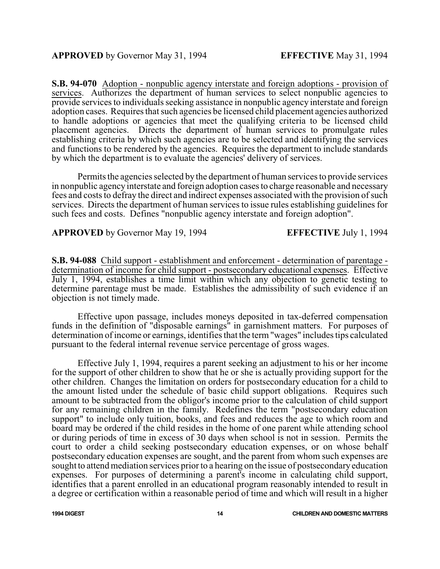**S.B. 94-070** Adoption - nonpublic agency interstate and foreign adoptions - provision of services. Authorizes the department of human services to select nonpublic agencies to provide services to individuals seeking assistance in nonpublic agency interstate and foreign adoption cases. Requires that such agencies be licensed child placement agencies authorized to handle adoptions or agencies that meet the qualifying criteria to be licensed child placement agencies. Directs the department of human services to promulgate rules establishing criteria by which such agencies are to be selected and identifying the services and functions to be rendered by the agencies. Requires the department to include standards by which the department is to evaluate the agencies' delivery of services.

Permits the agencies selected by the department of human services to provide services in nonpublic agency interstate and foreign adoption cases to charge reasonable and necessary fees and costs to defray the direct and indirect expenses associated with the provision of such services. Directs the department of human services to issue rules establishing guidelines for such fees and costs. Defines "nonpublic agency interstate and foreign adoption".

**APPROVED** by Governor May 19, 1994 **EFFECTIVE** July 1, 1994

**S.B. 94-088** Child support - establishment and enforcement - determination of parentage determination of income for child support - postsecondary educational expenses. Effective July 1, 1994, establishes a time limit within which any objection to genetic testing to determine parentage must be made. Establishes the admissibility of such evidence if an objection is not timely made.

Effective upon passage, includes moneys deposited in tax-deferred compensation funds in the definition of "disposable earnings" in garnishment matters. For purposes of determination of income or earnings, identifies that the term"wages" includes tips calculated pursuant to the federal internal revenue service percentage of gross wages.

Effective July 1, 1994, requires a parent seeking an adjustment to his or her income for the support of other children to show that he or she is actually providing support for the other children. Changes the limitation on orders for postsecondary education for a child to the amount listed under the schedule of basic child support obligations. Requires such amount to be subtracted from the obligor's income prior to the calculation of child support for any remaining children in the family. Redefines the term "postsecondary education support" to include only tuition, books, and fees and reduces the age to which room and board may be ordered if the child resides in the home of one parent while attending school or during periods of time in excess of 30 days when school is not in session. Permits the court to order a child seeking postsecondary education expenses, or on whose behalf postsecondary education expenses are sought, and the parent from whom such expenses are sought to attend mediation services prior to a hearing on the issue of postsecondary education expenses. For purposes of determining a parent's income in calculating child support, identifies that a parent enrolled in an educational program reasonably intended to result in a degree or certification within a reasonable period of time and which will result in a higher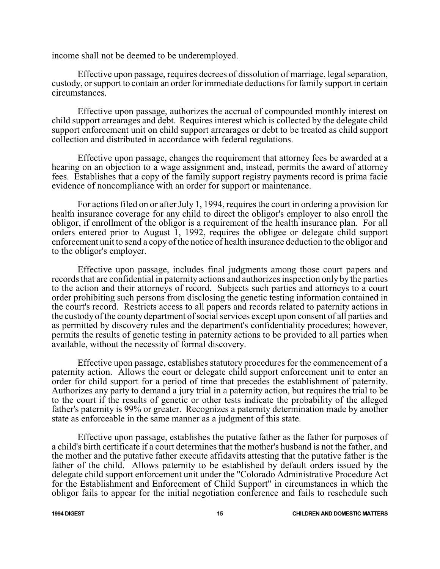income shall not be deemed to be underemployed.

Effective upon passage, requires decrees of dissolution of marriage, legal separation, custody, or support to contain an order for immediate deductions for family support in certain circumstances.

Effective upon passage, authorizes the accrual of compounded monthly interest on child support arrearages and debt. Requires interest which is collected by the delegate child support enforcement unit on child support arrearages or debt to be treated as child support collection and distributed in accordance with federal regulations.

Effective upon passage, changes the requirement that attorney fees be awarded at a hearing on an objection to a wage assignment and, instead, permits the award of attorney fees. Establishes that a copy of the family support registry payments record is prima facie evidence of noncompliance with an order for support or maintenance.

For actions filed on or after July 1, 1994, requires the court in ordering a provision for health insurance coverage for any child to direct the obligor's employer to also enroll the obligor, if enrollment of the obligor is a requirement of the health insurance plan. For all orders entered prior to August 1, 1992, requires the obligee or delegate child support enforcement unit to send a copy of the notice of health insurance deduction to the obligor and to the obligor's employer.

Effective upon passage, includes final judgments among those court papers and records that are confidential in paternity actions and authorizes inspection only by the parties to the action and their attorneys of record. Subjects such parties and attorneys to a court order prohibiting such persons from disclosing the genetic testing information contained in the court's record. Restricts access to all papers and records related to paternity actions in the custody of the county department of social services except upon consent of all parties and as permitted by discovery rules and the department's confidentiality procedures; however, permits the results of genetic testing in paternity actions to be provided to all parties when available, without the necessity of formal discovery.

Effective upon passage, establishes statutory procedures for the commencement of a paternity action. Allows the court or delegate child support enforcement unit to enter an order for child support for a period of time that precedes the establishment of paternity. Authorizes any party to demand a jury trial in a paternity action, but requires the trial to be to the court if the results of genetic or other tests indicate the probability of the alleged father's paternity is 99% or greater. Recognizes a paternity determination made by another state as enforceable in the same manner as a judgment of this state.

Effective upon passage, establishes the putative father as the father for purposes of a child's birth certificate if a court determines that the mother's husband is not the father, and the mother and the putative father execute affidavits attesting that the putative father is the father of the child. Allows paternity to be established by default orders issued by the delegate child support enforcement unit under the "Colorado Administrative Procedure Act for the Establishment and Enforcement of Child Support" in circumstances in which the obligor fails to appear for the initial negotiation conference and fails to reschedule such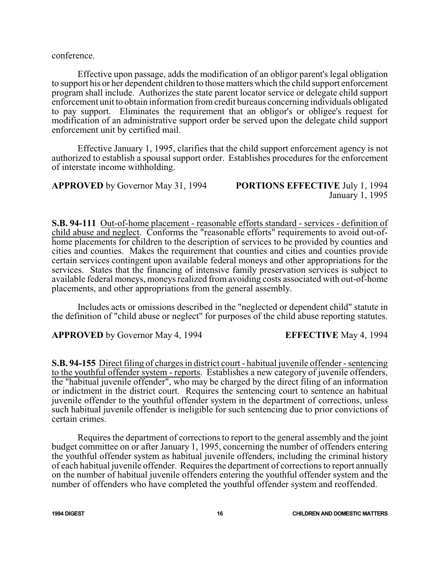conference.

Effective upon passage, adds the modification of an obligor parent's legal obligation to support his or her dependent children to those matters which the child support enforcement program shall include. Authorizes the state parent locator service or delegate child support enforcement unit to obtain information from credit bureaus concerning individuals obligated to pay support. Eliminates the requirement that an obligor's or obligee's request for modification of an administrative support order be served upon the delegate child support enforcement unit by certified mail.

Effective January 1, 1995, clarifies that the child support enforcement agency is not authorized to establish a spousal support order. Establishes procedures for the enforcement of interstate income withholding.

**APPROVED** by Governor May 31, 1994 **PORTIONS EFFECTIVE** July 1, 1994 January 1, 1995

**S.B. 94-111** Out-of-home placement - reasonable efforts standard - services - definition of child abuse and neglect. Conforms the "reasonable efforts" requirements to avoid out-ofhome placements for children to the description of services to be provided by counties and cities and counties. Makes the requirement that counties and cities and counties provide certain services contingent upon available federal moneys and other appropriations for the services. States that the financing of intensive family preservation services is subject to available federal moneys, moneys realized from avoiding costs associated with out-of-home placements, and other appropriations from the general assembly.

Includes acts or omissions described in the "neglected or dependent child" statute in the definition of "child abuse or neglect" for purposes of the child abuse reporting statutes.

**APPROVED** by Governor May 4, 1994 **EFFECTIVE** May 4, 1994

**S.B. 94-155** Direct filing of charges in district court - habitual juvenile offender - sentencing to the youthful offender system - reports. Establishes a new category of juvenile offenders, the "habitual juvenile offender", who may be charged by the direct filing of an information or indictment in the district court. Requires the sentencing court to sentence an habitual juvenile offender to the youthful offender system in the department of corrections, unless such habitual juvenile offender is ineligible for such sentencing due to prior convictions of certain crimes.

Requires the department of corrections to report to the general assembly and the joint budget committee on or after January 1, 1995, concerning the number of offenders entering the youthful offender system as habitual juvenile offenders, including the criminal history of each habitual juvenile offender. Requires the department of corrections to report annually on the number of habitual juvenile offenders entering the youthful offender system and the number of offenders who have completed the youthful offender system and reoffended.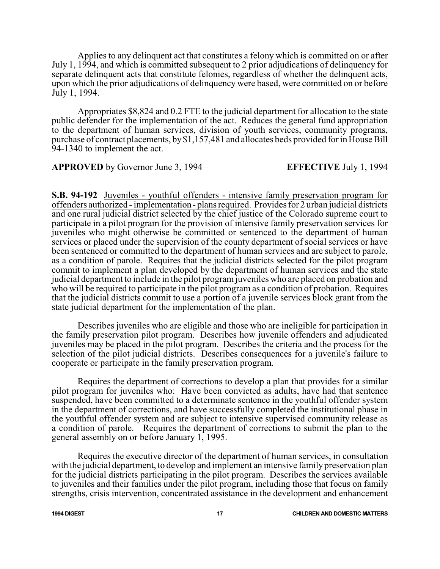Applies to any delinquent act that constitutes a felony which is committed on or after July 1, 1994, and which is committed subsequent to 2 prior adjudications of delinquency for separate delinquent acts that constitute felonies, regardless of whether the delinquent acts, upon which the prior adjudications of delinquency were based, were committed on or before July 1, 1994.

Appropriates \$8,824 and 0.2 FTE to the judicial department for allocation to the state public defender for the implementation of the act. Reduces the general fund appropriation to the department of human services, division of youth services, community programs, purchase of contract placements, by\$1,157,481 and allocates beds provided for in House Bill 94-1340 to implement the act.

**APPROVED** by Governor June 3, 1994 **EFFECTIVE** July 1, 1994

**S.B. 94-192** Juveniles - youthful offenders - intensive family preservation program for offenders authorized - implementation - plans required. Provides for 2 urban judicial districts and one rural judicial district selected by the chief justice of the Colorado supreme court to participate in a pilot program for the provision of intensive family preservation services for juveniles who might otherwise be committed or sentenced to the department of human services or placed under the supervision of the county department of social services or have been sentenced or committed to the department of human services and are subject to parole, as a condition of parole. Requires that the judicial districts selected for the pilot program commit to implement a plan developed by the department of human services and the state judicial department to include in the pilot program juveniles who are placed on probation and who will be required to participate in the pilot program as a condition of probation. Requires that the judicial districts commit to use a portion of a juvenile services block grant from the state judicial department for the implementation of the plan.

Describes juveniles who are eligible and those who are ineligible for participation in the family preservation pilot program. Describes how juvenile offenders and adjudicated juveniles may be placed in the pilot program. Describes the criteria and the process for the selection of the pilot judicial districts. Describes consequences for a juvenile's failure to cooperate or participate in the family preservation program.

Requires the department of corrections to develop a plan that provides for a similar pilot program for juveniles who: Have been convicted as adults, have had that sentence suspended, have been committed to a determinate sentence in the youthful offender system in the department of corrections, and have successfully completed the institutional phase in the youthful offender system and are subject to intensive supervised community release as a condition of parole. Requires the department of corrections to submit the plan to the general assembly on or before January 1, 1995.

Requires the executive director of the department of human services, in consultation with the judicial department, to develop and implement an intensive family preservation plan for the judicial districts participating in the pilot program. Describes the services available to juveniles and their families under the pilot program, including those that focus on family strengths, crisis intervention, concentrated assistance in the development and enhancement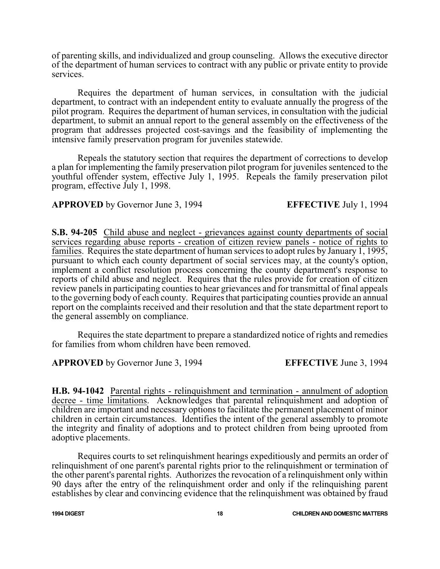of parenting skills, and individualized and group counseling. Allows the executive director of the department of human services to contract with any public or private entity to provide services.

Requires the department of human services, in consultation with the judicial department, to contract with an independent entity to evaluate annually the progress of the pilot program. Requires the department of human services, in consultation with the judicial department, to submit an annual report to the general assembly on the effectiveness of the program that addresses projected cost-savings and the feasibility of implementing the intensive family preservation program for juveniles statewide.

Repeals the statutory section that requires the department of corrections to develop a plan for implementing the family preservation pilot program for juveniles sentenced to the youthful offender system, effective July 1, 1995. Repeals the family preservation pilot program, effective July 1, 1998.

### **APPROVED** by Governor June 3, 1994 **EFFECTIVE** July 1, 1994

**S.B. 94-205** Child abuse and neglect - grievances against county departments of social services regarding abuse reports - creation of citizen review panels - notice of rights to families. Requires the state department of human services to adopt rules by January 1, 1995, pursuant to which each county department of social services may, at the county's option, implement a conflict resolution process concerning the county department's response to reports of child abuse and neglect. Requires that the rules provide for creation of citizen review panels in participating counties to hear grievances and for transmittal of final appeals to the governing body of each county. Requires that participating counties provide an annual report on the complaints received and their resolution and that the state department report to the general assembly on compliance.

Requires the state department to prepare a standardized notice of rights and remedies for families from whom children have been removed.

**APPROVED** by Governor June 3, 1994 **EFFECTIVE** June 3, 1994

**H.B. 94-1042** Parental rights - relinquishment and termination - annulment of adoption decree - time limitations. Acknowledges that parental relinquishment and adoption of children are important and necessary options to facilitate the permanent placement of minor children in certain circumstances. Identifies the intent of the general assembly to promote the integrity and finality of adoptions and to protect children from being uprooted from adoptive placements.

Requires courts to set relinquishment hearings expeditiously and permits an order of relinquishment of one parent's parental rights prior to the relinquishment or termination of the other parent's parental rights. Authorizes the revocation of a relinquishment only within 90 days after the entry of the relinquishment order and only if the relinquishing parent establishes by clear and convincing evidence that the relinquishment was obtained by fraud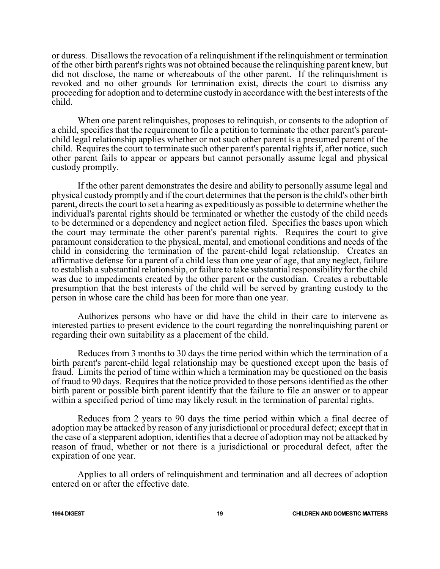or duress. Disallows the revocation of a relinquishment if the relinquishment or termination of the other birth parent's rights was not obtained because the relinquishing parent knew, but did not disclose, the name or whereabouts of the other parent. If the relinquishment is revoked and no other grounds for termination exist, directs the court to dismiss any proceeding for adoption and to determine custody in accordance with the best interests of the child.

When one parent relinquishes, proposes to relinquish, or consents to the adoption of a child, specifies that the requirement to file a petition to terminate the other parent's parentchild legal relationship applies whether or not such other parent is a presumed parent of the child. Requires the court to terminate such other parent's parental rights if, after notice, such other parent fails to appear or appears but cannot personally assume legal and physical custody promptly.

If the other parent demonstrates the desire and ability to personally assume legal and physical custody promptly and if the court determines that the person is the child's other birth parent, directs the court to set a hearing as expeditiously as possible to determine whether the individual's parental rights should be terminated or whether the custody of the child needs to be determined or a dependency and neglect action filed. Specifies the bases upon which the court may terminate the other parent's parental rights. Requires the court to give paramount consideration to the physical, mental, and emotional conditions and needs of the child in considering the termination of the parent-child legal relationship. Creates an affirmative defense for a parent of a child less than one year of age, that any neglect, failure to establish a substantial relationship, or failure to take substantial responsibility for the child was due to impediments created by the other parent or the custodian. Creates a rebuttable presumption that the best interests of the child will be served by granting custody to the person in whose care the child has been for more than one year.

Authorizes persons who have or did have the child in their care to intervene as interested parties to present evidence to the court regarding the nonrelinquishing parent or regarding their own suitability as a placement of the child.

Reduces from 3 months to 30 days the time period within which the termination of a birth parent's parent-child legal relationship may be questioned except upon the basis of fraud. Limits the period of time within which a termination may be questioned on the basis of fraud to 90 days. Requires that the notice provided to those persons identified as the other birth parent or possible birth parent identify that the failure to file an answer or to appear within a specified period of time may likely result in the termination of parental rights.

Reduces from 2 years to 90 days the time period within which a final decree of adoption may be attacked by reason of any jurisdictional or procedural defect; except that in the case of a stepparent adoption, identifies that a decree of adoption may not be attacked by reason of fraud, whether or not there is a jurisdictional or procedural defect, after the expiration of one year.

Applies to all orders of relinquishment and termination and all decrees of adoption entered on or after the effective date.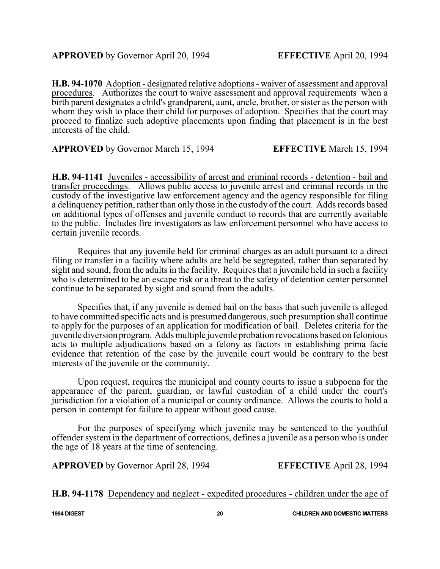**H.B. 94-1070** Adoption - designated relative adoptions - waiver of assessment and approval procedures. Authorizes the court to waive assessment and approval requirements when a birth parent designates a child's grandparent, aunt, uncle, brother, or sister as the person with whom they wish to place their child for purposes of adoption. Specifies that the court may proceed to finalize such adoptive placements upon finding that placement is in the best interests of the child.

**APPROVED** by Governor March 15, 1994 **EFFECTIVE** March 15, 1994

**H.B. 94-1141** Juveniles - accessibility of arrest and criminal records - detention - bail and transfer proceedings. Allows public access to juvenile arrest and criminal records in the custody of the investigative law enforcement agency and the agency responsible for filing a delinquency petition, rather than only those in the custody of the court. Adds records based on additional types of offenses and juvenile conduct to records that are currently available to the public. Includes fire investigators as law enforcement personnel who have access to certain juvenile records.

Requires that any juvenile held for criminal charges as an adult pursuant to a direct filing or transfer in a facility where adults are held be segregated, rather than separated by sight and sound, from the adults in the facility. Requires that a juvenile held in such a facility who is determined to be an escape risk or a threat to the safety of detention center personnel continue to be separated by sight and sound from the adults.

Specifies that, if any juvenile is denied bail on the basis that such juvenile is alleged to have committed specific acts and is presumed dangerous, such presumption shall continue to apply for the purposes of an application for modification of bail. Deletes criteria for the juvenile diversion program. Addsmultiple juvenile probation revocations based on felonious acts to multiple adjudications based on a felony as factors in establishing prima facie evidence that retention of the case by the juvenile court would be contrary to the best interests of the juvenile or the community.

Upon request, requires the municipal and county courts to issue a subpoena for the appearance of the parent, guardian, or lawful custodian of a child under the court's jurisdiction for a violation of a municipal or county ordinance. Allows the courts to hold a person in contempt for failure to appear without good cause.

For the purposes of specifying which juvenile may be sentenced to the youthful offender system in the department of corrections, defines a juvenile as a person who is under the age of 18 years at the time of sentencing.

**APPROVED** by Governor April 28, 1994 **EFFECTIVE** April 28, 1994

**H.B. 94-1178** Dependency and neglect - expedited procedures - children under the age of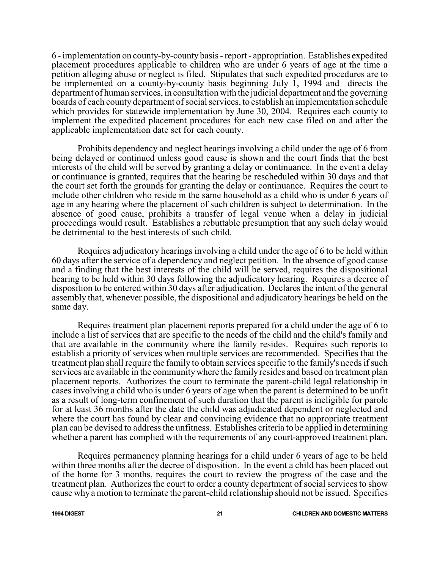6 - implementation on county-by-county basis - report - appropriation. Establishes expedited placement procedures applicable to children who are under 6 years of age at the time a petition alleging abuse or neglect is filed. Stipulates that such expedited procedures are to be implemented on a county-by-county basis beginning July 1, 1994 and directs the department of human services, in consultation with the judicial department and the governing boards of each county department of social services, to establish an implementation schedule which provides for statewide implementation by June 30, 2004. Requires each county to implement the expedited placement procedures for each new case filed on and after the applicable implementation date set for each county.

Prohibits dependency and neglect hearings involving a child under the age of 6 from being delayed or continued unless good cause is shown and the court finds that the best interests of the child will be served by granting a delay or continuance. In the event a delay or continuance is granted, requires that the hearing be rescheduled within 30 days and that the court set forth the grounds for granting the delay or continuance. Requires the court to include other children who reside in the same household as a child who is under 6 years of age in any hearing where the placement of such children is subject to determination. In the absence of good cause, prohibits a transfer of legal venue when a delay in judicial proceedings would result. Establishes a rebuttable presumption that any such delay would be detrimental to the best interests of such child.

Requires adjudicatory hearings involving a child under the age of 6 to be held within 60 days after the service of a dependency and neglect petition. In the absence of good cause and a finding that the best interests of the child will be served, requires the dispositional hearing to be held within 30 days following the adjudicatory hearing. Requires a decree of disposition to be entered within 30 days after adjudication. Declares the intent of the general assembly that, whenever possible, the dispositional and adjudicatory hearings be held on the same day.

Requires treatment plan placement reports prepared for a child under the age of 6 to include a list of services that are specific to the needs of the child and the child's family and that are available in the community where the family resides. Requires such reports to establish a priority of services when multiple services are recommended. Specifies that the treatment plan shall require the family to obtain services specific to the family's needs ifsuch services are available in the community where the family resides and based on treatment plan placement reports. Authorizes the court to terminate the parent-child legal relationship in cases involving a child who is under 6 years of age when the parent is determined to be unfit as a result of long-term confinement of such duration that the parent is ineligible for parole for at least 36 months after the date the child was adjudicated dependent or neglected and where the court has found by clear and convincing evidence that no appropriate treatment plan can be devised to address the unfitness. Establishes criteria to be applied in determining whether a parent has complied with the requirements of any court-approved treatment plan.

Requires permanency planning hearings for a child under 6 years of age to be held within three months after the decree of disposition. In the event a child has been placed out of the home for 3 months, requires the court to review the progress of the case and the treatment plan. Authorizes the court to order a county department of social services to show cause why a motion to terminate the parent-child relationship should not be issued. Specifies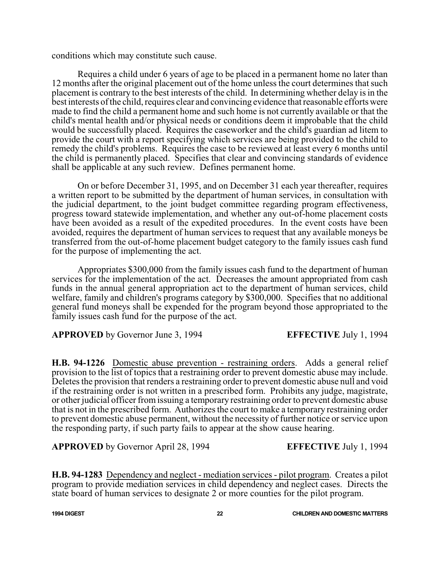conditions which may constitute such cause.

Requires a child under 6 years of age to be placed in a permanent home no later than 12 months after the original placement out of the home unless the court determines that such placement is contrary to the best interests of the child. In determining whether delay is in the best interests ofthe child, requires clear and convincing evidence that reasonable effortswere made to find the child a permanent home and such home is not currently available or that the child's mental health and/or physical needs or conditions deem it improbable that the child would be successfully placed. Requires the caseworker and the child's guardian ad litem to provide the court with a report specifying which services are being provided to the child to remedy the child's problems. Requires the case to be reviewed at least every 6 months until the child is permanently placed. Specifies that clear and convincing standards of evidence shall be applicable at any such review. Defines permanent home.

On or before December 31, 1995, and on December 31 each year thereafter, requires a written report to be submitted by the department of human services, in consultation with the judicial department, to the joint budget committee regarding program effectiveness, progress toward statewide implementation, and whether any out-of-home placement costs have been avoided as a result of the expedited procedures. In the event costs have been avoided, requires the department of human services to request that any available moneys be transferred from the out-of-home placement budget category to the family issues cash fund for the purpose of implementing the act.

Appropriates \$300,000 from the family issues cash fund to the department of human services for the implementation of the act. Decreases the amount appropriated from cash funds in the annual general appropriation act to the department of human services, child welfare, family and children's programs category by \$300,000. Specifies that no additional general fund moneys shall be expended for the program beyond those appropriated to the family issues cash fund for the purpose of the act.

**APPROVED** by Governor June 3, 1994 **EFFECTIVE** July 1, 1994

**H.B. 94-1226** Domestic abuse prevention - restraining orders. Adds a general relief provision to the list of topics that a restraining order to prevent domestic abuse may include. Deletes the provision that renders a restraining order to prevent domestic abuse null and void if the restraining order is not written in a prescribed form. Prohibits any judge, magistrate, or other judicial officer fromissuing a temporary restraining order to prevent domestic abuse that is not in the prescribed form. Authorizes the court to make a temporary restraining order to prevent domestic abuse permanent, without the necessity of further notice or service upon the responding party, if such party fails to appear at the show cause hearing.

**APPROVED** by Governor April 28, 1994 **EFFECTIVE** July 1, 1994

**H.B. 94-1283** Dependency and neglect - mediation services - pilot program. Creates a pilot program to provide mediation services in child dependency and neglect cases. Directs the state board of human services to designate 2 or more counties for the pilot program.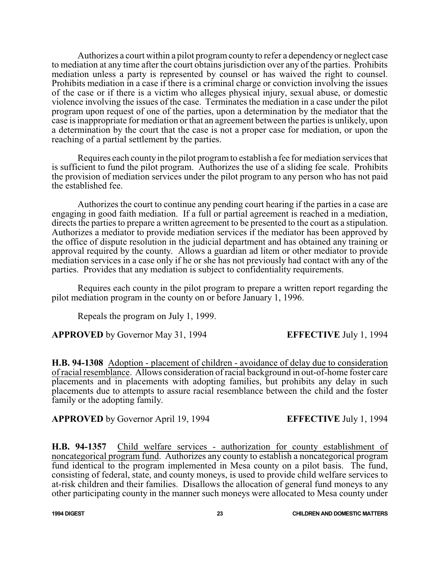Authorizes a court within a pilot programcounty to refer a dependency or neglect case to mediation at any time after the court obtains jurisdiction over any of the parties. Prohibits mediation unless a party is represented by counsel or has waived the right to counsel. Prohibits mediation in a case if there is a criminal charge or conviction involving the issues of the case or if there is a victim who alleges physical injury, sexual abuse, or domestic violence involving the issues of the case. Terminates the mediation in a case under the pilot program upon request of one of the parties, upon a determination by the mediator that the case is inappropriate for mediation or that an agreement between the parties is unlikely, upon a determination by the court that the case is not a proper case for mediation, or upon the reaching of a partial settlement by the parties.

Requires each county in the pilot program to establish a fee for mediation services that is sufficient to fund the pilot program. Authorizes the use of a sliding fee scale. Prohibits the provision of mediation services under the pilot program to any person who has not paid the established fee.

Authorizes the court to continue any pending court hearing if the parties in a case are engaging in good faith mediation. If a full or partial agreement is reached in a mediation, directs the parties to prepare a written agreement to be presented to the court as a stipulation. Authorizes a mediator to provide mediation services if the mediator has been approved by the office of dispute resolution in the judicial department and has obtained any training or approval required by the county. Allows a guardian ad litem or other mediator to provide mediation services in a case only if he or she has not previously had contact with any of the parties. Provides that any mediation is subject to confidentiality requirements.

Requires each county in the pilot program to prepare a written report regarding the pilot mediation program in the county on or before January 1, 1996.

Repeals the program on July 1, 1999.

**APPROVED** by Governor May 31, 1994 **EFFECTIVE** July 1, 1994

**H.B. 94-1308** Adoption - placement of children - avoidance of delay due to consideration of racial resemblance. Allows consideration of racial background in out-of-home foster care placements and in placements with adopting families, but prohibits any delay in such placements due to attempts to assure racial resemblance between the child and the foster family or the adopting family.

**APPROVED** by Governor April 19, 1994 **EFFECTIVE** July 1, 1994

**H.B. 94-1357** Child welfare services - authorization for county establishment of noncategorical program fund. Authorizes any county to establish a noncategorical program fund identical to the program implemented in Mesa county on a pilot basis. The fund, consisting of federal, state, and county moneys, is used to provide child welfare services to at-risk children and their families. Disallows the allocation of general fund moneys to any other participating county in the manner such moneys were allocated to Mesa county under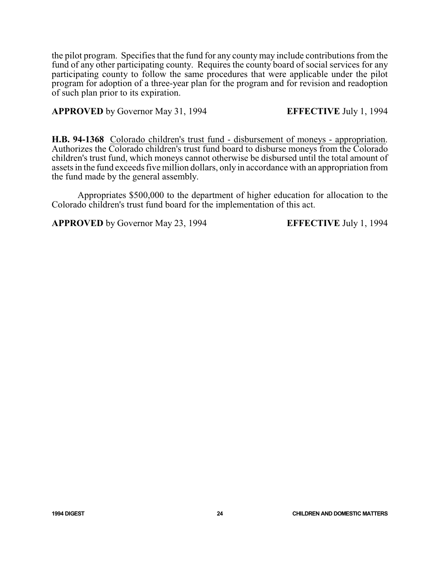the pilot program. Specifies that the fund for any county may include contributions from the fund of any other participating county. Requires the county board of social services for any participating county to follow the same procedures that were applicable under the pilot program for adoption of a three-year plan for the program and for revision and readoption of such plan prior to its expiration.

**APPROVED** by Governor May 31, 1994 **EFFECTIVE** July 1, 1994

**H.B. 94-1368** Colorado children's trust fund - disbursement of moneys - appropriation. Authorizes the Colorado children's trust fund board to disburse moneys from the Colorado children's trust fund, which moneys cannot otherwise be disbursed until the total amount of assets in the fund exceeds five million dollars, only in accordance with an appropriation from the fund made by the general assembly.

Appropriates \$500,000 to the department of higher education for allocation to the Colorado children's trust fund board for the implementation of this act.

**APPROVED** by Governor May 23, 1994 **EFFECTIVE** July 1, 1994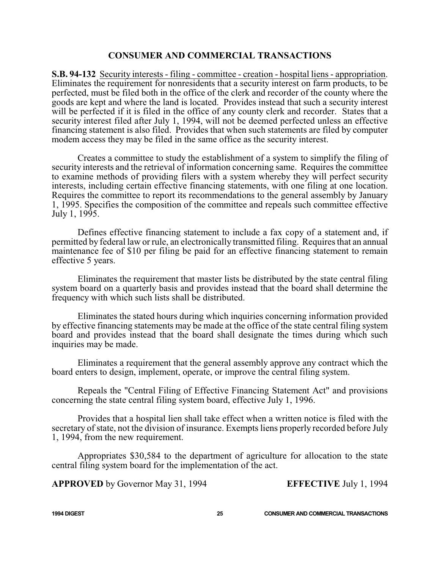#### **CONSUMER AND COMMERCIAL TRANSACTIONS**

**S.B. 94-132** Security interests - filing - committee - creation - hospital liens - appropriation. Eliminates the requirement for nonresidents that a security interest on farm products, to be perfected, must be filed both in the office of the clerk and recorder of the county where the goods are kept and where the land is located. Provides instead that such a security interest will be perfected if it is filed in the office of any county clerk and recorder. States that a security interest filed after July 1, 1994, will not be deemed perfected unless an effective financing statement is also filed. Provides that when such statements are filed by computer modem access they may be filed in the same office as the security interest.

Creates a committee to study the establishment of a system to simplify the filing of security interests and the retrieval of information concerning same. Requires the committee to examine methods of providing filers with a system whereby they will perfect security interests, including certain effective financing statements, with one filing at one location. Requires the committee to report its recommendations to the general assembly by January 1, 1995. Specifies the composition of the committee and repeals such committee effective July 1, 1995.

Defines effective financing statement to include a fax copy of a statement and, if permitted by federal law or rule, an electronically transmitted filing. Requires that an annual maintenance fee of \$10 per filing be paid for an effective financing statement to remain effective 5 years.

Eliminates the requirement that master lists be distributed by the state central filing system board on a quarterly basis and provides instead that the board shall determine the frequency with which such lists shall be distributed.

Eliminates the stated hours during which inquiries concerning information provided by effective financing statements may be made at the office of the state central filing system board and provides instead that the board shall designate the times during which such inquiries may be made.

Eliminates a requirement that the general assembly approve any contract which the board enters to design, implement, operate, or improve the central filing system.

Repeals the "Central Filing of Effective Financing Statement Act" and provisions concerning the state central filing system board, effective July 1, 1996.

Provides that a hospital lien shall take effect when a written notice is filed with the secretary of state, not the division of insurance. Exempts liens properly recorded before July 1, 1994, from the new requirement.

Appropriates \$30,584 to the department of agriculture for allocation to the state central filing system board for the implementation of the act.

**APPROVED** by Governor May 31, 1994 **EFFECTIVE** July 1, 1994

**1994 DIGEST 25 CONSUMER AND COMMERCIAL TRANSACTIONS**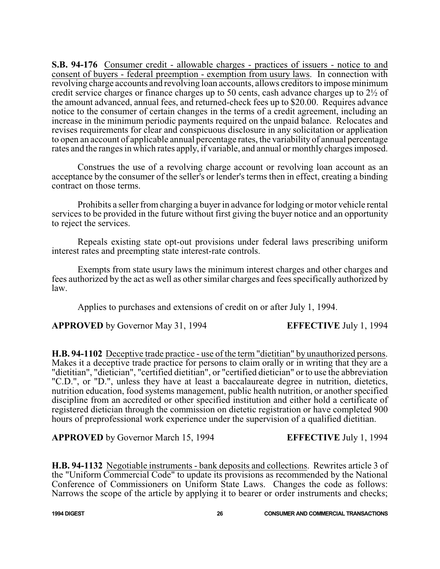**S.B. 94-176** Consumer credit - allowable charges - practices of issuers - notice to and consent of buyers - federal preemption - exemption from usury laws. In connection with revolving charge accounts and revolving loan accounts, allows creditors to impose minimum credit service charges or finance charges up to 50 cents, cash advance charges up to 2½ of the amount advanced, annual fees, and returned-check fees up to \$20.00. Requires advance notice to the consumer of certain changes in the terms of a credit agreement, including an increase in the minimum periodic payments required on the unpaid balance. Relocates and revises requirements for clear and conspicuous disclosure in any solicitation or application to open an account of applicable annual percentage rates, the variability of annual percentage rates and the ranges in which rates apply, if variable, and annual or monthly charges imposed.

Construes the use of a revolving charge account or revolving loan account as an acceptance by the consumer of the seller's or lender's terms then in effect, creating a binding contract on those terms.

Prohibits a seller from charging a buyer in advance for lodging or motor vehicle rental services to be provided in the future without first giving the buyer notice and an opportunity to reject the services.

Repeals existing state opt-out provisions under federal laws prescribing uniform interest rates and preempting state interest-rate controls.

Exempts from state usury laws the minimum interest charges and other charges and fees authorized by the act as well as other similar charges and fees specifically authorized by law.

Applies to purchases and extensions of credit on or after July 1, 1994.

**APPROVED** by Governor May 31, 1994 **EFFECTIVE** July 1, 1994

**H.B. 94-1102** Deceptive trade practice - use of the term "dietitian" by unauthorized persons. Makes it a deceptive trade practice for persons to claim orally or in writing that they are a "dietitian", "dietician", "certified dietitian", or "certified dietician" or to use the abbreviation "C.D.", or "D.", unless they have at least a baccalaureate degree in nutrition, dietetics, nutrition education, food systems management, public health nutrition, or another specified discipline from an accredited or other specified institution and either hold a certificate of registered dietician through the commission on dietetic registration or have completed 900 hours of preprofessional work experience under the supervision of a qualified dietitian.

**APPROVED** by Governor March 15, 1994 **EFFECTIVE** July 1, 1994

**H.B. 94-1132** Negotiable instruments - bank deposits and collections. Rewrites article 3 of the "Uniform Commercial Code" to update its provisions as recommended by the National Conference of Commissioners on Uniform State Laws. Changes the code as follows: Narrows the scope of the article by applying it to bearer or order instruments and checks;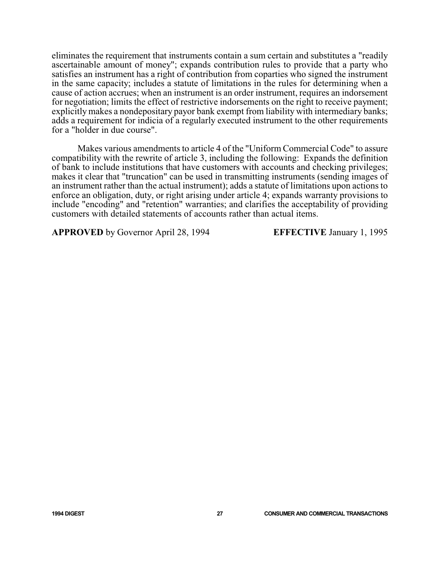eliminates the requirement that instruments contain a sum certain and substitutes a "readily ascertainable amount of money"; expands contribution rules to provide that a party who satisfies an instrument has a right of contribution from coparties who signed the instrument in the same capacity; includes a statute of limitations in the rules for determining when a cause of action accrues; when an instrument is an order instrument, requires an indorsement for negotiation; limits the effect of restrictive indorsements on the right to receive payment; explicitly makes a nondepositary payor bank exempt from liability with intermediary banks; adds a requirement for indicia of a regularly executed instrument to the other requirements for a "holder in due course".

Makes various amendments to article 4 of the "Uniform Commercial Code" to assure compatibility with the rewrite of article 3, including the following: Expands the definition of bank to include institutions that have customers with accounts and checking privileges; makes it clear that "truncation" can be used in transmitting instruments (sending images of an instrument rather than the actual instrument); adds a statute of limitations upon actions to enforce an obligation, duty, or right arising under article 4; expands warranty provisions to include "encoding" and "retention" warranties; and clarifies the acceptability of providing customers with detailed statements of accounts rather than actual items.

**APPROVED** by Governor April 28, 1994 **EFFECTIVE** January 1, 1995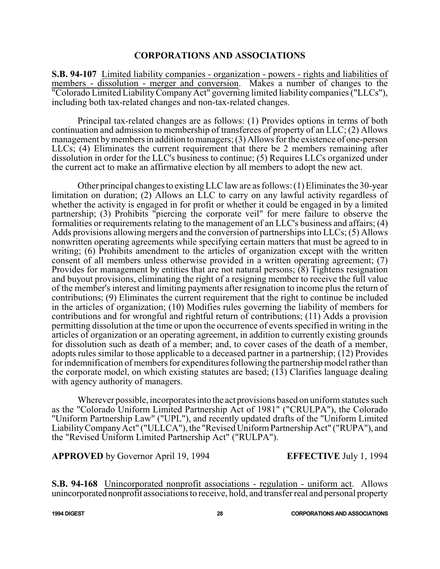#### **CORPORATIONS AND ASSOCIATIONS**

**S.B. 94-107** Limited liability companies - organization - powers - rights and liabilities of members - dissolution - merger and conversion. Makes a number of changes to the "Colorado Limited LiabilityCompanyAct" governing limited liability companies ("LLCs"), including both tax-related changes and non-tax-related changes.

Principal tax-related changes are as follows: (1) Provides options in terms of both continuation and admission to membership of transferees of property of an LLC; (2) Allows management bymembers in addition to managers; (3) Allows for the existence of one-person LLCs; (4) Eliminates the current requirement that there be 2 members remaining after dissolution in order for the LLC's business to continue; (5) Requires LLCs organized under the current act to make an affirmative election by all members to adopt the new act.

Other principal changes to existing LLC law are as follows: (1) Eliminates the 30-year limitation on duration; (2) Allows an LLC to carry on any lawful activity regardless of whether the activity is engaged in for profit or whether it could be engaged in by a limited partnership; (3) Prohibits "piercing the corporate veil" for mere failure to observe the formalities or requirements relating to the management of an LLC's business and affairs; (4) Adds provisions allowing mergers and the conversion of partnerships into LLCs; (5) Allows nonwritten operating agreements while specifying certain matters that must be agreed to in writing; (6) Prohibits amendment to the articles of organization except with the written consent of all members unless otherwise provided in a written operating agreement; (7) Provides for management by entities that are not natural persons; (8) Tightens resignation and buyout provisions, eliminating the right of a resigning member to receive the full value of the member's interest and limiting payments after resignation to income plus the return of contributions; (9) Eliminates the current requirement that the right to continue be included in the articles of organization; (10) Modifies rules governing the liability of members for contributions and for wrongful and rightful return of contributions; (11) Adds a provision permitting dissolution at the time or upon the occurrence of events specified in writing in the articles of organization or an operating agreement, in addition to currently existing grounds for dissolution such as death of a member; and, to cover cases of the death of a member, adopts rules similar to those applicable to a deceased partner in a partnership; (12) Provides for indemnification of members for expenditures following the partnership model rather than the corporate model, on which existing statutes are based; (13) Clarifies language dealing with agency authority of managers.

Wherever possible, incorporates into the act provisions based on uniform statutes such as the "Colorado Uniform Limited Partnership Act of 1981" ("CRULPA"), the Colorado "Uniform Partnership Law" ("UPL"), and recently updated drafts of the "Uniform Limited Liability Company Act" ("ULLCA"), the "Revised Uniform Partnership Act" ("RUPA"), and the "Revised Uniform Limited Partnership Act" ("RULPA").

**APPROVED** by Governor April 19, 1994 **EFFECTIVE** July 1, 1994

**S.B. 94-168** Unincorporated nonprofit associations - regulation - uniform act. Allows unincorporated nonprofit associations to receive, hold, and transfer real and personal property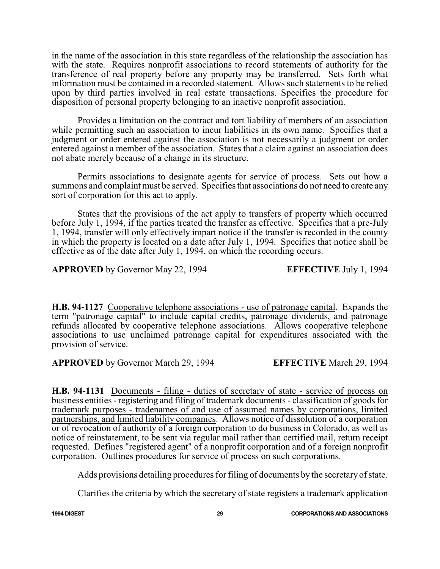in the name of the association in this state regardless of the relationship the association has with the state. Requires nonprofit associations to record statements of authority for the transference of real property before any property may be transferred. Sets forth what information must be contained in a recorded statement. Allows such statements to be relied upon by third parties involved in real estate transactions. Specifies the procedure for disposition of personal property belonging to an inactive nonprofit association.

Provides a limitation on the contract and tort liability of members of an association while permitting such an association to incur liabilities in its own name. Specifies that a judgment or order entered against the association is not necessarily a judgment or order entered against a member of the association. States that a claim against an association does not abate merely because of a change in its structure.

Permits associations to designate agents for service of process. Sets out how a summons and complaint must be served. Specifies that associations do not need to create any sort of corporation for this act to apply.

States that the provisions of the act apply to transfers of property which occurred before July 1, 1994, if the parties treated the transfer as effective. Specifies that a pre-July 1, 1994, transfer will only effectively impart notice if the transfer is recorded in the county in which the property is located on a date after July 1, 1994. Specifies that notice shall be effective as of the date after July 1, 1994, on which the recording occurs.

**APPROVED** by Governor May 22, 1994 **EFFECTIVE** July 1, 1994

**H.B. 94-1127** Cooperative telephone associations - use of patronage capital. Expands the term "patronage capital" to include capital credits, patronage dividends, and patronage refunds allocated by cooperative telephone associations. Allows cooperative telephone associations to use unclaimed patronage capital for expenditures associated with the provision of service.

**APPROVED** by Governor March 29, 1994 **EFFECTIVE** March 29, 1994

**H.B. 94-1131** Documents - filing - duties of secretary of state - service of process on business entities - registering and filing of trademark documents - classification of goods for trademark purposes - tradenames of and use of assumed names by corporations, limited partnerships, and limited liability companies. Allows notice of dissolution of a corporation or of revocation of authority of a foreign corporation to do business in Colorado, as well as notice of reinstatement, to be sent via regular mail rather than certified mail, return receipt requested. Defines "registered agent" of a nonprofit corporation and of a foreign nonprofit corporation. Outlines procedures for service of process on such corporations.

Adds provisions detailing procedures for filing of documents by the secretary of state.

Clarifies the criteria by which the secretary of state registers a trademark application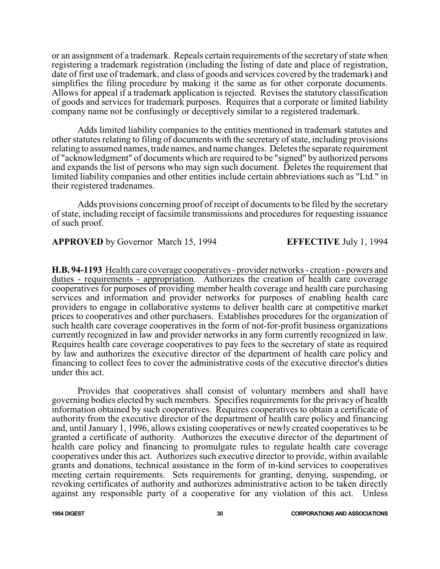or an assignment of a trademark. Repeals certain requirements of the secretary of state when registering a trademark registration (including the listing of date and place of registration, date of first use of trademark, and class of goods and services covered by the trademark) and simplifies the filing procedure by making it the same as for other corporate documents. Allows for appeal if a trademark application is rejected. Revises the statutory classification of goods and services for trademark purposes. Requires that a corporate or limited liability company name not be confusingly or deceptively similar to a registered trademark.

Adds limited liability companies to the entities mentioned in trademark statutes and other statutes relating to filing of documents with the secretary of state, including provisions relating to assumed names, trade names, and name changes. Deletes the separate requirement of "acknowledgment" of documents which are required to be "signed" by authorized persons and expands the list of persons who may sign such document. Deletes the requirement that limited liability companies and other entities include certain abbreviations such as "Ltd." in their registered tradenames.

Adds provisions concerning proof of receipt of documents to be filed by the secretary of state, including receipt of facsimile transmissions and procedures for requesting issuance of such proof.

**APPROVED** by Governor March 15, 1994 **EFFECTIVE** July 1, 1994

**H.B. 94-1193** Health care coverage cooperatives - provider networks - creation - powers and duties - requirements - appropriation. Authorizes the creation of health care coverage cooperatives for purposes of providing member health coverage and health care purchasing services and information and provider networks for purposes of enabling health care providers to engage in collaborative systems to deliver health care at competitive market prices to cooperatives and other purchasers. Establishes procedures for the organization of such health care coverage cooperatives in the form of not-for-profit business organizations currently recognized in law and provider networks in any form currently recognized in law. Requires health care coverage cooperatives to pay fees to the secretary of state as required by law and authorizes the executive director of the department of health care policy and financing to collect fees to cover the administrative costs of the executive director's duties under this act.

Provides that cooperatives shall consist of voluntary members and shall have governing bodies elected by such members. Specifies requirements for the privacy of health information obtained by such cooperatives. Requires cooperatives to obtain a certificate of authority from the executive director of the department of health care policy and financing and, until January 1, 1996, allows existing cooperatives or newly created cooperatives to be granted a certificate of authority. Authorizes the executive director of the department of health care policy and financing to promulgate rules to regulate health care coverage cooperatives under this act. Authorizes such executive director to provide, within available grants and donations, technical assistance in the form of in-kind services to cooperatives meeting certain requirements. Sets requirements for granting, denying, suspending, or revoking certificates of authority and authorizes administrative action to be taken directly against any responsible party of a cooperative for any violation of this act. Unless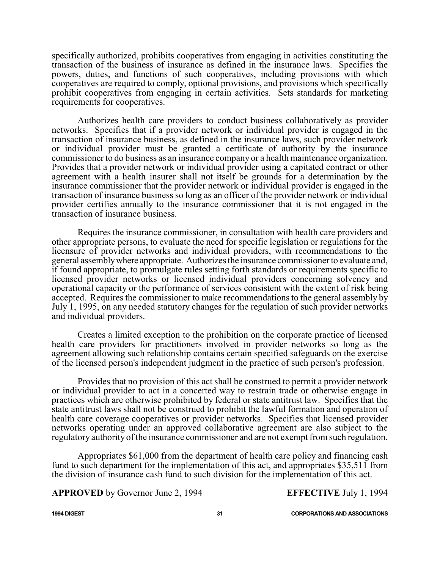specifically authorized, prohibits cooperatives from engaging in activities constituting the transaction of the business of insurance as defined in the insurance laws. Specifies the powers, duties, and functions of such cooperatives, including provisions with which cooperatives are required to comply, optional provisions, and provisions which specifically prohibit cooperatives from engaging in certain activities. Sets standards for marketing requirements for cooperatives.

Authorizes health care providers to conduct business collaboratively as provider networks. Specifies that if a provider network or individual provider is engaged in the transaction of insurance business, as defined in the insurance laws, such provider network or individual provider must be granted a certificate of authority by the insurance commissioner to do business as an insurance company or a health maintenance organization. Provides that a provider network or individual provider using a capitated contract or other agreement with a health insurer shall not itself be grounds for a determination by the insurance commissioner that the provider network or individual provider is engaged in the transaction of insurance business so long as an officer of the provider network or individual provider certifies annually to the insurance commissioner that it is not engaged in the transaction of insurance business.

Requires the insurance commissioner, in consultation with health care providers and other appropriate persons, to evaluate the need for specific legislation or regulations for the licensure of provider networks and individual providers, with recommendations to the general assemblywhere appropriate. Authorizes the insurance commissioner to evaluate and, if found appropriate, to promulgate rules setting forth standards or requirements specific to licensed provider networks or licensed individual providers concerning solvency and operational capacity or the performance of services consistent with the extent of risk being accepted. Requires the commissioner to make recommendations to the general assembly by July 1, 1995, on any needed statutory changes for the regulation of such provider networks and individual providers.

Creates a limited exception to the prohibition on the corporate practice of licensed health care providers for practitioners involved in provider networks so long as the agreement allowing such relationship contains certain specified safeguards on the exercise of the licensed person's independent judgment in the practice of such person's profession.

Provides that no provision of this act shall be construed to permit a provider network or individual provider to act in a concerted way to restrain trade or otherwise engage in practices which are otherwise prohibited by federal or state antitrust law. Specifies that the state antitrust laws shall not be construed to prohibit the lawful formation and operation of health care coverage cooperatives or provider networks. Specifies that licensed provider networks operating under an approved collaborative agreement are also subject to the regulatory authority of the insurance commissioner and are not exempt from such regulation.

Appropriates \$61,000 from the department of health care policy and financing cash fund to such department for the implementation of this act, and appropriates \$35,511 from the division of insurance cash fund to such division for the implementation of this act.

**APPROVED** by Governor June 2, 1994 **EFFECTIVE** July 1, 1994

**1994 DIGEST 31 CORPORATIONS AND ASSOCIATIONS**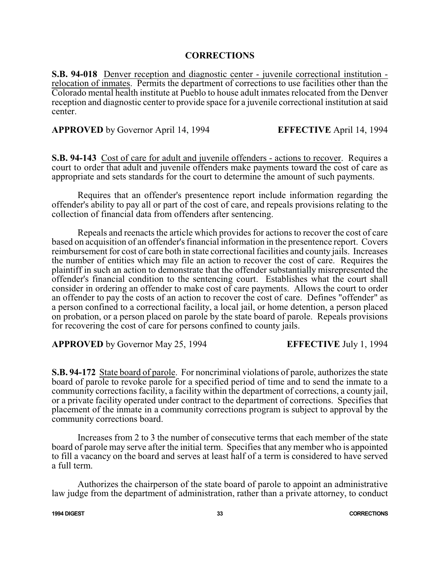### **CORRECTIONS**

**S.B. 94-018** Denver reception and diagnostic center - juvenile correctional institution relocation of inmates. Permits the department of corrections to use facilities other than the Colorado mental health institute at Pueblo to house adult inmates relocated from the Denver reception and diagnostic center to provide space for a juvenile correctional institution at said center.

**APPROVED** by Governor April 14, 1994 **EFFECTIVE** April 14, 1994

**S.B. 94-143** Cost of care for adult and juvenile offenders - actions to recover. Requires a court to order that adult and juvenile offenders make payments toward the cost of care as appropriate and sets standards for the court to determine the amount of such payments.

Requires that an offender's presentence report include information regarding the offender's ability to pay all or part of the cost of care, and repeals provisions relating to the collection of financial data from offenders after sentencing.

Repeals and reenacts the article which provides for actions to recover the cost of care based on acquisition of an offender's financial information in the presentence report. Covers reimbursement for cost of care both in state correctional facilities and county jails. Increases the number of entities which may file an action to recover the cost of care. Requires the plaintiff in such an action to demonstrate that the offender substantially misrepresented the offender's financial condition to the sentencing court. Establishes what the court shall consider in ordering an offender to make cost of care payments. Allows the court to order an offender to pay the costs of an action to recover the cost of care. Defines "offender" as a person confined to a correctional facility, a local jail, or home detention, a person placed on probation, or a person placed on parole by the state board of parole. Repeals provisions for recovering the cost of care for persons confined to county jails.

**APPROVED** by Governor May 25, 1994 **EFFECTIVE** July 1, 1994

**S.B. 94-172** State board of parole. For noncriminal violations of parole, authorizes the state board of parole to revoke parole for a specified period of time and to send the inmate to a community corrections facility, a facility within the department of corrections, a county jail, or a private facility operated under contract to the department of corrections. Specifies that placement of the inmate in a community corrections program is subject to approval by the community corrections board.

Increases from 2 to 3 the number of consecutive terms that each member of the state board of parole may serve after the initial term. Specifies that any member who is appointed to fill a vacancy on the board and serves at least half of a term is considered to have served a full term.

Authorizes the chairperson of the state board of parole to appoint an administrative law judge from the department of administration, rather than a private attorney, to conduct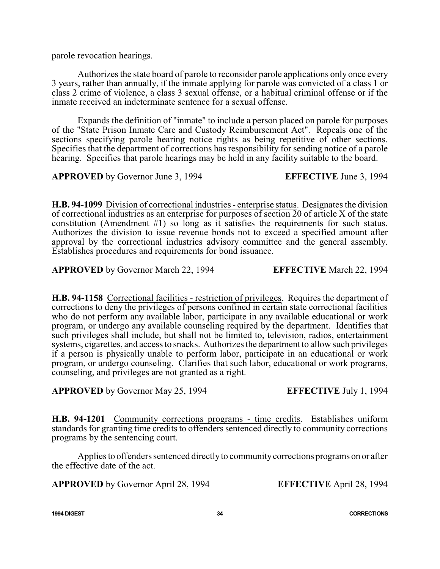parole revocation hearings.

Authorizes the state board of parole to reconsider parole applications only once every 3 years, rather than annually, if the inmate applying for parole was convicted of a class 1 or class 2 crime of violence, a class 3 sexual offense, or a habitual criminal offense or if the inmate received an indeterminate sentence for a sexual offense.

Expands the definition of "inmate" to include a person placed on parole for purposes of the "State Prison Inmate Care and Custody Reimbursement Act". Repeals one of the sections specifying parole hearing notice rights as being repetitive of other sections. Specifies that the department of corrections has responsibility for sending notice of a parole hearing. Specifies that parole hearings may be held in any facility suitable to the board.

**APPROVED** by Governor June 3, 1994 **EFFECTIVE** June 3, 1994

**H.B. 94-1099** Division of correctional industries - enterprise status. Designates the division of correctional industries as an enterprise for purposes of section  $\overline{2}0$  of article X of the state constitution (Amendment #1) so long as it satisfies the requirements for such status. Authorizes the division to issue revenue bonds not to exceed a specified amount after approval by the correctional industries advisory committee and the general assembly. Establishes procedures and requirements for bond issuance.

**APPROVED** by Governor March 22, 1994 **EFFECTIVE** March 22, 1994

**H.B. 94-1158** Correctional facilities - restriction of privileges. Requires the department of corrections to deny the privileges of persons confined in certain state correctional facilities who do not perform any available labor, participate in any available educational or work program, or undergo any available counseling required by the department. Identifies that such privileges shall include, but shall not be limited to, television, radios, entertainment systems, cigarettes, and access to snacks. Authorizes the department to allow such privileges if a person is physically unable to perform labor, participate in an educational or work program, or undergo counseling. Clarifies that such labor, educational or work programs, counseling, and privileges are not granted as a right.

**APPROVED** by Governor May 25, 1994 **EFFECTIVE** July 1, 1994

**H.B. 94-1201** Community corrections programs - time credits. Establishes uniform standards for granting time credits to offenders sentenced directly to community corrections programs by the sentencing court.

Applies to offenders sentenced directlyto communitycorrections programs on or after the effective date of the act.

**APPROVED** by Governor April 28, 1994 **EFFECTIVE** April 28, 1994

**1994 DIGEST 34 CORRECTIONS**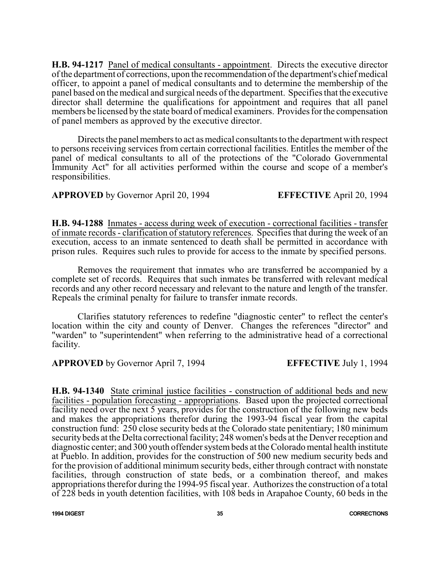**H.B. 94-1217** Panel of medical consultants - appointment. Directs the executive director ofthe department of corrections, upon the recommendation ofthe department's chief medical officer, to appoint a panel of medical consultants and to determine the membership of the panel based on the medical and surgical needs of the department. Specifies that the executive director shall determine the qualifications for appointment and requires that all panel members be licensed by the state board of medical examiners. Provides for the compensation of panel members as approved by the executive director.

Directs the panel members to act as medical consultants to the department with respect to persons receiving services from certain correctional facilities. Entitles the member of the panel of medical consultants to all of the protections of the "Colorado Governmental Immunity Act" for all activities performed within the course and scope of a member's responsibilities.

**APPROVED** by Governor April 20, 1994 **EFFECTIVE** April 20, 1994

**H.B. 94-1288** Inmates - access during week of execution - correctional facilities - transfer of inmate records - clarification of statutory references. Specifies that during the week of an execution, access to an inmate sentenced to death shall be permitted in accordance with prison rules. Requires such rules to provide for access to the inmate by specified persons.

Removes the requirement that inmates who are transferred be accompanied by a complete set of records. Requires that such inmates be transferred with relevant medical records and any other record necessary and relevant to the nature and length of the transfer. Repeals the criminal penalty for failure to transfer inmate records.

Clarifies statutory references to redefine "diagnostic center" to reflect the center's location within the city and county of Denver. Changes the references "director" and "warden" to "superintendent" when referring to the administrative head of a correctional facility.

**APPROVED** by Governor April 7, 1994 **EFFECTIVE** July 1, 1994

**H.B. 94-1340** State criminal justice facilities - construction of additional beds and new facilities - population forecasting - appropriations. Based upon the projected correctional facility need over the next 5 years, provides for the construction of the following new beds and makes the appropriations therefor during the 1993-94 fiscal year from the capital construction fund: 250 close security beds at the Colorado state penitentiary; 180 minimum security beds at the Delta correctional facility; 248 women's beds at the Denver reception and diagnostic center; and 300 youth offender systembeds at the Colorado mental health institute at Pueblo. In addition, provides for the construction of 500 new medium security beds and for the provision of additional minimum security beds, either through contract with nonstate facilities, through construction of state beds, or a combination thereof, and makes appropriations therefor during the 1994-95 fiscal year. Authorizes the construction of a total of 228 beds in youth detention facilities, with 108 beds in Arapahoe County, 60 beds in the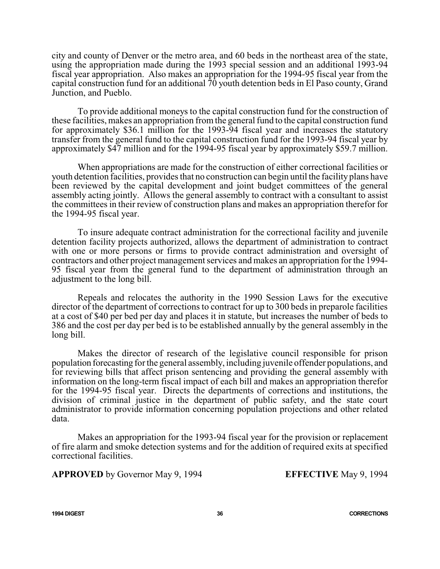city and county of Denver or the metro area, and 60 beds in the northeast area of the state, using the appropriation made during the 1993 special session and an additional 1993-94 fiscal year appropriation. Also makes an appropriation for the 1994-95 fiscal year from the capital construction fund for an additional  $70$  youth detention beds in El Paso county, Grand Junction, and Pueblo.

To provide additional moneys to the capital construction fund for the construction of these facilities, makes an appropriation fromthe general fund to the capital construction fund for approximately \$36.1 million for the 1993-94 fiscal year and increases the statutory transfer from the general fund to the capital construction fund for the 1993-94 fiscal year by approximately \$47 million and for the 1994-95 fiscal year by approximately \$59.7 million.

When appropriations are made for the construction of either correctional facilities or youth detention facilities, provides that no construction can begin until the facility plans have been reviewed by the capital development and joint budget committees of the general assembly acting jointly. Allows the general assembly to contract with a consultant to assist the committees in their review of construction plans and makes an appropriation therefor for the 1994-95 fiscal year.

To insure adequate contract administration for the correctional facility and juvenile detention facility projects authorized, allows the department of administration to contract with one or more persons or firms to provide contract administration and oversight of contractors and other project management services and makes an appropriation for the 1994- 95 fiscal year from the general fund to the department of administration through an adjustment to the long bill.

Repeals and relocates the authority in the 1990 Session Laws for the executive director of the department of corrections to contract for up to 300 beds in preparole facilities at a cost of \$40 per bed per day and places it in statute, but increases the number of beds to 386 and the cost per day per bed is to be established annually by the general assembly in the long bill.

Makes the director of research of the legislative council responsible for prison population forecasting for the general assembly, including juvenile offender populations, and for reviewing bills that affect prison sentencing and providing the general assembly with information on the long-term fiscal impact of each bill and makes an appropriation therefor for the 1994-95 fiscal year. Directs the departments of corrections and institutions, the division of criminal justice in the department of public safety, and the state court administrator to provide information concerning population projections and other related data.

Makes an appropriation for the 1993-94 fiscal year for the provision or replacement of fire alarm and smoke detection systems and for the addition of required exits at specified correctional facilities.

**APPROVED** by Governor May 9, 1994 **EFFECTIVE** May 9, 1994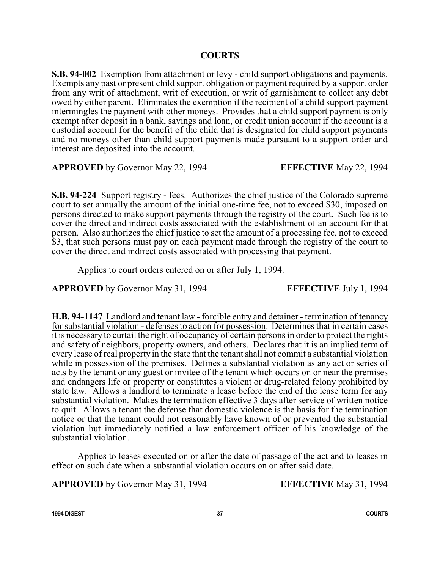**S.B. 94-002** Exemption from attachment or levy - child support obligations and payments. Exempts any past or present child support obligation or payment required by a support order from any writ of attachment, writ of execution, or writ of garnishment to collect any debt owed by either parent. Eliminates the exemption if the recipient of a child support payment intermingles the payment with other moneys. Provides that a child support payment is only exempt after deposit in a bank, savings and loan, or credit union account if the account is a custodial account for the benefit of the child that is designated for child support payments and no moneys other than child support payments made pursuant to a support order and interest are deposited into the account.

**APPROVED** by Governor May 22, 1994 **EFFECTIVE** May 22, 1994

**S.B. 94-224** Support registry - fees. Authorizes the chief justice of the Colorado supreme court to set annually the amount of the initial one-time fee, not to exceed \$30, imposed on persons directed to make support payments through the registry of the court. Such fee is to cover the direct and indirect costs associated with the establishment of an account for that person. Also authorizes the chief justice to set the amount of a processing fee, not to exceed \$3, that such persons must pay on each payment made through the registry of the court to cover the direct and indirect costs associated with processing that payment.

Applies to court orders entered on or after July 1, 1994.

**APPROVED** by Governor May 31, 1994 **EFFECTIVE** July 1, 1994

**H.B. 94-1147** Landlord and tenant law - forcible entry and detainer - termination of tenancy for substantial violation - defenses to action for possession. Determines that in certain cases it is necessary to curtail the right of occupancy of certain persons in order to protect the rights and safety of neighbors, property owners, and others. Declares that it is an implied term of every lease of real property in the state that the tenant shall not commit a substantial violation while in possession of the premises. Defines a substantial violation as any act or series of acts by the tenant or any guest or invitee of the tenant which occurs on or near the premises and endangers life or property or constitutes a violent or drug-related felony prohibited by state law. Allows a landlord to terminate a lease before the end of the lease term for any substantial violation. Makes the termination effective 3 days after service of written notice to quit. Allows a tenant the defense that domestic violence is the basis for the termination notice or that the tenant could not reasonably have known of or prevented the substantial violation but immediately notified a law enforcement officer of his knowledge of the substantial violation.

Applies to leases executed on or after the date of passage of the act and to leases in effect on such date when a substantial violation occurs on or after said date.

**APPROVED** by Governor May 31, 1994 **EFFECTIVE** May 31, 1994

**1994 DIGEST 37 COURTS**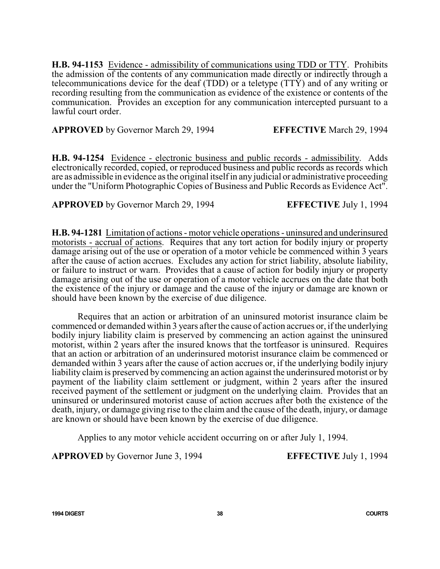**H.B. 94-1153** Evidence - admissibility of communications using TDD or TTY. Prohibits the admission of the contents of any communication made directly or indirectly through a telecommunications device for the deaf (TDD) or a teletype (TTY) and of any writing or recording resulting from the communication as evidence of the existence or contents of the communication. Provides an exception for any communication intercepted pursuant to a lawful court order.

**APPROVED** by Governor March 29, 1994 **EFFECTIVE** March 29, 1994

**H.B. 94-1254** Evidence - electronic business and public records - admissibility. Adds electronically recorded, copied, or reproduced business and public records as records which are as admissible in evidence as the original itselfin any judicial or administrative proceeding under the "Uniform Photographic Copies of Business and Public Records as Evidence Act".

**APPROVED** by Governor March 29, 1994 **EFFECTIVE** July 1, 1994

**H.B. 94-1281** Limitation of actions - motor vehicle operations - uninsured and underinsured motorists - accrual of actions. Requires that any tort action for bodily injury or property damage arising out of the use or operation of a motor vehicle be commenced within 3 years after the cause of action accrues. Excludes any action for strict liability, absolute liability, or failure to instruct or warn. Provides that a cause of action for bodily injury or property damage arising out of the use or operation of a motor vehicle accrues on the date that both the existence of the injury or damage and the cause of the injury or damage are known or should have been known by the exercise of due diligence.

Requires that an action or arbitration of an uninsured motorist insurance claim be commenced or demanded within 3 years after the cause of action accrues or, if the underlying bodily injury liability claim is preserved by commencing an action against the uninsured motorist, within 2 years after the insured knows that the tortfeasor is uninsured. Requires that an action or arbitration of an underinsured motorist insurance claim be commenced or demanded within 3 years after the cause of action accrues or, if the underlying bodily injury liability claim is preserved by commencing an action against the underinsured motorist or by payment of the liability claim settlement or judgment, within 2 years after the insured received payment of the settlement or judgment on the underlying claim. Provides that an uninsured or underinsured motorist cause of action accrues after both the existence of the death, injury, or damage giving rise to the claim and the cause of the death, injury, or damage are known or should have been known by the exercise of due diligence.

Applies to any motor vehicle accident occurring on or after July 1, 1994.

**APPROVED** by Governor June 3, 1994 **EFFECTIVE** July 1, 1994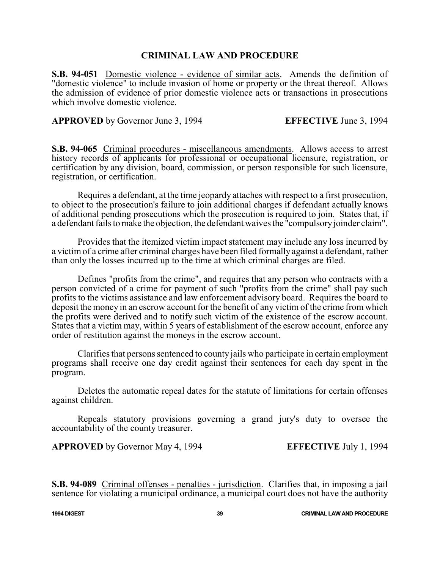## **CRIMINAL LAW AND PROCEDURE**

**S.B. 94-051** Domestic violence - evidence of similar acts. Amends the definition of "domestic violence" to include invasion of home or property or the threat thereof. Allows the admission of evidence of prior domestic violence acts or transactions in prosecutions which involve domestic violence.

**APPROVED** by Governor June 3, 1994 **EFFECTIVE** June 3, 1994

**S.B. 94-065** Criminal procedures - miscellaneous amendments. Allows access to arrest history records of applicants for professional or occupational licensure, registration, or certification by any division, board, commission, or person responsible for such licensure, registration, or certification.

Requires a defendant, at the time jeopardy attaches with respect to a first prosecution, to object to the prosecution's failure to join additional charges if defendant actually knows of additional pending prosecutions which the prosecution is required to join. States that, if a defendant fails to make the objection, the defendant waives the "compulsoryjoinder claim".

Provides that the itemized victim impact statement may include any loss incurred by a victim of a crime after criminal charges have been filed formally against a defendant, rather than only the losses incurred up to the time at which criminal charges are filed.

Defines "profits from the crime", and requires that any person who contracts with a person convicted of a crime for payment of such "profits from the crime" shall pay such profits to the victims assistance and law enforcement advisory board. Requires the board to deposit the money in an escrow account for the benefit of any victim of the crime from which the profits were derived and to notify such victim of the existence of the escrow account. States that a victim may, within 5 years of establishment of the escrow account, enforce any order of restitution against the moneys in the escrow account.

Clarifies that persons sentenced to county jails who participate in certain employment programs shall receive one day credit against their sentences for each day spent in the program.

Deletes the automatic repeal dates for the statute of limitations for certain offenses against children.

Repeals statutory provisions governing a grand jury's duty to oversee the accountability of the county treasurer.

**APPROVED** by Governor May 4, 1994 **EFFECTIVE** July 1, 1994

**S.B. 94-089** Criminal offenses - penalties - jurisdiction. Clarifies that, in imposing a jail sentence for violating a municipal ordinance, a municipal court does not have the authority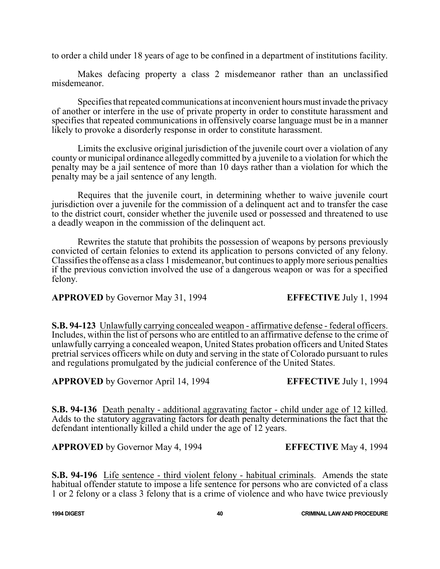to order a child under 18 years of age to be confined in a department of institutions facility.

Makes defacing property a class 2 misdemeanor rather than an unclassified misdemeanor.

Specifies that repeated communications at inconvenient hours must invade the privacy of another or interfere in the use of private property in order to constitute harassment and specifies that repeated communications in offensively coarse language must be in a manner likely to provoke a disorderly response in order to constitute harassment.

Limits the exclusive original jurisdiction of the juvenile court over a violation of any county or municipal ordinance allegedly committed by a juvenile to a violation for which the penalty may be a jail sentence of more than 10 days rather than a violation for which the penalty may be a jail sentence of any length.

Requires that the juvenile court, in determining whether to waive juvenile court jurisdiction over a juvenile for the commission of a delinquent act and to transfer the case to the district court, consider whether the juvenile used or possessed and threatened to use a deadly weapon in the commission of the delinquent act.

Rewrites the statute that prohibits the possession of weapons by persons previously convicted of certain felonies to extend its application to persons convicted of any felony. Classifies the offense as a class 1 misdemeanor, but continues to applymore serious penalties if the previous conviction involved the use of a dangerous weapon or was for a specified felony.

# **APPROVED** by Governor May 31, 1994 **EFFECTIVE** July 1, 1994

**S.B. 94-123** Unlawfully carrying concealed weapon - affirmative defense - federal officers. Includes, within the list of persons who are entitled to an affirmative defense to the crime of unlawfully carrying a concealed weapon, United States probation officers and United States pretrial services officers while on duty and serving in the state of Colorado pursuant to rules and regulations promulgated by the judicial conference of the United States.

**APPROVED** by Governor April 14, 1994 **EFFECTIVE** July 1, 1994

**S.B. 94-136** Death penalty - additional aggravating factor - child under age of 12 killed. Adds to the statutory aggravating factors for death penalty determinations the fact that the defendant intentionally killed a child under the age of 12 years.

**APPROVED** by Governor May 4, 1994 **EFFECTIVE** May 4, 1994

**S.B. 94-196** Life sentence - third violent felony - habitual criminals. Amends the state habitual offender statute to impose a life sentence for persons who are convicted of a class 1 or 2 felony or a class 3 felony that is a crime of violence and who have twice previously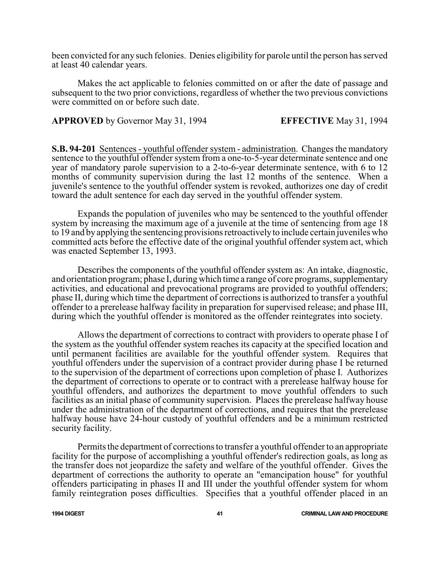been convicted for any such felonies. Denies eligibility for parole until the person has served at least 40 calendar years.

Makes the act applicable to felonies committed on or after the date of passage and subsequent to the two prior convictions, regardless of whether the two previous convictions were committed on or before such date.

**APPROVED** by Governor May 31, 1994 **EFFECTIVE** May 31, 1994

**S.B. 94-201** Sentences - youthful offender system - administration. Changes the mandatory sentence to the youthful offender system from a one-to-5-year determinate sentence and one year of mandatory parole supervision to a 2-to-6-year determinate sentence, with 6 to 12 months of community supervision during the last 12 months of the sentence. When a juvenile's sentence to the youthful offender system is revoked, authorizes one day of credit toward the adult sentence for each day served in the youthful offender system.

Expands the population of juveniles who may be sentenced to the youthful offender system by increasing the maximum age of a juvenile at the time of sentencing from age 18 to 19 and by applying the sentencing provisions retroactivelyto include certain juveniles who committed acts before the effective date of the original youthful offender system act, which was enacted September 13, 1993.

Describes the components of the youthful offender system as: An intake, diagnostic, and orientation program; phase I, during which time a range of core programs, supplementary activities, and educational and prevocational programs are provided to youthful offenders; phase II, during which time the department of corrections is authorized to transfer a youthful offender to a prerelease halfway facility in preparation for supervised release; and phase III, during which the youthful offender is monitored as the offender reintegrates into society.

Allows the department of corrections to contract with providers to operate phase I of the system as the youthful offender system reaches its capacity at the specified location and until permanent facilities are available for the youthful offender system. Requires that youthful offenders under the supervision of a contract provider during phase I be returned to the supervision of the department of corrections upon completion of phase I. Authorizes the department of corrections to operate or to contract with a prerelease halfway house for youthful offenders, and authorizes the department to move youthful offenders to such facilities as an initial phase of community supervision. Places the prerelease halfway house under the administration of the department of corrections, and requires that the prerelease halfway house have 24-hour custody of youthful offenders and be a minimum restricted security facility.

Permits the department of corrections to transfer a youthful offender to an appropriate facility for the purpose of accomplishing a youthful offender's redirection goals, as long as the transfer does not jeopardize the safety and welfare of the youthful offender. Gives the department of corrections the authority to operate an "emancipation house" for youthful offenders participating in phases II and III under the youthful offender system for whom family reintegration poses difficulties. Specifies that a youthful offender placed in an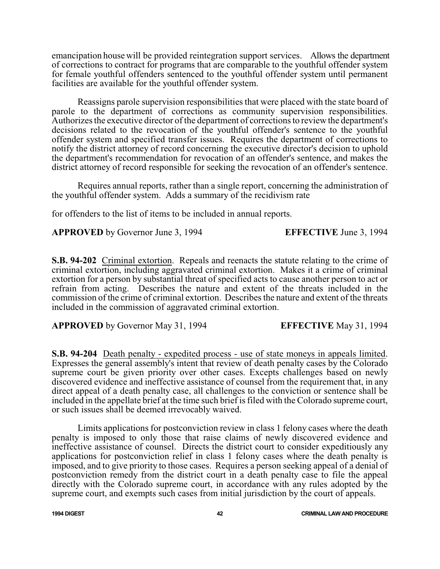emancipation house will be provided reintegration support services. Allows the department of corrections to contract for programs that are comparable to the youthful offender system for female youthful offenders sentenced to the youthful offender system until permanent facilities are available for the youthful offender system.

Reassigns parole supervision responsibilities that were placed with the state board of parole to the department of corrections as community supervision responsibilities. Authorizes the executive director of the department of corrections to review the department's decisions related to the revocation of the youthful offender's sentence to the youthful offender system and specified transfer issues. Requires the department of corrections to notify the district attorney of record concerning the executive director's decision to uphold the department's recommendation for revocation of an offender's sentence, and makes the district attorney of record responsible for seeking the revocation of an offender's sentence.

Requires annual reports, rather than a single report, concerning the administration of the youthful offender system. Adds a summary of the recidivism rate

for offenders to the list of items to be included in annual reports.

**APPROVED** by Governor June 3, 1994 **EFFECTIVE** June 3, 1994

**S.B. 94-202** Criminal extortion. Repeals and reenacts the statute relating to the crime of criminal extortion, including aggravated criminal extortion. Makes it a crime of criminal extortion for a person by substantial threat of specified acts to cause another person to act or refrain from acting. Describes the nature and extent of the threats included in the commission of the crime of criminal extortion. Describes the nature and extent of the threats included in the commission of aggravated criminal extortion.

**APPROVED** by Governor May 31, 1994 **EFFECTIVE** May 31, 1994

**S.B. 94-204** Death penalty - expedited process - use of state moneys in appeals limited. Expresses the general assembly's intent that review of death penalty cases by the Colorado supreme court be given priority over other cases. Excepts challenges based on newly discovered evidence and ineffective assistance of counsel from the requirement that, in any direct appeal of a death penalty case, all challenges to the conviction or sentence shall be included in the appellate brief at the time such brief is filed with the Colorado supreme court, or such issues shall be deemed irrevocably waived.

Limits applications for postconviction review in class 1 felony cases where the death penalty is imposed to only those that raise claims of newly discovered evidence and ineffective assistance of counsel. Directs the district court to consider expeditiously any applications for postconviction relief in class 1 felony cases where the death penalty is imposed, and to give priority to those cases. Requires a person seeking appeal of a denial of postconviction remedy from the district court in a death penalty case to file the appeal directly with the Colorado supreme court, in accordance with any rules adopted by the supreme court, and exempts such cases from initial jurisdiction by the court of appeals.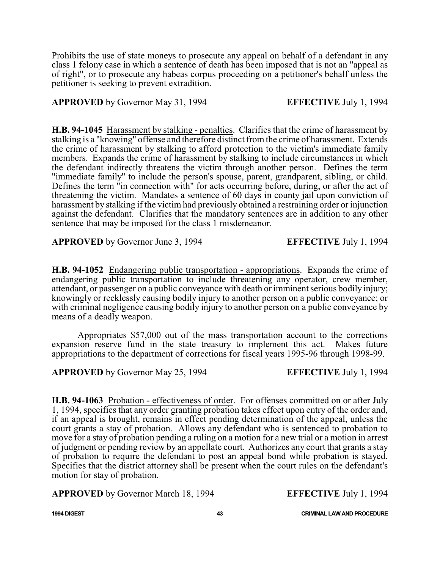Prohibits the use of state moneys to prosecute any appeal on behalf of a defendant in any class 1 felony case in which a sentence of death has been imposed that is not an "appeal as of right", or to prosecute any habeas corpus proceeding on a petitioner's behalf unless the petitioner is seeking to prevent extradition.

**APPROVED** by Governor May 31, 1994 **EFFECTIVE** July 1, 1994

**H.B. 94-1045** Harassment by stalking - penalties. Clarifies that the crime of harassment by stalking is a "knowing" offense and therefore distinct from the crime of harassment. Extends the crime of harassment by stalking to afford protection to the victim's immediate family members. Expands the crime of harassment by stalking to include circumstances in which the defendant indirectly threatens the victim through another person. Defines the term "immediate family" to include the person's spouse, parent, grandparent, sibling, or child. Defines the term "in connection with" for acts occurring before, during, or after the act of threatening the victim. Mandates a sentence of 60 days in county jail upon conviction of harassment by stalking if the victim had previously obtained a restraining order or injunction against the defendant. Clarifies that the mandatory sentences are in addition to any other sentence that may be imposed for the class 1 misdemeanor.

**APPROVED** by Governor June 3, 1994 **EFFECTIVE** July 1, 1994

**H.B. 94-1052** Endangering public transportation - appropriations. Expands the crime of endangering public transportation to include threatening any operator, crew member, attendant, or passenger on a public conveyance with death or imminent serious bodily injury; knowingly or recklessly causing bodily injury to another person on a public conveyance; or with criminal negligence causing bodily injury to another person on a public conveyance by means of a deadly weapon.

Appropriates \$57,000 out of the mass transportation account to the corrections expansion reserve fund in the state treasury to implement this act. Makes future appropriations to the department of corrections for fiscal years 1995-96 through 1998-99.

**APPROVED** by Governor May 25, 1994 **EFFECTIVE** July 1, 1994

**H.B. 94-1063** Probation - effectiveness of order. For offenses committed on or after July 1, 1994, specifies that any order granting probation takes effect upon entry of the order and, if an appeal is brought, remains in effect pending determination of the appeal, unless the court grants a stay of probation. Allows any defendant who is sentenced to probation to move for a stay of probation pending a ruling on a motion for a new trial or a motion in arrest of judgment or pending review by an appellate court. Authorizes any court that grants a stay of probation to require the defendant to post an appeal bond while probation is stayed. Specifies that the district attorney shall be present when the court rules on the defendant's motion for stay of probation.

**APPROVED** by Governor March 18, 1994 **EFFECTIVE** July 1, 1994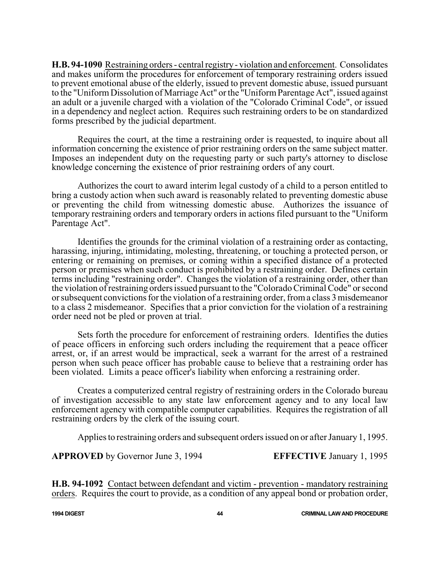**H.B. 94-1090** Restraining orders - central registry- violation and enforcement. Consolidates and makes uniform the procedures for enforcement of temporary restraining orders issued to prevent emotional abuse of the elderly, issued to prevent domestic abuse, issued pursuant to the "UniformDissolution of Marriage Act" or the "UniformParentage Act", issued against an adult or a juvenile charged with a violation of the "Colorado Criminal Code", or issued in a dependency and neglect action. Requires such restraining orders to be on standardized forms prescribed by the judicial department.

Requires the court, at the time a restraining order is requested, to inquire about all information concerning the existence of prior restraining orders on the same subject matter. Imposes an independent duty on the requesting party or such party's attorney to disclose knowledge concerning the existence of prior restraining orders of any court.

Authorizes the court to award interim legal custody of a child to a person entitled to bring a custody action when such award is reasonably related to preventing domestic abuse or preventing the child from witnessing domestic abuse. Authorizes the issuance of temporary restraining orders and temporary orders in actions filed pursuant to the "Uniform Parentage Act".

Identifies the grounds for the criminal violation of a restraining order as contacting, harassing, injuring, intimidating, molesting, threatening, or touching a protected person, or entering or remaining on premises, or coming within a specified distance of a protected person or premises when such conduct is prohibited by a restraining order. Defines certain terms including "restraining order". Changes the violation of a restraining order, other than the violation ofrestraining orders issued pursuant to the "Colorado Criminal Code" or second or subsequent convictions for the violation of a restraining order, froma class 3 misdemeanor to a class 2 misdemeanor. Specifies that a prior conviction for the violation of a restraining order need not be pled or proven at trial.

Sets forth the procedure for enforcement of restraining orders. Identifies the duties of peace officers in enforcing such orders including the requirement that a peace officer arrest, or, if an arrest would be impractical, seek a warrant for the arrest of a restrained person when such peace officer has probable cause to believe that a restraining order has been violated. Limits a peace officer's liability when enforcing a restraining order.

Creates a computerized central registry of restraining orders in the Colorado bureau of investigation accessible to any state law enforcement agency and to any local law enforcement agency with compatible computer capabilities. Requires the registration of all restraining orders by the clerk of the issuing court.

Applies to restraining orders and subsequent orders issued on or after January 1, 1995.

**APPROVED** by Governor June 3, 1994 **EFFECTIVE** January 1, 1995

**H.B. 94-1092** Contact between defendant and victim - prevention - mandatory restraining orders. Requires the court to provide, as a condition of any appeal bond or probation order,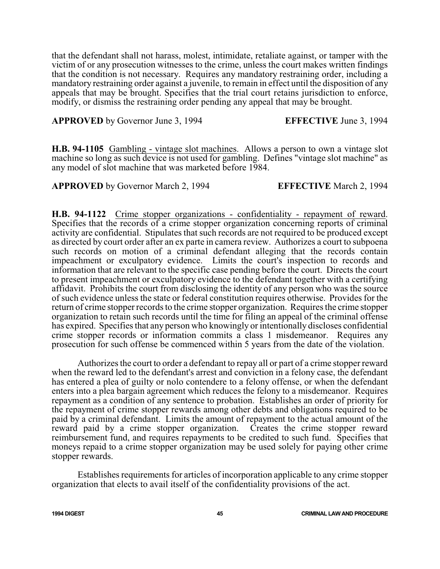that the defendant shall not harass, molest, intimidate, retaliate against, or tamper with the victim of or any prosecution witnesses to the crime, unless the court makes written findings that the condition is not necessary. Requires any mandatory restraining order, including a mandatory restraining order against a juvenile, to remain in effect until the disposition of any appeals that may be brought. Specifies that the trial court retains jurisdiction to enforce, modify, or dismiss the restraining order pending any appeal that may be brought.

**APPROVED** by Governor June 3, 1994 **EFFECTIVE** June 3, 1994

**H.B. 94-1105** Gambling - vintage slot machines. Allows a person to own a vintage slot machine so long as such device is not used for gambling. Defines "vintage slot machine" as any model of slot machine that was marketed before 1984.

**APPROVED** by Governor March 2, 1994 **EFFECTIVE** March 2, 1994

**H.B. 94-1122** Crime stopper organizations - confidentiality - repayment of reward. Specifies that the records of a crime stopper organization concerning reports of criminal activity are confidential. Stipulates that such records are not required to be produced except as directed by court order after an ex parte in camera review. Authorizes a court to subpoena such records on motion of a criminal defendant alleging that the records contain impeachment or exculpatory evidence. Limits the court's inspection to records and information that are relevant to the specific case pending before the court. Directs the court to present impeachment or exculpatory evidence to the defendant together with a certifying affidavit. Prohibits the court from disclosing the identity of any person who was the source of such evidence unless the state or federal constitution requires otherwise. Provides for the return of crime stopper records to the crime stopper organization. Requires the crime stopper organization to retain such records until the time for filing an appeal of the criminal offense has expired. Specifies that any person who knowingly or intentionally discloses confidential crime stopper records or information commits a class 1 misdemeanor. Requires any prosecution for such offense be commenced within 5 years from the date of the violation.

Authorizes the court to order a defendant to repay all or part of a crime stopper reward when the reward led to the defendant's arrest and conviction in a felony case, the defendant has entered a plea of guilty or nolo contendere to a felony offense, or when the defendant enters into a plea bargain agreement which reduces the felony to a misdemeanor. Requires repayment as a condition of any sentence to probation. Establishes an order of priority for the repayment of crime stopper rewards among other debts and obligations required to be paid by a criminal defendant. Limits the amount of repayment to the actual amount of the reward paid by a crime stopper organization. Creates the crime stopper reward reimbursement fund, and requires repayments to be credited to such fund. Specifies that moneys repaid to a crime stopper organization may be used solely for paying other crime stopper rewards.

Establishes requirements for articles of incorporation applicable to any crime stopper organization that elects to avail itself of the confidentiality provisions of the act.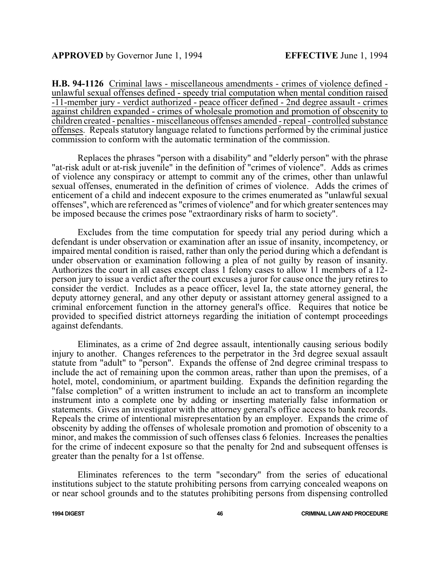**H.B. 94-1126** Criminal laws - miscellaneous amendments - crimes of violence defined unlawful sexual offenses defined - speedy trial computation when mental condition raised -11-member jury - verdict authorized - peace officer defined - 2nd degree assault - crimes against children expanded - crimes of wholesale promotion and promotion of obscenity to children created - penalties - miscellaneous offenses amended - repeal - controlled substance offenses. Repeals statutory language related to functions performed by the criminal justice commission to conform with the automatic termination of the commission.

Replaces the phrases "person with a disability" and "elderly person" with the phrase "at-risk adult or at-risk juvenile" in the definition of "crimes of violence". Adds as crimes of violence any conspiracy or attempt to commit any of the crimes, other than unlawful sexual offenses, enumerated in the definition of crimes of violence. Adds the crimes of enticement of a child and indecent exposure to the crimes enumerated as "unlawful sexual offenses", which are referenced as "crimes of violence" and for which greater sentences may be imposed because the crimes pose "extraordinary risks of harm to society".

Excludes from the time computation for speedy trial any period during which a defendant is under observation or examination after an issue of insanity, incompetency, or impaired mental condition is raised, rather than only the period during which a defendant is under observation or examination following a plea of not guilty by reason of insanity. Authorizes the court in all cases except class 1 felony cases to allow 11 members of a 12 person jury to issue a verdict after the court excuses a juror for cause once the jury retires to consider the verdict. Includes as a peace officer, level Ia, the state attorney general, the deputy attorney general, and any other deputy or assistant attorney general assigned to a criminal enforcement function in the attorney general's office. Requires that notice be provided to specified district attorneys regarding the initiation of contempt proceedings against defendants.

Eliminates, as a crime of 2nd degree assault, intentionally causing serious bodily injury to another. Changes references to the perpetrator in the 3rd degree sexual assault statute from "adult" to "person". Expands the offense of 2nd degree criminal trespass to include the act of remaining upon the common areas, rather than upon the premises, of a hotel, motel, condominium, or apartment building. Expands the definition regarding the "false completion" of a written instrument to include an act to transform an incomplete instrument into a complete one by adding or inserting materially false information or statements. Gives an investigator with the attorney general's office access to bank records. Repeals the crime of intentional misrepresentation by an employer. Expands the crime of obscenity by adding the offenses of wholesale promotion and promotion of obscenity to a minor, and makes the commission of such offenses class 6 felonies. Increases the penalties for the crime of indecent exposure so that the penalty for 2nd and subsequent offenses is greater than the penalty for a 1st offense.

Eliminates references to the term "secondary" from the series of educational institutions subject to the statute prohibiting persons from carrying concealed weapons on or near school grounds and to the statutes prohibiting persons from dispensing controlled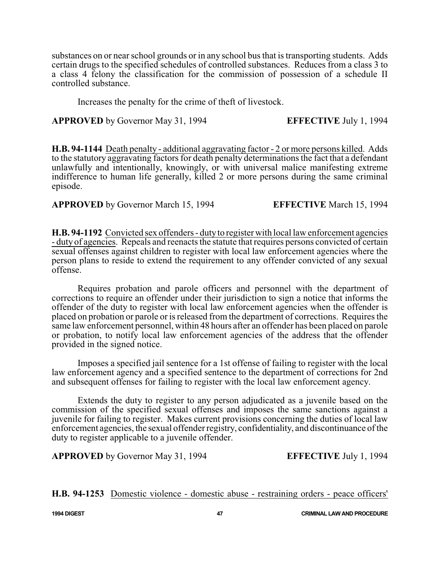substances on or near school grounds or in any school bus that is transporting students. Adds certain drugs to the specified schedules of controlled substances. Reduces from a class 3 to a class 4 felony the classification for the commission of possession of a schedule II controlled substance.

Increases the penalty for the crime of theft of livestock.

**APPROVED** by Governor May 31, 1994 **EFFECTIVE** July 1, 1994

**H.B. 94-1144** Death penalty - additional aggravating factor - 2 or more persons killed. Adds to the statutory aggravating factors for death penalty determinations the fact that a defendant unlawfully and intentionally, knowingly, or with universal malice manifesting extreme indifference to human life generally, killed 2 or more persons during the same criminal episode.

**APPROVED** by Governor March 15, 1994 **EFFECTIVE** March 15, 1994

**H.B. 94-1192** Convicted sex offenders - dutyto register with local law enforcement agencies - duty of agencies. Repeals and reenacts the statute that requires persons convicted of certain sexual offenses against children to register with local law enforcement agencies where the person plans to reside to extend the requirement to any offender convicted of any sexual offense.

Requires probation and parole officers and personnel with the department of corrections to require an offender under their jurisdiction to sign a notice that informs the offender of the duty to register with local law enforcement agencies when the offender is placed on probation or parole or is released from the department of corrections. Requires the same law enforcement personnel, within 48 hours after an offender has been placed on parole or probation, to notify local law enforcement agencies of the address that the offender provided in the signed notice.

Imposes a specified jail sentence for a 1st offense of failing to register with the local law enforcement agency and a specified sentence to the department of corrections for 2nd and subsequent offenses for failing to register with the local law enforcement agency.

Extends the duty to register to any person adjudicated as a juvenile based on the commission of the specified sexual offenses and imposes the same sanctions against a juvenile for failing to register. Makes current provisions concerning the duties of local law enforcement agencies, the sexual offender registry, confidentiality, and discontinuance ofthe duty to register applicable to a juvenile offender.

**APPROVED** by Governor May 31, 1994 **EFFECTIVE** July 1, 1994

**H.B. 94-1253** Domestic violence - domestic abuse - restraining orders - peace officers'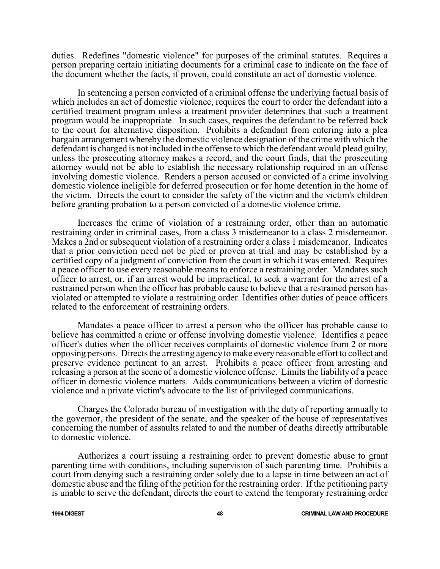duties. Redefines "domestic violence" for purposes of the criminal statutes. Requires a person preparing certain initiating documents for a criminal case to indicate on the face of the document whether the facts, if proven, could constitute an act of domestic violence.

In sentencing a person convicted of a criminal offense the underlying factual basis of which includes an act of domestic violence, requires the court to order the defendant into a certified treatment program unless a treatment provider determines that such a treatment program would be inappropriate. In such cases, requires the defendant to be referred back to the court for alternative disposition. Prohibits a defendant from entering into a plea bargain arrangement whereby the domestic violence designation of the crime with which the defendant is charged is not included in the offense to which the defendant would plead guilty, unless the prosecuting attorney makes a record, and the court finds, that the prosecuting attorney would not be able to establish the necessary relationship required in an offense involving domestic violence. Renders a person accused or convicted of a crime involving domestic violence ineligible for deferred prosecution or for home detention in the home of the victim. Directs the court to consider the safety of the victim and the victim's children before granting probation to a person convicted of a domestic violence crime.

Increases the crime of violation of a restraining order, other than an automatic restraining order in criminal cases, from a class 3 misdemeanor to a class 2 misdemeanor. Makes a 2nd or subsequent violation of a restraining order a class 1 misdemeanor. Indicates that a prior conviction need not be pled or proven at trial and may be established by a certified copy of a judgment of conviction from the court in which it was entered. Requires a peace officer to use every reasonable means to enforce a restraining order. Mandates such officer to arrest, or, if an arrest would be impractical, to seek a warrant for the arrest of a restrained person when the officer has probable cause to believe that a restrained person has violated or attempted to violate a restraining order. Identifies other duties of peace officers related to the enforcement of restraining orders.

Mandates a peace officer to arrest a person who the officer has probable cause to believe has committed a crime or offense involving domestic violence. Identifies a peace officer's duties when the officer receives complaints of domestic violence from 2 or more opposing persons. Directs the arresting agency to make every reasonable effort to collect and preserve evidence pertinent to an arrest. Prohibits a peace officer from arresting and releasing a person at the scene of a domestic violence offense. Limits the liability of a peace officer in domestic violence matters. Adds communications between a victim of domestic violence and a private victim's advocate to the list of privileged communications.

Charges the Colorado bureau of investigation with the duty of reporting annually to the governor, the president of the senate, and the speaker of the house of representatives concerning the number of assaults related to and the number of deaths directly attributable to domestic violence.

Authorizes a court issuing a restraining order to prevent domestic abuse to grant parenting time with conditions, including supervision of such parenting time. Prohibits a court from denying such a restraining order solely due to a lapse in time between an act of domestic abuse and the filing of the petition for the restraining order. If the petitioning party is unable to serve the defendant, directs the court to extend the temporary restraining order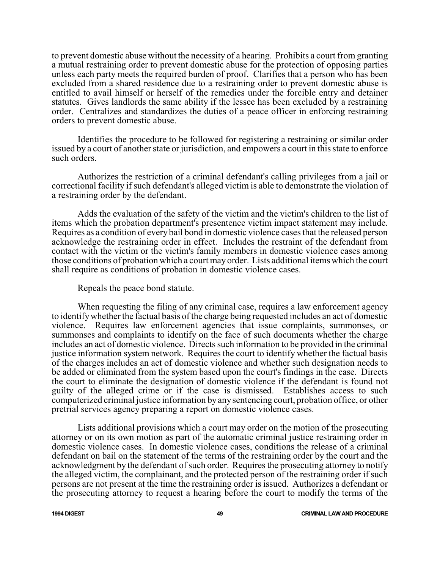to prevent domestic abuse without the necessity of a hearing. Prohibits a court from granting a mutual restraining order to prevent domestic abuse for the protection of opposing parties unless each party meets the required burden of proof. Clarifies that a person who has been excluded from a shared residence due to a restraining order to prevent domestic abuse is entitled to avail himself or herself of the remedies under the forcible entry and detainer statutes. Gives landlords the same ability if the lessee has been excluded by a restraining order. Centralizes and standardizes the duties of a peace officer in enforcing restraining orders to prevent domestic abuse.

Identifies the procedure to be followed for registering a restraining or similar order issued by a court of another state or jurisdiction, and empowers a court in this state to enforce such orders.

Authorizes the restriction of a criminal defendant's calling privileges from a jail or correctional facility if such defendant's alleged victim is able to demonstrate the violation of a restraining order by the defendant.

Adds the evaluation of the safety of the victim and the victim's children to the list of items which the probation department's presentence victim impact statement may include. Requires as a condition of every bail bond in domestic violence cases that the released person acknowledge the restraining order in effect. Includes the restraint of the defendant from contact with the victim or the victim's family members in domestic violence cases among those conditions of probation which a court may order. Lists additional items which the court shall require as conditions of probation in domestic violence cases.

Repeals the peace bond statute.

When requesting the filing of any criminal case, requires a law enforcement agency to identifywhether the factual basis of the charge being requested includes an act of domestic violence. Requires law enforcement agencies that issue complaints, summonses, or summonses and complaints to identify on the face of such documents whether the charge includes an act of domestic violence. Directs such information to be provided in the criminal justice information system network. Requires the court to identify whether the factual basis of the charges includes an act of domestic violence and whether such designation needs to be added or eliminated from the system based upon the court's findings in the case. Directs the court to eliminate the designation of domestic violence if the defendant is found not guilty of the alleged crime or if the case is dismissed. Establishes access to such computerized criminal justice information by anysentencing court, probation office, or other pretrial services agency preparing a report on domestic violence cases.

Lists additional provisions which a court may order on the motion of the prosecuting attorney or on its own motion as part of the automatic criminal justice restraining order in domestic violence cases. In domestic violence cases, conditions the release of a criminal defendant on bail on the statement of the terms of the restraining order by the court and the acknowledgment by the defendant of such order. Requires the prosecuting attorney to notify the alleged victim, the complainant, and the protected person of the restraining order if such persons are not present at the time the restraining order is issued. Authorizes a defendant or the prosecuting attorney to request a hearing before the court to modify the terms of the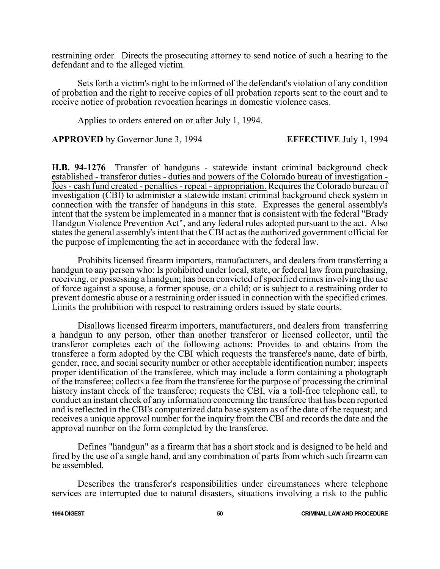restraining order. Directs the prosecuting attorney to send notice of such a hearing to the defendant and to the alleged victim.

Sets forth a victim's right to be informed of the defendant's violation of any condition of probation and the right to receive copies of all probation reports sent to the court and to receive notice of probation revocation hearings in domestic violence cases.

Applies to orders entered on or after July 1, 1994.

**APPROVED** by Governor June 3, 1994 **EFFECTIVE** July 1, 1994

**H.B. 94-1276** Transfer of handguns - statewide instant criminal background check established - transferor duties - duties and powers of the Colorado bureau of investigation fees - cash fund created - penalties - repeal - appropriation. Requires the Colorado bureau of investigation (CBI) to administer a statewide instant criminal background check system in connection with the transfer of handguns in this state. Expresses the general assembly's intent that the system be implemented in a manner that is consistent with the federal "Brady Handgun Violence Prevention Act", and any federal rules adopted pursuant to the act. Also states the general assembly's intent that the CBI act as the authorized government official for the purpose of implementing the act in accordance with the federal law.

Prohibits licensed firearm importers, manufacturers, and dealers from transferring a handgun to any person who: Is prohibited under local, state, or federal law from purchasing, receiving, or possessing a handgun; has been convicted of specified crimes involving the use of force against a spouse, a former spouse, or a child; or is subject to a restraining order to prevent domestic abuse or a restraining order issued in connection with the specified crimes. Limits the prohibition with respect to restraining orders issued by state courts.

Disallows licensed firearm importers, manufacturers, and dealers from transferring a handgun to any person, other than another transferor or licensed collector, until the transferor completes each of the following actions: Provides to and obtains from the transferee a form adopted by the CBI which requests the transferee's name, date of birth, gender, race, and social security number or other acceptable identification number; inspects proper identification of the transferee, which may include a form containing a photograph of the transferee; collects a fee from the transferee for the purpose of processing the criminal history instant check of the transferee; requests the CBI, via a toll-free telephone call, to conduct an instant check of any information concerning the transferee that has been reported and is reflected in the CBI's computerized data base system as of the date of the request; and receives a unique approval number for the inquiry from the CBI and records the date and the approval number on the form completed by the transferee.

Defines "handgun" as a firearm that has a short stock and is designed to be held and fired by the use of a single hand, and any combination of parts from which such firearm can be assembled.

Describes the transferor's responsibilities under circumstances where telephone services are interrupted due to natural disasters, situations involving a risk to the public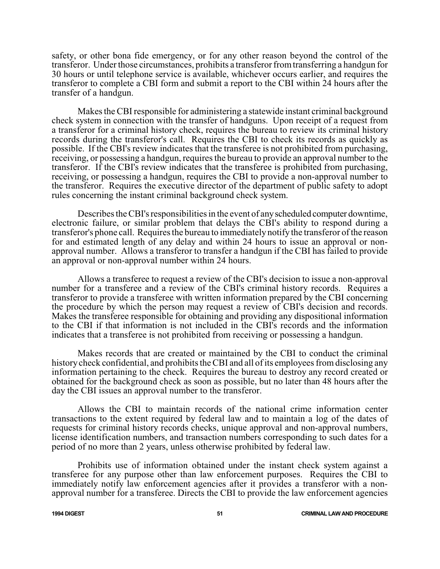safety, or other bona fide emergency, or for any other reason beyond the control of the transferor. Under those circumstances, prohibits a transferor fromtransferring a handgun for 30 hours or until telephone service is available, whichever occurs earlier, and requires the transferor to complete a CBI form and submit a report to the CBI within 24 hours after the transfer of a handgun.

Makes the CBI responsible for administering a statewide instant criminal background check system in connection with the transfer of handguns. Upon receipt of a request from a transferor for a criminal history check, requires the bureau to review its criminal history records during the transferor's call. Requires the CBI to check its records as quickly as possible. If the CBI's review indicates that the transferee is not prohibited from purchasing, receiving, or possessing a handgun, requires the bureau to provide an approval number to the transferor. If the CBI's review indicates that the transferee is prohibited from purchasing, receiving, or possessing a handgun, requires the CBI to provide a non-approval number to the transferor. Requires the executive director of the department of public safety to adopt rules concerning the instant criminal background check system.

Describes the CBI's responsibilities in the event of anyscheduled computer downtime, electronic failure, or similar problem that delays the CBI's ability to respond during a transferor's phone call. Requires the bureau to immediately notify the transferor ofthe reason for and estimated length of any delay and within 24 hours to issue an approval or nonapproval number. Allows a transferor to transfer a handgun if the CBI has failed to provide an approval or non-approval number within 24 hours.

Allows a transferee to request a review of the CBI's decision to issue a non-approval number for a transferee and a review of the CBI's criminal history records. Requires a transferor to provide a transferee with written information prepared by the CBI concerning the procedure by which the person may request a review of CBI's decision and records. Makes the transferee responsible for obtaining and providing any dispositional information to the CBI if that information is not included in the CBI's records and the information indicates that a transferee is not prohibited from receiving or possessing a handgun.

Makes records that are created or maintained by the CBI to conduct the criminal history check confidential, and prohibits the CBI and all of its employees from disclosing any information pertaining to the check. Requires the bureau to destroy any record created or obtained for the background check as soon as possible, but no later than 48 hours after the day the CBI issues an approval number to the transferor.

Allows the CBI to maintain records of the national crime information center transactions to the extent required by federal law and to maintain a log of the dates of requests for criminal history records checks, unique approval and non-approval numbers, license identification numbers, and transaction numbers corresponding to such dates for a period of no more than 2 years, unless otherwise prohibited by federal law.

Prohibits use of information obtained under the instant check system against a transferee for any purpose other than law enforcement purposes. Requires the CBI to immediately notify law enforcement agencies after it provides a transferor with a nonapproval number for a transferee. Directs the CBI to provide the law enforcement agencies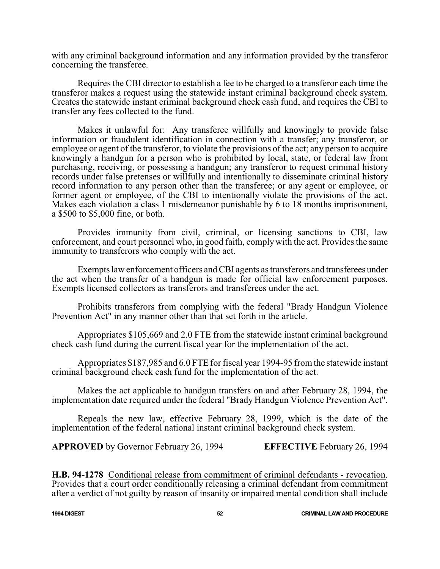with any criminal background information and any information provided by the transferor concerning the transferee.

Requires the CBI director to establish a fee to be charged to a transferor each time the transferor makes a request using the statewide instant criminal background check system. Creates the statewide instant criminal background check cash fund, and requires the CBI to transfer any fees collected to the fund.

Makes it unlawful for: Any transferee willfully and knowingly to provide false information or fraudulent identification in connection with a transfer; any transferor, or employee or agent of the transferor, to violate the provisions of the act; any person to acquire knowingly a handgun for a person who is prohibited by local, state, or federal law from purchasing, receiving, or possessing a handgun; any transferor to request criminal history records under false pretenses or willfully and intentionally to disseminate criminal history record information to any person other than the transferee; or any agent or employee, or former agent or employee, of the CBI to intentionally violate the provisions of the act. Makes each violation a class 1 misdemeanor punishable by 6 to 18 months imprisonment, a \$500 to \$5,000 fine, or both.

Provides immunity from civil, criminal, or licensing sanctions to CBI, law enforcement, and court personnel who, in good faith, comply with the act. Provides the same immunity to transferors who comply with the act.

Exempts law enforcement officers and CBI agents as transferors and transferees under the act when the transfer of a handgun is made for official law enforcement purposes. Exempts licensed collectors as transferors and transferees under the act.

Prohibits transferors from complying with the federal "Brady Handgun Violence Prevention Act" in any manner other than that set forth in the article.

Appropriates \$105,669 and 2.0 FTE from the statewide instant criminal background check cash fund during the current fiscal year for the implementation of the act.

Appropriates \$187,985 and 6.0 FTE for fiscal year 1994-95 fromthe statewide instant criminal background check cash fund for the implementation of the act.

Makes the act applicable to handgun transfers on and after February 28, 1994, the implementation date required under the federal "Brady Handgun Violence Prevention Act".

Repeals the new law, effective February 28, 1999, which is the date of the implementation of the federal national instant criminal background check system.

**APPROVED** by Governor February 26, 1994 **EFFECTIVE** February 26, 1994

**H.B. 94-1278** Conditional release from commitment of criminal defendants - revocation. Provides that a court order conditionally releasing a criminal defendant from commitment after a verdict of not guilty by reason of insanity or impaired mental condition shall include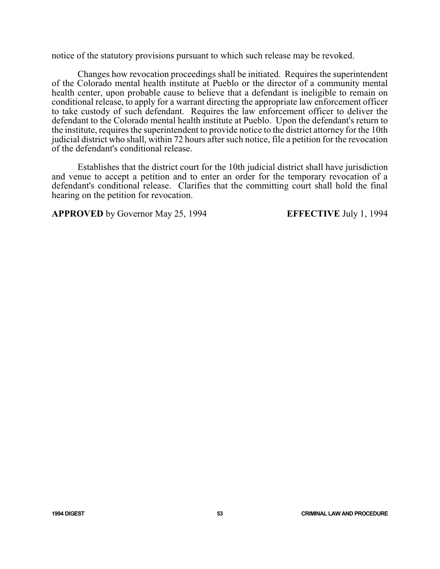notice of the statutory provisions pursuant to which such release may be revoked.

Changes how revocation proceedings shall be initiated. Requires the superintendent of the Colorado mental health institute at Pueblo or the director of a community mental health center, upon probable cause to believe that a defendant is ineligible to remain on conditional release, to apply for a warrant directing the appropriate law enforcement officer to take custody of such defendant. Requires the law enforcement officer to deliver the defendant to the Colorado mental health institute at Pueblo. Upon the defendant's return to the institute, requires the superintendent to provide notice to the district attorney for the 10th judicial district who shall, within 72 hours after such notice, file a petition for the revocation of the defendant's conditional release.

Establishes that the district court for the 10th judicial district shall have jurisdiction and venue to accept a petition and to enter an order for the temporary revocation of a defendant's conditional release. Clarifies that the committing court shall hold the final hearing on the petition for revocation.

**APPROVED** by Governor May 25, 1994 **EFFECTIVE** July 1, 1994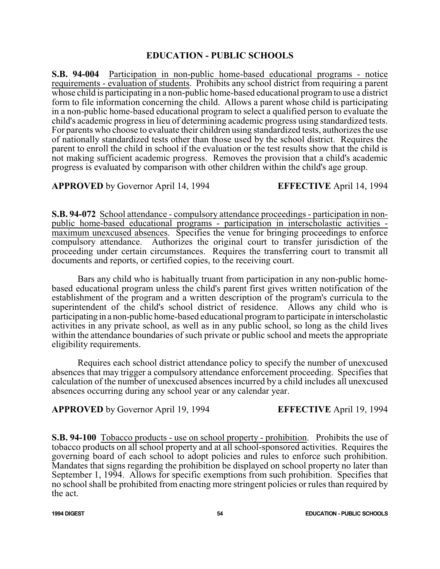## **EDUCATION - PUBLIC SCHOOLS**

**S.B. 94-004** Participation in non-public home-based educational programs - notice requirements - evaluation of students. Prohibits any school district from requiring a parent whose child is participating in a non-public home-based educational programto use a district form to file information concerning the child. Allows a parent whose child is participating in a non-public home-based educational program to select a qualified person to evaluate the child's academic progress in lieu of determining academic progress using standardized tests. For parents who choose to evaluate their children using standardized tests, authorizes the use of nationally standardized tests other than those used by the school district. Requires the parent to enroll the child in school if the evaluation or the test results show that the child is not making sufficient academic progress. Removes the provision that a child's academic progress is evaluated by comparison with other children within the child's age group.

**APPROVED** by Governor April 14, 1994 **EFFECTIVE** April 14, 1994

**S.B. 94-072** School attendance - compulsory attendance proceedings - participation in nonpublic home-based educational programs - participation in interscholastic activities maximum unexcused absences. Specifies the venue for bringing proceedings to enforce compulsory attendance. Authorizes the original court to transfer jurisdiction of the proceeding under certain circumstances. Requires the transferring court to transmit all documents and reports, or certified copies, to the receiving court.

Bars any child who is habitually truant from participation in any non-public homebased educational program unless the child's parent first gives written notification of the establishment of the program and a written description of the program's curricula to the superintendent of the child's school district of residence. Allows any child who is participating in a non-public home-based educational programto participate in interscholastic activities in any private school, as well as in any public school, so long as the child lives within the attendance boundaries of such private or public school and meets the appropriate eligibility requirements.

Requires each school district attendance policy to specify the number of unexcused absences that may trigger a compulsory attendance enforcement proceeding. Specifies that calculation of the number of unexcused absences incurred by a child includes all unexcused absences occurring during any school year or any calendar year.

**APPROVED** by Governor April 19, 1994 **EFFECTIVE** April 19, 1994

**S.B. 94-100** Tobacco products - use on school property - prohibition. Prohibits the use of tobacco products on all school property and at all school-sponsored activities. Requires the governing board of each school to adopt policies and rules to enforce such prohibition. Mandates that signs regarding the prohibition be displayed on school property no later than September 1, 1994. Allows for specific exemptions from such prohibition. Specifies that no school shall be prohibited from enacting more stringent policies or rules than required by the act.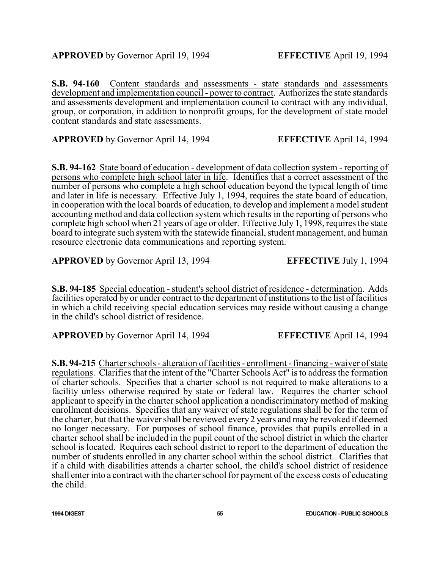**S.B. 94-160** Content standards and assessments - state standards and assessments development and implementation council - power to contract. Authorizes the state standards and assessments development and implementation council to contract with any individual, group, or corporation, in addition to nonprofit groups, for the development of state model content standards and state assessments.

**APPROVED** by Governor April 14, 1994 **EFFECTIVE** April 14, 1994

**S.B. 94-162** State board of education - development of data collection system - reporting of persons who complete high school later in life. Identifies that a correct assessment of the number of persons who complete a high school education beyond the typical length of time and later in life is necessary. Effective July 1, 1994, requires the state board of education, in cooperation with the local boards of education, to develop and implement a model student accounting method and data collection system which results in the reporting of persons who complete high school when 21 years of age or older. Effective July 1, 1998, requires the state board to integrate such system with the statewide financial, student management, and human resource electronic data communications and reporting system.

**APPROVED** by Governor April 13, 1994 **EFFECTIVE** July 1, 1994

**S.B. 94-185** Special education - student's school district of residence - determination. Adds facilities operated by or under contract to the department of institutions to the list of facilities in which a child receiving special education services may reside without causing a change in the child's school district of residence.

**APPROVED** by Governor April 14, 1994 **EFFECTIVE** April 14, 1994

**S.B. 94-215** Charter schools - alteration of facilities - enrollment - financing - waiver of state regulations. Clarifies that the intent of the "Charter Schools Act" is to address the formation of charter schools. Specifies that a charter school is not required to make alterations to a facility unless otherwise required by state or federal law. Requires the charter school applicant to specify in the charter school application a nondiscriminatory method of making enrollment decisions. Specifies that any waiver of state regulations shall be for the term of the charter, but that the waiver shall be reviewed every 2 years and may be revoked if deemed no longer necessary. For purposes of school finance, provides that pupils enrolled in a charter school shall be included in the pupil count of the school district in which the charter school is located. Requires each school district to report to the department of education the number of students enrolled in any charter school within the school district. Clarifies that if a child with disabilities attends a charter school, the child's school district of residence shall enter into a contract with the charter school for payment of the excess costs of educating the child.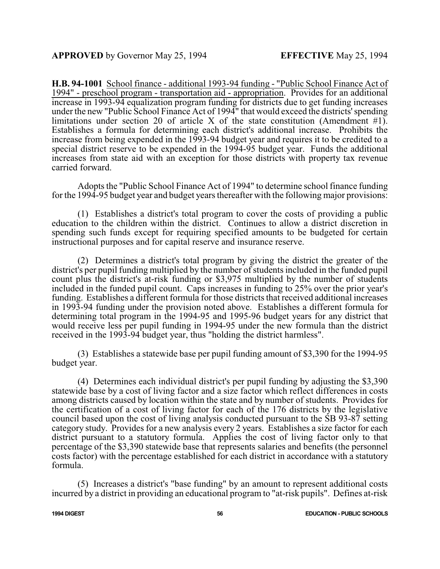**H.B. 94-1001** School finance - additional 1993-94 funding - "Public School Finance Act of 1994" - preschool program - transportation aid - appropriation. Provides for an additional increase in 1993-94 equalization program funding for districts due to get funding increases under the new "Public School Finance Act of 1994" that would exceed the districts'spending limitations under section 20 of article X of the state constitution (Amendment  $\#1$ ). Establishes a formula for determining each district's additional increase. Prohibits the increase from being expended in the 1993-94 budget year and requires it to be credited to a special district reserve to be expended in the 1994-95 budget year. Funds the additional increases from state aid with an exception for those districts with property tax revenue carried forward.

Adopts the "Public School Finance Act of 1994" to determine school finance funding for the 1994-95 budget year and budget years thereafter with the following major provisions:

(1) Establishes a district's total program to cover the costs of providing a public education to the children within the district. Continues to allow a district discretion in spending such funds except for requiring specified amounts to be budgeted for certain instructional purposes and for capital reserve and insurance reserve.

(2) Determines a district's total program by giving the district the greater of the district's per pupil funding multiplied by the number of students included in the funded pupil count plus the district's at-risk funding or \$3,975 multiplied by the number of students included in the funded pupil count. Caps increases in funding to 25% over the prior year's funding. Establishes a different formula for those districts that received additional increases in 1993-94 funding under the provision noted above. Establishes a different formula for determining total program in the 1994-95 and 1995-96 budget years for any district that would receive less per pupil funding in 1994-95 under the new formula than the district received in the 1993-94 budget year, thus "holding the district harmless".

(3) Establishes a statewide base per pupil funding amount of \$3,390 for the 1994-95 budget year.

(4) Determines each individual district's per pupil funding by adjusting the \$3,390 statewide base by a cost of living factor and a size factor which reflect differences in costs among districts caused by location within the state and by number of students. Provides for the certification of a cost of living factor for each of the 176 districts by the legislative council based upon the cost of living analysis conducted pursuant to the SB 93-87 setting category study. Provides for a new analysis every 2 years. Establishes a size factor for each district pursuant to a statutory formula. Applies the cost of living factor only to that percentage of the \$3,390 statewide base that represents salaries and benefits (the personnel costs factor) with the percentage established for each district in accordance with a statutory formula.

(5) Increases a district's "base funding" by an amount to represent additional costs incurred by a district in providing an educational program to "at-risk pupils". Defines at-risk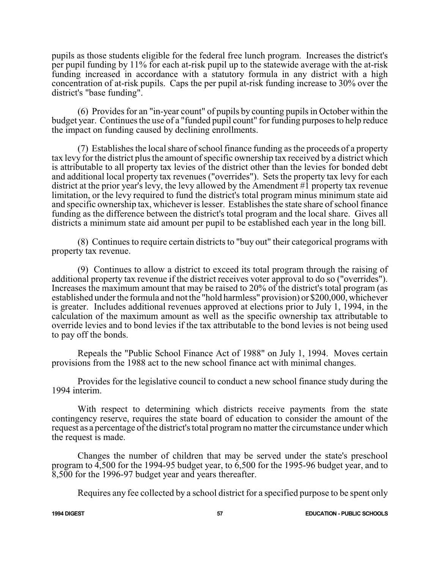pupils as those students eligible for the federal free lunch program. Increases the district's per pupil funding by 11% for each at-risk pupil up to the statewide average with the at-risk funding increased in accordance with a statutory formula in any district with a high concentration of at-risk pupils. Caps the per pupil at-risk funding increase to 30% over the district's "base funding".

(6) Provides for an "in-year count" of pupils by counting pupils in October within the budget year. Continues the use of a "funded pupil count" for funding purposes to help reduce the impact on funding caused by declining enrollments.

(7) Establishes the local share ofschool finance funding as the proceeds of a property tax levy for the district plus the amount of specific ownership tax received by a district which is attributable to all property tax levies of the district other than the levies for bonded debt and additional local property tax revenues ("overrides"). Sets the property tax levy for each district at the prior year's levy, the levy allowed by the Amendment #1 property tax revenue limitation, or the levy required to fund the district's total program minus minimum state aid and specific ownership tax, whichever is lesser. Establishes the state share of school finance funding as the difference between the district's total program and the local share. Gives all districts a minimum state aid amount per pupil to be established each year in the long bill.

(8) Continues to require certain districts to "buy out" their categorical programs with property tax revenue.

(9) Continues to allow a district to exceed its total program through the raising of additional property tax revenue if the district receives voter approval to do so ("overrides"). Increases the maximum amount that may be raised to 20% of the district's total program (as established under the formula and not the "hold harmless" provision) or \$200,000, whichever is greater. Includes additional revenues approved at elections prior to July 1, 1994, in the calculation of the maximum amount as well as the specific ownership tax attributable to override levies and to bond levies if the tax attributable to the bond levies is not being used to pay off the bonds.

Repeals the "Public School Finance Act of 1988" on July 1, 1994. Moves certain provisions from the 1988 act to the new school finance act with minimal changes.

Provides for the legislative council to conduct a new school finance study during the 1994 interim.

With respect to determining which districts receive payments from the state contingency reserve, requires the state board of education to consider the amount of the request as a percentage of the district's total program no matter the circumstance under which the request is made.

Changes the number of children that may be served under the state's preschool program to 4,500 for the 1994-95 budget year, to 6,500 for the 1995-96 budget year, and to 8,500 for the 1996-97 budget year and years thereafter.

Requires any fee collected by a school district for a specified purpose to be spent only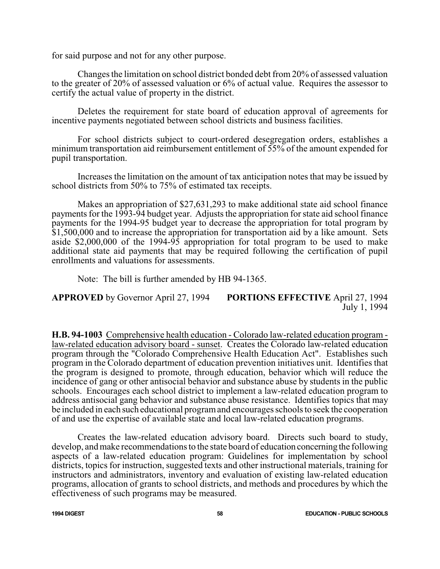for said purpose and not for any other purpose.

Changes the limitation on school district bonded debt from 20% of assessed valuation to the greater of 20% of assessed valuation or 6% of actual value. Requires the assessor to certify the actual value of property in the district.

Deletes the requirement for state board of education approval of agreements for incentive payments negotiated between school districts and business facilities.

For school districts subject to court-ordered desegregation orders, establishes a minimum transportation aid reimbursement entitlement of 55% of the amount expended for pupil transportation.

Increases the limitation on the amount of tax anticipation notes that may be issued by school districts from 50% to 75% of estimated tax receipts.

Makes an appropriation of \$27,631,293 to make additional state aid school finance payments for the 1993-94 budget year. Adjusts the appropriation for state aid school finance payments for the 1994-95 budget year to decrease the appropriation for total program by \$1,500,000 and to increase the appropriation for transportation aid by a like amount. Sets aside \$2,000,000 of the 1994-95 appropriation for total program to be used to make additional state aid payments that may be required following the certification of pupil enrollments and valuations for assessments.

Note: The bill is further amended by HB 94-1365.

**APPROVED** by Governor April 27, 1994 **PORTIONS EFFECTIVE** April 27, 1994 July 1, 1994

**H.B. 94-1003** Comprehensive health education - Colorado law-related education program law-related education advisory board - sunset. Creates the Colorado law-related education program through the "Colorado Comprehensive Health Education Act". Establishes such program in the Colorado department of education prevention initiatives unit. Identifies that the program is designed to promote, through education, behavior which will reduce the incidence of gang or other antisocial behavior and substance abuse by students in the public schools. Encourages each school district to implement a law-related education program to address antisocial gang behavior and substance abuse resistance. Identifies topics that may be included in each such educational programand encourages schools to seek the cooperation of and use the expertise of available state and local law-related education programs.

Creates the law-related education advisory board. Directs such board to study, develop, and make recommendations to the state board of education concerning the following aspects of a law-related education program: Guidelines for implementation by school districts, topics for instruction, suggested texts and other instructional materials, training for instructors and administrators, inventory and evaluation of existing law-related education programs, allocation of grants to school districts, and methods and procedures by which the effectiveness of such programs may be measured.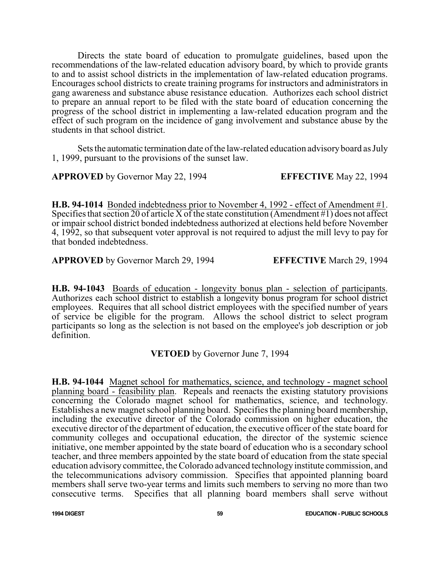Directs the state board of education to promulgate guidelines, based upon the recommendations of the law-related education advisory board, by which to provide grants to and to assist school districts in the implementation of law-related education programs. Encourages school districts to create training programs for instructors and administrators in gang awareness and substance abuse resistance education. Authorizes each school district to prepare an annual report to be filed with the state board of education concerning the progress of the school district in implementing a law-related education program and the effect of such program on the incidence of gang involvement and substance abuse by the students in that school district.

Sets the automatic termination date of the law-related education advisory board as July 1, 1999, pursuant to the provisions of the sunset law.

**APPROVED** by Governor May 22, 1994 **EFFECTIVE** May 22, 1994

**H.B. 94-1014** Bonded indebtedness prior to November 4, 1992 - effect of Amendment #1. Specifies that section 20 of article X of the state constitution (Amendment #1) does not affect or impair school district bonded indebtedness authorized at elections held before November 4, 1992, so that subsequent voter approval is not required to adjust the mill levy to pay for that bonded indebtedness.

**APPROVED** by Governor March 29, 1994 **EFFECTIVE** March 29, 1994

**H.B. 94-1043** Boards of education - longevity bonus plan - selection of participants. Authorizes each school district to establish a longevity bonus program for school district employees. Requires that all school district employees with the specified number of years of service be eligible for the program. Allows the school district to select program participants so long as the selection is not based on the employee's job description or job definition.

# **VETOED** by Governor June 7, 1994

**H.B. 94-1044** Magnet school for mathematics, science, and technology - magnet school planning board - feasibility plan. Repeals and reenacts the existing statutory provisions concerning the Colorado magnet school for mathematics, science, and technology. Establishes a new magnet school planning board. Specifies the planning board membership, including the executive director of the Colorado commission on higher education, the executive director of the department of education, the executive officer of the state board for community colleges and occupational education, the director of the systemic science initiative, one member appointed by the state board of education who is a secondary school teacher, and three members appointed by the state board of education from the state special education advisory committee, the Colorado advanced technology institute commission, and the telecommunications advisory commission. Specifies that appointed planning board members shall serve two-year terms and limits such members to serving no more than two consecutive terms. Specifies that all planning board members shall serve without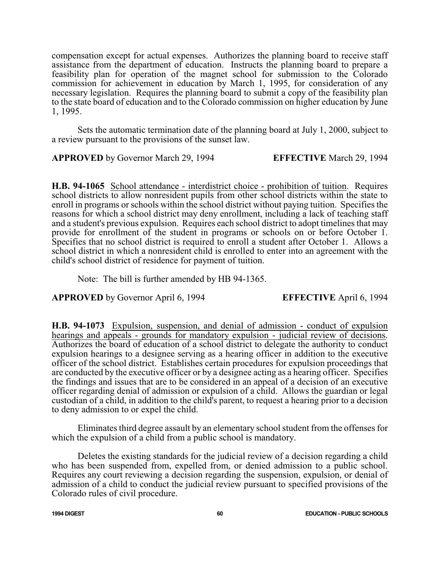compensation except for actual expenses. Authorizes the planning board to receive staff assistance from the department of education. Instructs the planning board to prepare a feasibility plan for operation of the magnet school for submission to the Colorado commission for achievement in education by March 1, 1995, for consideration of any necessary legislation. Requires the planning board to submit a copy of the feasibility plan to the state board of education and to the Colorado commission on higher education by June 1, 1995.

Sets the automatic termination date of the planning board at July 1, 2000, subject to a review pursuant to the provisions of the sunset law.

**APPROVED** by Governor March 29, 1994 **EFFECTIVE** March 29, 1994

**H.B. 94-1065** School attendance - interdistrict choice - prohibition of tuition. Requires school districts to allow nonresident pupils from other school districts within the state to enroll in programs or schools within the school district without paying tuition. Specifies the reasons for which a school district may deny enrollment, including a lack of teaching staff and a student's previous expulsion. Requires each school district to adopt timelines that may provide for enrollment of the student in programs or schools on or before October 1. Specifies that no school district is required to enroll a student after October 1. Allows a school district in which a nonresident child is enrolled to enter into an agreement with the child's school district of residence for payment of tuition.

Note: The bill is further amended by HB 94-1365.

**APPROVED** by Governor April 6, 1994 **EFFECTIVE** April 6, 1994

**H.B. 94-1073** Expulsion, suspension, and denial of admission - conduct of expulsion hearings and appeals - grounds for mandatory expulsion - judicial review of decisions. Authorizes the board of education of a school district to delegate the authority to conduct expulsion hearings to a designee serving as a hearing officer in addition to the executive officer of the school district. Establishes certain procedures for expulsion proceedings that are conducted by the executive officer or by a designee acting as a hearing officer. Specifies the findings and issues that are to be considered in an appeal of a decision of an executive officer regarding denial of admission or expulsion of a child. Allows the guardian or legal custodian of a child, in addition to the child's parent, to request a hearing prior to a decision to deny admission to or expel the child.

Eliminates third degree assault by an elementary school student from the offenses for which the expulsion of a child from a public school is mandatory.

Deletes the existing standards for the judicial review of a decision regarding a child who has been suspended from, expelled from, or denied admission to a public school. Requires any court reviewing a decision regarding the suspension, expulsion, or denial of admission of a child to conduct the judicial review pursuant to specified provisions of the Colorado rules of civil procedure.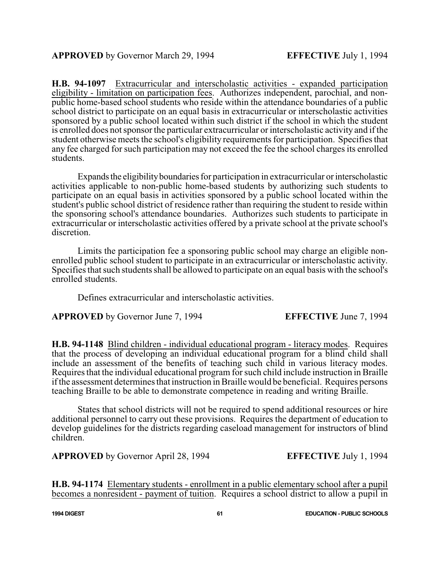**H.B. 94-1097** Extracurricular and interscholastic activities - expanded participation eligibility - limitation on participation fees. Authorizes independent, parochial, and nonpublic home-based school students who reside within the attendance boundaries of a public school district to participate on an equal basis in extracurricular or interscholastic activities sponsored by a public school located within such district if the school in which the student is enrolled does not sponsor the particular extracurricular or interscholastic activity and if the student otherwise meets the school's eligibility requirements for participation. Specifies that any fee charged for such participation may not exceed the fee the school charges its enrolled students.

Expands the eligibility boundaries for participation in extracurricular or interscholastic activities applicable to non-public home-based students by authorizing such students to participate on an equal basis in activities sponsored by a public school located within the student's public school district of residence rather than requiring the student to reside within the sponsoring school's attendance boundaries. Authorizes such students to participate in extracurricular or interscholastic activities offered by a private school at the private school's discretion.

Limits the participation fee a sponsoring public school may charge an eligible nonenrolled public school student to participate in an extracurricular or interscholastic activity. Specifies that such students shall be allowed to participate on an equal basis with the school's enrolled students.

Defines extracurricular and interscholastic activities.

**APPROVED** by Governor June 7, 1994 **EFFECTIVE** June 7, 1994

**H.B. 94-1148** Blind children - individual educational program - literacy modes. Requires that the process of developing an individual educational program for a blind child shall include an assessment of the benefits of teaching such child in various literacy modes. Requires that the individual educational program for such child include instruction in Braille if the assessment determines that instruction in Braille would be beneficial. Requires persons teaching Braille to be able to demonstrate competence in reading and writing Braille.

States that school districts will not be required to spend additional resources or hire additional personnel to carry out these provisions. Requires the department of education to develop guidelines for the districts regarding caseload management for instructors of blind children.

**APPROVED** by Governor April 28, 1994 **EFFECTIVE** July 1, 1994

**H.B. 94-1174** Elementary students - enrollment in a public elementary school after a pupil becomes a nonresident - payment of tuition. Requires a school district to allow a pupil in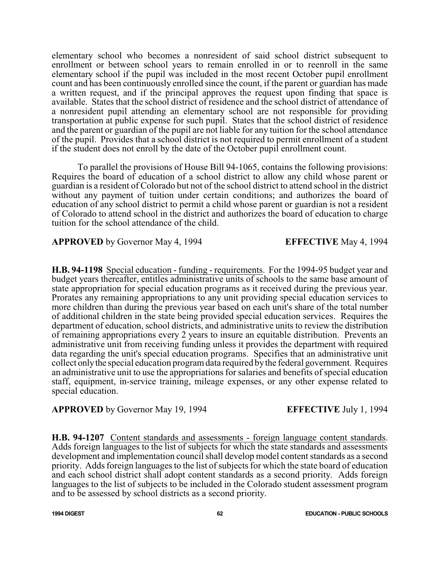elementary school who becomes a nonresident of said school district subsequent to enrollment or between school years to remain enrolled in or to reenroll in the same elementary school if the pupil was included in the most recent October pupil enrollment count and has been continuously enrolled since the count, if the parent or guardian has made a written request, and if the principal approves the request upon finding that space is available. States that the school district of residence and the school district of attendance of a nonresident pupil attending an elementary school are not responsible for providing transportation at public expense for such pupil. States that the school district of residence and the parent or guardian of the pupil are not liable for any tuition for the school attendance of the pupil. Provides that a school district is not required to permit enrollment of a student if the student does not enroll by the date of the October pupil enrollment count.

To parallel the provisions of House Bill 94-1065, contains the following provisions: Requires the board of education of a school district to allow any child whose parent or guardian is a resident of Colorado but not of the school district to attend school in the district without any payment of tuition under certain conditions; and authorizes the board of education of any school district to permit a child whose parent or guardian is not a resident of Colorado to attend school in the district and authorizes the board of education to charge tuition for the school attendance of the child.

**APPROVED** by Governor May 4, 1994 **EFFECTIVE** May 4, 1994

**H.B. 94-1198** Special education - funding - requirements. For the 1994-95 budget year and budget years thereafter, entitles administrative units of schools to the same base amount of state appropriation for special education programs as it received during the previous year. Prorates any remaining appropriations to any unit providing special education services to more children than during the previous year based on each unit's share of the total number of additional children in the state being provided special education services. Requires the department of education, school districts, and administrative units to review the distribution of remaining appropriations every 2 years to insure an equitable distribution. Prevents an administrative unit from receiving funding unless it provides the department with required data regarding the unit's special education programs. Specifies that an administrative unit collect onlythe special education programdata required bythe federal government. Requires an administrative unit to use the appropriations for salaries and benefits of special education staff, equipment, in-service training, mileage expenses, or any other expense related to special education.

**APPROVED** by Governor May 19, 1994 **EFFECTIVE** July 1, 1994

**H.B. 94-1207** Content standards and assessments - foreign language content standards. Adds foreign languages to the list of subjects for which the state standards and assessments development and implementation council shall develop model content standards as a second priority. Adds foreign languages to the list of subjects for which the state board of education and each school district shall adopt content standards as a second priority. Adds foreign languages to the list of subjects to be included in the Colorado student assessment program and to be assessed by school districts as a second priority.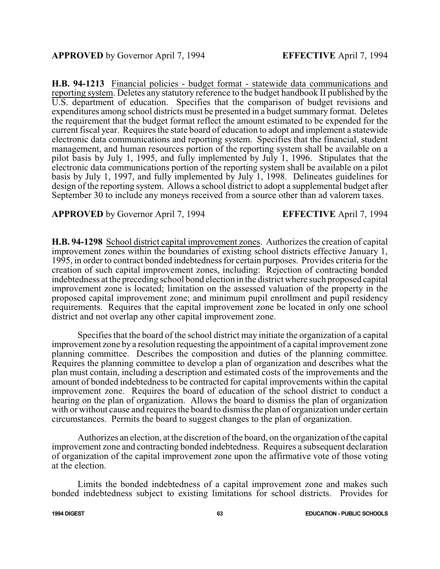**H.B. 94-1213** Financial policies - budget format - statewide data communications and reporting system. Deletes any statutory reference to the budget handbook II published by the U.S. department of education. Specifies that the comparison of budget revisions and expenditures among school districts must be presented in a budget summary format. Deletes the requirement that the budget format reflect the amount estimated to be expended for the current fiscal year. Requires the state board of education to adopt and implement a statewide electronic data communications and reporting system. Specifies that the financial, student management, and human resources portion of the reporting system shall be available on a pilot basis by July 1, 1995, and fully implemented by July 1, 1996. Stipulates that the electronic data communications portion of the reporting system shall be available on a pilot basis by July 1, 1997, and fully implemented by July 1, 1998. Delineates guidelines for design of the reporting system. Allows a school district to adopt a supplemental budget after September 30 to include any moneys received from a source other than ad valorem taxes.

**APPROVED** by Governor April 7, 1994 **EFFECTIVE** April 7, 1994

**H.B. 94-1298** School district capital improvement zones. Authorizes the creation of capital improvement zones within the boundaries of existing school districts effective January 1, 1995, in order to contract bonded indebtedness for certain purposes. Provides criteria for the creation of such capital improvement zones, including: Rejection of contracting bonded indebtedness at the preceding school bond election in the district where such proposed capital improvement zone is located; limitation on the assessed valuation of the property in the proposed capital improvement zone; and minimum pupil enrollment and pupil residency requirements. Requires that the capital improvement zone be located in only one school district and not overlap any other capital improvement zone.

Specifies that the board of the school district may initiate the organization of a capital improvement zone by a resolution requesting the appointment of a capital improvement zone planning committee. Describes the composition and duties of the planning committee. Requires the planning committee to develop a plan of organization and describes what the plan must contain, including a description and estimated costs of the improvements and the amount of bonded indebtedness to be contracted for capital improvements within the capital improvement zone. Requires the board of education of the school district to conduct a hearing on the plan of organization. Allows the board to dismiss the plan of organization with or without cause and requires the board to dismiss the plan of organization under certain circumstances. Permits the board to suggest changes to the plan of organization.

Authorizes an election, at the discretion of the board, on the organization ofthe capital improvement zone and contracting bonded indebtedness. Requires a subsequent declaration of organization of the capital improvement zone upon the affirmative vote of those voting at the election.

Limits the bonded indebtedness of a capital improvement zone and makes such bonded indebtedness subject to existing limitations for school districts. Provides for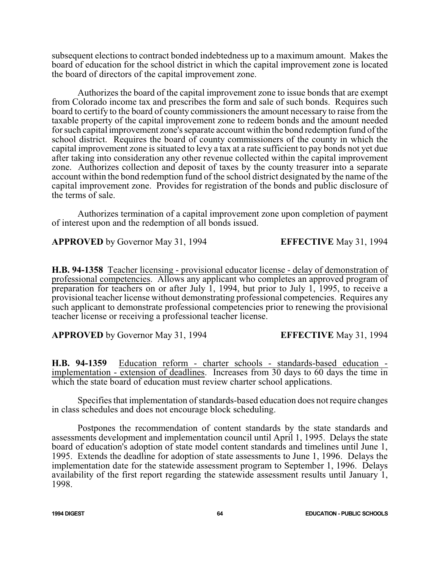subsequent elections to contract bonded indebtedness up to a maximum amount. Makes the board of education for the school district in which the capital improvement zone is located the board of directors of the capital improvement zone.

Authorizes the board of the capital improvement zone to issue bonds that are exempt from Colorado income tax and prescribes the form and sale of such bonds. Requires such board to certify to the board of county commissioners the amount necessary to raise from the taxable property of the capital improvement zone to redeem bonds and the amount needed for such capital improvement zone's separate account within the bond redemption fund of the school district. Requires the board of county commissioners of the county in which the capital improvement zone is situated to levy a tax at a rate sufficient to pay bonds not yet due after taking into consideration any other revenue collected within the capital improvement zone. Authorizes collection and deposit of taxes by the county treasurer into a separate account within the bond redemption fund of the school district designated by the name of the capital improvement zone. Provides for registration of the bonds and public disclosure of the terms of sale.

Authorizes termination of a capital improvement zone upon completion of payment of interest upon and the redemption of all bonds issued.

**APPROVED** by Governor May 31, 1994 **EFFECTIVE** May 31, 1994

**H.B. 94-1358** Teacher licensing - provisional educator license - delay of demonstration of professional competencies. Allows any applicant who completes an approved program of preparation for teachers on or after July 1, 1994, but prior to July 1, 1995, to receive a provisional teacher license without demonstrating professional competencies. Requires any such applicant to demonstrate professional competencies prior to renewing the provisional teacher license or receiving a professional teacher license.

**APPROVED** by Governor May 31, 1994 **EFFECTIVE** May 31, 1994

**H.B. 94-1359** Education reform - charter schools - standards-based education implementation - extension of deadlines. Increases from 30 days to 60 days the time in which the state board of education must review charter school applications.

Specifies that implementation of standards-based education does not require changes in class schedules and does not encourage block scheduling.

Postpones the recommendation of content standards by the state standards and assessments development and implementation council until April 1, 1995. Delays the state board of education's adoption of state model content standards and timelines until June 1, 1995. Extends the deadline for adoption of state assessments to June 1, 1996. Delays the implementation date for the statewide assessment program to September 1, 1996. Delays availability of the first report regarding the statewide assessment results until January 1, 1998.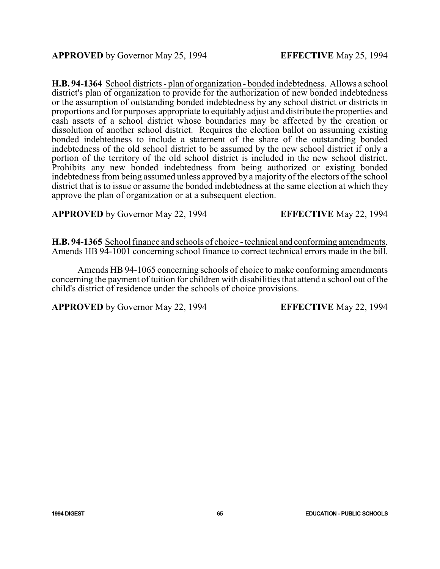**H.B. 94-1364** School districts - plan of organization - bonded indebtedness. Allows a school district's plan of organization to provide for the authorization of new bonded indebtedness or the assumption of outstanding bonded indebtedness by any school district or districts in proportions and for purposes appropriate to equitably adjust and distribute the properties and cash assets of a school district whose boundaries may be affected by the creation or dissolution of another school district. Requires the election ballot on assuming existing bonded indebtedness to include a statement of the share of the outstanding bonded indebtedness of the old school district to be assumed by the new school district if only a portion of the territory of the old school district is included in the new school district. Prohibits any new bonded indebtedness from being authorized or existing bonded indebtedness from being assumed unless approved by a majority of the electors of the school district that is to issue or assume the bonded indebtedness at the same election at which they approve the plan of organization or at a subsequent election.

**APPROVED** by Governor May 22, 1994 **EFFECTIVE** May 22, 1994

**H.B. 94-1365** School finance and schools of choice - technical and conforming amendments. Amends HB 94-1001 concerning school finance to correct technical errors made in the bill.

Amends HB 94-1065 concerning schools of choice to make conforming amendments concerning the payment of tuition for children with disabilities that attend a school out of the child's district of residence under the schools of choice provisions.

**APPROVED** by Governor May 22, 1994 **EFFECTIVE** May 22, 1994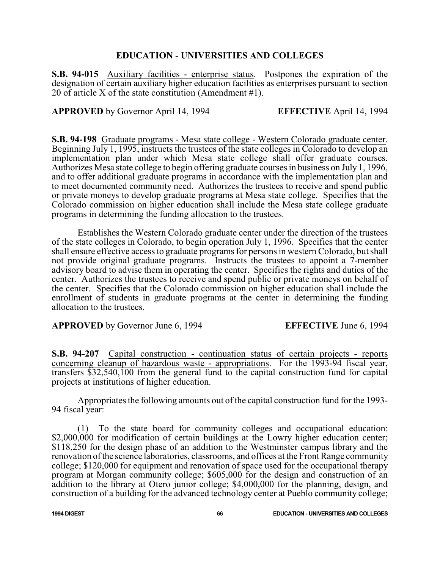#### **EDUCATION - UNIVERSITIES AND COLLEGES**

**S.B. 94-015** Auxiliary facilities - enterprise status. Postpones the expiration of the designation of certain auxiliary higher education facilities as enterprises pursuant to section 20 of article X of the state constitution (Amendment #1).

**APPROVED** by Governor April 14, 1994 **EFFECTIVE** April 14, 1994

**S.B. 94-198** Graduate programs - Mesa state college - Western Colorado graduate center. Beginning July 1, 1995, instructs the trustees of the state colleges in Colorado to develop an implementation plan under which Mesa state college shall offer graduate courses. Authorizes Mesa state college to begin offering graduate courses in business on July 1, 1996, and to offer additional graduate programs in accordance with the implementation plan and to meet documented community need. Authorizes the trustees to receive and spend public or private moneys to develop graduate programs at Mesa state college. Specifies that the Colorado commission on higher education shall include the Mesa state college graduate programs in determining the funding allocation to the trustees.

Establishes the Western Colorado graduate center under the direction of the trustees of the state colleges in Colorado, to begin operation July 1, 1996. Specifies that the center shall ensure effective access to graduate programs for persons in western Colorado, but shall not provide original graduate programs. Instructs the trustees to appoint a 7-member advisory board to advise them in operating the center. Specifies the rights and duties of the center. Authorizes the trustees to receive and spend public or private moneys on behalf of the center. Specifies that the Colorado commission on higher education shall include the enrollment of students in graduate programs at the center in determining the funding allocation to the trustees.

**APPROVED** by Governor June 6, 1994 **EFFECTIVE** June 6, 1994

**S.B. 94-207** Capital construction - continuation status of certain projects - reports concerning cleanup of hazardous waste - appropriations. For the 1993-94 fiscal year, transfers \$32,540,100 from the general fund to the capital construction fund for capital projects at institutions of higher education.

Appropriates the following amounts out of the capital construction fund for the 1993- 94 fiscal year:

(1) To the state board for community colleges and occupational education: \$2,000,000 for modification of certain buildings at the Lowry higher education center; \$118,250 for the design phase of an addition to the Westminster campus library and the renovation ofthe science laboratories, classrooms, and offices at the Front Range community college; \$120,000 for equipment and renovation of space used for the occupational therapy program at Morgan community college; \$605,000 for the design and construction of an addition to the library at Otero junior college; \$4,000,000 for the planning, design, and construction of a building for the advanced technology center at Pueblo community college;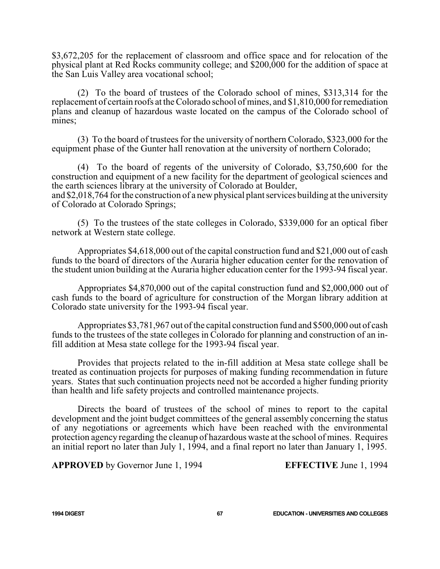\$3,672,205 for the replacement of classroom and office space and for relocation of the physical plant at Red Rocks community college; and \$200,000 for the addition of space at the San Luis Valley area vocational school;

(2) To the board of trustees of the Colorado school of mines, \$313,314 for the replacement of certain roofs at the Colorado school of mines, and \$1,810,000 for remediation plans and cleanup of hazardous waste located on the campus of the Colorado school of mines:

(3) To the board of trustees for the university of northern Colorado, \$323,000 for the equipment phase of the Gunter hall renovation at the university of northern Colorado;

(4) To the board of regents of the university of Colorado, \$3,750,600 for the construction and equipment of a new facility for the department of geological sciences and the earth sciences library at the university of Colorado at Boulder, and \$2,018,764 for the construction of a new physical plant services building at the university

of Colorado at Colorado Springs;

(5) To the trustees of the state colleges in Colorado, \$339,000 for an optical fiber network at Western state college.

Appropriates \$4,618,000 out of the capital construction fund and \$21,000 out of cash funds to the board of directors of the Auraria higher education center for the renovation of the student union building at the Auraria higher education center for the 1993-94 fiscal year.

Appropriates \$4,870,000 out of the capital construction fund and \$2,000,000 out of cash funds to the board of agriculture for construction of the Morgan library addition at Colorado state university for the 1993-94 fiscal year.

Appropriates \$3,781,967 out of the capital construction fund and \$500,000 out of cash funds to the trustees of the state colleges in Colorado for planning and construction of an infill addition at Mesa state college for the 1993-94 fiscal year.

Provides that projects related to the in-fill addition at Mesa state college shall be treated as continuation projects for purposes of making funding recommendation in future years. States that such continuation projects need not be accorded a higher funding priority than health and life safety projects and controlled maintenance projects.

Directs the board of trustees of the school of mines to report to the capital development and the joint budget committees of the general assembly concerning the status of any negotiations or agreements which have been reached with the environmental protection agency regarding the cleanup of hazardous waste at the school of mines. Requires an initial report no later than July 1, 1994, and a final report no later than January 1, 1995.

**APPROVED** by Governor June 1, 1994 **EFFECTIVE** June 1, 1994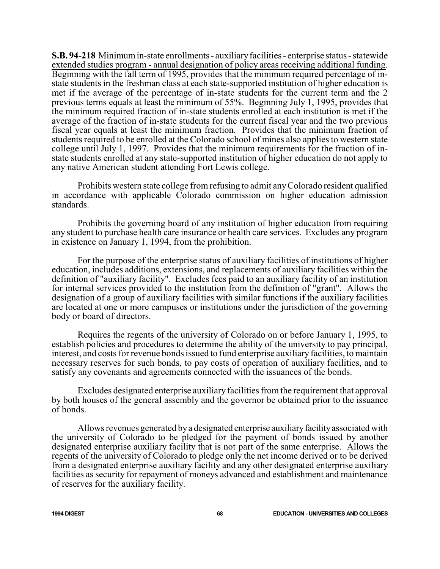**S.B. 94-218** Minimumin-state enrollments - auxiliaryfacilities - enterprise status - statewide extended studies program - annual designation of policy areas receiving additional funding. Beginning with the fall term of 1995, provides that the minimum required percentage of instate students in the freshman class at each state-supported institution of higher education is met if the average of the percentage of in-state students for the current term and the 2 previous terms equals at least the minimum of 55%. Beginning July 1, 1995, provides that the minimum required fraction of in-state students enrolled at each institution is met if the average of the fraction of in-state students for the current fiscal year and the two previous fiscal year equals at least the minimum fraction. Provides that the minimum fraction of students required to be enrolled at the Colorado school of mines also applies to western state college until July 1, 1997. Provides that the minimum requirements for the fraction of instate students enrolled at any state-supported institution of higher education do not apply to any native American student attending Fort Lewis college.

Prohibits western state college fromrefusing to admit anyColorado resident qualified in accordance with applicable Colorado commission on higher education admission standards.

Prohibits the governing board of any institution of higher education from requiring any student to purchase health care insurance or health care services. Excludes any program in existence on January 1, 1994, from the prohibition.

For the purpose of the enterprise status of auxiliary facilities of institutions of higher education, includes additions, extensions, and replacements of auxiliary facilities within the definition of "auxiliary facility". Excludes fees paid to an auxiliary facility of an institution for internal services provided to the institution from the definition of "grant". Allows the designation of a group of auxiliary facilities with similar functions if the auxiliary facilities are located at one or more campuses or institutions under the jurisdiction of the governing body or board of directors.

Requires the regents of the university of Colorado on or before January 1, 1995, to establish policies and procedures to determine the ability of the university to pay principal, interest, and costs for revenue bonds issued to fund enterprise auxiliary facilities, to maintain necessary reserves for such bonds, to pay costs of operation of auxiliary facilities, and to satisfy any covenants and agreements connected with the issuances of the bonds.

Excludes designated enterprise auxiliary facilities from the requirement that approval by both houses of the general assembly and the governor be obtained prior to the issuance of bonds.

Allows revenues generated by a designated enterprise auxiliary facility associated with the university of Colorado to be pledged for the payment of bonds issued by another designated enterprise auxiliary facility that is not part of the same enterprise. Allows the regents of the university of Colorado to pledge only the net income derived or to be derived from a designated enterprise auxiliary facility and any other designated enterprise auxiliary facilities as security for repayment of moneys advanced and establishment and maintenance of reserves for the auxiliary facility.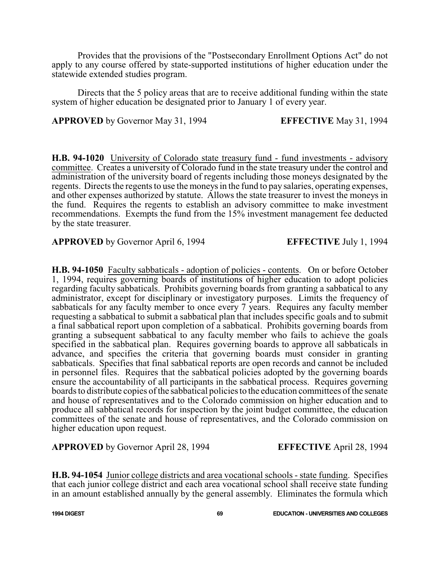Provides that the provisions of the "Postsecondary Enrollment Options Act" do not apply to any course offered by state-supported institutions of higher education under the statewide extended studies program.

Directs that the 5 policy areas that are to receive additional funding within the state system of higher education be designated prior to January 1 of every year.

**APPROVED** by Governor May 31, 1994 **EFFECTIVE** May 31, 1994

**H.B. 94-1020** University of Colorado state treasury fund - fund investments - advisory committee. Creates a university of Colorado fund in the state treasury under the control and administration of the university board of regents including those moneys designated by the regents. Directs the regents to use the moneys in the fund to pay salaries, operating expenses, and other expenses authorized by statute. Allows the state treasurer to invest the moneys in the fund. Requires the regents to establish an advisory committee to make investment recommendations. Exempts the fund from the 15% investment management fee deducted by the state treasurer.

**APPROVED** by Governor April 6, 1994 **EFFECTIVE** July 1, 1994

**H.B. 94-1050** Faculty sabbaticals - adoption of policies - contents. On or before October 1, 1994, requires governing boards of institutions of higher education to adopt policies regarding faculty sabbaticals. Prohibits governing boards from granting a sabbatical to any administrator, except for disciplinary or investigatory purposes. Limits the frequency of sabbaticals for any faculty member to once every 7 years. Requires any faculty member requesting a sabbatical to submit a sabbatical plan that includes specific goals and to submit a final sabbatical report upon completion of a sabbatical. Prohibits governing boards from granting a subsequent sabbatical to any faculty member who fails to achieve the goals specified in the sabbatical plan. Requires governing boards to approve all sabbaticals in advance, and specifies the criteria that governing boards must consider in granting sabbaticals. Specifies that final sabbatical reports are open records and cannot be included in personnel files. Requires that the sabbatical policies adopted by the governing boards ensure the accountability of all participants in the sabbatical process. Requires governing boards to distribute copies of the sabbatical policies to the education committees of the senate and house of representatives and to the Colorado commission on higher education and to produce all sabbatical records for inspection by the joint budget committee, the education committees of the senate and house of representatives, and the Colorado commission on higher education upon request.

**APPROVED** by Governor April 28, 1994 **EFFECTIVE** April 28, 1994

**H.B. 94-1054** Junior college districts and area vocational schools - state funding. Specifies that each junior college district and each area vocational school shall receive state funding in an amount established annually by the general assembly. Eliminates the formula which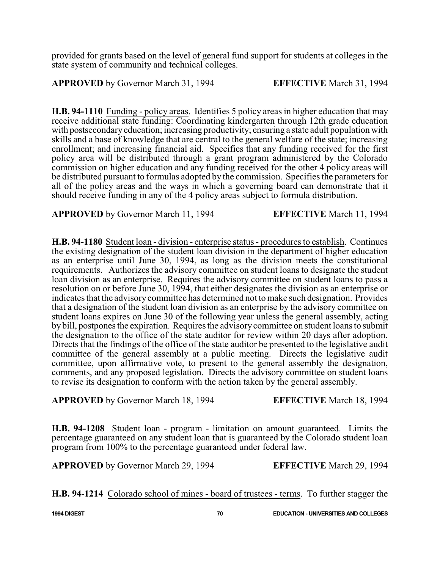provided for grants based on the level of general fund support for students at colleges in the state system of community and technical colleges.

**APPROVED** by Governor March 31, 1994 **EFFECTIVE** March 31, 1994

**H.B. 94-1110** Funding - policy areas. Identifies 5 policy areas in higher education that may receive additional state funding: Coordinating kindergarten through 12th grade education with postsecondaryeducation; increasing productivity; ensuring a state adult population with skills and a base of knowledge that are central to the general welfare of the state; increasing enrollment; and increasing financial aid. Specifies that any funding received for the first policy area will be distributed through a grant program administered by the Colorado commission on higher education and any funding received for the other 4 policy areas will be distributed pursuant to formulas adopted by the commission. Specifies the parameters for all of the policy areas and the ways in which a governing board can demonstrate that it should receive funding in any of the 4 policy areas subject to formula distribution.

**APPROVED** by Governor March 11, 1994 **EFFECTIVE** March 11, 1994

**H.B. 94-1180** Student loan - division - enterprise status - procedures to establish. Continues the existing designation of the student loan division in the department of higher education as an enterprise until June 30, 1994, as long as the division meets the constitutional requirements. Authorizes the advisory committee on student loans to designate the student loan division as an enterprise. Requires the advisory committee on student loans to pass a resolution on or before June 30, 1994, that either designates the division as an enterprise or indicates that the advisory committee has determined not to make such designation. Provides that a designation of the student loan division as an enterprise by the advisory committee on student loans expires on June 30 of the following year unless the general assembly, acting by bill, postpones the expiration. Requires the advisorycommittee on student loans to submit the designation to the office of the state auditor for review within 20 days after adoption. Directs that the findings of the office of the state auditor be presented to the legislative audit committee of the general assembly at a public meeting. Directs the legislative audit committee, upon affirmative vote, to present to the general assembly the designation, comments, and any proposed legislation. Directs the advisory committee on student loans to revise its designation to conform with the action taken by the general assembly.

**APPROVED** by Governor March 18, 1994 **EFFECTIVE** March 18, 1994

**H.B. 94-1208** Student loan - program - limitation on amount guaranteed. Limits the percentage guaranteed on any student loan that is guaranteed by the Colorado student loan program from 100% to the percentage guaranteed under federal law.

**APPROVED** by Governor March 29, 1994 **EFFECTIVE** March 29, 1994

**H.B. 94-1214** Colorado school of mines - board of trustees - terms. To further stagger the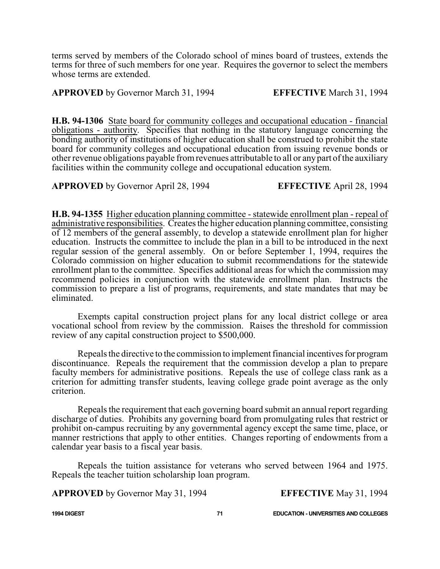terms served by members of the Colorado school of mines board of trustees, extends the terms for three of such members for one year. Requires the governor to select the members whose terms are extended.

**APPROVED** by Governor March 31, 1994 **EFFECTIVE** March 31, 1994

**H.B. 94-1306** State board for community colleges and occupational education - financial obligations - authority. Specifies that nothing in the statutory language concerning the bonding authority of institutions of higher education shall be construed to prohibit the state board for community colleges and occupational education from issuing revenue bonds or other revenue obligations payable fromrevenues attributable to all or anypart ofthe auxiliary facilities within the community college and occupational education system.

**APPROVED** by Governor April 28, 1994 **EFFECTIVE** April 28, 1994

**H.B. 94-1355** Higher education planning committee - statewide enrollment plan - repeal of administrative responsibilities. Creates the higher education planning committee, consisting of 12 members of the general assembly, to develop a statewide enrollment plan for higher education. Instructs the committee to include the plan in a bill to be introduced in the next regular session of the general assembly. On or before September 1, 1994, requires the Colorado commission on higher education to submit recommendations for the statewide enrollment plan to the committee. Specifies additional areas for which the commission may recommend policies in conjunction with the statewide enrollment plan. Instructs the commission to prepare a list of programs, requirements, and state mandates that may be eliminated.

Exempts capital construction project plans for any local district college or area vocational school from review by the commission. Raises the threshold for commission review of any capital construction project to \$500,000.

Repeals the directive to the commission to implement financial incentives for program discontinuance. Repeals the requirement that the commission develop a plan to prepare faculty members for administrative positions. Repeals the use of college class rank as a criterion for admitting transfer students, leaving college grade point average as the only criterion.

Repeals the requirement that each governing board submit an annual report regarding discharge of duties. Prohibits any governing board from promulgating rules that restrict or prohibit on-campus recruiting by any governmental agency except the same time, place, or manner restrictions that apply to other entities. Changes reporting of endowments from a calendar year basis to a fiscal year basis.

Repeals the tuition assistance for veterans who served between 1964 and 1975. Repeals the teacher tuition scholarship loan program.

**APPROVED** by Governor May 31, 1994 **EFFECTIVE** May 31, 1994

**1994 DIGEST 71 EDUCATION - UNIVERSITIES AND COLLEGES**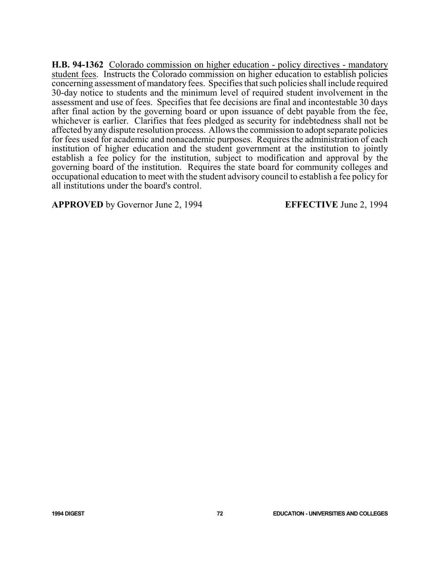**H.B. 94-1362** Colorado commission on higher education - policy directives - mandatory student fees. Instructs the Colorado commission on higher education to establish policies concerning assessment of mandatory fees. Specifies that such policies shall include required 30-day notice to students and the minimum level of required student involvement in the assessment and use of fees. Specifies that fee decisions are final and incontestable 30 days after final action by the governing board or upon issuance of debt payable from the fee, whichever is earlier. Clarifies that fees pledged as security for indebtedness shall not be affected by any dispute resolution process. Allows the commission to adopt separate policies for fees used for academic and nonacademic purposes. Requires the administration of each institution of higher education and the student government at the institution to jointly establish a fee policy for the institution, subject to modification and approval by the governing board of the institution. Requires the state board for community colleges and occupational education to meet with the student advisory council to establish a fee policy for all institutions under the board's control.

**APPROVED** by Governor June 2, 1994 **EFFECTIVE** June 2, 1994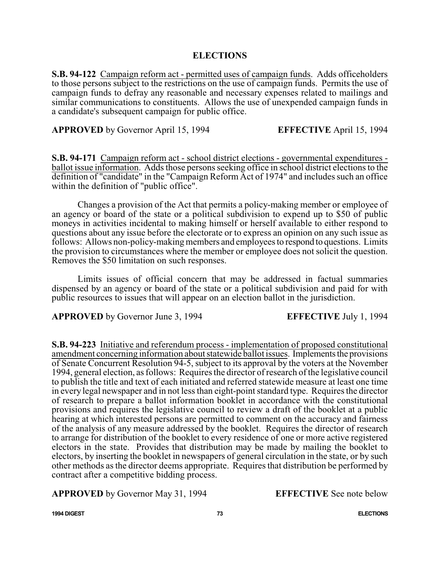## **ELECTIONS**

**S.B. 94-122** Campaign reform act - permitted uses of campaign funds. Adds officeholders to those persons subject to the restrictions on the use of campaign funds. Permits the use of campaign funds to defray any reasonable and necessary expenses related to mailings and similar communications to constituents. Allows the use of unexpended campaign funds in a candidate's subsequent campaign for public office.

**APPROVED** by Governor April 15, 1994 **EFFECTIVE** April 15, 1994

**S.B. 94-171** Campaign reform act - school district elections - governmental expenditures ballot issue information. Adds those persons seeking office in school district elections to the definition of "candidate" in the "Campaign Reform Act of 1974" and includes such an office within the definition of "public office".

Changes a provision of the Act that permits a policy-making member or employee of an agency or board of the state or a political subdivision to expend up to \$50 of public moneys in activities incidental to making himself or herself available to either respond to questions about any issue before the electorate or to express an opinion on any such issue as follows: Allows non-policy-making members and employees to respond to questions. Limits the provision to circumstances where the member or employee does not solicit the question. Removes the \$50 limitation on such responses.

Limits issues of official concern that may be addressed in factual summaries dispensed by an agency or board of the state or a political subdivision and paid for with public resources to issues that will appear on an election ballot in the jurisdiction.

**APPROVED** by Governor June 3, 1994 **EFFECTIVE** July 1, 1994

**S.B. 94-223** Initiative and referendum process - implementation of proposed constitutional amendment concerning information about statewide ballot issues. Implements the provisions of Senate Concurrent Resolution 94-5, subject to its approval by the voters at the November 1994, general election, as follows: Requires the director of research of the legislative council to publish the title and text of each initiated and referred statewide measure at least one time in every legal newspaper and in not less than eight-point standard type. Requires the director of research to prepare a ballot information booklet in accordance with the constitutional provisions and requires the legislative council to review a draft of the booklet at a public hearing at which interested persons are permitted to comment on the accuracy and fairness of the analysis of any measure addressed by the booklet. Requires the director of research to arrange for distribution of the booklet to every residence of one or more active registered electors in the state. Provides that distribution may be made by mailing the booklet to electors, by inserting the booklet in newspapers of general circulation in the state, or by such other methods as the director deems appropriate. Requires that distribution be performed by contract after a competitive bidding process.

**APPROVED** by Governor May 31, 1994 **EFFECTIVE** See note below

**1994 DIGEST 73 ELECTIONS**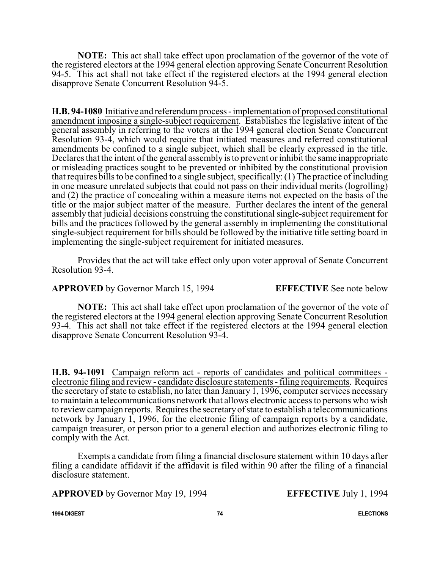**NOTE:** This act shall take effect upon proclamation of the governor of the vote of the registered electors at the 1994 general election approving Senate Concurrent Resolution 94-5. This act shall not take effect if the registered electors at the 1994 general election disapprove Senate Concurrent Resolution 94-5.

**H.B. 94-1080** Initiative and referendumprocess - implementation of proposed constitutional amendment imposing a single-subject requirement. Establishes the legislative intent of the general assembly in referring to the voters at the 1994 general election Senate Concurrent Resolution 93-4, which would require that initiated measures and referred constitutional amendments be confined to a single subject, which shall be clearly expressed in the title. Declares that the intent of the general assembly is to prevent or inhibit the same inappropriate or misleading practices sought to be prevented or inhibited by the constitutional provision that requires bills to be confined to a single subject, specifically: (1) The practice of including in one measure unrelated subjects that could not pass on their individual merits (logrolling) and (2) the practice of concealing within a measure items not expected on the basis of the title or the major subject matter of the measure. Further declares the intent of the general assembly that judicial decisions construing the constitutional single-subject requirement for bills and the practices followed by the general assembly in implementing the constitutional single-subject requirement for bills should be followed by the initiative title setting board in implementing the single-subject requirement for initiated measures.

Provides that the act will take effect only upon voter approval of Senate Concurrent Resolution 93-4.

**APPROVED** by Governor March 15, 1994 **EFFECTIVE** See note below

**NOTE:** This act shall take effect upon proclamation of the governor of the vote of the registered electors at the 1994 general election approving Senate Concurrent Resolution 93-4. This act shall not take effect if the registered electors at the 1994 general election disapprove Senate Concurrent Resolution 93-4.

**H.B. 94-1091** Campaign reform act - reports of candidates and political committees electronic filing and review - candidate disclosure statements - filing requirements. Requires the secretary of state to establish, no later than January 1, 1996, computer services necessary to maintain a telecommunications network that allows electronic access to persons who wish to review campaign reports. Requires the secretaryofstate to establish a telecommunications network by January 1, 1996, for the electronic filing of campaign reports by a candidate, campaign treasurer, or person prior to a general election and authorizes electronic filing to comply with the Act.

Exempts a candidate from filing a financial disclosure statement within 10 days after filing a candidate affidavit if the affidavit is filed within 90 after the filing of a financial disclosure statement.

**APPROVED** by Governor May 19, 1994 **EFFECTIVE** July 1, 1994

**1994 DIGEST 74 ELECTIONS**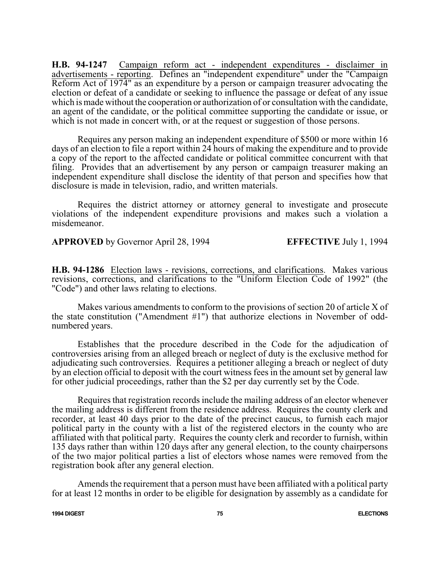**H.B. 94-1247** Campaign reform act - independent expenditures - disclaimer in advertisements - reporting. Defines an "independent expenditure" under the "Campaign Reform Act of 1974" as an expenditure by a person or campaign treasurer advocating the election or defeat of a candidate or seeking to influence the passage or defeat of any issue which is made without the cooperation or authorization of or consultation with the candidate, an agent of the candidate, or the political committee supporting the candidate or issue, or which is not made in concert with, or at the request or suggestion of those persons.

Requires any person making an independent expenditure of \$500 or more within 16 days of an election to file a report within 24 hours of making the expenditure and to provide a copy of the report to the affected candidate or political committee concurrent with that filing. Provides that an advertisement by any person or campaign treasurer making an independent expenditure shall disclose the identity of that person and specifies how that disclosure is made in television, radio, and written materials.

Requires the district attorney or attorney general to investigate and prosecute violations of the independent expenditure provisions and makes such a violation a misdemeanor.

**APPROVED** by Governor April 28, 1994 **EFFECTIVE** July 1, 1994

**H.B. 94-1286** Election laws - revisions, corrections, and clarifications. Makes various revisions, corrections, and clarifications to the "Uniform Election Code of 1992" (the "Code") and other laws relating to elections.

Makes various amendments to conform to the provisions of section 20 of article X of the state constitution ("Amendment #1") that authorize elections in November of oddnumbered years.

Establishes that the procedure described in the Code for the adjudication of controversies arising from an alleged breach or neglect of duty is the exclusive method for adjudicating such controversies. Requires a petitioner alleging a breach or neglect of duty by an election official to deposit with the court witness fees in the amount set by general law for other judicial proceedings, rather than the \$2 per day currently set by the Code.

Requires that registration records include the mailing address of an elector whenever the mailing address is different from the residence address. Requires the county clerk and recorder, at least 40 days prior to the date of the precinct caucus, to furnish each major political party in the county with a list of the registered electors in the county who are affiliated with that political party. Requires the county clerk and recorder to furnish, within 135 days rather than within 120 days after any general election, to the county chairpersons of the two major political parties a list of electors whose names were removed from the registration book after any general election.

Amends the requirement that a person must have been affiliated with a political party for at least 12 months in order to be eligible for designation by assembly as a candidate for

**1994 DIGEST 75 ELECTIONS**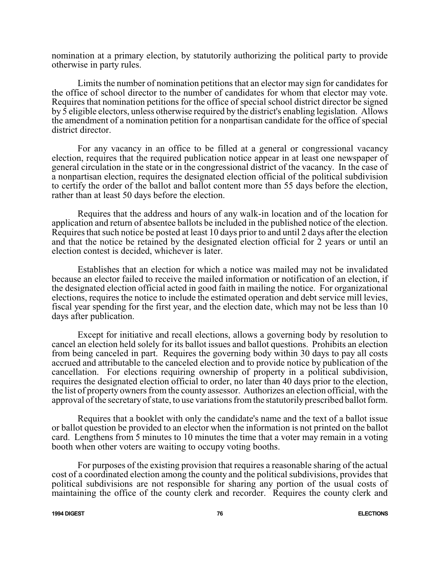nomination at a primary election, by statutorily authorizing the political party to provide otherwise in party rules.

Limits the number of nomination petitions that an elector may sign for candidates for the office of school director to the number of candidates for whom that elector may vote. Requires that nomination petitions for the office of special school district director be signed by 5 eligible electors, unless otherwise required by the district's enabling legislation. Allows the amendment of a nomination petition for a nonpartisan candidate for the office of special district director.

For any vacancy in an office to be filled at a general or congressional vacancy election, requires that the required publication notice appear in at least one newspaper of general circulation in the state or in the congressional district of the vacancy. In the case of a nonpartisan election, requires the designated election official of the political subdivision to certify the order of the ballot and ballot content more than 55 days before the election, rather than at least 50 days before the election.

Requires that the address and hours of any walk-in location and of the location for application and return of absentee ballots be included in the published notice of the election. Requires that such notice be posted at least 10 days prior to and until 2 days after the election and that the notice be retained by the designated election official for 2 years or until an election contest is decided, whichever is later.

Establishes that an election for which a notice was mailed may not be invalidated because an elector failed to receive the mailed information or notification of an election, if the designated election official acted in good faith in mailing the notice. For organizational elections, requires the notice to include the estimated operation and debt service mill levies, fiscal year spending for the first year, and the election date, which may not be less than 10 days after publication.

Except for initiative and recall elections, allows a governing body by resolution to cancel an election held solely for its ballot issues and ballot questions. Prohibits an election from being canceled in part. Requires the governing body within 30 days to pay all costs accrued and attributable to the canceled election and to provide notice by publication of the cancellation. For elections requiring ownership of property in a political subdivision, requires the designated election official to order, no later than 40 days prior to the election, the list of property owners from the county assessor. Authorizes an election official, with the approval of the secretary of state, to use variations from the statutorily prescribed ballot form.

Requires that a booklet with only the candidate's name and the text of a ballot issue or ballot question be provided to an elector when the information is not printed on the ballot card. Lengthens from 5 minutes to 10 minutes the time that a voter may remain in a voting booth when other voters are waiting to occupy voting booths.

For purposes of the existing provision that requires a reasonable sharing of the actual cost of a coordinated election among the county and the political subdivisions, provides that political subdivisions are not responsible for sharing any portion of the usual costs of maintaining the office of the county clerk and recorder. Requires the county clerk and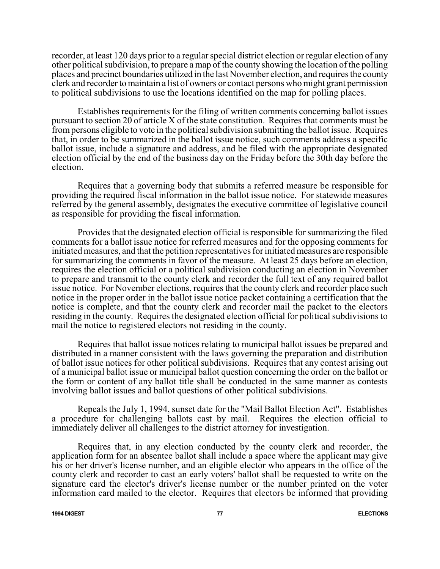recorder, at least 120 days prior to a regular special district election or regular election of any other political subdivision, to prepare a map of the county showing the location of the polling places and precinct boundaries utilized in the last November election, and requires the county clerk and recorder to maintain a list of owners or contact persons who might grant permission to political subdivisions to use the locations identified on the map for polling places.

Establishes requirements for the filing of written comments concerning ballot issues pursuant to section 20 of article X of the state constitution. Requires that comments must be frompersons eligible to vote in the political subdivision submitting the ballot issue. Requires that, in order to be summarized in the ballot issue notice, such comments address a specific ballot issue, include a signature and address, and be filed with the appropriate designated election official by the end of the business day on the Friday before the 30th day before the election.

Requires that a governing body that submits a referred measure be responsible for providing the required fiscal information in the ballot issue notice. For statewide measures referred by the general assembly, designates the executive committee of legislative council as responsible for providing the fiscal information.

Provides that the designated election official is responsible for summarizing the filed comments for a ballot issue notice for referred measures and for the opposing comments for initiated measures, and that the petition representatives for initiated measures are responsible for summarizing the comments in favor of the measure. At least 25 days before an election, requires the election official or a political subdivision conducting an election in November to prepare and transmit to the county clerk and recorder the full text of any required ballot issue notice. For November elections, requires that the county clerk and recorder place such notice in the proper order in the ballot issue notice packet containing a certification that the notice is complete, and that the county clerk and recorder mail the packet to the electors residing in the county. Requires the designated election official for political subdivisions to mail the notice to registered electors not residing in the county.

Requires that ballot issue notices relating to municipal ballot issues be prepared and distributed in a manner consistent with the laws governing the preparation and distribution of ballot issue notices for other political subdivisions. Requires that any contest arising out of a municipal ballot issue or municipal ballot question concerning the order on the ballot or the form or content of any ballot title shall be conducted in the same manner as contests involving ballot issues and ballot questions of other political subdivisions.

Repeals the July 1, 1994, sunset date for the "Mail Ballot Election Act". Establishes a procedure for challenging ballots cast by mail. Requires the election official to immediately deliver all challenges to the district attorney for investigation.

Requires that, in any election conducted by the county clerk and recorder, the application form for an absentee ballot shall include a space where the applicant may give his or her driver's license number, and an eligible elector who appears in the office of the county clerk and recorder to cast an early voters' ballot shall be requested to write on the signature card the elector's driver's license number or the number printed on the voter information card mailed to the elector. Requires that electors be informed that providing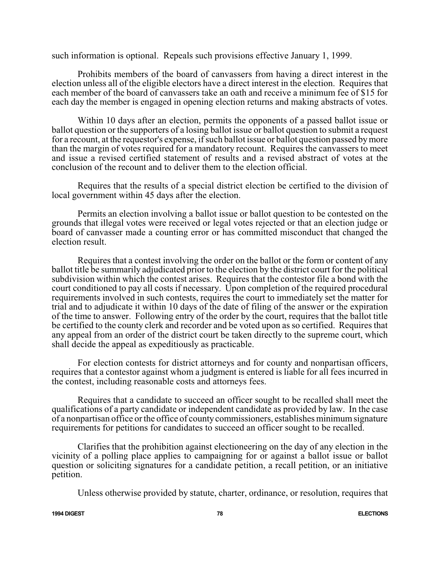such information is optional. Repeals such provisions effective January 1, 1999.

Prohibits members of the board of canvassers from having a direct interest in the election unless all of the eligible electors have a direct interest in the election. Requires that each member of the board of canvassers take an oath and receive a minimum fee of \$15 for each day the member is engaged in opening election returns and making abstracts of votes.

Within 10 days after an election, permits the opponents of a passed ballot issue or ballot question or the supporters of a losing ballot issue or ballot question to submit a request for a recount, at the requestor's expense, if such ballot issue or ballot question passed by more than the margin of votes required for a mandatory recount. Requires the canvassers to meet and issue a revised certified statement of results and a revised abstract of votes at the conclusion of the recount and to deliver them to the election official.

Requires that the results of a special district election be certified to the division of local government within 45 days after the election.

Permits an election involving a ballot issue or ballot question to be contested on the grounds that illegal votes were received or legal votes rejected or that an election judge or board of canvasser made a counting error or has committed misconduct that changed the election result.

Requires that a contest involving the order on the ballot or the form or content of any ballot title be summarily adjudicated prior to the election by the district court for the political subdivision within which the contest arises. Requires that the contestor file a bond with the court conditioned to pay all costs if necessary. Upon completion of the required procedural requirements involved in such contests, requires the court to immediately set the matter for trial and to adjudicate it within 10 days of the date of filing of the answer or the expiration of the time to answer. Following entry of the order by the court, requires that the ballot title be certified to the county clerk and recorder and be voted upon as so certified. Requires that any appeal from an order of the district court be taken directly to the supreme court, which shall decide the appeal as expeditiously as practicable.

For election contests for district attorneys and for county and nonpartisan officers, requires that a contestor against whom a judgment is entered is liable for all fees incurred in the contest, including reasonable costs and attorneys fees.

Requires that a candidate to succeed an officer sought to be recalled shall meet the qualifications of a party candidate or independent candidate as provided by law. In the case of a nonpartisan office or the office of countycommissioners, establishes minimumsignature requirements for petitions for candidates to succeed an officer sought to be recalled.

Clarifies that the prohibition against electioneering on the day of any election in the vicinity of a polling place applies to campaigning for or against a ballot issue or ballot question or soliciting signatures for a candidate petition, a recall petition, or an initiative petition.

Unless otherwise provided by statute, charter, ordinance, or resolution, requires that

**1994 DIGEST 78 ELECTIONS**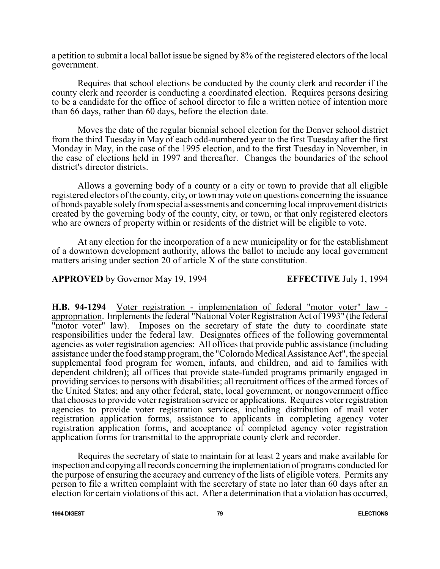a petition to submit a local ballot issue be signed by 8% of the registered electors of the local government.

Requires that school elections be conducted by the county clerk and recorder if the county clerk and recorder is conducting a coordinated election. Requires persons desiring to be a candidate for the office of school director to file a written notice of intention more than 66 days, rather than 60 days, before the election date.

Moves the date of the regular biennial school election for the Denver school district from the third Tuesday in May of each odd-numbered year to the first Tuesday after the first Monday in May, in the case of the 1995 election, and to the first Tuesday in November, in the case of elections held in 1997 and thereafter. Changes the boundaries of the school district's director districts.

Allows a governing body of a county or a city or town to provide that all eligible registered electors of the county, city, or town may vote on questions concerning the issuance of bonds payable solelyfromspecial assessments and concerning local improvement districts created by the governing body of the county, city, or town, or that only registered electors who are owners of property within or residents of the district will be eligible to vote.

At any election for the incorporation of a new municipality or for the establishment of a downtown development authority, allows the ballot to include any local government matters arising under section 20 of article X of the state constitution.

**APPROVED** by Governor May 19, 1994 **EFFECTIVE** July 1, 1994

**H.B. 94-1294** Voter registration - implementation of federal "motor voter" law appropriation. Implements the federal "National Voter Registration Act of 1993" (the federal "motor voter" law). Imposes on the secretary of state the duty to coordinate state responsibilities under the federal law. Designates offices of the following governmental agencies as voter registration agencies: All offices that provide public assistance (including assistance under the food stamp program, the "Colorado Medical Assistance Act", the special supplemental food program for women, infants, and children, and aid to families with dependent children); all offices that provide state-funded programs primarily engaged in providing services to persons with disabilities; all recruitment offices of the armed forces of the United States; and any other federal, state, local government, or nongovernment office that chooses to provide voter registration service or applications. Requires voter registration agencies to provide voter registration services, including distribution of mail voter registration application forms, assistance to applicants in completing agency voter registration application forms, and acceptance of completed agency voter registration application forms for transmittal to the appropriate county clerk and recorder.

Requires the secretary of state to maintain for at least 2 years and make available for inspection and copying all records concerning the implementation of programs conducted for the purpose of ensuring the accuracy and currency of the lists of eligible voters. Permits any person to file a written complaint with the secretary of state no later than 60 days after an election for certain violations of this act. After a determination that a violation has occurred,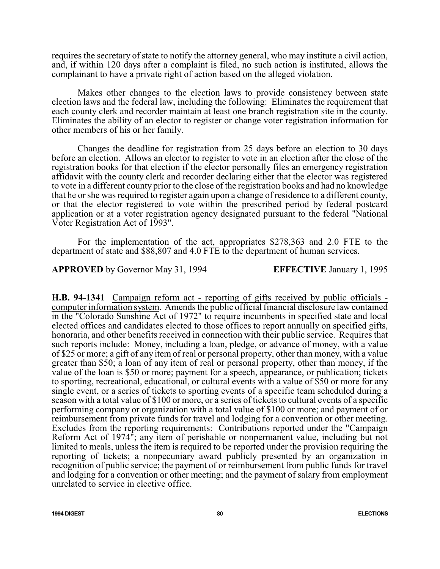requires the secretary of state to notify the attorney general, who may institute a civil action, and, if within 120 days after a complaint is filed, no such action is instituted, allows the complainant to have a private right of action based on the alleged violation.

Makes other changes to the election laws to provide consistency between state election laws and the federal law, including the following: Eliminates the requirement that each county clerk and recorder maintain at least one branch registration site in the county. Eliminates the ability of an elector to register or change voter registration information for other members of his or her family.

Changes the deadline for registration from 25 days before an election to 30 days before an election. Allows an elector to register to vote in an election after the close of the registration books for that election if the elector personally files an emergency registration affidavit with the county clerk and recorder declaring either that the elector was registered to vote in a different county prior to the close of the registration books and had no knowledge that he or she was required to register again upon a change of residence to a different county, or that the elector registered to vote within the prescribed period by federal postcard application or at a voter registration agency designated pursuant to the federal "National Voter Registration Act of 1993".

For the implementation of the act, appropriates \$278,363 and 2.0 FTE to the department of state and \$88,807 and 4.0 FTE to the department of human services.

**APPROVED** by Governor May 31, 1994 **EFFECTIVE** January 1, 1995

**H.B. 94-1341** Campaign reform act - reporting of gifts received by public officials computer information system. Amends the public official financial disclosure law contained in the "Colorado Sunshine Act of 1972" to require incumbents in specified state and local elected offices and candidates elected to those offices to report annually on specified gifts, honoraria, and other benefits received in connection with their public service. Requires that such reports include: Money, including a loan, pledge, or advance of money, with a value of \$25 or more; a gift of any item of real or personal property, other than money, with a value greater than \$50; a loan of any item of real or personal property, other than money, if the value of the loan is \$50 or more; payment for a speech, appearance, or publication; tickets to sporting, recreational, educational, or cultural events with a value of \$50 or more for any single event, or a series of tickets to sporting events of a specific team scheduled during a season with a total value of \$100 or more, or a series of tickets to cultural events of a specific performing company or organization with a total value of \$100 or more; and payment of or reimbursement from private funds for travel and lodging for a convention or other meeting. Excludes from the reporting requirements: Contributions reported under the "Campaign Reform Act of 1974"; any item of perishable or nonpermanent value, including but not limited to meals, unless the item is required to be reported under the provision requiring the reporting of tickets; a nonpecuniary award publicly presented by an organization in recognition of public service; the payment of or reimbursement from public funds for travel and lodging for a convention or other meeting; and the payment of salary from employment unrelated to service in elective office.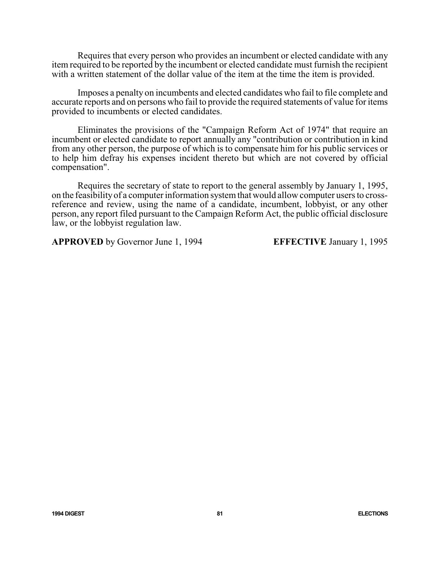Requires that every person who provides an incumbent or elected candidate with any item required to be reported by the incumbent or elected candidate must furnish the recipient with a written statement of the dollar value of the item at the time the item is provided.

Imposes a penalty on incumbents and elected candidates who fail to file complete and accurate reports and on persons who fail to provide the required statements of value for items provided to incumbents or elected candidates.

Eliminates the provisions of the "Campaign Reform Act of 1974" that require an incumbent or elected candidate to report annually any "contribution or contribution in kind from any other person, the purpose of which is to compensate him for his public services or to help him defray his expenses incident thereto but which are not covered by official compensation".

Requires the secretary of state to report to the general assembly by January 1, 1995, on the feasibilityof a computer information systemthat would allow computer users to crossreference and review, using the name of a candidate, incumbent, lobbyist, or any other person, any report filed pursuant to the Campaign Reform Act, the public official disclosure law, or the lobbyist regulation law.

**APPROVED** by Governor June 1, 1994 **EFFECTIVE** January 1, 1995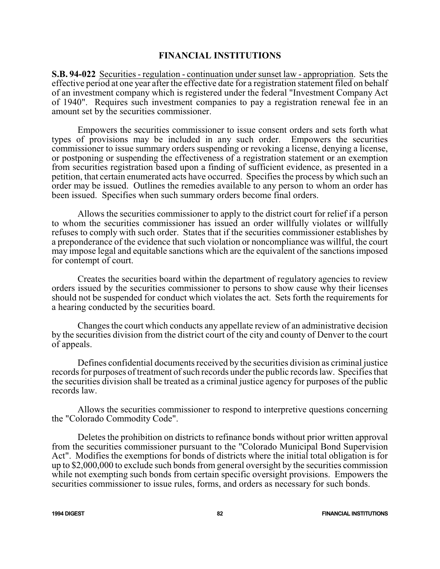### **FINANCIAL INSTITUTIONS**

**S.B. 94-022** Securities - regulation - continuation under sunset law - appropriation. Sets the effective period at one year after the effective date for a registration statement filed on behalf of an investment company which is registered under the federal "Investment Company Act of 1940". Requires such investment companies to pay a registration renewal fee in an amount set by the securities commissioner.

Empowers the securities commissioner to issue consent orders and sets forth what types of provisions may be included in any such order. Empowers the securities commissioner to issue summary orders suspending or revoking a license, denying a license, or postponing or suspending the effectiveness of a registration statement or an exemption from securities registration based upon a finding of sufficient evidence, as presented in a petition, that certain enumerated acts have occurred. Specifies the process by which such an order may be issued. Outlines the remedies available to any person to whom an order has been issued. Specifies when such summary orders become final orders.

Allows the securities commissioner to apply to the district court for relief if a person to whom the securities commissioner has issued an order willfully violates or willfully refuses to comply with such order. States that if the securities commissioner establishes by a preponderance of the evidence that such violation or noncompliance was willful, the court may impose legal and equitable sanctions which are the equivalent of the sanctions imposed for contempt of court.

Creates the securities board within the department of regulatory agencies to review orders issued by the securities commissioner to persons to show cause why their licenses should not be suspended for conduct which violates the act. Sets forth the requirements for a hearing conducted by the securities board.

Changes the court which conducts any appellate review of an administrative decision by the securities division from the district court of the city and county of Denver to the court of appeals.

Defines confidential documents received by the securities division as criminal justice records for purposes of treatment of such records under the public records law. Specifies that the securities division shall be treated as a criminal justice agency for purposes of the public records law.

Allows the securities commissioner to respond to interpretive questions concerning the "Colorado Commodity Code".

Deletes the prohibition on districts to refinance bonds without prior written approval from the securities commissioner pursuant to the "Colorado Municipal Bond Supervision Act". Modifies the exemptions for bonds of districts where the initial total obligation is for up to \$2,000,000 to exclude such bonds from general oversight by the securities commission while not exempting such bonds from certain specific oversight provisions. Empowers the securities commissioner to issue rules, forms, and orders as necessary for such bonds.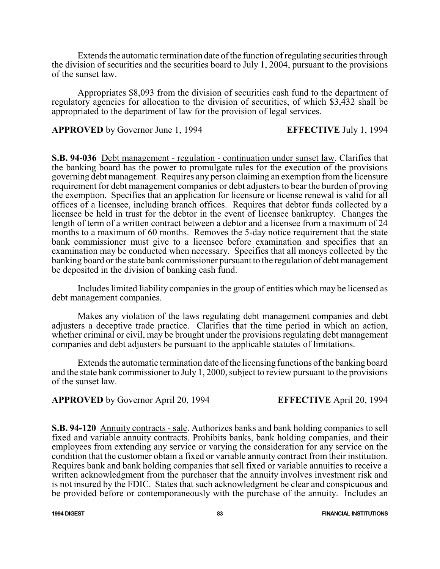Extends the automatic termination date of the function of regulating securities through the division of securities and the securities board to July 1, 2004, pursuant to the provisions of the sunset law.

Appropriates \$8,093 from the division of securities cash fund to the department of regulatory agencies for allocation to the division of securities, of which \$3,432 shall be appropriated to the department of law for the provision of legal services.

**APPROVED** by Governor June 1, 1994 **EFFECTIVE** July 1, 1994

**S.B. 94-036** Debt management - regulation - continuation under sunset law. Clarifies that the banking board has the power to promulgate rules for the execution of the provisions governing debt management. Requires any person claiming an exemption fromthe licensure requirement for debt management companies or debt adjusters to bear the burden of proving the exemption. Specifies that an application for licensure or license renewal is valid for all offices of a licensee, including branch offices. Requires that debtor funds collected by a licensee be held in trust for the debtor in the event of licensee bankruptcy. Changes the length of term of a written contract between a debtor and a licensee from a maximum of 24 months to a maximum of 60 months. Removes the 5-day notice requirement that the state bank commissioner must give to a licensee before examination and specifies that an examination may be conducted when necessary. Specifies that all moneys collected by the banking board or the state bank commissioner pursuant to the regulation of debt management be deposited in the division of banking cash fund.

Includes limited liability companies in the group of entities which may be licensed as debt management companies.

Makes any violation of the laws regulating debt management companies and debt adjusters a deceptive trade practice. Clarifies that the time period in which an action, whether criminal or civil, may be brought under the provisions regulating debt management companies and debt adjusters be pursuant to the applicable statutes of limitations.

Extends the automatic termination date of the licensing functions of the banking board and the state bank commissioner to July 1, 2000, subject to review pursuant to the provisions of the sunset law.

# **APPROVED** by Governor April 20, 1994 **EFFECTIVE** April 20, 1994

**S.B. 94-120** Annuity contracts - sale. Authorizes banks and bank holding companies to sell fixed and variable annuity contracts. Prohibits banks, bank holding companies, and their employees from extending any service or varying the consideration for any service on the condition that the customer obtain a fixed or variable annuity contract from their institution. Requires bank and bank holding companies that sell fixed or variable annuities to receive a written acknowledgment from the purchaser that the annuity involves investment risk and is not insured by the FDIC. States that such acknowledgment be clear and conspicuous and be provided before or contemporaneously with the purchase of the annuity. Includes an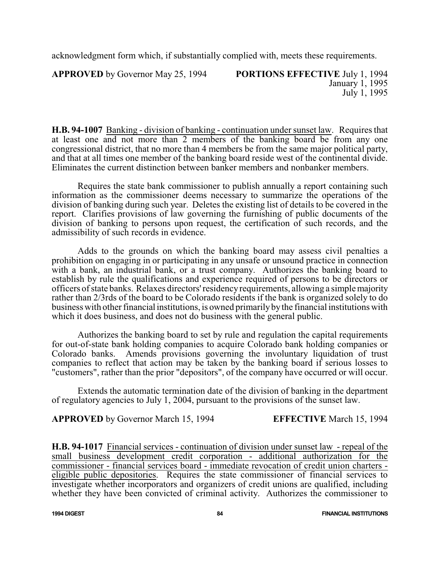acknowledgment form which, if substantially complied with, meets these requirements.

**APPROVED** by Governor May 25, 1994 **PORTIONS EFFECTIVE** July 1, 1994

January 1, 1995 July 1, 1995

**H.B. 94-1007** Banking - division of banking - continuation under sunset law. Requires that at least one and not more than 2 members of the banking board be from any one congressional district, that no more than 4 members be from the same major political party, and that at all times one member of the banking board reside west of the continental divide. Eliminates the current distinction between banker members and nonbanker members.

Requires the state bank commissioner to publish annually a report containing such information as the commissioner deems necessary to summarize the operations of the division of banking during such year. Deletes the existing list of details to be covered in the report. Clarifies provisions of law governing the furnishing of public documents of the division of banking to persons upon request, the certification of such records, and the admissibility of such records in evidence.

Adds to the grounds on which the banking board may assess civil penalties a prohibition on engaging in or participating in any unsafe or unsound practice in connection with a bank, an industrial bank, or a trust company. Authorizes the banking board to establish by rule the qualifications and experience required of persons to be directors or officers ofstate banks. Relaxes directors'residencyrequirements, allowing a simplemajority rather than 2/3rds of the board to be Colorado residents if the bank is organized solely to do business with other financial institutions, is owned primarily by the financial institutions with which it does business, and does not do business with the general public.

Authorizes the banking board to set by rule and regulation the capital requirements for out-of-state bank holding companies to acquire Colorado bank holding companies or Colorado banks. Amends provisions governing the involuntary liquidation of trust companies to reflect that action may be taken by the banking board if serious losses to "customers", rather than the prior "depositors", of the company have occurred or will occur.

Extends the automatic termination date of the division of banking in the department of regulatory agencies to July 1, 2004, pursuant to the provisions of the sunset law.

**APPROVED** by Governor March 15, 1994 **EFFECTIVE** March 15, 1994

**H.B. 94-1017** Financial services - continuation of division under sunset law - repeal of the small business development credit corporation - additional authorization for the commissioner - financial services board - immediate revocation of credit union charters eligible public depositories. Requires the state commissioner of financial services to investigate whether incorporators and organizers of credit unions are qualified, including whether they have been convicted of criminal activity. Authorizes the commissioner to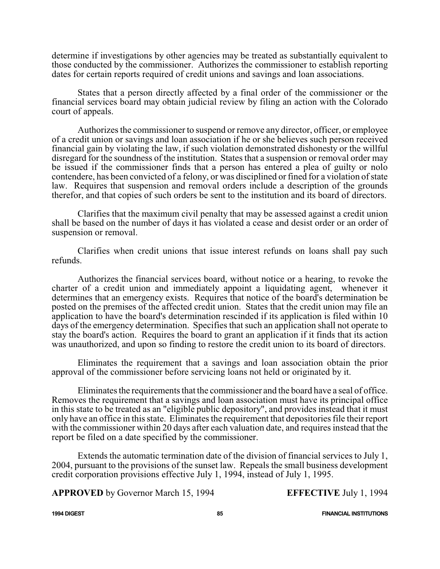determine if investigations by other agencies may be treated as substantially equivalent to those conducted by the commissioner. Authorizes the commissioner to establish reporting dates for certain reports required of credit unions and savings and loan associations.

States that a person directly affected by a final order of the commissioner or the financial services board may obtain judicial review by filing an action with the Colorado court of appeals.

Authorizes the commissioner to suspend or remove any director, officer, or employee of a credit union or savings and loan association if he or she believes such person received financial gain by violating the law, if such violation demonstrated dishonesty or the willful disregard for the soundness of the institution. States that a suspension or removal order may be issued if the commissioner finds that a person has entered a plea of guilty or nolo contendere, has been convicted of a felony, or was disciplined or fined for a violation of state law. Requires that suspension and removal orders include a description of the grounds therefor, and that copies of such orders be sent to the institution and its board of directors.

Clarifies that the maximum civil penalty that may be assessed against a credit union shall be based on the number of days it has violated a cease and desist order or an order of suspension or removal.

Clarifies when credit unions that issue interest refunds on loans shall pay such refunds.

Authorizes the financial services board, without notice or a hearing, to revoke the charter of a credit union and immediately appoint a liquidating agent, whenever it determines that an emergency exists. Requires that notice of the board's determination be posted on the premises of the affected credit union. States that the credit union may file an application to have the board's determination rescinded if its application is filed within 10 days of the emergency determination. Specifies that such an application shall not operate to stay the board's action. Requires the board to grant an application if it finds that its action was unauthorized, and upon so finding to restore the credit union to its board of directors.

Eliminates the requirement that a savings and loan association obtain the prior approval of the commissioner before servicing loans not held or originated by it.

Eliminates the requirements that the commissioner and the board have a seal of office. Removes the requirement that a savings and loan association must have its principal office in this state to be treated as an "eligible public depository", and provides instead that it must only have an office in this state. Eliminates the requirement that depositories file their report with the commissioner within 20 days after each valuation date, and requires instead that the report be filed on a date specified by the commissioner.

Extends the automatic termination date of the division of financial services to July 1, 2004, pursuant to the provisions of the sunset law. Repeals the small business development credit corporation provisions effective July 1, 1994, instead of July 1, 1995.

**APPROVED** by Governor March 15, 1994 **EFFECTIVE** July 1, 1994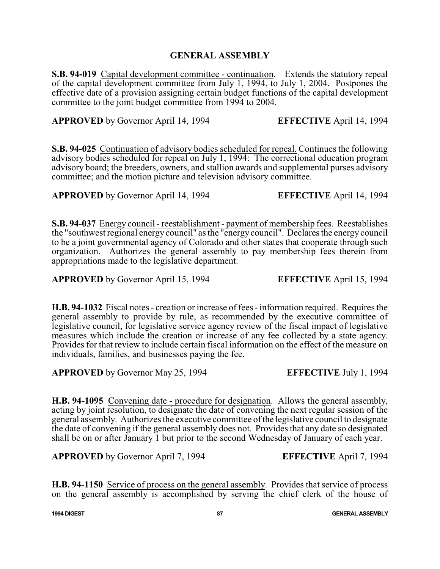## **GENERAL ASSEMBLY**

**S.B. 94-019** Capital development committee - continuation. Extends the statutory repeal of the capital development committee from July 1, 1994, to July 1, 2004. Postpones the effective date of a provision assigning certain budget functions of the capital development committee to the joint budget committee from 1994 to 2004.

**APPROVED** by Governor April 14, 1994 **EFFECTIVE** April 14, 1994

**S.B. 94-025** Continuation of advisory bodies scheduled for repeal. Continues the following advisory bodies scheduled for repeal on July 1, 1994: The correctional education program advisory board; the breeders, owners, and stallion awards and supplemental purses advisory committee; and the motion picture and television advisory committee.

**APPROVED** by Governor April 14, 1994 **EFFECTIVE** April 14, 1994

**S.B. 94-037** Energy council - reestablishment - payment of membership fees. Reestablishes the "southwest regional energy council" as the "energycouncil". Declares the energy council to be a joint governmental agency of Colorado and other states that cooperate through such organization. Authorizes the general assembly to pay membership fees therein from appropriations made to the legislative department.

**APPROVED** by Governor April 15, 1994 **EFFECTIVE** April 15, 1994

**H.B. 94-1032** Fiscal notes - creation or increase of fees - information required. Requires the general assembly to provide by rule, as recommended by the executive committee of legislative council, for legislative service agency review of the fiscal impact of legislative measures which include the creation or increase of any fee collected by a state agency. Provides for that review to include certain fiscal information on the effect of the measure on individuals, families, and businesses paying the fee.

**APPROVED** by Governor May 25, 1994 **EFFECTIVE** July 1, 1994

**H.B. 94-1095** Convening date - procedure for designation. Allows the general assembly, acting by joint resolution, to designate the date of convening the next regular session of the general assembly. Authorizes the executive committee ofthe legislative council to designate the date of convening if the general assembly does not. Provides that any date so designated shall be on or after January 1 but prior to the second Wednesday of January of each year.

**APPROVED** by Governor April 7, 1994 **EFFECTIVE** April 7, 1994

**H.B. 94-1150** Service of process on the general assembly. Provides that service of process on the general assembly is accomplished by serving the chief clerk of the house of

**1994 DIGEST 87 GENERAL ASSEMBLY**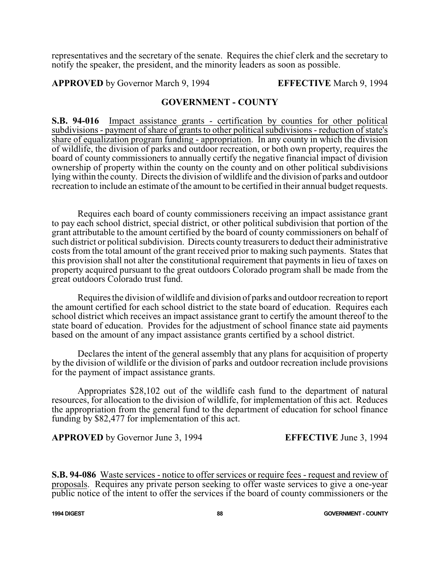representatives and the secretary of the senate. Requires the chief clerk and the secretary to notify the speaker, the president, and the minority leaders as soon as possible.

**APPROVED** by Governor March 9, 1994 **EFFECTIVE** March 9, 1994

# **GOVERNMENT - COUNTY**

**S.B. 94-016** Impact assistance grants - certification by counties for other political subdivisions - payment of share of grants to other political subdivisions - reduction of state's share of equalization program funding - appropriation. In any county in which the division of wildlife, the division of parks and outdoor recreation, or both own property, requires the board of county commissioners to annually certify the negative financial impact of division ownership of property within the county on the county and on other political subdivisions lying within the county. Directs the division of wildlife and the division of parks and outdoor recreation to include an estimate of the amount to be certified in their annual budget requests.

Requires each board of county commissioners receiving an impact assistance grant to pay each school district, special district, or other political subdivision that portion of the grant attributable to the amount certified by the board of county commissioners on behalf of such district or political subdivision. Directs county treasurers to deduct their administrative costs from the total amount of the grant received prior to making such payments. States that this provision shall not alter the constitutional requirement that payments in lieu of taxes on property acquired pursuant to the great outdoors Colorado program shall be made from the great outdoors Colorado trust fund.

Requires the division of wildlife and division of parks and outdoor recreation to report the amount certified for each school district to the state board of education. Requires each school district which receives an impact assistance grant to certify the amount thereof to the state board of education. Provides for the adjustment of school finance state aid payments based on the amount of any impact assistance grants certified by a school district.

Declares the intent of the general assembly that any plans for acquisition of property by the division of wildlife or the division of parks and outdoor recreation include provisions for the payment of impact assistance grants.

Appropriates \$28,102 out of the wildlife cash fund to the department of natural resources, for allocation to the division of wildlife, for implementation of this act. Reduces the appropriation from the general fund to the department of education for school finance funding by \$82,477 for implementation of this act.

**APPROVED** by Governor June 3, 1994 **EFFECTIVE** June 3, 1994

**S.B. 94-086** Waste services - notice to offer services or require fees - request and review of proposals. Requires any private person seeking to offer waste services to give a one-year public notice of the intent to offer the services if the board of county commissioners or the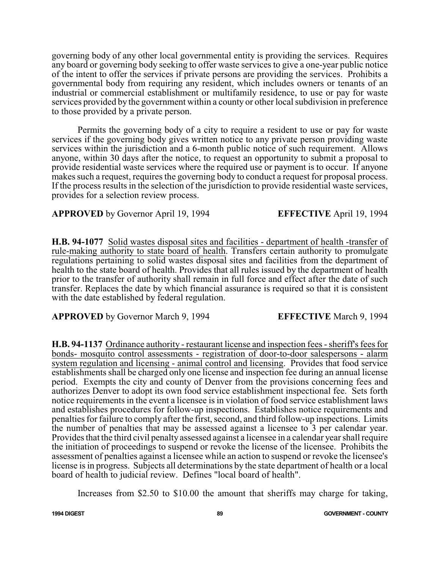governing body of any other local governmental entity is providing the services. Requires any board or governing body seeking to offer waste services to give a one-year public notice of the intent to offer the services if private persons are providing the services. Prohibits a governmental body from requiring any resident, which includes owners or tenants of an industrial or commercial establishment or multifamily residence, to use or pay for waste services provided by the government within a county or other local subdivision in preference to those provided by a private person.

Permits the governing body of a city to require a resident to use or pay for waste services if the governing body gives written notice to any private person providing waste services within the jurisdiction and a 6-month public notice of such requirement. Allows anyone, within 30 days after the notice, to request an opportunity to submit a proposal to provide residential waste services where the required use or payment is to occur. If anyone makes such a request, requires the governing body to conduct a request for proposal process. If the process results in the selection of the jurisdiction to provide residential waste services, provides for a selection review process.

# **APPROVED** by Governor April 19, 1994 **EFFECTIVE** April 19, 1994

**H.B. 94-1077** Solid wastes disposal sites and facilities - department of health -transfer of rule-making authority to state board of health. Transfers certain authority to promulgate regulations pertaining to solid wastes disposal sites and facilities from the department of health to the state board of health. Provides that all rules issued by the department of health prior to the transfer of authority shall remain in full force and effect after the date of such transfer. Replaces the date by which financial assurance is required so that it is consistent with the date established by federal regulation.

**APPROVED** by Governor March 9, 1994 **EFFECTIVE** March 9, 1994

**H.B. 94-1137** Ordinance authority - restaurant license and inspection fees - sheriff's fees for bonds- mosquito control assessments - registration of door-to-door salespersons - alarm system regulation and licensing - animal control and licensing. Provides that food service establishments shall be charged only one license and inspection fee during an annual license period. Exempts the city and county of Denver from the provisions concerning fees and authorizes Denver to adopt its own food service establishment inspectional fee. Sets forth notice requirements in the event a licensee is in violation of food service establishment laws and establishes procedures for follow-up inspections. Establishes notice requirements and penalties for failure to comply after the first, second, and third follow-up inspections. Limits the number of penalties that may be assessed against a licensee to 3 per calendar year. Provides that the third civil penalty assessed against a licensee in a calendar year shall require the initiation of proceedings to suspend or revoke the license of the licensee. Prohibits the assessment of penalties against a licensee while an action to suspend or revoke the licensee's license is in progress. Subjects all determinations by the state department of health or a local board of health to judicial review. Defines "local board of health".

Increases from \$2.50 to \$10.00 the amount that sheriffs may charge for taking,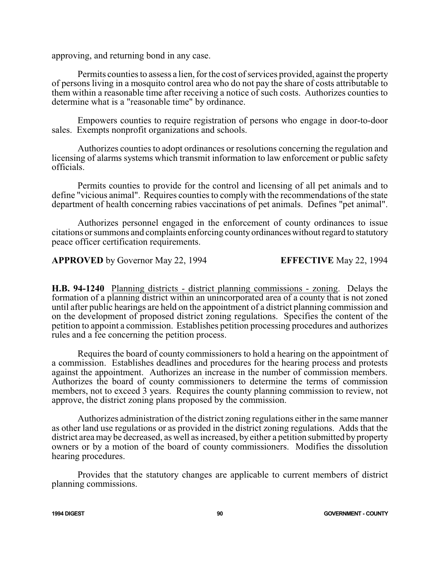approving, and returning bond in any case.

Permits counties to assess a lien, for the cost of services provided, against the property of persons living in a mosquito control area who do not pay the share of costs attributable to them within a reasonable time after receiving a notice of such costs. Authorizes counties to determine what is a "reasonable time" by ordinance.

Empowers counties to require registration of persons who engage in door-to-door sales. Exempts nonprofit organizations and schools.

Authorizes counties to adopt ordinances or resolutions concerning the regulation and licensing of alarms systems which transmit information to law enforcement or public safety officials.

Permits counties to provide for the control and licensing of all pet animals and to define "vicious animal". Requires counties to comply with the recommendations of the state department of health concerning rabies vaccinations of pet animals. Defines "pet animal".

Authorizes personnel engaged in the enforcement of county ordinances to issue citations or summons and complaints enforcing countyordinanceswithout regard to statutory peace officer certification requirements.

**APPROVED** by Governor May 22, 1994 **EFFECTIVE** May 22, 1994

**H.B. 94-1240** Planning districts - district planning commissions - zoning. Delays the formation of a planning district within an unincorporated area of a county that is not zoned until after public hearings are held on the appointment of a district planning commission and on the development of proposed district zoning regulations. Specifies the content of the petition to appoint a commission. Establishes petition processing procedures and authorizes rules and a fee concerning the petition process.

Requires the board of county commissioners to hold a hearing on the appointment of a commission. Establishes deadlines and procedures for the hearing process and protests against the appointment. Authorizes an increase in the number of commission members. Authorizes the board of county commissioners to determine the terms of commission members, not to exceed 3 years. Requires the county planning commission to review, not approve, the district zoning plans proposed by the commission.

Authorizes administration of the district zoning regulations either in the same manner as other land use regulations or as provided in the district zoning regulations. Adds that the district area may be decreased, as well as increased, by either a petition submitted by property owners or by a motion of the board of county commissioners. Modifies the dissolution hearing procedures.

Provides that the statutory changes are applicable to current members of district planning commissions.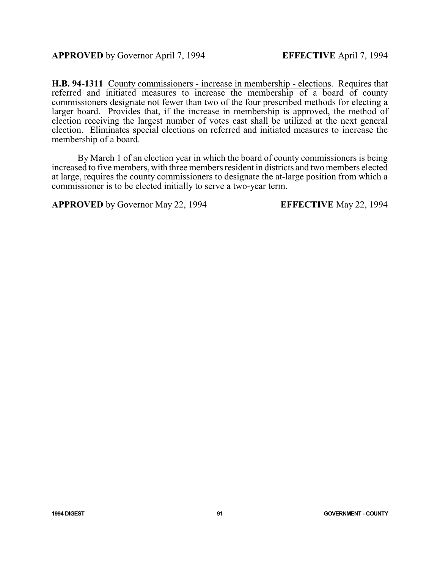**H.B. 94-1311** County commissioners - increase in membership - elections. Requires that referred and initiated measures to increase the membership of a board of county commissioners designate not fewer than two of the four prescribed methods for electing a larger board. Provides that, if the increase in membership is approved, the method of election receiving the largest number of votes cast shall be utilized at the next general election. Eliminates special elections on referred and initiated measures to increase the membership of a board.

By March 1 of an election year in which the board of county commissioners is being increased to five members, with three members resident in districts and two members elected at large, requires the county commissioners to designate the at-large position from which a commissioner is to be elected initially to serve a two-year term.

**APPROVED** by Governor May 22, 1994 **EFFECTIVE** May 22, 1994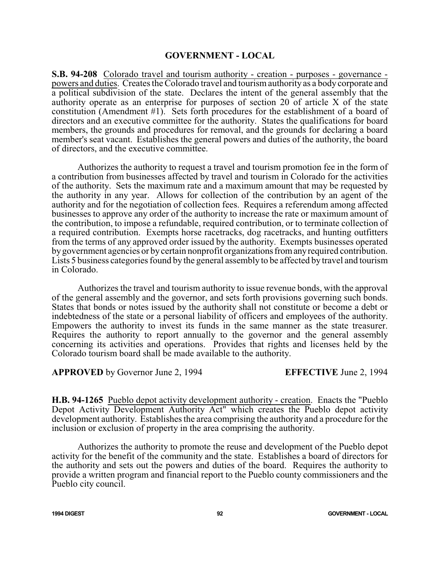### **GOVERNMENT - LOCAL**

**S.B. 94-208** Colorado travel and tourism authority - creation - purposes - governance powers and duties. Creates the Colorado travel and tourismauthority as a body corporate and a political subdivision of the state. Declares the intent of the general assembly that the authority operate as an enterprise for purposes of section 20 of article X of the state constitution (Amendment #1). Sets forth procedures for the establishment of a board of directors and an executive committee for the authority. States the qualifications for board members, the grounds and procedures for removal, and the grounds for declaring a board member's seat vacant. Establishes the general powers and duties of the authority, the board of directors, and the executive committee.

Authorizes the authority to request a travel and tourism promotion fee in the form of a contribution from businesses affected by travel and tourism in Colorado for the activities of the authority. Sets the maximum rate and a maximum amount that may be requested by the authority in any year. Allows for collection of the contribution by an agent of the authority and for the negotiation of collection fees. Requires a referendum among affected businesses to approve any order of the authority to increase the rate or maximum amount of the contribution, to impose a refundable, required contribution, or to terminate collection of a required contribution. Exempts horse racetracks, dog racetracks, and hunting outfitters from the terms of any approved order issued by the authority. Exempts businesses operated bygovernment agencies or bycertain nonprofit organizationsfromanyrequired contribution. Lists 5 business categories found by the general assembly to be affected by travel and tourism in Colorado.

Authorizes the travel and tourism authority to issue revenue bonds, with the approval of the general assembly and the governor, and sets forth provisions governing such bonds. States that bonds or notes issued by the authority shall not constitute or become a debt or indebtedness of the state or a personal liability of officers and employees of the authority. Empowers the authority to invest its funds in the same manner as the state treasurer. Requires the authority to report annually to the governor and the general assembly concerning its activities and operations. Provides that rights and licenses held by the Colorado tourism board shall be made available to the authority.

## **APPROVED** by Governor June 2, 1994 **EFFECTIVE** June 2, 1994

**H.B. 94-1265** Pueblo depot activity development authority - creation. Enacts the "Pueblo Depot Activity Development Authority Act" which creates the Pueblo depot activity development authority. Establishes the area comprising the authority and a procedure for the inclusion or exclusion of property in the area comprising the authority.

Authorizes the authority to promote the reuse and development of the Pueblo depot activity for the benefit of the community and the state. Establishes a board of directors for the authority and sets out the powers and duties of the board. Requires the authority to provide a written program and financial report to the Pueblo county commissioners and the Pueblo city council.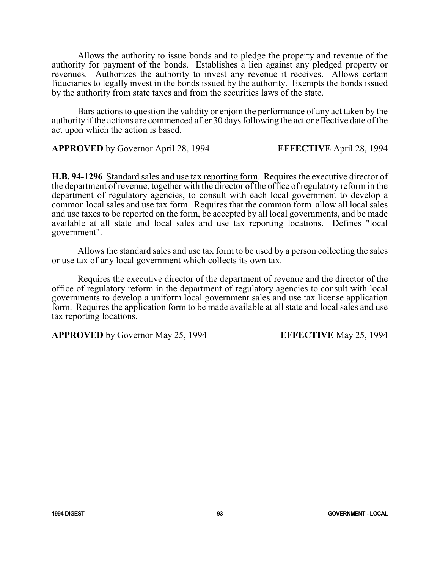Allows the authority to issue bonds and to pledge the property and revenue of the authority for payment of the bonds. Establishes a lien against any pledged property or revenues. Authorizes the authority to invest any revenue it receives. Allows certain fiduciaries to legally invest in the bonds issued by the authority. Exempts the bonds issued by the authority from state taxes and from the securities laws of the state.

Bars actions to question the validity or enjoin the performance of any act taken by the authority if the actions are commenced after 30 days following the act or effective date of the act upon which the action is based.

**APPROVED** by Governor April 28, 1994 **EFFECTIVE** April 28, 1994

**H.B. 94-1296** Standard sales and use tax reporting form. Requires the executive director of the department of revenue, together with the director of the office of regulatory reform in the department of regulatory agencies, to consult with each local government to develop a common local sales and use tax form. Requires that the common form allow all local sales and use taxes to be reported on the form, be accepted by all local governments, and be made available at all state and local sales and use tax reporting locations. Defines "local government".

Allows the standard sales and use tax form to be used by a person collecting the sales or use tax of any local government which collects its own tax.

Requires the executive director of the department of revenue and the director of the office of regulatory reform in the department of regulatory agencies to consult with local governments to develop a uniform local government sales and use tax license application form. Requires the application form to be made available at all state and local sales and use tax reporting locations.

**APPROVED** by Governor May 25, 1994 **EFFECTIVE** May 25, 1994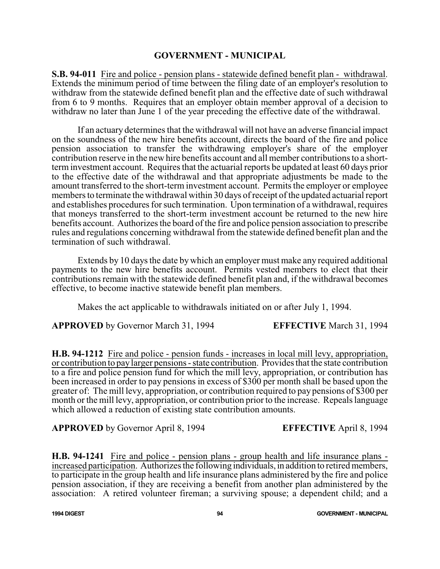## **GOVERNMENT - MUNICIPAL**

**S.B. 94-011** Fire and police - pension plans - statewide defined benefit plan - withdrawal. Extends the minimum period of time between the filing date of an employer's resolution to withdraw from the statewide defined benefit plan and the effective date of such withdrawal from 6 to 9 months. Requires that an employer obtain member approval of a decision to withdraw no later than June 1 of the year preceding the effective date of the withdrawal.

If an actuary determines that the withdrawal will not have an adverse financial impact on the soundness of the new hire benefits account, directs the board of the fire and police pension association to transfer the withdrawing employer's share of the employer contribution reserve in the new hire benefits account and all member contributions to a shortterm investment account. Requires that the actuarial reports be updated at least 60 days prior to the effective date of the withdrawal and that appropriate adjustments be made to the amount transferred to the short-term investment account. Permits the employer or employee members to terminate the withdrawal within 30 days of receipt of the updated actuarial report and establishes procedures for such termination. Upon termination of a withdrawal, requires that moneys transferred to the short-term investment account be returned to the new hire benefits account. Authorizes the board of the fire and police pension association to prescribe rules and regulations concerning withdrawal from the statewide defined benefit plan and the termination of such withdrawal.

Extends by 10 days the date by which an employer must make any required additional payments to the new hire benefits account. Permits vested members to elect that their contributions remain with the statewide defined benefit plan and, if the withdrawal becomes effective, to become inactive statewide benefit plan members.

Makes the act applicable to withdrawals initiated on or after July 1, 1994.

**APPROVED** by Governor March 31, 1994 **EFFECTIVE** March 31, 1994

**H.B. 94-1212** Fire and police - pension funds - increases in local mill levy, appropriation, or contribution to paylarger pensions - state contribution. Provides that the state contribution to a fire and police pension fund for which the mill levy, appropriation, or contribution has been increased in order to pay pensions in excess of \$300 per month shall be based upon the greater of: The mill levy, appropriation, or contribution required to pay pensions of \$300 per month or the mill levy, appropriation, or contribution prior to the increase. Repeals language which allowed a reduction of existing state contribution amounts.

**APPROVED** by Governor April 8, 1994 **EFFECTIVE** April 8, 1994

**H.B. 94-1241** Fire and police - pension plans - group health and life insurance plans increased participation. Authorizes the following individuals, in addition to retired members, to participate in the group health and life insurance plans administered by the fire and police pension association, if they are receiving a benefit from another plan administered by the association: A retired volunteer fireman; a surviving spouse; a dependent child; and a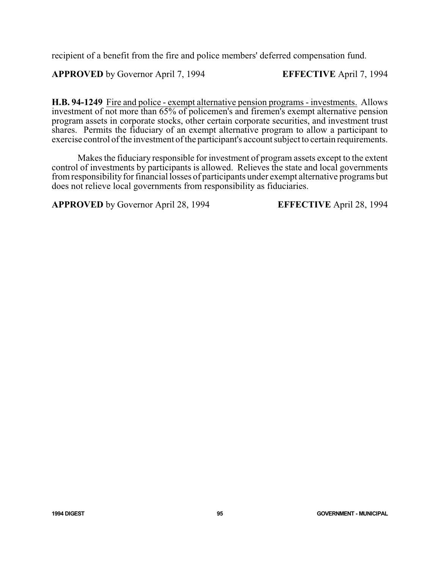recipient of a benefit from the fire and police members' deferred compensation fund.

**APPROVED** by Governor April 7, 1994 **EFFECTIVE** April 7, 1994

**H.B. 94-1249** Fire and police - exempt alternative pension programs - investments. Allows investment of not more than 65% of policemen's and firemen's exempt alternative pension program assets in corporate stocks, other certain corporate securities, and investment trust shares. Permits the fiduciary of an exempt alternative program to allow a participant to exercise control of the investment of the participant's account subject to certain requirements.

Makes the fiduciary responsible for investment of program assets except to the extent control of investments by participants is allowed. Relieves the state and local governments fromresponsibilityfor financial losses of participants under exempt alternative programs but does not relieve local governments from responsibility as fiduciaries.

**APPROVED** by Governor April 28, 1994 **EFFECTIVE** April 28, 1994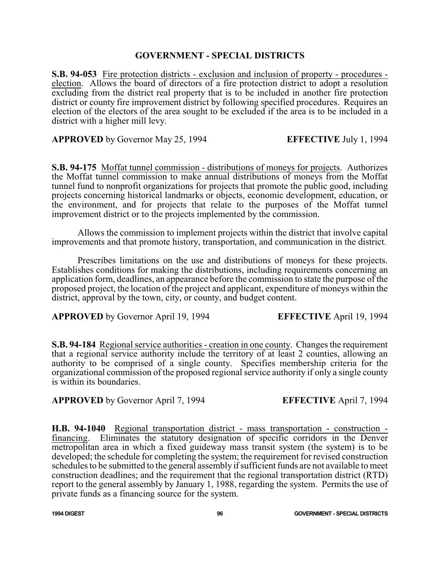# **GOVERNMENT - SPECIAL DISTRICTS**

**S.B. 94-053** Fire protection districts - exclusion and inclusion of property - procedures election. Allows the board of directors of a fire protection district to adopt a resolution excluding from the district real property that is to be included in another fire protection district or county fire improvement district by following specified procedures. Requires an election of the electors of the area sought to be excluded if the area is to be included in a district with a higher mill levy.

**APPROVED** by Governor May 25, 1994 **EFFECTIVE** July 1, 1994

**S.B. 94-175** Moffat tunnel commission - distributions of moneys for projects. Authorizes the Moffat tunnel commission to make annual distributions of moneys from the Moffat tunnel fund to nonprofit organizations for projects that promote the public good, including projects concerning historical landmarks or objects, economic development, education, or the environment, and for projects that relate to the purposes of the Moffat tunnel improvement district or to the projects implemented by the commission.

Allows the commission to implement projects within the district that involve capital improvements and that promote history, transportation, and communication in the district.

Prescribes limitations on the use and distributions of moneys for these projects. Establishes conditions for making the distributions, including requirements concerning an application form, deadlines, an appearance before the commission to state the purpose of the proposed project, the location of the project and applicant, expenditure of moneys within the district, approval by the town, city, or county, and budget content.

**APPROVED** by Governor April 19, 1994 **EFFECTIVE** April 19, 1994

**S.B. 94-184** Regional service authorities - creation in one county. Changes the requirement that a regional service authority include the territory of at least 2 counties, allowing an authority to be comprised of a single county. Specifies membership criteria for the organizational commission of the proposed regional service authority if only a single county is within its boundaries.

**APPROVED** by Governor April 7, 1994 **EFFECTIVE** April 7, 1994

**H.B. 94-1040** Regional transportation district - mass transportation - construction financing. Eliminates the statutory designation of specific corridors in the Denver metropolitan area in which a fixed guideway mass transit system (the system) is to be developed; the schedule for completing the system; the requirement for revised construction schedules to be submitted to the general assembly if sufficient funds are not available to meet construction deadlines; and the requirement that the regional transportation district (RTD) report to the general assembly by January 1, 1988, regarding the system. Permits the use of private funds as a financing source for the system.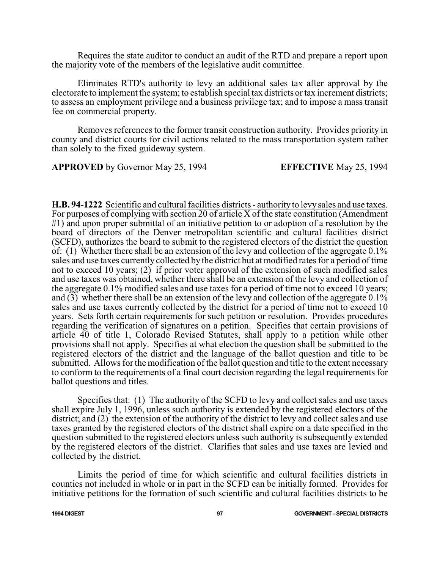Requires the state auditor to conduct an audit of the RTD and prepare a report upon the majority vote of the members of the legislative audit committee.

Eliminates RTD's authority to levy an additional sales tax after approval by the electorate to implement the system; to establish special tax districts or tax increment districts; to assess an employment privilege and a business privilege tax; and to impose a mass transit fee on commercial property.

Removes references to the former transit construction authority. Provides priority in county and district courts for civil actions related to the mass transportation system rather than solely to the fixed guideway system.

**APPROVED** by Governor May 25, 1994 **EFFECTIVE** May 25, 1994

**H.B. 94-1222** Scientific and cultural facilities districts - authority to levy sales and use taxes. For purposes of complying with section 20 of article X of the state constitution (Amendment #1) and upon proper submittal of an initiative petition to or adoption of a resolution by the board of directors of the Denver metropolitan scientific and cultural facilities district (SCFD), authorizes the board to submit to the registered electors of the district the question of: (1) Whether there shall be an extension of the levy and collection of the aggregate 0.1% sales and use taxes currently collected by the district but at modified rates for a period of time not to exceed 10 years; (2) if prior voter approval of the extension of such modified sales and use taxes was obtained, whether there shall be an extension of the levy and collection of the aggregate 0.1% modified sales and use taxes for a period of time not to exceed 10 years; and  $\overline{(3)}$  whether there shall be an extension of the levy and collection of the aggregate 0.1% sales and use taxes currently collected by the district for a period of time not to exceed 10 years. Sets forth certain requirements for such petition or resolution. Provides procedures regarding the verification of signatures on a petition. Specifies that certain provisions of article 40 of title 1, Colorado Revised Statutes, shall apply to a petition while other provisions shall not apply. Specifies at what election the question shall be submitted to the registered electors of the district and the language of the ballot question and title to be submitted. Allows for the modification of the ballot question and title to the extent necessary to conform to the requirements of a final court decision regarding the legal requirements for ballot questions and titles.

Specifies that: (1) The authority of the SCFD to levy and collect sales and use taxes shall expire July 1, 1996, unless such authority is extended by the registered electors of the district; and (2) the extension of the authority of the district to levy and collect sales and use taxes granted by the registered electors of the district shall expire on a date specified in the question submitted to the registered electors unless such authority is subsequently extended by the registered electors of the district. Clarifies that sales and use taxes are levied and collected by the district.

Limits the period of time for which scientific and cultural facilities districts in counties not included in whole or in part in the SCFD can be initially formed. Provides for initiative petitions for the formation of such scientific and cultural facilities districts to be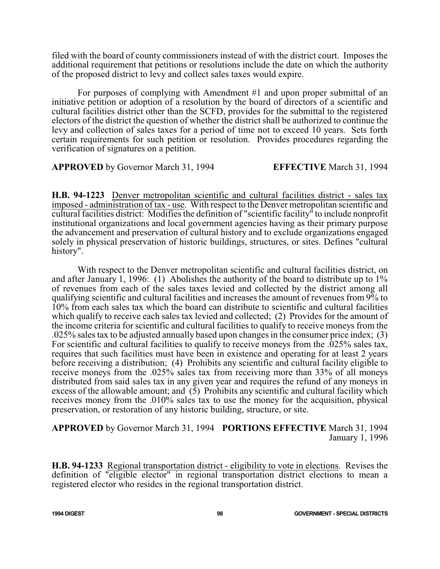filed with the board of county commissioners instead of with the district court. Imposes the additional requirement that petitions or resolutions include the date on which the authority of the proposed district to levy and collect sales taxes would expire.

For purposes of complying with Amendment #1 and upon proper submittal of an initiative petition or adoption of a resolution by the board of directors of a scientific and cultural facilities district other than the SCFD, provides for the submittal to the registered electors of the district the question of whether the district shall be authorized to continue the levy and collection of sales taxes for a period of time not to exceed 10 years. Sets forth certain requirements for such petition or resolution. Provides procedures regarding the verification of signatures on a petition.

**APPROVED** by Governor March 31, 1994 **EFFECTIVE** March 31, 1994

**H.B. 94-1223** Denver metropolitan scientific and cultural facilities district - sales tax imposed - administration of tax - use. With respect to the Denver metropolitan scientific and cultural facilities district: Modifies the definition of "scientific facility" to include nonprofit institutional organizations and local government agencies having as their primary purpose the advancement and preservation of cultural history and to exclude organizations engaged solely in physical preservation of historic buildings, structures, or sites. Defines "cultural history".

With respect to the Denver metropolitan scientific and cultural facilities district, on and after January 1, 1996: (1) Abolishes the authority of the board to distribute up to 1% of revenues from each of the sales taxes levied and collected by the district among all qualifying scientific and cultural facilities and increases the amount of revenues from 9% to 10% from each sales tax which the board can distribute to scientific and cultural facilities which qualify to receive each sales tax levied and collected; (2) Provides for the amount of the income criteria for scientific and cultural facilities to qualify to receive moneys from the .025% sales tax to be adjusted annually based upon changes in the consumer price index; (3) For scientific and cultural facilities to qualify to receive moneys from the .025% sales tax, requires that such facilities must have been in existence and operating for at least 2 years before receiving a distribution; (4) Prohibits any scientific and cultural facility eligible to receive moneys from the .025% sales tax from receiving more than 33% of all moneys distributed from said sales tax in any given year and requires the refund of any moneys in excess of the allowable amount; and  $(5)$  Prohibits any scientific and cultural facility which receives money from the .010% sales tax to use the money for the acquisition, physical preservation, or restoration of any historic building, structure, or site.

# **APPROVED** by Governor March 31, 1994 **PORTIONS EFFECTIVE** March 31, 1994 January 1, 1996

**H.B. 94-1233** Regional transportation district - eligibility to vote in elections. Revises the definition of "eligible elector" in regional transportation district elections to mean a registered elector who resides in the regional transportation district.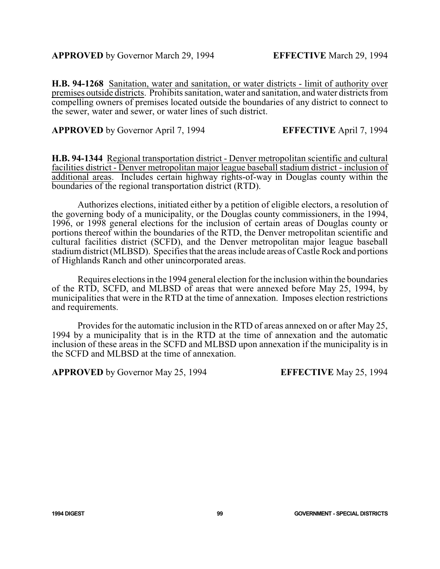**H.B. 94-1268** Sanitation, water and sanitation, or water districts - limit of authority over premises outside districts. Prohibits sanitation, water and sanitation, and water districts from compelling owners of premises located outside the boundaries of any district to connect to the sewer, water and sewer, or water lines of such district.

**APPROVED** by Governor April 7, 1994 **EFFECTIVE** April 7, 1994

**H.B. 94-1344** Regional transportation district - Denver metropolitan scientific and cultural facilities district - Denver metropolitan major league baseball stadium district - inclusion of additional areas. Includes certain highway rights-of-way in Douglas county within the boundaries of the regional transportation district (RTD).

Authorizes elections, initiated either by a petition of eligible electors, a resolution of the governing body of a municipality, or the Douglas county commissioners, in the 1994, 1996, or 1998 general elections for the inclusion of certain areas of Douglas county or portions thereof within the boundaries of the RTD, the Denver metropolitan scientific and cultural facilities district (SCFD), and the Denver metropolitan major league baseball stadiumdistrict (MLBSD). Specifies that the areas include areas of Castle Rock and portions of Highlands Ranch and other unincorporated areas.

Requires elections in the 1994 general election for the inclusion within the boundaries of the RTD, SCFD, and MLBSD of areas that were annexed before May 25, 1994, by municipalities that were in the RTD at the time of annexation. Imposes election restrictions and requirements.

Provides for the automatic inclusion in the RTD of areas annexed on or after May 25, 1994 by a municipality that is in the RTD at the time of annexation and the automatic inclusion of these areas in the SCFD and MLBSD upon annexation if the municipality is in the SCFD and MLBSD at the time of annexation.

**APPROVED** by Governor May 25, 1994 **EFFECTIVE** May 25, 1994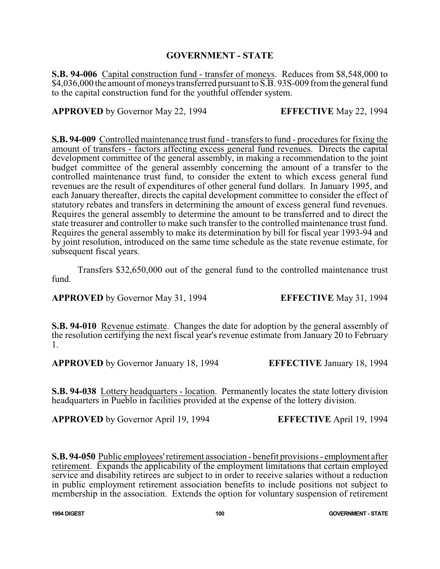# **GOVERNMENT - STATE**

**S.B. 94-006** Capital construction fund - transfer of moneys. Reduces from \$8,548,000 to \$4,036,000 the amount of moneys transferred pursuant to S.B. 93S-009 from the general fund to the capital construction fund for the youthful offender system.

**APPROVED** by Governor May 22, 1994 **EFFECTIVE** May 22, 1994

**S.B. 94-009** Controlled maintenance trust fund - transfers to fund - procedures for fixing the amount of transfers - factors affecting excess general fund revenues. Directs the capital development committee of the general assembly, in making a recommendation to the joint budget committee of the general assembly concerning the amount of a transfer to the controlled maintenance trust fund, to consider the extent to which excess general fund revenues are the result of expenditures of other general fund dollars. In January 1995, and each January thereafter, directs the capital development committee to consider the effect of statutory rebates and transfers in determining the amount of excess general fund revenues. Requires the general assembly to determine the amount to be transferred and to direct the state treasurer and controller to make such transfer to the controlled maintenance trust fund. Requires the general assembly to make its determination by bill for fiscal year 1993-94 and by joint resolution, introduced on the same time schedule as the state revenue estimate, for subsequent fiscal years.

Transfers \$32,650,000 out of the general fund to the controlled maintenance trust fund.

**APPROVED** by Governor May 31, 1994 **EFFECTIVE** May 31, 1994

**S.B. 94-010** Revenue estimate. Changes the date for adoption by the general assembly of the resolution certifying the next fiscal year's revenue estimate from January 20 to February 1.

**APPROVED** by Governor January 18, 1994 **EFFECTIVE** January 18, 1994

**S.B. 94-038** Lottery headquarters - location. Permanently locates the state lottery division headquarters in Pueblo in facilities provided at the expense of the lottery division.

**APPROVED** by Governor April 19, 1994 **EFFECTIVE** April 19, 1994

**S.B. 94-050** Public employees' retirement association - benefit provisions - employment after retirement. Expands the applicability of the employment limitations that certain employed service and disability retirees are subject to in order to receive salaries without a reduction in public employment retirement association benefits to include positions not subject to membership in the association. Extends the option for voluntary suspension of retirement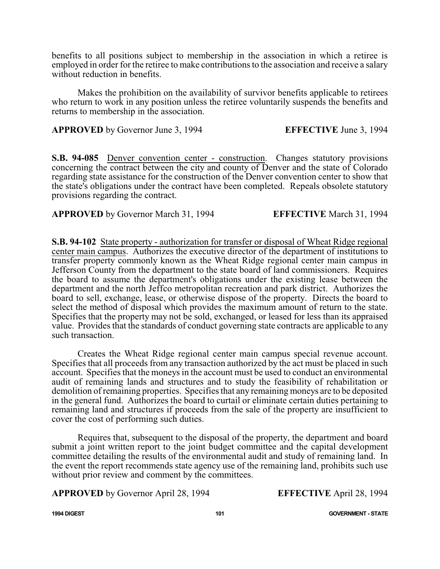benefits to all positions subject to membership in the association in which a retiree is employed in order for the retiree to make contributions to the association and receive a salary without reduction in benefits.

Makes the prohibition on the availability of survivor benefits applicable to retirees who return to work in any position unless the retiree voluntarily suspends the benefits and returns to membership in the association.

**APPROVED** by Governor June 3, 1994 **EFFECTIVE** June 3, 1994

**S.B. 94-085** Denver convention center - construction. Changes statutory provisions concerning the contract between the city and county of Denver and the state of Colorado regarding state assistance for the construction of the Denver convention center to show that the state's obligations under the contract have been completed. Repeals obsolete statutory provisions regarding the contract.

**APPROVED** by Governor March 31, 1994 **EFFECTIVE** March 31, 1994

**S.B. 94-102** State property - authorization for transfer or disposal of Wheat Ridge regional center main campus. Authorizes the executive director of the department of institutions to transfer property commonly known as the Wheat Ridge regional center main campus in Jefferson County from the department to the state board of land commissioners. Requires the board to assume the department's obligations under the existing lease between the department and the north Jeffco metropolitan recreation and park district. Authorizes the board to sell, exchange, lease, or otherwise dispose of the property. Directs the board to select the method of disposal which provides the maximum amount of return to the state. Specifies that the property may not be sold, exchanged, or leased for less than its appraised value. Provides that the standards of conduct governing state contracts are applicable to any such transaction.

Creates the Wheat Ridge regional center main campus special revenue account. Specifies that all proceeds from any transaction authorized by the act must be placed in such account. Specifies that the moneys in the account must be used to conduct an environmental audit of remaining lands and structures and to study the feasibility of rehabilitation or demolition of remaining properties. Specifies that any remaining moneys are to be deposited in the general fund. Authorizes the board to curtail or eliminate certain duties pertaining to remaining land and structures if proceeds from the sale of the property are insufficient to cover the cost of performing such duties.

Requires that, subsequent to the disposal of the property, the department and board submit a joint written report to the joint budget committee and the capital development committee detailing the results of the environmental audit and study of remaining land. In the event the report recommends state agency use of the remaining land, prohibits such use without prior review and comment by the committees.

**APPROVED** by Governor April 28, 1994 **EFFECTIVE** April 28, 1994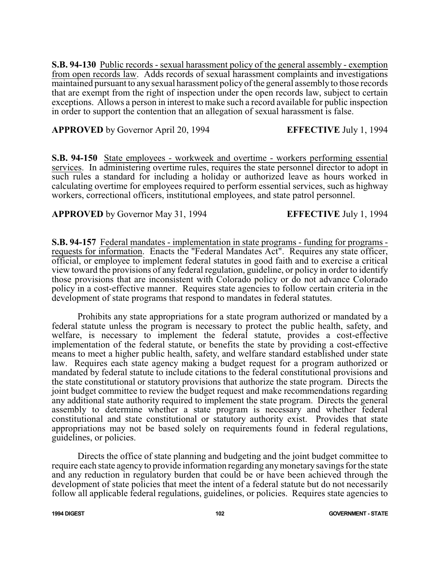**S.B. 94-130** Public records - sexual harassment policy of the general assembly - exemption from open records law. Adds records of sexual harassment complaints and investigations maintained pursuant to any sexual harassment policyofthe general assembly to those records that are exempt from the right of inspection under the open records law, subject to certain exceptions. Allows a person in interest to make such a record available for public inspection in order to support the contention that an allegation of sexual harassment is false.

## **APPROVED** by Governor April 20, 1994 **EFFECTIVE** July 1, 1994

**S.B. 94-150** State employees - workweek and overtime - workers performing essential services. In administering overtime rules, requires the state personnel director to adopt in such rules a standard for including a holiday or authorized leave as hours worked in calculating overtime for employees required to perform essential services, such as highway workers, correctional officers, institutional employees, and state patrol personnel.

## **APPROVED** by Governor May 31, 1994 **EFFECTIVE** July 1, 1994

**S.B. 94-157** Federal mandates - implementation in state programs - funding for programs requests for information. Enacts the "Federal Mandates Act". Requires any state officer, official, or employee to implement federal statutes in good faith and to exercise a critical view toward the provisions of any federal regulation, guideline, or policy in order to identify those provisions that are inconsistent with Colorado policy or do not advance Colorado policy in a cost-effective manner. Requires state agencies to follow certain criteria in the development of state programs that respond to mandates in federal statutes.

Prohibits any state appropriations for a state program authorized or mandated by a federal statute unless the program is necessary to protect the public health, safety, and welfare, is necessary to implement the federal statute, provides a cost-effective implementation of the federal statute, or benefits the state by providing a cost-effective means to meet a higher public health, safety, and welfare standard established under state law. Requires each state agency making a budget request for a program authorized or mandated by federal statute to include citations to the federal constitutional provisions and the state constitutional or statutory provisions that authorize the state program. Directs the joint budget committee to review the budget request and make recommendations regarding any additional state authority required to implement the state program. Directs the general assembly to determine whether a state program is necessary and whether federal constitutional and state constitutional or statutory authority exist. Provides that state appropriations may not be based solely on requirements found in federal regulations, guidelines, or policies.

Directs the office of state planning and budgeting and the joint budget committee to require each state agencyto provide information regarding anymonetary savings for the state and any reduction in regulatory burden that could be or have been achieved through the development of state policies that meet the intent of a federal statute but do not necessarily follow all applicable federal regulations, guidelines, or policies. Requires state agencies to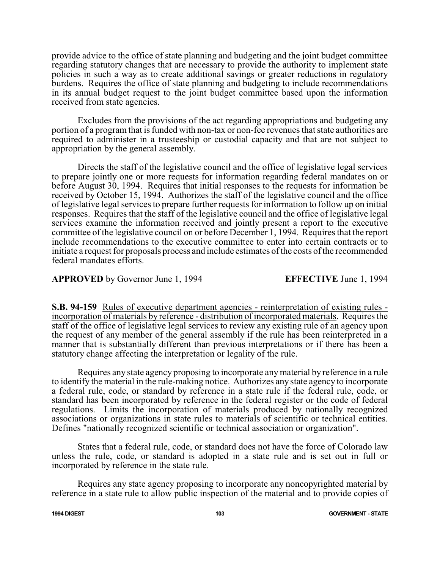provide advice to the office of state planning and budgeting and the joint budget committee regarding statutory changes that are necessary to provide the authority to implement state policies in such a way as to create additional savings or greater reductions in regulatory burdens. Requires the office of state planning and budgeting to include recommendations in its annual budget request to the joint budget committee based upon the information received from state agencies.

Excludes from the provisions of the act regarding appropriations and budgeting any portion of a program that is funded with non-tax or non-fee revenues that state authorities are required to administer in a trusteeship or custodial capacity and that are not subject to appropriation by the general assembly.

Directs the staff of the legislative council and the office of legislative legal services to prepare jointly one or more requests for information regarding federal mandates on or before August 30, 1994. Requires that initial responses to the requests for information be received by October 15, 1994. Authorizes the staff of the legislative council and the office of legislative legal services to prepare further requests for information to follow up on initial responses. Requires that the staff of the legislative council and the office of legislative legal services examine the information received and jointly present a report to the executive committee of the legislative council on or before December 1, 1994. Requires that the report include recommendations to the executive committee to enter into certain contracts or to initiate a request for proposals process and include estimates of the costs of the recommended federal mandates efforts.

## **APPROVED** by Governor June 1, 1994 **EFFECTIVE** June 1, 1994

**S.B. 94-159** Rules of executive department agencies - reinterpretation of existing rules incorporation of materials by reference - distribution of incorporated materials. Requires the staff of the office of legislative legal services to review any existing rule of an agency upon the request of any member of the general assembly if the rule has been reinterpreted in a manner that is substantially different than previous interpretations or if there has been a statutory change affecting the interpretation or legality of the rule.

Requires any state agency proposing to incorporate anymaterial by reference in a rule to identify the material in the rule-making notice. Authorizes any state agency to incorporate a federal rule, code, or standard by reference in a state rule if the federal rule, code, or standard has been incorporated by reference in the federal register or the code of federal regulations. Limits the incorporation of materials produced by nationally recognized associations or organizations in state rules to materials of scientific or technical entities. Defines "nationally recognized scientific or technical association or organization".

States that a federal rule, code, or standard does not have the force of Colorado law unless the rule, code, or standard is adopted in a state rule and is set out in full or incorporated by reference in the state rule.

Requires any state agency proposing to incorporate any noncopyrighted material by reference in a state rule to allow public inspection of the material and to provide copies of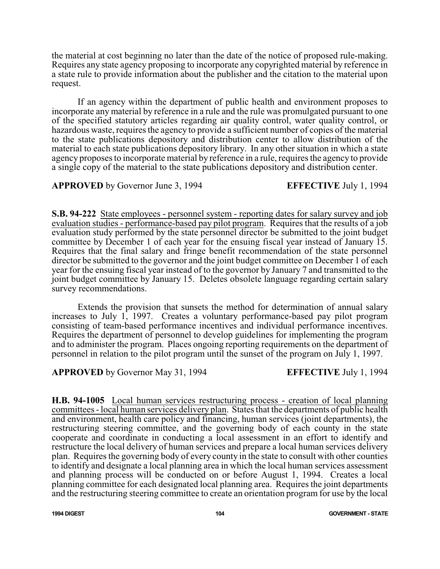the material at cost beginning no later than the date of the notice of proposed rule-making. Requires any state agency proposing to incorporate any copyrighted material by reference in a state rule to provide information about the publisher and the citation to the material upon request.

If an agency within the department of public health and environment proposes to incorporate any material by reference in a rule and the rule was promulgated pursuant to one of the specified statutory articles regarding air quality control, water quality control, or hazardous waste, requires the agency to provide a sufficient number of copies of the material to the state publications depository and distribution center to allow distribution of the material to each state publications depository library. In any other situation in which a state agency proposes to incorporate material by reference in a rule, requires the agency to provide a single copy of the material to the state publications depository and distribution center.

**APPROVED** by Governor June 3, 1994 **EFFECTIVE** July 1, 1994

**S.B. 94-222** State employees - personnel system - reporting dates for salary survey and job evaluation studies - performance-based pay pilot program. Requires that the results of a job evaluation study performed by the state personnel director be submitted to the joint budget committee by December 1 of each year for the ensuing fiscal year instead of January 15. Requires that the final salary and fringe benefit recommendation of the state personnel director be submitted to the governor and the joint budget committee on December 1 of each year for the ensuing fiscal year instead of to the governor by January 7 and transmitted to the joint budget committee by January 15. Deletes obsolete language regarding certain salary survey recommendations.

Extends the provision that sunsets the method for determination of annual salary increases to July 1, 1997. Creates a voluntary performance-based pay pilot program consisting of team-based performance incentives and individual performance incentives. Requires the department of personnel to develop guidelines for implementing the program and to administer the program. Places ongoing reporting requirements on the department of personnel in relation to the pilot program until the sunset of the program on July 1, 1997.

**APPROVED** by Governor May 31, 1994 **EFFECTIVE** July 1, 1994

**H.B. 94-1005** Local human services restructuring process - creation of local planning committees - local human services delivery plan. States that the departments of public health and environment, health care policy and financing, human services (joint departments), the restructuring steering committee, and the governing body of each county in the state cooperate and coordinate in conducting a local assessment in an effort to identify and restructure the local delivery of human services and prepare a local human services delivery plan. Requires the governing body of every county in the state to consult with other counties to identify and designate a local planning area in which the local human services assessment and planning process will be conducted on or before August 1, 1994. Creates a local planning committee for each designated local planning area. Requires the joint departments and the restructuring steering committee to create an orientation program for use by the local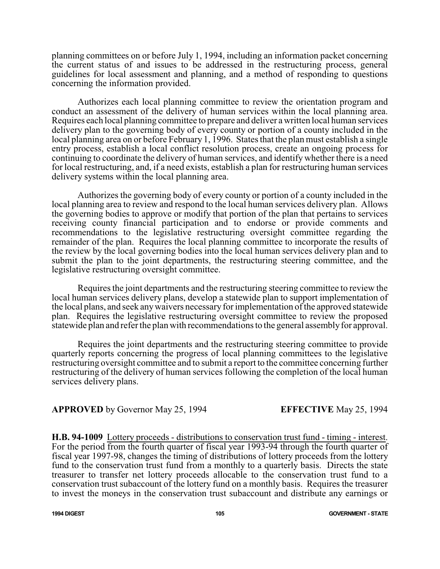planning committees on or before July 1, 1994, including an information packet concerning the current status of and issues to be addressed in the restructuring process, general guidelines for local assessment and planning, and a method of responding to questions concerning the information provided.

Authorizes each local planning committee to review the orientation program and conduct an assessment of the delivery of human services within the local planning area. Requires each local planning committee to prepare and deliver awritten local human services delivery plan to the governing body of every county or portion of a county included in the local planning area on or before February 1, 1996. States that the plan must establish a single entry process, establish a local conflict resolution process, create an ongoing process for continuing to coordinate the delivery of human services, and identify whether there is a need for local restructuring, and, if a need exists, establish a plan for restructuring human services delivery systems within the local planning area.

Authorizes the governing body of every county or portion of a county included in the local planning area to review and respond to the local human services delivery plan. Allows the governing bodies to approve or modify that portion of the plan that pertains to services receiving county financial participation and to endorse or provide comments and recommendations to the legislative restructuring oversight committee regarding the remainder of the plan. Requires the local planning committee to incorporate the results of the review by the local governing bodies into the local human services delivery plan and to submit the plan to the joint departments, the restructuring steering committee, and the legislative restructuring oversight committee.

Requires the joint departments and the restructuring steering committee to review the local human services delivery plans, develop a statewide plan to support implementation of the local plans, and seek anywaivers necessary for implementation ofthe approved statewide plan. Requires the legislative restructuring oversight committee to review the proposed statewide plan and refer the plan with recommendations to the general assembly for approval.

Requires the joint departments and the restructuring steering committee to provide quarterly reports concerning the progress of local planning committees to the legislative restructuring oversight committee and to submit a report to the committee concerning further restructuring of the delivery of human services following the completion of the local human services delivery plans.

## **APPROVED** by Governor May 25, 1994 **EFFECTIVE** May 25, 1994

**H.B. 94-1009** Lottery proceeds - distributions to conservation trust fund - timing - interest. For the period from the fourth quarter of fiscal year 1993-94 through the fourth quarter of fiscal year 1997-98, changes the timing of distributions of lottery proceeds from the lottery fund to the conservation trust fund from a monthly to a quarterly basis. Directs the state treasurer to transfer net lottery proceeds allocable to the conservation trust fund to a conservation trust subaccount of the lottery fund on a monthly basis. Requires the treasurer to invest the moneys in the conservation trust subaccount and distribute any earnings or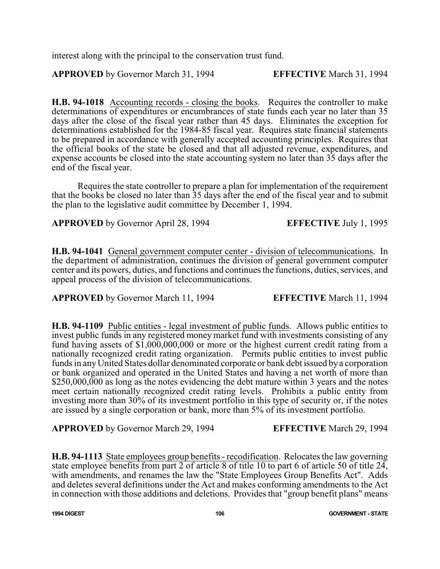interest along with the principal to the conservation trust fund.

**APPROVED** by Governor March 31, 1994 **EFFECTIVE** March 31, 1994

**H.B. 94-1018** Accounting records - closing the books. Requires the controller to make determinations of expenditures or encumbrances of state funds each year no later than 35 days after the close of the fiscal year rather than 45 days. Eliminates the exception for determinations established for the 1984-85 fiscal year. Requires state financial statements to be prepared in accordance with generally accepted accounting principles. Requires that the official books of the state be closed and that all adjusted revenue, expenditures, and expense accounts be closed into the state accounting system no later than 35 days after the end of the fiscal year.

Requires the state controller to prepare a plan for implementation of the requirement that the books be closed no later than 35 days after the end of the fiscal year and to submit the plan to the legislative audit committee by December 1, 1994.

**APPROVED** by Governor April 28, 1994 **EFFECTIVE** July 1, 1995

**H.B. 94-1041** General government computer center - division of telecommunications. In the department of administration, continues the division of general government computer center and its powers, duties, and functions and continues the functions, duties, services, and appeal process of the division of telecommunications.

**APPROVED** by Governor March 11, 1994 **EFFECTIVE** March 11, 1994

**H.B. 94-1109** Public entities - legal investment of public funds. Allows public entities to invest public funds in any registered money market fund with investments consisting of any fund having assets of  $$1,000,000,000$  or more or the highest current credit rating from a nationally recognized credit rating organization. Permits public entities to invest public funds in anyUnited States dollar denominated corporate or bank debt issued by a corporation or bank organized and operated in the United States and having a net worth of more than \$250,000,000 as long as the notes evidencing the debt mature within 3 years and the notes meet certain nationally recognized credit rating levels. Prohibits a public entity from investing more than 30% of its investment portfolio in this type of security or, if the notes are issued by a single corporation or bank, more than 5% of its investment portfolio.

**APPROVED** by Governor March 29, 1994 **EFFECTIVE** March 29, 1994

**H.B. 94-1113** State employees group benefits - recodification. Relocates the law governing state employee benefits from part 2 of article 8 of title 10 to part 6 of article 50 of title 24, with amendments, and renames the law the "State Employees Group Benefits Act". Adds and deletes several definitions under the Act and makes conforming amendments to the Act in connection with those additions and deletions. Provides that "group benefit plans" means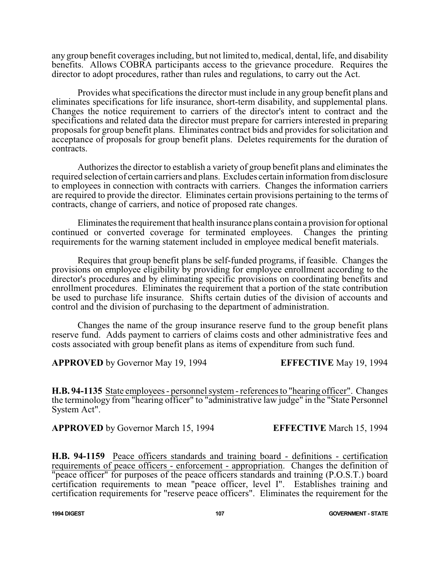any group benefit coverages including, but not limited to, medical, dental, life, and disability benefits. Allows COBRA participants access to the grievance procedure. Requires the director to adopt procedures, rather than rules and regulations, to carry out the Act.

Provides what specifications the director must include in any group benefit plans and eliminates specifications for life insurance, short-term disability, and supplemental plans. Changes the notice requirement to carriers of the director's intent to contract and the specifications and related data the director must prepare for carriers interested in preparing proposals for group benefit plans. Eliminates contract bids and provides for solicitation and acceptance of proposals for group benefit plans. Deletes requirements for the duration of contracts.

Authorizes the director to establish a variety of group benefit plans and eliminates the required selection of certain carriers and plans. Excludes certain information fromdisclosure to employees in connection with contracts with carriers. Changes the information carriers are required to provide the director. Eliminates certain provisions pertaining to the terms of contracts, change of carriers, and notice of proposed rate changes.

Eliminates the requirement that health insurance plans contain a provision for optional continued or converted coverage for terminated employees. Changes the printing requirements for the warning statement included in employee medical benefit materials.

Requires that group benefit plans be self-funded programs, if feasible. Changes the provisions on employee eligibility by providing for employee enrollment according to the director's procedures and by eliminating specific provisions on coordinating benefits and enrollment procedures. Eliminates the requirement that a portion of the state contribution be used to purchase life insurance. Shifts certain duties of the division of accounts and control and the division of purchasing to the department of administration.

Changes the name of the group insurance reserve fund to the group benefit plans reserve fund. Adds payment to carriers of claims costs and other administrative fees and costs associated with group benefit plans as items of expenditure from such fund.

**APPROVED** by Governor May 19, 1994 **EFFECTIVE** May 19, 1994

**H.B. 94-1135** State employees - personnel system- references to "hearing officer". Changes the terminology from "hearing officer" to "administrative law judge" in the "State Personnel System Act".

**APPROVED** by Governor March 15, 1994 **EFFECTIVE** March 15, 1994

**H.B. 94-1159** Peace officers standards and training board - definitions - certification requirements of peace officers - enforcement - appropriation. Changes the definition of "peace officer" for purposes of the peace officers standards and training (P.O.S.T.) board certification requirements to mean "peace officer, level I". Establishes training and certification requirements for "reserve peace officers". Eliminates the requirement for the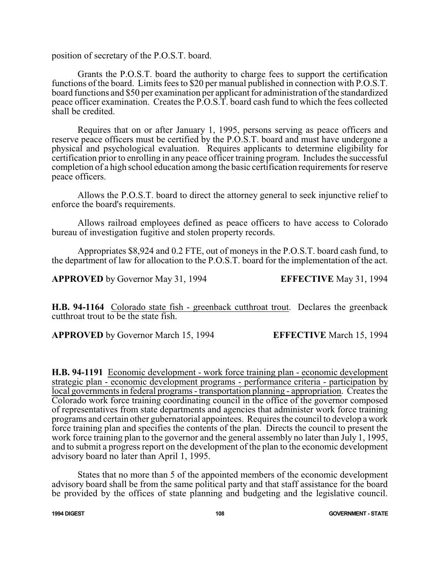position of secretary of the P.O.S.T. board.

Grants the P.O.S.T. board the authority to charge fees to support the certification functions of the board. Limits fees to \$20 per manual published in connection with P.O.S.T. board functions and \$50 per examination per applicant for administration of the standardized peace officer examination. Creates the P.O.S.T. board cash fund to which the fees collected shall be credited.

Requires that on or after January 1, 1995, persons serving as peace officers and reserve peace officers must be certified by the P.O.S.T. board and must have undergone a physical and psychological evaluation. Requires applicants to determine eligibility for certification prior to enrolling in any peace officer training program. Includes the successful completion of a high school education among the basic certification requirements for reserve peace officers.

Allows the P.O.S.T. board to direct the attorney general to seek injunctive relief to enforce the board's requirements.

Allows railroad employees defined as peace officers to have access to Colorado bureau of investigation fugitive and stolen property records.

Appropriates \$8,924 and 0.2 FTE, out of moneys in the P.O.S.T. board cash fund, to the department of law for allocation to the P.O.S.T. board for the implementation of the act.

**APPROVED** by Governor May 31, 1994 **EFFECTIVE** May 31, 1994

**H.B. 94-1164** Colorado state fish - greenback cutthroat trout. Declares the greenback cutthroat trout to be the state fish.

**APPROVED** by Governor March 15, 1994 **EFFECTIVE** March 15, 1994

**H.B. 94-1191** Economic development - work force training plan - economic development strategic plan - economic development programs - performance criteria - participation by local governments in federal programs - transportation planning - appropriation. Creates the Colorado work force training coordinating council in the office of the governor composed of representatives from state departments and agencies that administer work force training programs and certain other gubernatorial appointees. Requires the council to develop a work force training plan and specifies the contents of the plan. Directs the council to present the work force training plan to the governor and the general assembly no later than July 1, 1995, and to submit a progress report on the development of the plan to the economic development advisory board no later than April 1, 1995.

States that no more than 5 of the appointed members of the economic development advisory board shall be from the same political party and that staff assistance for the board be provided by the offices of state planning and budgeting and the legislative council.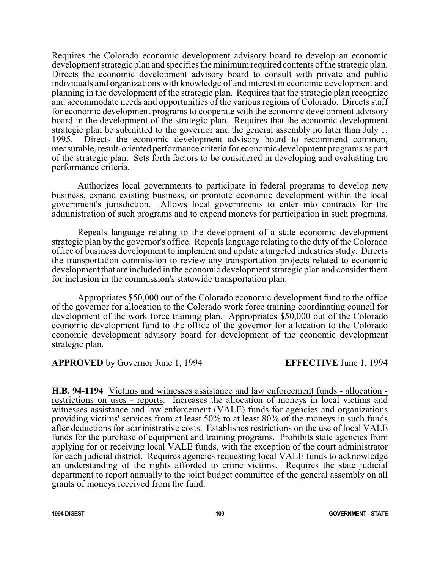Requires the Colorado economic development advisory board to develop an economic development strategic plan and specifies the minimum required contents of the strategic plan. Directs the economic development advisory board to consult with private and public individuals and organizations with knowledge of and interest in economic development and planning in the development of the strategic plan. Requires that the strategic plan recognize and accommodate needs and opportunities of the various regions of Colorado. Directs staff for economic development programs to cooperate with the economic development advisory board in the development of the strategic plan. Requires that the economic development strategic plan be submitted to the governor and the general assembly no later than July 1, 1995. Directs the economic development advisory board to recommend common, measurable, result-oriented performance criteria for economic development programs as part of the strategic plan. Sets forth factors to be considered in developing and evaluating the performance criteria.

Authorizes local governments to participate in federal programs to develop new business, expand existing business, or promote economic development within the local government's jurisdiction. Allows local governments to enter into contracts for the administration of such programs and to expend moneys for participation in such programs.

Repeals language relating to the development of a state economic development strategic plan by the governor's office. Repeals language relating to the duty of the Colorado office of business development to implement and update a targeted industries study. Directs the transportation commission to review any transportation projects related to economic development that are included in the economic development strategic plan and consider them for inclusion in the commission's statewide transportation plan.

Appropriates \$50,000 out of the Colorado economic development fund to the office of the governor for allocation to the Colorado work force training coordinating council for development of the work force training plan. Appropriates \$50,000 out of the Colorado economic development fund to the office of the governor for allocation to the Colorado economic development advisory board for development of the economic development strategic plan.

**APPROVED** by Governor June 1, 1994 **EFFECTIVE** June 1, 1994

**H.B. 94-1194** Victims and witnesses assistance and law enforcement funds - allocation restrictions on uses - reports. Increases the allocation of moneys in local victims and witnesses assistance and law enforcement (VALE) funds for agencies and organizations providing victims' services from at least 50% to at least 80% of the moneys in such funds after deductions for administrative costs. Establishes restrictions on the use of local VALE funds for the purchase of equipment and training programs. Prohibits state agencies from applying for or receiving local VALE funds, with the exception of the court administrator for each judicial district. Requires agencies requesting local VALE funds to acknowledge an understanding of the rights afforded to crime victims. Requires the state judicial department to report annually to the joint budget committee of the general assembly on all grants of moneys received from the fund.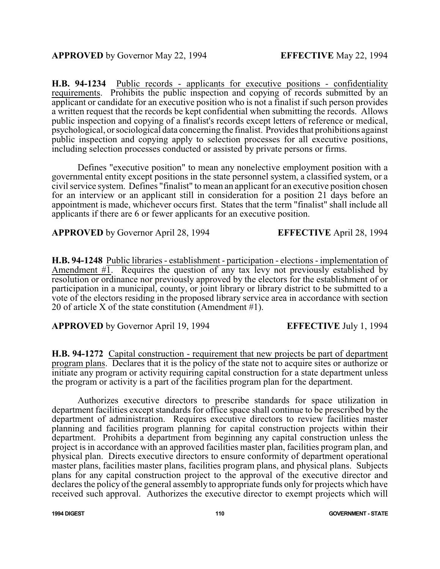**H.B. 94-1234** Public records - applicants for executive positions - confidentiality requirements. Prohibits the public inspection and copying of records submitted by an applicant or candidate for an executive position who is not a finalist if such person provides a written request that the records be kept confidential when submitting the records. Allows public inspection and copying of a finalist's records except letters of reference or medical, psychological, or sociological data concerning the finalist. Provides that prohibitions against public inspection and copying apply to selection processes for all executive positions, including selection processes conducted or assisted by private persons or firms.

Defines "executive position" to mean any nonelective employment position with a governmental entity except positions in the state personnel system, a classified system, or a civil service system. Defines "finalist" to mean an applicant for an executive position chosen for an interview or an applicant still in consideration for a position 21 days before an appointment is made, whichever occurs first. States that the term "finalist" shall include all applicants if there are 6 or fewer applicants for an executive position.

**APPROVED** by Governor April 28, 1994 **EFFECTIVE** April 28, 1994

**H.B. 94-1248** Public libraries - establishment - participation - elections - implementation of Amendment  $\#$ . Requires the question of any tax levy not previously established by resolution or ordinance nor previously approved by the electors for the establishment of or participation in a municipal, county, or joint library or library district to be submitted to a vote of the electors residing in the proposed library service area in accordance with section 20 of article X of the state constitution (Amendment #1).

**APPROVED** by Governor April 19, 1994 **EFFECTIVE** July 1, 1994

**H.B. 94-1272** Capital construction - requirement that new projects be part of department program plans. Declares that it is the policy of the state not to acquire sites or authorize or initiate any program or activity requiring capital construction for a state department unless the program or activity is a part of the facilities program plan for the department.

Authorizes executive directors to prescribe standards for space utilization in department facilities except standards for office space shall continue to be prescribed by the department of administration. Requires executive directors to review facilities master planning and facilities program planning for capital construction projects within their department. Prohibits a department from beginning any capital construction unless the project is in accordance with an approved facilities master plan, facilities program plan, and physical plan. Directs executive directors to ensure conformity of department operational master plans, facilities master plans, facilities program plans, and physical plans. Subjects plans for any capital construction project to the approval of the executive director and declares the policy of the general assembly to appropriate funds only for projects which have received such approval. Authorizes the executive director to exempt projects which will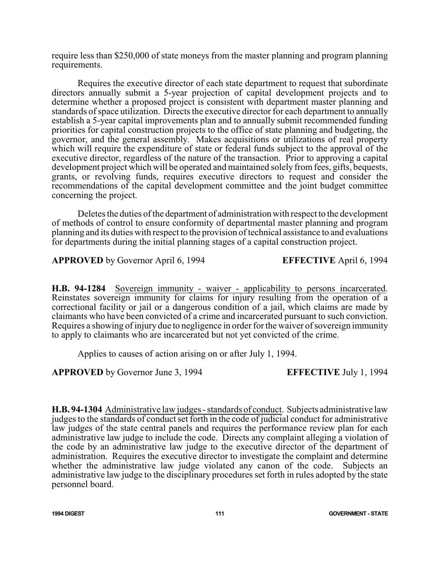require less than \$250,000 of state moneys from the master planning and program planning requirements.

Requires the executive director of each state department to request that subordinate directors annually submit a 5-year projection of capital development projects and to determine whether a proposed project is consistent with department master planning and standards ofspace utilization. Directs the executive director for each department to annually establish a 5-year capital improvements plan and to annually submit recommended funding priorities for capital construction projects to the office of state planning and budgeting, the governor, and the general assembly. Makes acquisitions or utilizations of real property which will require the expenditure of state or federal funds subject to the approval of the executive director, regardless of the nature of the transaction. Prior to approving a capital development project which will be operated and maintained solely from fees, gifts, bequests, grants, or revolving funds, requires executive directors to request and consider the recommendations of the capital development committee and the joint budget committee concerning the project.

Deletes the duties of the department of administration with respect to the development of methods of control to ensure conformity of departmental master planning and program planning and its duties with respect to the provision of technical assistance to and evaluations for departments during the initial planning stages of a capital construction project.

**APPROVED** by Governor April 6, 1994 **EFFECTIVE** April 6, 1994

**H.B. 94-1284** Sovereign immunity - waiver - applicability to persons incarcerated. Reinstates sovereign immunity for claims for injury resulting from the operation of a correctional facility or jail or a dangerous condition of a jail, which claims are made by claimants who have been convicted of a crime and incarcerated pursuant to such conviction. Requires a showing of injury due to negligence in order for the waiver of sovereign immunity to apply to claimants who are incarcerated but not yet convicted of the crime.

Applies to causes of action arising on or after July 1, 1994.

**APPROVED** by Governor June 3, 1994 **EFFECTIVE** July 1, 1994

**H.B. 94-1304** Administrative law judges - standards of conduct. Subjects administrative law judges to the standards of conduct set forth in the code of judicial conduct for administrative law judges of the state central panels and requires the performance review plan for each administrative law judge to include the code. Directs any complaint alleging a violation of the code by an administrative law judge to the executive director of the department of administration. Requires the executive director to investigate the complaint and determine whether the administrative law judge violated any canon of the code. Subjects an administrative law judge to the disciplinary procedures set forth in rules adopted by the state personnel board.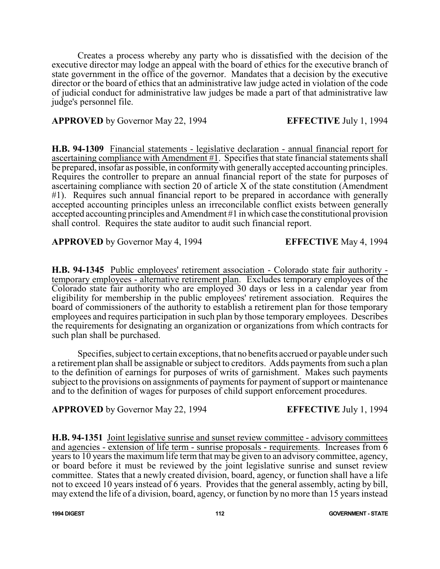Creates a process whereby any party who is dissatisfied with the decision of the executive director may lodge an appeal with the board of ethics for the executive branch of state government in the office of the governor. Mandates that a decision by the executive director or the board of ethics that an administrative law judge acted in violation of the code of judicial conduct for administrative law judges be made a part of that administrative law judge's personnel file.

### **APPROVED** by Governor May 22, 1994 **EFFECTIVE** July 1, 1994

**H.B. 94-1309** Financial statements - legislative declaration - annual financial report for ascertaining compliance with Amendment #1. Specifies that state financial statements shall be prepared, insofar as possible, in conformity with generally accepted accounting principles. Requires the controller to prepare an annual financial report of the state for purposes of ascertaining compliance with section 20 of article X of the state constitution (Amendment #1). Requires such annual financial report to be prepared in accordance with generally accepted accounting principles unless an irreconcilable conflict exists between generally accepted accounting principles and Amendment #1 in which case the constitutional provision shall control. Requires the state auditor to audit such financial report.

**APPROVED** by Governor May 4, 1994 **EFFECTIVE** May 4, 1994

**H.B. 94-1345** Public employees' retirement association - Colorado state fair authority temporary employees - alternative retirement plan. Excludes temporary employees of the Colorado state fair authority who are employed 30 days or less in a calendar year from eligibility for membership in the public employees' retirement association. Requires the board of commissioners of the authority to establish a retirement plan for those temporary employees and requires participation in such plan by those temporary employees. Describes the requirements for designating an organization or organizations from which contracts for such plan shall be purchased.

Specifies, subject to certain exceptions, that no benefits accrued or payable under such a retirement plan shall be assignable or subject to creditors. Adds payments from such a plan to the definition of earnings for purposes of writs of garnishment. Makes such payments subject to the provisions on assignments of payments for payment of support or maintenance and to the definition of wages for purposes of child support enforcement procedures.

**APPROVED** by Governor May 22, 1994 **EFFECTIVE** July 1, 1994

**H.B. 94-1351** Joint legislative sunrise and sunset review committee - advisory committees and agencies - extension of life term - sunrise proposals - requirements. Increases from  $\overline{6}$ years to 10 years the maximum life term that may be given to an advisory committee, agency, or board before it must be reviewed by the joint legislative sunrise and sunset review committee. States that a newly created division, board, agency, or function shall have a life not to exceed 10 years instead of 6 years. Provides that the general assembly, acting by bill, may extend the life of a division, board, agency, or function by no more than 15 years instead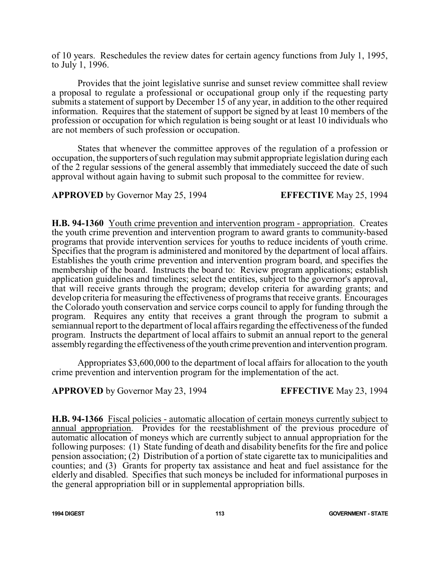of 10 years. Reschedules the review dates for certain agency functions from July 1, 1995, to July 1, 1996.

Provides that the joint legislative sunrise and sunset review committee shall review a proposal to regulate a professional or occupational group only if the requesting party submits a statement of support by December 15 of any year, in addition to the other required information. Requires that the statement of support be signed by at least 10 members of the profession or occupation for which regulation is being sought or at least 10 individuals who are not members of such profession or occupation.

States that whenever the committee approves of the regulation of a profession or occupation, the supporters of such regulation may submit appropriate legislation during each of the 2 regular sessions of the general assembly that immediately succeed the date of such approval without again having to submit such proposal to the committee for review.

**APPROVED** by Governor May 25, 1994 **EFFECTIVE** May 25, 1994

**H.B. 94-1360** Youth crime prevention and intervention program - appropriation. Creates the youth crime prevention and intervention program to award grants to community-based programs that provide intervention services for youths to reduce incidents of youth crime. Specifies that the program is administered and monitored by the department of local affairs. Establishes the youth crime prevention and intervention program board, and specifies the membership of the board. Instructs the board to: Review program applications; establish application guidelines and timelines; select the entities, subject to the governor's approval, that will receive grants through the program; develop criteria for awarding grants; and develop criteria for measuring the effectiveness of programs that receive grants. Encourages the Colorado youth conservation and service corps council to apply for funding through the program. Requires any entity that receives a grant through the program to submit a semiannual report to the department of local affairs regarding the effectiveness of the funded program. Instructs the department of local affairs to submit an annual report to the general assemblyregarding the effectiveness of the youth crime prevention and intervention program.

Appropriates \$3,600,000 to the department of local affairs for allocation to the youth crime prevention and intervention program for the implementation of the act.

**APPROVED** by Governor May 23, 1994 **EFFECTIVE** May 23, 1994

**H.B. 94-1366** Fiscal policies - automatic allocation of certain moneys currently subject to annual appropriation. Provides for the reestablishment of the previous procedure of automatic allocation of moneys which are currently subject to annual appropriation for the following purposes: (1) State funding of death and disability benefits for the fire and police pension association; (2) Distribution of a portion of state cigarette tax to municipalities and counties; and (3) Grants for property tax assistance and heat and fuel assistance for the elderly and disabled. Specifies that such moneys be included for informational purposes in the general appropriation bill or in supplemental appropriation bills.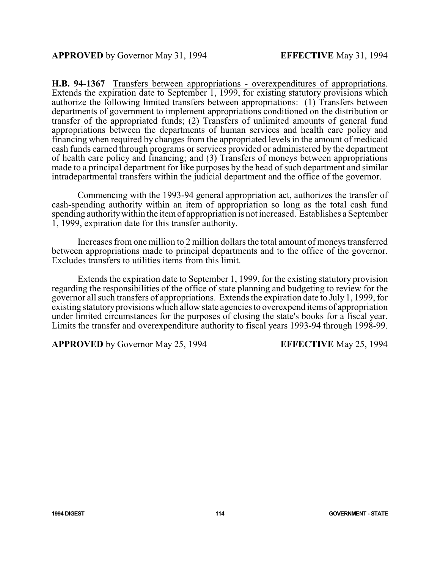**H.B. 94-1367** Transfers between appropriations - overexpenditures of appropriations. Extends the expiration date to September 1, 1999, for existing statutory provisions which authorize the following limited transfers between appropriations: (1) Transfers between departments of government to implement appropriations conditioned on the distribution or transfer of the appropriated funds; (2) Transfers of unlimited amounts of general fund appropriations between the departments of human services and health care policy and financing when required by changes from the appropriated levels in the amount of medicaid cash funds earned through programs or services provided or administered by the department of health care policy and financing; and (3) Transfers of moneys between appropriations made to a principal department for like purposes by the head of such department and similar intradepartmental transfers within the judicial department and the office of the governor.

Commencing with the 1993-94 general appropriation act, authorizes the transfer of cash-spending authority within an item of appropriation so long as the total cash fund spending authoritywithin the itemof appropriation is not increased. Establishes a September 1, 1999, expiration date for this transfer authority.

Increases from one million to 2 million dollars the total amount of moneys transferred between appropriations made to principal departments and to the office of the governor. Excludes transfers to utilities items from this limit.

Extends the expiration date to September 1, 1999, for the existing statutory provision regarding the responsibilities of the office of state planning and budgeting to review for the governor all such transfers of appropriations. Extends the expiration date to July 1, 1999, for existing statutoryprovisions which allow state agencies to overexpend items of appropriation under limited circumstances for the purposes of closing the state's books for a fiscal year. Limits the transfer and overexpenditure authority to fiscal years 1993-94 through 1998-99.

**APPROVED** by Governor May 25, 1994 **EFFECTIVE** May 25, 1994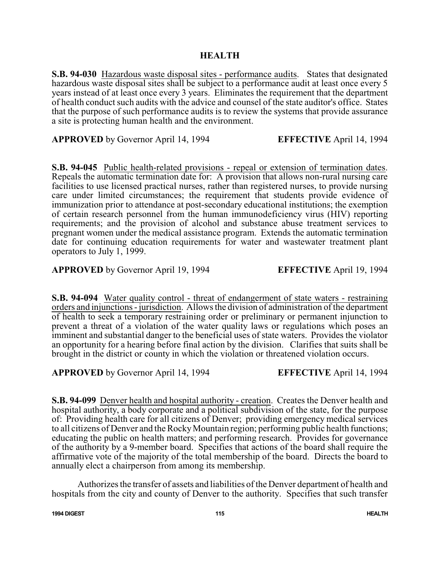**S.B. 94-030** Hazardous waste disposal sites - performance audits. States that designated hazardous waste disposal sites shall be subject to a performance audit at least once every 5 years instead of at least once every 3 years. Eliminates the requirement that the department of health conduct such audits with the advice and counsel of the state auditor's office. States that the purpose of such performance audits is to review the systems that provide assurance a site is protecting human health and the environment.

**APPROVED** by Governor April 14, 1994 **EFFECTIVE** April 14, 1994

**S.B. 94-045** Public health-related provisions - repeal or extension of termination dates. Repeals the automatic termination date for: A provision that allows non-rural nursing care facilities to use licensed practical nurses, rather than registered nurses, to provide nursing care under limited circumstances; the requirement that students provide evidence of immunization prior to attendance at post-secondary educational institutions; the exemption of certain research personnel from the human immunodeficiency virus (HIV) reporting requirements; and the provision of alcohol and substance abuse treatment services to pregnant women under the medical assistance program. Extends the automatic termination date for continuing education requirements for water and wastewater treatment plant operators to July 1, 1999.

**APPROVED** by Governor April 19, 1994 **EFFECTIVE** April 19, 1994

**S.B. 94-094** Water quality control - threat of endangerment of state waters - restraining orders and injunctions -jurisdiction. Allows the division of administration of the department of health to seek a temporary restraining order or preliminary or permanent injunction to prevent a threat of a violation of the water quality laws or regulations which poses an imminent and substantial danger to the beneficial uses of state waters. Provides the violator an opportunity for a hearing before final action by the division. Clarifies that suits shall be brought in the district or county in which the violation or threatened violation occurs.

**APPROVED** by Governor April 14, 1994 **EFFECTIVE** April 14, 1994

**S.B. 94-099** Denver health and hospital authority - creation. Creates the Denver health and hospital authority, a body corporate and a political subdivision of the state, for the purpose of: Providing health care for all citizens of Denver; providing emergency medical services to all citizens of Denver and the RockyMountain region; performing public health functions; educating the public on health matters; and performing research. Provides for governance of the authority by a 9-member board. Specifies that actions of the board shall require the affirmative vote of the majority of the total membership of the board. Directs the board to annually elect a chairperson from among its membership.

Authorizes the transfer of assets and liabilities of the Denver department of health and hospitals from the city and county of Denver to the authority. Specifies that such transfer

**1994 DIGEST 115 HEALTH**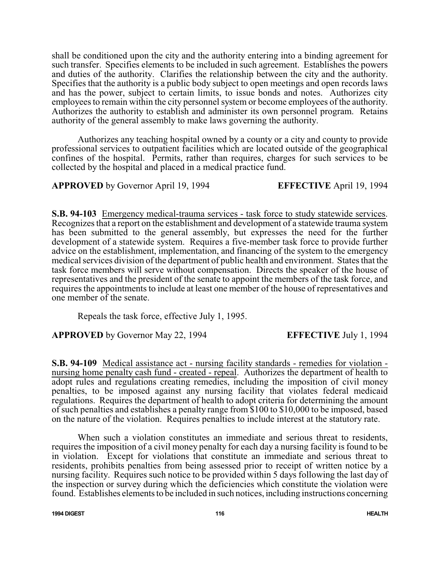shall be conditioned upon the city and the authority entering into a binding agreement for such transfer. Specifies elements to be included in such agreement. Establishes the powers and duties of the authority. Clarifies the relationship between the city and the authority. Specifies that the authority is a public body subject to open meetings and open records laws and has the power, subject to certain limits, to issue bonds and notes. Authorizes city employees to remain within the city personnel system or become employees of the authority. Authorizes the authority to establish and administer its own personnel program. Retains authority of the general assembly to make laws governing the authority.

Authorizes any teaching hospital owned by a county or a city and county to provide professional services to outpatient facilities which are located outside of the geographical confines of the hospital. Permits, rather than requires, charges for such services to be collected by the hospital and placed in a medical practice fund.

**APPROVED** by Governor April 19, 1994 **EFFECTIVE** April 19, 1994

**S.B. 94-103** Emergency medical-trauma services - task force to study statewide services. Recognizes that a report on the establishment and development of a statewide trauma system has been submitted to the general assembly, but expresses the need for the further development of a statewide system. Requires a five-member task force to provide further advice on the establishment, implementation, and financing of the system to the emergency medical services division of the department of public health and environment. States that the task force members will serve without compensation. Directs the speaker of the house of representatives and the president of the senate to appoint the members of the task force, and requires the appointments to include at least one member of the house of representatives and one member of the senate.

Repeals the task force, effective July 1, 1995.

**APPROVED** by Governor May 22, 1994 **EFFECTIVE** July 1, 1994

**S.B. 94-109** Medical assistance act - nursing facility standards - remedies for violation nursing home penalty cash fund - created - repeal. Authorizes the department of health to adopt rules and regulations creating remedies, including the imposition of civil money penalties, to be imposed against any nursing facility that violates federal medicaid regulations. Requires the department of health to adopt criteria for determining the amount of such penalties and establishes a penalty range from \$100 to \$10,000 to be imposed, based on the nature of the violation. Requires penalties to include interest at the statutory rate.

When such a violation constitutes an immediate and serious threat to residents, requires the imposition of a civil money penalty for each day a nursing facility is found to be in violation. Except for violations that constitute an immediate and serious threat to residents, prohibits penalties from being assessed prior to receipt of written notice by a nursing facility. Requires such notice to be provided within 5 days following the last day of the inspection or survey during which the deficiencies which constitute the violation were found. Establishes elements to be included in such notices, including instructions concerning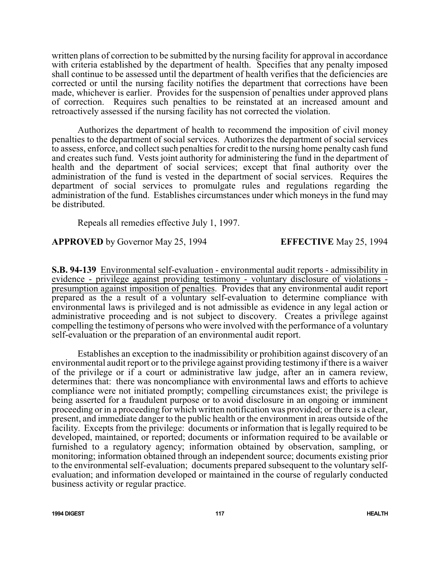written plans of correction to be submitted by the nursing facility for approval in accordance with criteria established by the department of health. Specifies that any penalty imposed shall continue to be assessed until the department of health verifies that the deficiencies are corrected or until the nursing facility notifies the department that corrections have been made, whichever is earlier. Provides for the suspension of penalties under approved plans of correction. Requires such penalties to be reinstated at an increased amount and retroactively assessed if the nursing facility has not corrected the violation.

Authorizes the department of health to recommend the imposition of civil money penalties to the department of social services. Authorizes the department of social services to assess, enforce, and collect such penalties for credit to the nursing home penalty cash fund and creates such fund. Vests joint authority for administering the fund in the department of health and the department of social services; except that final authority over the administration of the fund is vested in the department of social services. Requires the department of social services to promulgate rules and regulations regarding the administration of the fund. Establishes circumstances under which moneys in the fund may be distributed.

Repeals all remedies effective July 1, 1997.

**APPROVED** by Governor May 25, 1994 **EFFECTIVE** May 25, 1994

**S.B. 94-139** Environmental self-evaluation - environmental audit reports - admissibility in evidence - privilege against providing testimony - voluntary disclosure of violations presumption against imposition of penalties. Provides that any environmental audit report prepared as the a result of a voluntary self-evaluation to determine compliance with environmental laws is privileged and is not admissible as evidence in any legal action or administrative proceeding and is not subject to discovery. Creates a privilege against compelling the testimony of persons who were involved with the performance of a voluntary self-evaluation or the preparation of an environmental audit report.

Establishes an exception to the inadmissibility or prohibition against discovery of an environmental audit report or to the privilege against providing testimony if there is a waiver of the privilege or if a court or administrative law judge, after an in camera review, determines that: there was noncompliance with environmental laws and efforts to achieve compliance were not initiated promptly; compelling circumstances exist; the privilege is being asserted for a fraudulent purpose or to avoid disclosure in an ongoing or imminent proceeding or in a proceeding for which written notification was provided; or there is a clear, present, and immediate danger to the public health or the environment in areas outside of the facility. Excepts from the privilege: documents or information that is legally required to be developed, maintained, or reported; documents or information required to be available or furnished to a regulatory agency; information obtained by observation, sampling, or monitoring; information obtained through an independent source; documents existing prior to the environmental self-evaluation; documents prepared subsequent to the voluntary selfevaluation; and information developed or maintained in the course of regularly conducted business activity or regular practice.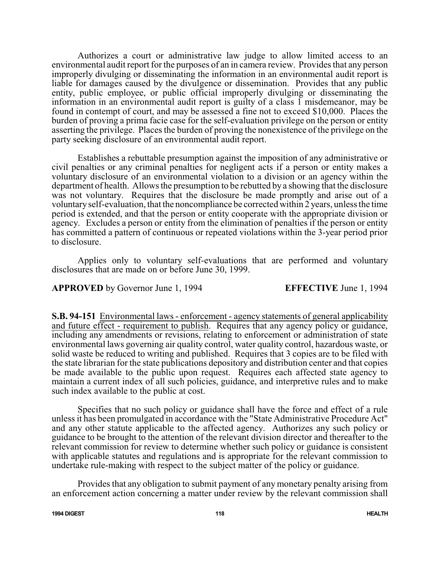Authorizes a court or administrative law judge to allow limited access to an environmental audit report for the purposes of an in camera review. Provides that any person improperly divulging or disseminating the information in an environmental audit report is liable for damages caused by the divulgence or dissemination. Provides that any public entity, public employee, or public official improperly divulging or disseminating the information in an environmental audit report is guilty of a class 1 misdemeanor, may be found in contempt of court, and may be assessed a fine not to exceed \$10,000. Places the burden of proving a prima facie case for the self-evaluation privilege on the person or entity asserting the privilege. Places the burden of proving the nonexistence of the privilege on the party seeking disclosure of an environmental audit report.

Establishes a rebuttable presumption against the imposition of any administrative or civil penalties or any criminal penalties for negligent acts if a person or entity makes a voluntary disclosure of an environmental violation to a division or an agency within the department of health. Allows the presumption to be rebutted by a showing that the disclosure was not voluntary. Requires that the disclosure be made promptly and arise out of a voluntaryself-evaluation, that the noncompliance be corrected within 2 years, unless the time period is extended, and that the person or entity cooperate with the appropriate division or agency. Excludes a person or entity from the elimination of penalties if the person or entity has committed a pattern of continuous or repeated violations within the 3-year period prior to disclosure.

Applies only to voluntary self-evaluations that are performed and voluntary disclosures that are made on or before June 30, 1999.

### **APPROVED** by Governor June 1, 1994 **EFFECTIVE** June 1, 1994

**S.B. 94-151** Environmental laws - enforcement - agency statements of general applicability and future effect - requirement to publish. Requires that any agency policy or guidance, including any amendments or revisions, relating to enforcement or administration of state environmental laws governing air quality control, water quality control, hazardous waste, or solid waste be reduced to writing and published. Requires that 3 copies are to be filed with the state librarian for the state publications depository and distribution center and that copies be made available to the public upon request. Requires each affected state agency to maintain a current index of all such policies, guidance, and interpretive rules and to make such index available to the public at cost.

Specifies that no such policy or guidance shall have the force and effect of a rule unless it has been promulgated in accordance with the "State Administrative Procedure Act" and any other statute applicable to the affected agency. Authorizes any such policy or guidance to be brought to the attention of the relevant division director and thereafter to the relevant commission for review to determine whether such policy or guidance is consistent with applicable statutes and regulations and is appropriate for the relevant commission to undertake rule-making with respect to the subject matter of the policy or guidance.

Provides that any obligation to submit payment of any monetary penalty arising from an enforcement action concerning a matter under review by the relevant commission shall

**1994 DIGEST 118 HEALTH**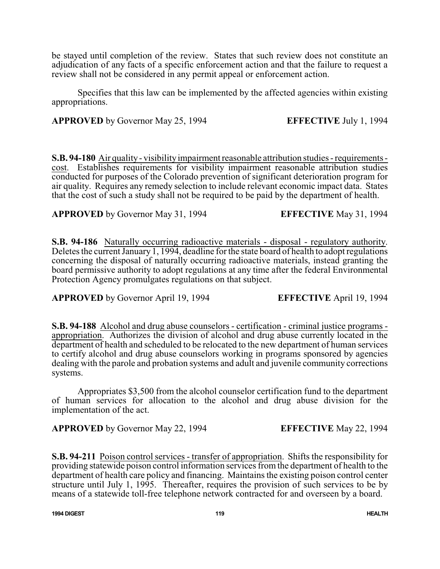be stayed until completion of the review. States that such review does not constitute an adjudication of any facts of a specific enforcement action and that the failure to request a review shall not be considered in any permit appeal or enforcement action.

Specifies that this law can be implemented by the affected agencies within existing appropriations.

**APPROVED** by Governor May 25, 1994 **EFFECTIVE** July 1, 1994

**S.B. 94-180** Air quality - visibility impairment reasonable attribution studies - requirements cost. Establishes requirements for visibility impairment reasonable attribution studies conducted for purposes of the Colorado prevention of significant deterioration program for air quality. Requires any remedy selection to include relevant economic impact data. States that the cost of such a study shall not be required to be paid by the department of health.

**APPROVED** by Governor May 31, 1994 **EFFECTIVE** May 31, 1994

**S.B. 94-186** Naturally occurring radioactive materials - disposal - regulatory authority. Deletes the current January 1, 1994, deadline for the state board of health to adopt regulations concerning the disposal of naturally occurring radioactive materials, instead granting the board permissive authority to adopt regulations at any time after the federal Environmental Protection Agency promulgates regulations on that subject.

**APPROVED** by Governor April 19, 1994 **EFFECTIVE** April 19, 1994

**S.B. 94-188** Alcohol and drug abuse counselors - certification - criminal justice programs appropriation. Authorizes the division of alcohol and drug abuse currently located in the department of health and scheduled to be relocated to the new department of human services to certify alcohol and drug abuse counselors working in programs sponsored by agencies dealing with the parole and probation systems and adult and juvenile community corrections systems.

Appropriates \$3,500 from the alcohol counselor certification fund to the department of human services for allocation to the alcohol and drug abuse division for the implementation of the act.

**APPROVED** by Governor May 22, 1994 **EFFECTIVE** May 22, 1994

**S.B. 94-211** Poison control services - transfer of appropriation. Shifts the responsibility for providing statewide poison control information services from the department of health to the department of health care policy and financing. Maintains the existing poison control center structure until July 1, 1995. Thereafter, requires the provision of such services to be by means of a statewide toll-free telephone network contracted for and overseen by a board.

**1994 DIGEST 119 HEALTH**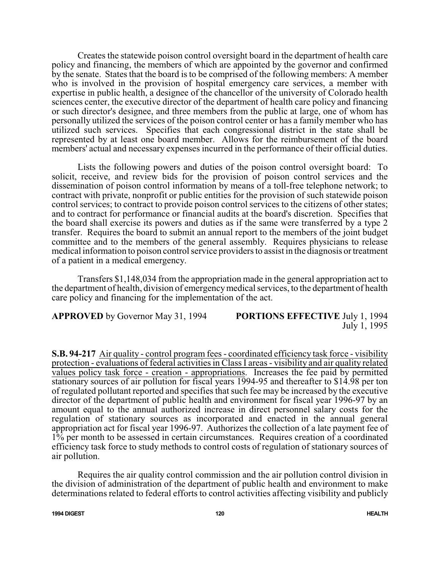Creates the statewide poison control oversight board in the department of health care policy and financing, the members of which are appointed by the governor and confirmed by the senate. States that the board is to be comprised of the following members: A member who is involved in the provision of hospital emergency care services, a member with expertise in public health, a designee of the chancellor of the university of Colorado health sciences center, the executive director of the department of health care policy and financing or such director's designee, and three members from the public at large, one of whom has personally utilized the services of the poison control center or has a family member who has utilized such services. Specifies that each congressional district in the state shall be represented by at least one board member. Allows for the reimbursement of the board members' actual and necessary expenses incurred in the performance of their official duties.

Lists the following powers and duties of the poison control oversight board: To solicit, receive, and review bids for the provision of poison control services and the dissemination of poison control information by means of a toll-free telephone network; to contract with private, nonprofit or public entities for the provision of such statewide poison control services; to contract to provide poison control services to the citizens of other states; and to contract for performance or financial audits at the board's discretion. Specifies that the board shall exercise its powers and duties as if the same were transferred by a type 2 transfer. Requires the board to submit an annual report to the members of the joint budget committee and to the members of the general assembly. Requires physicians to release medical information to poison control service providers to assist in the diagnosis or treatment of a patient in a medical emergency.

Transfers \$1,148,034 from the appropriation made in the general appropriation act to the department of health, division of emergencymedical services, to the department of health care policy and financing for the implementation of the act.

**APPROVED** by Governor May 31, 1994 **PORTIONS EFFECTIVE** July 1, 1994 July 1, 1995

**S.B. 94-217** Air quality - control program fees - coordinated efficiency task force - visibility protection - evaluations of federal activities in Class I areas - visibility and air quality related values policy task force - creation - appropriations. Increases the fee paid by permitted stationary sources of air pollution for fiscal years 1994-95 and thereafter to \$14.98 per ton of regulated pollutant reported and specifies that such fee may be increased by the executive director of the department of public health and environment for fiscal year 1996-97 by an amount equal to the annual authorized increase in direct personnel salary costs for the regulation of stationary sources as incorporated and enacted in the annual general appropriation act for fiscal year 1996-97. Authorizes the collection of a late payment fee of  $1\%$  per month to be assessed in certain circumstances. Requires creation of a coordinated efficiency task force to study methods to control costs of regulation of stationary sources of air pollution.

Requires the air quality control commission and the air pollution control division in the division of administration of the department of public health and environment to make determinations related to federal efforts to control activities affecting visibility and publicly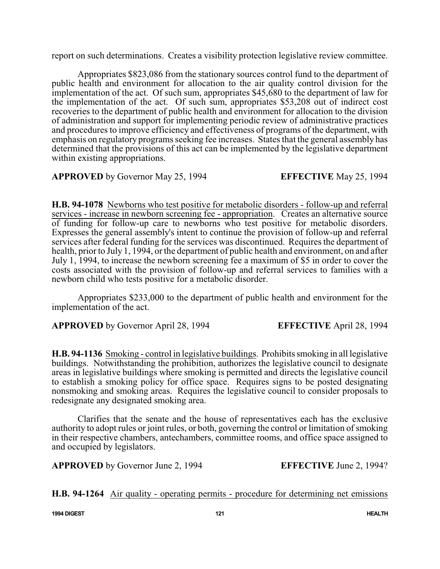report on such determinations. Creates a visibility protection legislative review committee.

Appropriates \$823,086 from the stationary sources control fund to the department of public health and environment for allocation to the air quality control division for the implementation of the act. Of such sum, appropriates \$45,680 to the department of law for the implementation of the act. Of such sum, appropriates \$53,208 out of indirect cost recoveries to the department of public health and environment for allocation to the division of administration and support for implementing periodic review of administrative practices and procedures to improve efficiency and effectiveness of programs of the department, with emphasis on regulatory programs seeking fee increases. States that the general assembly has determined that the provisions of this act can be implemented by the legislative department within existing appropriations.

**APPROVED** by Governor May 25, 1994 **EFFECTIVE** May 25, 1994

**H.B. 94-1078** Newborns who test positive for metabolic disorders - follow-up and referral services - increase in newborn screening fee - appropriation. Creates an alternative source of funding for follow-up care to newborns who test positive for metabolic disorders. Expresses the general assembly's intent to continue the provision of follow-up and referral services after federal funding for the services was discontinued. Requires the department of health, prior to July 1, 1994, or the department of public health and environment, on and after July 1, 1994, to increase the newborn screening fee a maximum of \$5 in order to cover the costs associated with the provision of follow-up and referral services to families with a newborn child who tests positive for a metabolic disorder.

Appropriates \$233,000 to the department of public health and environment for the implementation of the act.

**APPROVED** by Governor April 28, 1994 **EFFECTIVE** April 28, 1994

**H.B. 94-1136** Smoking - control in legislative buildings. Prohibits smoking in all legislative buildings. Notwithstanding the prohibition, authorizes the legislative council to designate areas in legislative buildings where smoking is permitted and directs the legislative council to establish a smoking policy for office space. Requires signs to be posted designating nonsmoking and smoking areas. Requires the legislative council to consider proposals to redesignate any designated smoking area.

Clarifies that the senate and the house of representatives each has the exclusive authority to adopt rules or joint rules, or both, governing the control or limitation of smoking in their respective chambers, antechambers, committee rooms, and office space assigned to and occupied by legislators.

**APPROVED** by Governor June 2, 1994 **EFFECTIVE** June 2, 1994?

**H.B. 94-1264** Air quality - operating permits - procedure for determining net emissions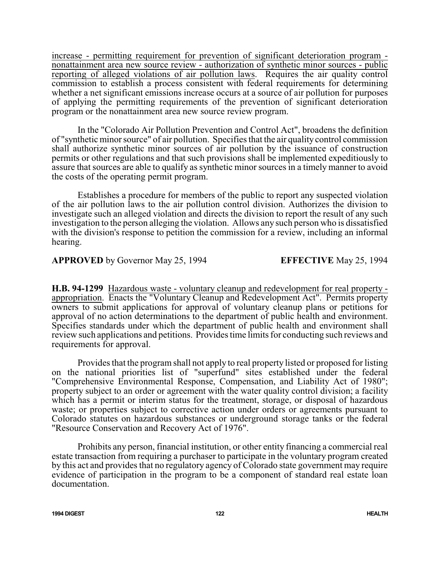increase - permitting requirement for prevention of significant deterioration program nonattainment area new source review - authorization of synthetic minor sources - public reporting of alleged violations of air pollution laws. Requires the air quality control commission to establish a process consistent with federal requirements for determining whether a net significant emissions increase occurs at a source of air pollution for purposes of applying the permitting requirements of the prevention of significant deterioration program or the nonattainment area new source review program.

In the "Colorado Air Pollution Prevention and Control Act", broadens the definition of "synthetic minor source" of air pollution. Specifies that the air quality control commission shall authorize synthetic minor sources of air pollution by the issuance of construction permits or other regulations and that such provisions shall be implemented expeditiously to assure that sources are able to qualify as synthetic minor sources in a timely manner to avoid the costs of the operating permit program.

Establishes a procedure for members of the public to report any suspected violation of the air pollution laws to the air pollution control division. Authorizes the division to investigate such an alleged violation and directs the division to report the result of any such investigation to the person alleging the violation. Allows any such person who is dissatisfied with the division's response to petition the commission for a review, including an informal hearing.

**APPROVED** by Governor May 25, 1994 **EFFECTIVE** May 25, 1994

**H.B. 94-1299** Hazardous waste - voluntary cleanup and redevelopment for real property appropriation. Enacts the "Voluntary Cleanup and Redevelopment Act". Permits property owners to submit applications for approval of voluntary cleanup plans or petitions for approval of no action determinations to the department of public health and environment. Specifies standards under which the department of public health and environment shall review such applications and petitions. Provides time limits for conducting such reviews and requirements for approval.

Provides that the program shall not apply to real property listed or proposed for listing on the national priorities list of "superfund" sites established under the federal "Comprehensive Environmental Response, Compensation, and Liability Act of 1980"; property subject to an order or agreement with the water quality control division; a facility which has a permit or interim status for the treatment, storage, or disposal of hazardous waste; or properties subject to corrective action under orders or agreements pursuant to Colorado statutes on hazardous substances or underground storage tanks or the federal "Resource Conservation and Recovery Act of 1976".

Prohibits any person, financial institution, or other entity financing a commercial real estate transaction from requiring a purchaser to participate in the voluntary program created by this act and provides that no regulatory agency of Colorado state government may require evidence of participation in the program to be a component of standard real estate loan documentation.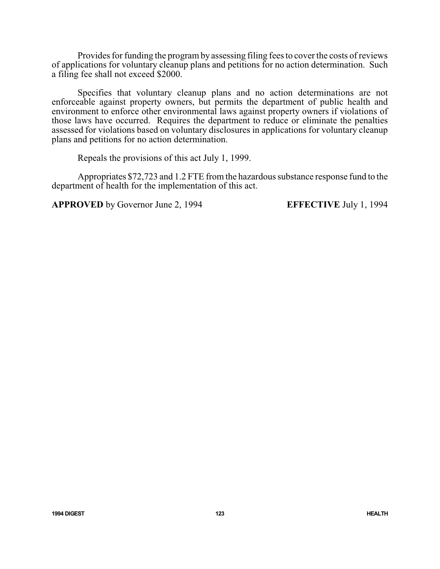Provides for funding the programby assessing filing fees to cover the costs of reviews of applications for voluntary cleanup plans and petitions for no action determination. Such a filing fee shall not exceed \$2000.

Specifies that voluntary cleanup plans and no action determinations are not enforceable against property owners, but permits the department of public health and environment to enforce other environmental laws against property owners if violations of those laws have occurred. Requires the department to reduce or eliminate the penalties assessed for violations based on voluntary disclosures in applications for voluntary cleanup plans and petitions for no action determination.

Repeals the provisions of this act July 1, 1999.

Appropriates \$72,723 and 1.2 FTE from the hazardous substance response fund to the department of health for the implementation of this act.

**APPROVED** by Governor June 2, 1994 **EFFECTIVE** July 1, 1994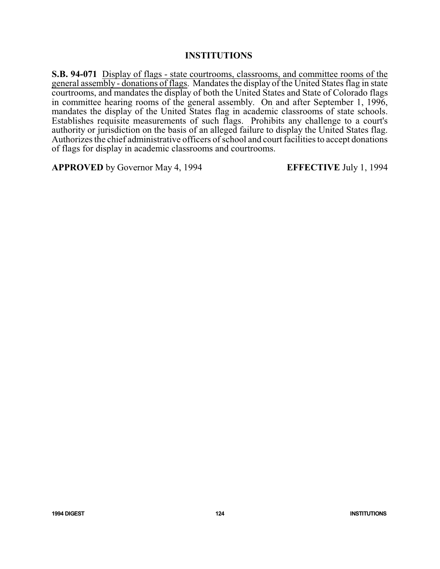### **INSTITUTIONS**

**S.B. 94-071** Display of flags - state courtrooms, classrooms, and committee rooms of the general assembly - donations of flags. Mandates the display of the United States flag in state courtrooms, and mandates the display of both the United States and State of Colorado flags in committee hearing rooms of the general assembly. On and after September 1, 1996, mandates the display of the United States flag in academic classrooms of state schools. Establishes requisite measurements of such flags. Prohibits any challenge to a court's authority or jurisdiction on the basis of an alleged failure to display the United States flag. Authorizes the chief administrative officers of school and court facilities to accept donations of flags for display in academic classrooms and courtrooms.

**APPROVED** by Governor May 4, 1994 **EFFECTIVE** July 1, 1994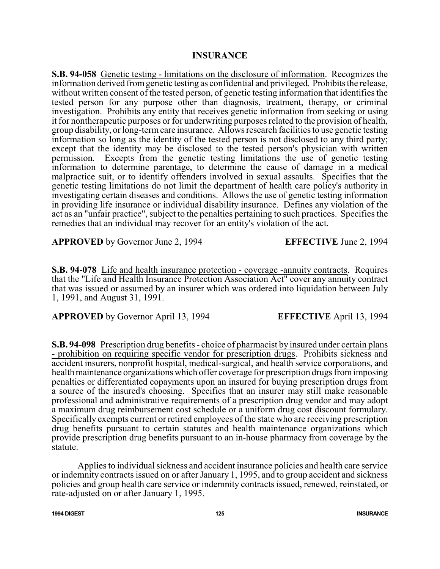### **INSURANCE**

**S.B. 94-058** Genetic testing - limitations on the disclosure of information. Recognizes the information derived from genetic testing as confidential and privileged. Prohibits the release, without written consent of the tested person, of genetic testing information that identifies the tested person for any purpose other than diagnosis, treatment, therapy, or criminal investigation. Prohibits any entity that receives genetic information from seeking or using it for nontherapeutic purposes or for underwriting purposes related to the provision of health, group disability, or long-termcare insurance. Allows research facilities to use genetic testing information so long as the identity of the tested person is not disclosed to any third party; except that the identity may be disclosed to the tested person's physician with written permission. Excepts from the genetic testing limitations the use of genetic testing information to determine parentage, to determine the cause of damage in a medical malpractice suit, or to identify offenders involved in sexual assaults. Specifies that the genetic testing limitations do not limit the department of health care policy's authority in investigating certain diseases and conditions. Allows the use of genetic testing information in providing life insurance or individual disability insurance. Defines any violation of the act as an "unfair practice", subject to the penalties pertaining to such practices. Specifies the remedies that an individual may recover for an entity's violation of the act.

**APPROVED** by Governor June 2, 1994 **EFFECTIVE** June 2, 1994

**S.B. 94-078** Life and health insurance protection - coverage -annuity contracts. Requires that the "Life and Health Insurance Protection Association Act" cover any annuity contract that was issued or assumed by an insurer which was ordered into liquidation between July 1, 1991, and August 31, 1991.

**APPROVED** by Governor April 13, 1994 **EFFECTIVE** April 13, 1994

**S.B. 94-098** Prescription drug benefits - choice of pharmacist by insured under certain plans - prohibition on requiring specific vendor for prescription drugs. Prohibits sickness and accident insurers, nonprofit hospital, medical-surgical, and health service corporations, and health maintenance organizations which offer coverage for prescription drugs from imposing penalties or differentiated copayments upon an insured for buying prescription drugs from a source of the insured's choosing. Specifies that an insurer may still make reasonable professional and administrative requirements of a prescription drug vendor and may adopt a maximum drug reimbursement cost schedule or a uniform drug cost discount formulary. Specifically exempts current or retired employees of the state who are receiving prescription drug benefits pursuant to certain statutes and health maintenance organizations which provide prescription drug benefits pursuant to an in-house pharmacy from coverage by the statute.

Applies to individual sickness and accident insurance policies and health care service or indemnity contracts issued on or after January 1, 1995, and to group accident and sickness policies and group health care service or indemnity contracts issued, renewed, reinstated, or rate-adjusted on or after January 1, 1995.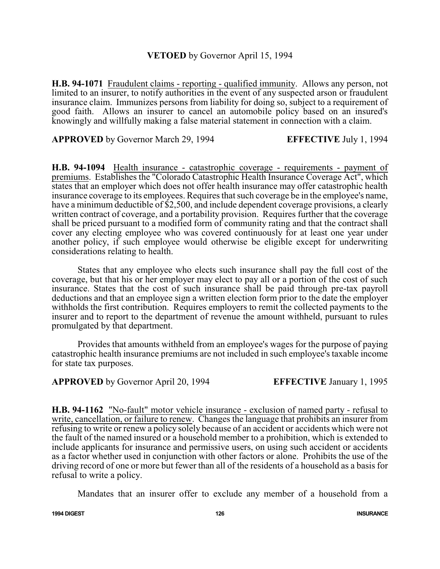### **VETOED** by Governor April 15, 1994

**H.B. 94-1071** Fraudulent claims - reporting - qualified immunity. Allows any person, not limited to an insurer, to notify authorities in the event of any suspected arson or fraudulent insurance claim. Immunizes persons from liability for doing so, subject to a requirement of good faith. Allows an insurer to cancel an automobile policy based on an insured's knowingly and willfully making a false material statement in connection with a claim.

**APPROVED** by Governor March 29, 1994 **EFFECTIVE** July 1, 1994

**H.B. 94-1094** Health insurance - catastrophic coverage - requirements - payment of premiums. Establishes the "Colorado Catastrophic Health Insurance Coverage Act", which states that an employer which does not offer health insurance may offer catastrophic health insurance coverage to its employees. Requires that such coverage be in the employee's name, have a minimum deductible of \$2,500, and include dependent coverage provisions, a clearly written contract of coverage, and a portability provision. Requires further that the coverage shall be priced pursuant to a modified form of community rating and that the contract shall cover any electing employee who was covered continuously for at least one year under another policy, if such employee would otherwise be eligible except for underwriting considerations relating to health.

States that any employee who elects such insurance shall pay the full cost of the coverage, but that his or her employer may elect to pay all or a portion of the cost of such insurance. States that the cost of such insurance shall be paid through pre-tax payroll deductions and that an employee sign a written election form prior to the date the employer withholds the first contribution. Requires employers to remit the collected payments to the insurer and to report to the department of revenue the amount withheld, pursuant to rules promulgated by that department.

Provides that amounts withheld from an employee's wages for the purpose of paying catastrophic health insurance premiums are not included in such employee's taxable income for state tax purposes.

**APPROVED** by Governor April 20, 1994 **EFFECTIVE** January 1, 1995

**H.B. 94-1162** "No-fault" motor vehicle insurance - exclusion of named party - refusal to write, cancellation, or failure to renew. Changes the language that prohibits an insurer from refusing to write or renew a policy solely because of an accident or accidents which were not the fault of the named insured or a household member to a prohibition, which is extended to include applicants for insurance and permissive users, on using such accident or accidents as a factor whether used in conjunction with other factors or alone. Prohibits the use of the driving record of one or more but fewer than all of the residents of a household as a basis for refusal to write a policy.

Mandates that an insurer offer to exclude any member of a household from a

**1994 DIGEST 126 INSURANCE**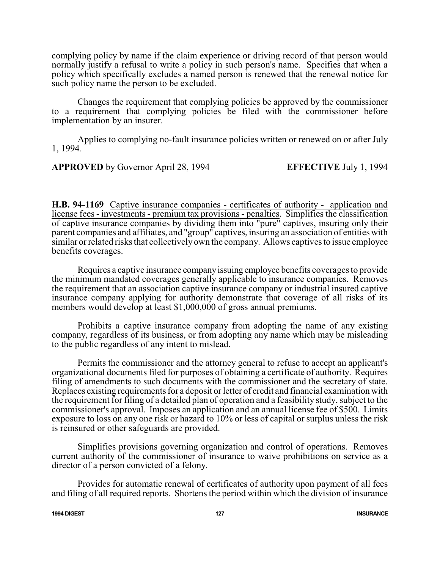complying policy by name if the claim experience or driving record of that person would normally justify a refusal to write a policy in such person's name. Specifies that when a policy which specifically excludes a named person is renewed that the renewal notice for such policy name the person to be excluded.

Changes the requirement that complying policies be approved by the commissioner to a requirement that complying policies be filed with the commissioner before implementation by an insurer.

Applies to complying no-fault insurance policies written or renewed on or after July 1, 1994.

**APPROVED** by Governor April 28, 1994 **EFFECTIVE** July 1, 1994

**H.B. 94-1169** Captive insurance companies - certificates of authority - application and license fees - investments - premium tax provisions - penalties. Simplifies the classification of captive insurance companies by dividing them into "pure" captives, insuring only their parent companies and affiliates, and "group" captives, insuring an association of entities with similar or related risks that collectively own the company. Allows captives to issue employee benefits coverages.

Requires a captive insurance companyissuing employee benefits coverages to provide the minimum mandated coverages generally applicable to insurance companies. Removes the requirement that an association captive insurance company or industrial insured captive insurance company applying for authority demonstrate that coverage of all risks of its members would develop at least \$1,000,000 of gross annual premiums.

Prohibits a captive insurance company from adopting the name of any existing company, regardless of its business, or from adopting any name which may be misleading to the public regardless of any intent to mislead.

Permits the commissioner and the attorney general to refuse to accept an applicant's organizational documents filed for purposes of obtaining a certificate of authority. Requires filing of amendments to such documents with the commissioner and the secretary of state. Replaces existing requirements for a deposit or letter of credit and financial examination with the requirement for filing of a detailed plan of operation and a feasibility study, subject to the commissioner's approval. Imposes an application and an annual license fee of \$500. Limits exposure to loss on any one risk or hazard to 10% or less of capital or surplus unless the risk is reinsured or other safeguards are provided.

Simplifies provisions governing organization and control of operations. Removes current authority of the commissioner of insurance to waive prohibitions on service as a director of a person convicted of a felony.

Provides for automatic renewal of certificates of authority upon payment of all fees and filing of all required reports. Shortens the period within which the division of insurance

**1994 DIGEST 127 INSURANCE**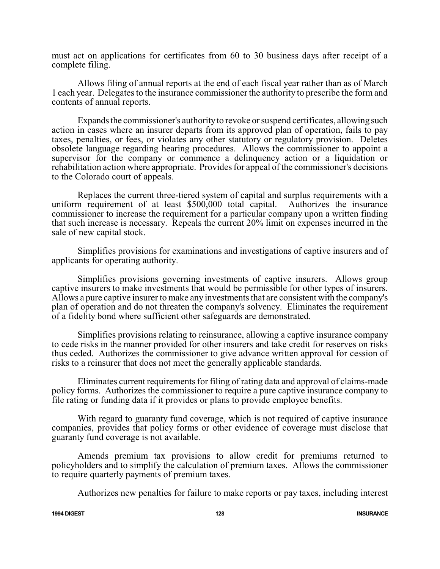must act on applications for certificates from 60 to 30 business days after receipt of a complete filing.

Allows filing of annual reports at the end of each fiscal year rather than as of March 1 each year. Delegates to the insurance commissioner the authority to prescribe the form and contents of annual reports.

Expands the commissioner's authorityto revoke or suspend certificates, allowing such action in cases where an insurer departs from its approved plan of operation, fails to pay taxes, penalties, or fees, or violates any other statutory or regulatory provision. Deletes obsolete language regarding hearing procedures. Allows the commissioner to appoint a supervisor for the company or commence a delinquency action or a liquidation or rehabilitation action where appropriate. Provides for appeal of the commissioner's decisions to the Colorado court of appeals.

Replaces the current three-tiered system of capital and surplus requirements with a uniform requirement of at least \$500,000 total capital. Authorizes the insurance commissioner to increase the requirement for a particular company upon a written finding that such increase is necessary. Repeals the current 20% limit on expenses incurred in the sale of new capital stock.

Simplifies provisions for examinations and investigations of captive insurers and of applicants for operating authority.

Simplifies provisions governing investments of captive insurers. Allows group captive insurers to make investments that would be permissible for other types of insurers. Allows a pure captive insurer to make any investments that are consistent with the company's plan of operation and do not threaten the company's solvency. Eliminates the requirement of a fidelity bond where sufficient other safeguards are demonstrated.

Simplifies provisions relating to reinsurance, allowing a captive insurance company to cede risks in the manner provided for other insurers and take credit for reserves on risks thus ceded. Authorizes the commissioner to give advance written approval for cession of risks to a reinsurer that does not meet the generally applicable standards.

Eliminates current requirements for filing of rating data and approval of claims-made policy forms. Authorizes the commissioner to require a pure captive insurance company to file rating or funding data if it provides or plans to provide employee benefits.

With regard to guaranty fund coverage, which is not required of captive insurance companies, provides that policy forms or other evidence of coverage must disclose that guaranty fund coverage is not available.

Amends premium tax provisions to allow credit for premiums returned to policyholders and to simplify the calculation of premium taxes. Allows the commissioner to require quarterly payments of premium taxes.

Authorizes new penalties for failure to make reports or pay taxes, including interest

**1994 DIGEST 128 INSURANCE**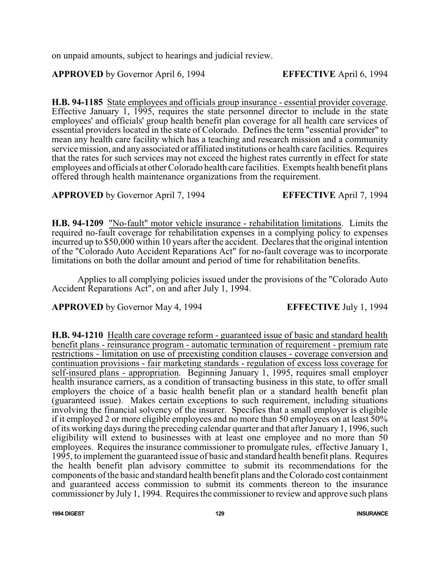on unpaid amounts, subject to hearings and judicial review.

# **APPROVED** by Governor April 6, 1994 **EFFECTIVE** April 6, 1994

**H.B. 94-1185** State employees and officials group insurance - essential provider coverage. Effective January 1, 1995, requires the state personnel director to include in the state employees' and officials' group health benefit plan coverage for all health care services of essential providers located in the state of Colorado. Defines the term "essential provider" to mean any health care facility which has a teaching and research mission and a community service mission, and anyassociated or affiliated institutions or health care facilities. Requires that the rates for such services may not exceed the highest rates currently in effect for state employees and officials at other Colorado health care facilities. Exempts health benefit plans offered through health maintenance organizations from the requirement.

**APPROVED** by Governor April 7, 1994 **EFFECTIVE** April 7, 1994

**H.B. 94-1209** "No-fault" motor vehicle insurance - rehabilitation limitations. Limits the required no-fault coverage for rehabilitation expenses in a complying policy to expenses incurred up to \$50,000 within 10 years after the accident. Declares that the original intention of the "Colorado Auto Accident Reparations Act" for no-fault coverage was to incorporate limitations on both the dollar amount and period of time for rehabilitation benefits.

Applies to all complying policies issued under the provisions of the "Colorado Auto Accident Reparations Act", on and after July 1, 1994.

**APPROVED** by Governor May 4, 1994 **EFFECTIVE** July 1, 1994

**H.B. 94-1210** Health care coverage reform - guaranteed issue of basic and standard health benefit plans - reinsurance program - automatic termination of requirement - premium rate restrictions - limitation on use of preexisting condition clauses - coverage conversion and continuation provisions - fair marketing standards - regulation of excess loss coverage for self-insured plans - appropriation. Beginning January 1, 1995, requires small employer health insurance carriers, as a condition of transacting business in this state, to offer small employers the choice of a basic health benefit plan or a standard health benefit plan (guaranteed issue). Makes certain exceptions to such requirement, including situations involving the financial solvency of the insurer. Specifies that a small employer is eligible if it employed 2 or more eligible employees and no more than 50 employees on at least 50% of its working days during the preceding calendar quarter and that after January 1, 1996, such eligibility will extend to businesses with at least one employee and no more than 50 employees. Requires the insurance commissioner to promulgate rules, effective January 1, 1995, to implement the guaranteed issue of basic and standard health benefit plans. Requires the health benefit plan advisory committee to submit its recommendations for the components of the basic and standard health benefit plans and the Colorado cost containment and guaranteed access commission to submit its comments thereon to the insurance commissioner by July 1, 1994. Requires the commissioner to review and approve such plans

**1994 DIGEST 129 INSURANCE**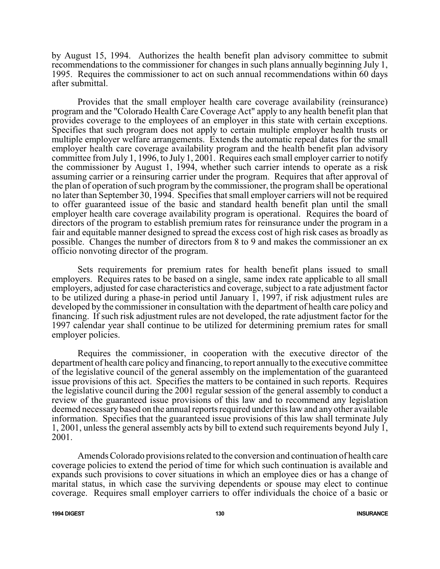by August 15, 1994. Authorizes the health benefit plan advisory committee to submit recommendations to the commissioner for changes in such plans annually beginning July 1, 1995. Requires the commissioner to act on such annual recommendations within 60 days after submittal.

Provides that the small employer health care coverage availability (reinsurance) program and the "Colorado Health Care Coverage Act" apply to any health benefit plan that provides coverage to the employees of an employer in this state with certain exceptions. Specifies that such program does not apply to certain multiple employer health trusts or multiple employer welfare arrangements. Extends the automatic repeal dates for the small employer health care coverage availability program and the health benefit plan advisory committee from July 1, 1996, to July 1, 2001. Requires each small employer carrier to notify the commissioner by August 1, 1994, whether such carrier intends to operate as a risk assuming carrier or a reinsuring carrier under the program. Requires that after approval of the plan of operation of such program by the commissioner, the program shall be operational no later than September 30, 1994. Specifies that small employer carriers will not be required to offer guaranteed issue of the basic and standard health benefit plan until the small employer health care coverage availability program is operational. Requires the board of directors of the program to establish premium rates for reinsurance under the program in a fair and equitable manner designed to spread the excess cost of high risk cases as broadly as possible. Changes the number of directors from 8 to 9 and makes the commissioner an ex officio nonvoting director of the program.

Sets requirements for premium rates for health benefit plans issued to small employers. Requires rates to be based on a single, same index rate applicable to all small employers, adjusted for case characteristics and coverage, subject to a rate adjustment factor to be utilized during a phase-in period until January 1, 1997, if risk adjustment rules are developed by the commissioner in consultation with the department of health care policy and financing. If such risk adjustment rules are not developed, the rate adjustment factor for the 1997 calendar year shall continue to be utilized for determining premium rates for small employer policies.

Requires the commissioner, in cooperation with the executive director of the department of health care policy and financing, to report annually to the executive committee of the legislative council of the general assembly on the implementation of the guaranteed issue provisions of this act. Specifies the matters to be contained in such reports. Requires the legislative council during the 2001 regular session of the general assembly to conduct a review of the guaranteed issue provisions of this law and to recommend any legislation deemed necessary based on the annual reports required under this law and any other available information. Specifies that the guaranteed issue provisions of this law shall terminate July 1, 2001, unless the general assembly acts by bill to extend such requirements beyond July 1, 2001.

Amends Colorado provisions related to the conversion and continuation of health care coverage policies to extend the period of time for which such continuation is available and expands such provisions to cover situations in which an employee dies or has a change of marital status, in which case the surviving dependents or spouse may elect to continue coverage. Requires small employer carriers to offer individuals the choice of a basic or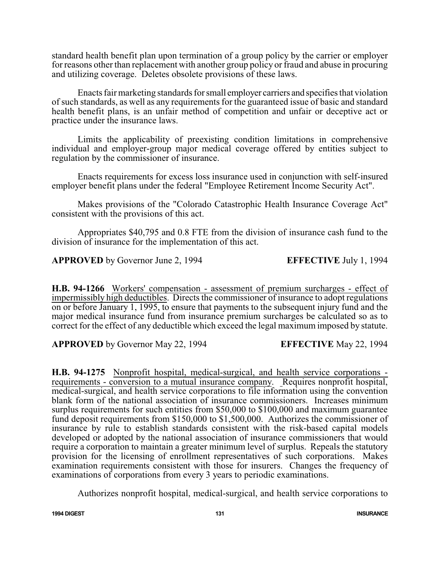standard health benefit plan upon termination of a group policy by the carrier or employer for reasons other than replacement with another group policy or fraud and abuse in procuring and utilizing coverage. Deletes obsolete provisions of these laws.

Enacts fair marketing standards for small employer carriers and specifies that violation of such standards, as well as any requirements for the guaranteed issue of basic and standard health benefit plans, is an unfair method of competition and unfair or deceptive act or practice under the insurance laws.

Limits the applicability of preexisting condition limitations in comprehensive individual and employer-group major medical coverage offered by entities subject to regulation by the commissioner of insurance.

Enacts requirements for excess loss insurance used in conjunction with self-insured employer benefit plans under the federal "Employee Retirement Income Security Act".

Makes provisions of the "Colorado Catastrophic Health Insurance Coverage Act" consistent with the provisions of this act.

Appropriates \$40,795 and 0.8 FTE from the division of insurance cash fund to the division of insurance for the implementation of this act.

**APPROVED** by Governor June 2, 1994 **EFFECTIVE** July 1, 1994

**H.B. 94-1266** Workers' compensation - assessment of premium surcharges - effect of impermissibly high deductibles. Directs the commissioner of insurance to adopt regulations on or before January 1, 1995, to ensure that payments to the subsequent injury fund and the major medical insurance fund from insurance premium surcharges be calculated so as to correct for the effect of any deductible which exceed the legal maximum imposed by statute.

**APPROVED** by Governor May 22, 1994 **EFFECTIVE** May 22, 1994

**H.B. 94-1275** Nonprofit hospital, medical-surgical, and health service corporations requirements - conversion to a mutual insurance company. Requires nonprofit hospital, medical-surgical, and health service corporations to file information using the convention blank form of the national association of insurance commissioners. Increases minimum surplus requirements for such entities from \$50,000 to \$100,000 and maximum guarantee fund deposit requirements from \$150,000 to \$1,500,000. Authorizes the commissioner of insurance by rule to establish standards consistent with the risk-based capital models developed or adopted by the national association of insurance commissioners that would require a corporation to maintain a greater minimum level of surplus. Repeals the statutory provision for the licensing of enrollment representatives of such corporations. Makes examination requirements consistent with those for insurers. Changes the frequency of examinations of corporations from every 3 years to periodic examinations.

Authorizes nonprofit hospital, medical-surgical, and health service corporations to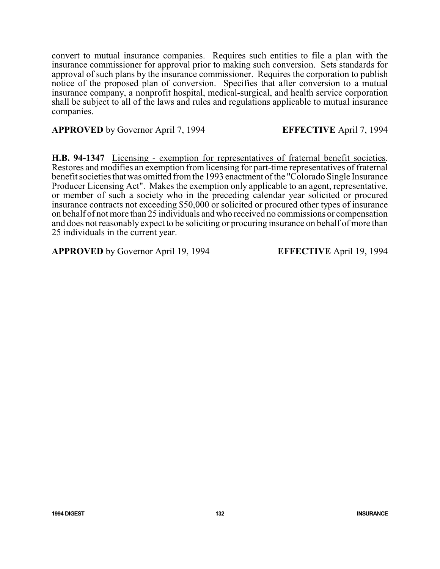convert to mutual insurance companies. Requires such entities to file a plan with the insurance commissioner for approval prior to making such conversion. Sets standards for approval of such plans by the insurance commissioner. Requires the corporation to publish notice of the proposed plan of conversion. Specifies that after conversion to a mutual insurance company, a nonprofit hospital, medical-surgical, and health service corporation shall be subject to all of the laws and rules and regulations applicable to mutual insurance companies.

**APPROVED** by Governor April 7, 1994 **EFFECTIVE** April 7, 1994

**H.B. 94-1347** Licensing - exemption for representatives of fraternal benefit societies. Restores and modifies an exemption from licensing for part-time representatives of fraternal benefit societies that was omitted from the 1993 enactment of the "Colorado Single Insurance" Producer Licensing Act". Makes the exemption only applicable to an agent, representative, or member of such a society who in the preceding calendar year solicited or procured insurance contracts not exceeding \$50,000 or solicited or procured other types of insurance on behalf of not more than 25 individuals and who received no commissions or compensation and does not reasonably expect to be soliciting or procuring insurance on behalf of more than 25 individuals in the current year.

**APPROVED** by Governor April 19, 1994 **EFFECTIVE** April 19, 1994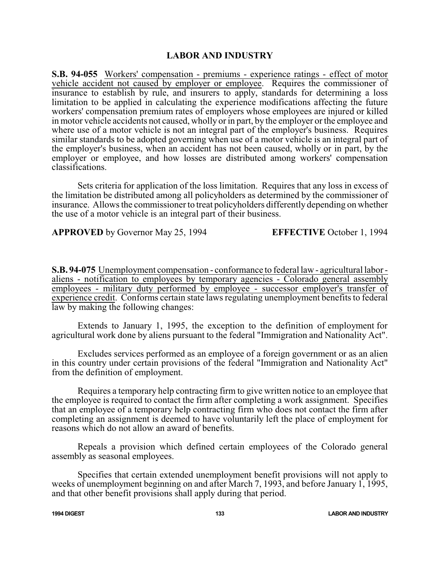## **LABOR AND INDUSTRY**

**S.B. 94-055** Workers' compensation - premiums - experience ratings - effect of motor vehicle accident not caused by employer or employee. Requires the commissioner of insurance to establish by rule, and insurers to apply, standards for determining a loss limitation to be applied in calculating the experience modifications affecting the future workers' compensation premium rates of employers whose employees are injured or killed in motor vehicle accidents not caused, wholly or in part, by the employer or the employee and where use of a motor vehicle is not an integral part of the employer's business. Requires similar standards to be adopted governing when use of a motor vehicle is an integral part of the employer's business, when an accident has not been caused, wholly or in part, by the employer or employee, and how losses are distributed among workers' compensation classifications.

Sets criteria for application of the loss limitation. Requires that any loss in excess of the limitation be distributed among all policyholders as determined by the commissioner of insurance. Allows the commissioner to treat policyholders differently depending on whether the use of a motor vehicle is an integral part of their business.

**APPROVED** by Governor May 25, 1994 **EFFECTIVE** October 1, 1994

**S.B. 94-075** Unemployment compensation - conformance to federal law - agricultural labor aliens - notification to employees by temporary agencies - Colorado general assembly employees - military duty performed by employee - successor employer's transfer of experience credit. Conforms certain state laws regulating unemployment benefits to federal law by making the following changes:

 Extends to January 1, 1995, the exception to the definition of employment for agricultural work done by aliens pursuant to the federal "Immigration and Nationality Act".

Excludes services performed as an employee of a foreign government or as an alien in this country under certain provisions of the federal "Immigration and Nationality Act" from the definition of employment.

Requires a temporary help contracting firm to give written notice to an employee that the employee is required to contact the firm after completing a work assignment. Specifies that an employee of a temporary help contracting firm who does not contact the firm after completing an assignment is deemed to have voluntarily left the place of employment for reasons which do not allow an award of benefits.

Repeals a provision which defined certain employees of the Colorado general assembly as seasonal employees.

Specifies that certain extended unemployment benefit provisions will not apply to weeks of unemployment beginning on and after March 7, 1993, and before January 1, 1995, and that other benefit provisions shall apply during that period.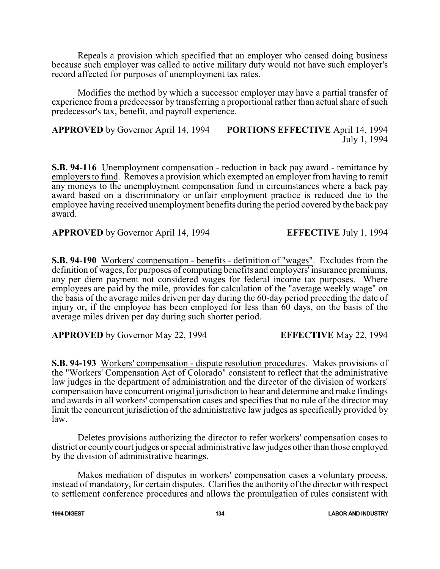Repeals a provision which specified that an employer who ceased doing business because such employer was called to active military duty would not have such employer's record affected for purposes of unemployment tax rates.

Modifies the method by which a successor employer may have a partial transfer of experience from a predecessor by transferring a proportional rather than actual share of such predecessor's tax, benefit, and payroll experience.

**APPROVED** by Governor April 14, 1994 **PORTIONS EFFECTIVE** April 14, 1994 July 1, 1994

**S.B. 94-116** Unemployment compensation - reduction in back pay award - remittance by employers to fund. Removes a provision which exempted an employer from having to remit any moneys to the unemployment compensation fund in circumstances where a back pay award based on a discriminatory or unfair employment practice is reduced due to the employee having received unemployment benefits during the period covered by the back pay award.

**APPROVED** by Governor April 14, 1994 **EFFECTIVE** July 1, 1994

**S.B. 94-190** Workers' compensation - benefits - definition of "wages". Excludes from the definition of wages, for purposes of computing benefits and employers' insurance premiums, any per diem payment not considered wages for federal income tax purposes. Where employees are paid by the mile, provides for calculation of the "average weekly wage" on the basis of the average miles driven per day during the 60-day period preceding the date of injury or, if the employee has been employed for less than 60 days, on the basis of the average miles driven per day during such shorter period.

**APPROVED** by Governor May 22, 1994 **EFFECTIVE** May 22, 1994

**S.B. 94-193** Workers' compensation - dispute resolution procedures. Makes provisions of the "Workers' Compensation Act of Colorado" consistent to reflect that the administrative law judges in the department of administration and the director of the division of workers' compensation have concurrent original jurisdiction to hear and determine and make findings and awards in all workers' compensation cases and specifies that no rule of the director may limit the concurrent jurisdiction of the administrative law judges as specifically provided by law.

Deletes provisions authorizing the director to refer workers' compensation cases to district or county court judges or special administrative law judges other than those employed by the division of administrative hearings.

Makes mediation of disputes in workers' compensation cases a voluntary process, instead of mandatory, for certain disputes. Clarifies the authority of the director with respect to settlement conference procedures and allows the promulgation of rules consistent with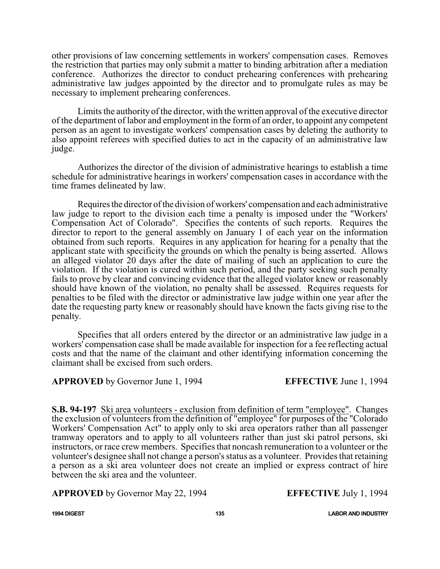other provisions of law concerning settlements in workers' compensation cases. Removes the restriction that parties may only submit a matter to binding arbitration after a mediation conference. Authorizes the director to conduct prehearing conferences with prehearing administrative law judges appointed by the director and to promulgate rules as may be necessary to implement prehearing conferences.

Limits the authority of the director, with the written approval of the executive director of the department of labor and employment in the form of an order, to appoint any competent person as an agent to investigate workers' compensation cases by deleting the authority to also appoint referees with specified duties to act in the capacity of an administrative law judge.

Authorizes the director of the division of administrative hearings to establish a time schedule for administrative hearings in workers' compensation cases in accordance with the time frames delineated by law.

Requiresthe director of the division of workers' compensation and each administrative law judge to report to the division each time a penalty is imposed under the "Workers' Compensation Act of Colorado". Specifies the contents of such reports. Requires the director to report to the general assembly on January 1 of each year on the information obtained from such reports. Requires in any application for hearing for a penalty that the applicant state with specificity the grounds on which the penalty is being asserted. Allows an alleged violator 20 days after the date of mailing of such an application to cure the violation. If the violation is cured within such period, and the party seeking such penalty fails to prove by clear and convincing evidence that the alleged violator knew or reasonably should have known of the violation, no penalty shall be assessed. Requires requests for penalties to be filed with the director or administrative law judge within one year after the date the requesting party knew or reasonably should have known the facts giving rise to the penalty.

 Specifies that all orders entered by the director or an administrative law judge in a workers' compensation case shall be made available for inspection for a fee reflecting actual costs and that the name of the claimant and other identifying information concerning the claimant shall be excised from such orders.

## **APPROVED** by Governor June 1, 1994 **EFFECTIVE** June 1, 1994

**S.B. 94-197** Ski area volunteers - exclusion from definition of term "employee". Changes the exclusion of volunteers from the definition of "employee" for purposes of the "Colorado Workers' Compensation Act" to apply only to ski area operators rather than all passenger tramway operators and to apply to all volunteers rather than just ski patrol persons, ski instructors, or race crew members. Specifies that noncash remuneration to a volunteer or the volunteer's designee shall not change a person's status as a volunteer. Provides that retaining a person as a ski area volunteer does not create an implied or express contract of hire between the ski area and the volunteer.

## **APPROVED** by Governor May 22, 1994 **EFFECTIVE** July 1, 1994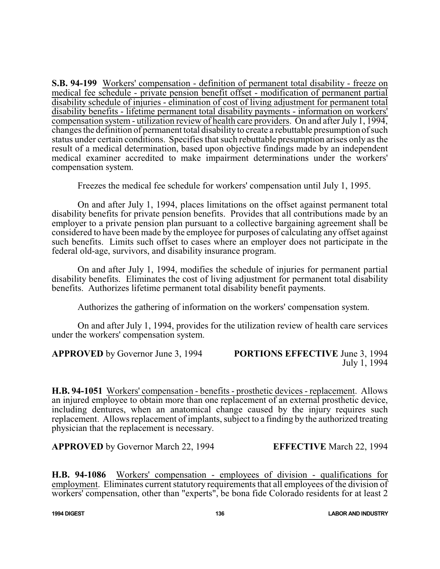**S.B. 94-199** Workers' compensation - definition of permanent total disability - freeze on medical fee schedule - private pension benefit offset - modification of permanent partial disability schedule of injuries - elimination of cost of living adjustment for permanent total disability benefits - lifetime permanent total disability payments - information on workers' compensation system - utilization review of health care providers. On and after July 1, 1994, changes the definition of permanent total disability to create a rebuttable presumption of such status under certain conditions. Specifies that such rebuttable presumption arises only as the result of a medical determination, based upon objective findings made by an independent medical examiner accredited to make impairment determinations under the workers' compensation system.

Freezes the medical fee schedule for workers' compensation until July 1, 1995.

On and after July 1, 1994, places limitations on the offset against permanent total disability benefits for private pension benefits. Provides that all contributions made by an employer to a private pension plan pursuant to a collective bargaining agreement shall be considered to have been made by the employee for purposes of calculating any offset against such benefits. Limits such offset to cases where an employer does not participate in the federal old-age, survivors, and disability insurance program.

On and after July 1, 1994, modifies the schedule of injuries for permanent partial disability benefits. Eliminates the cost of living adjustment for permanent total disability benefits. Authorizes lifetime permanent total disability benefit payments.

Authorizes the gathering of information on the workers' compensation system.

On and after July 1, 1994, provides for the utilization review of health care services under the workers' compensation system.

**APPROVED** by Governor June 3, 1994 **PORTIONS EFFECTIVE** June 3, 1994 July 1, 1994

**H.B. 94-1051** Workers' compensation - benefits - prosthetic devices - replacement. Allows an injured employee to obtain more than one replacement of an external prosthetic device, including dentures, when an anatomical change caused by the injury requires such replacement. Allows replacement of implants, subject to a finding by the authorized treating physician that the replacement is necessary.

**APPROVED** by Governor March 22, 1994 **EFFECTIVE** March 22, 1994

**H.B. 94-1086** Workers' compensation - employees of division - qualifications for employment. Eliminates current statutory requirements that all employees of the division of workers' compensation, other than "experts", be bona fide Colorado residents for at least 2

**1994 DIGEST 136 LABOR AND INDUSTRY**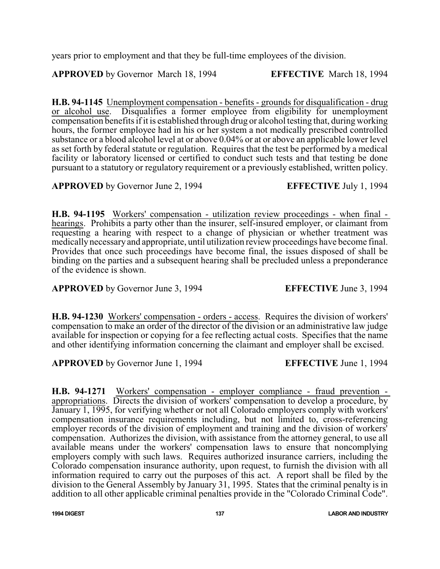years prior to employment and that they be full-time employees of the division.

**APPROVED** by Governor March 18, 1994 **EFFECTIVE** March 18, 1994

**H.B. 94-1145** Unemployment compensation - benefits - grounds for disqualification - drug or alcohol use. Disqualifies a former employee from eligibility for unemployment compensation benefits if it is established through drug or alcohol testing that, during working hours, the former employee had in his or her system a not medically prescribed controlled substance or a blood alcohol level at or above 0.04% or at or above an applicable lower level as set forth by federal statute or regulation. Requires that the test be performed by a medical facility or laboratory licensed or certified to conduct such tests and that testing be done pursuant to a statutory or regulatory requirement or a previously established, written policy.

**APPROVED** by Governor June 2, 1994 **EFFECTIVE** July 1, 1994

**H.B. 94-1195** Workers' compensation - utilization review proceedings - when final hearings. Prohibits a party other than the insurer, self-insured employer, or claimant from requesting a hearing with respect to a change of physician or whether treatment was medically necessary and appropriate, until utilization review proceedings have become final. Provides that once such proceedings have become final, the issues disposed of shall be binding on the parties and a subsequent hearing shall be precluded unless a preponderance of the evidence is shown.

**APPROVED** by Governor June 3, 1994 **EFFECTIVE** June 3, 1994

**H.B. 94-1230** Workers' compensation - orders - access. Requires the division of workers' compensation to make an order of the director of the division or an administrative law judge available for inspection or copying for a fee reflecting actual costs. Specifies that the name and other identifying information concerning the claimant and employer shall be excised.

**APPROVED** by Governor June 1, 1994 **EFFECTIVE** June 1, 1994

**H.B. 94-1271** Workers' compensation - employer compliance - fraud prevention appropriations. Directs the division of workers' compensation to develop a procedure, by January 1, 1995, for verifying whether or not all Colorado employers comply with workers' compensation insurance requirements including, but not limited to, cross-referencing employer records of the division of employment and training and the division of workers' compensation. Authorizes the division, with assistance from the attorney general, to use all available means under the workers' compensation laws to ensure that noncomplying employers comply with such laws. Requires authorized insurance carriers, including the Colorado compensation insurance authority, upon request, to furnish the division with all information required to carry out the purposes of this act. A report shall be filed by the division to the General Assembly by January 31, 1995. States that the criminal penalty is in addition to all other applicable criminal penalties provide in the "Colorado Criminal Code".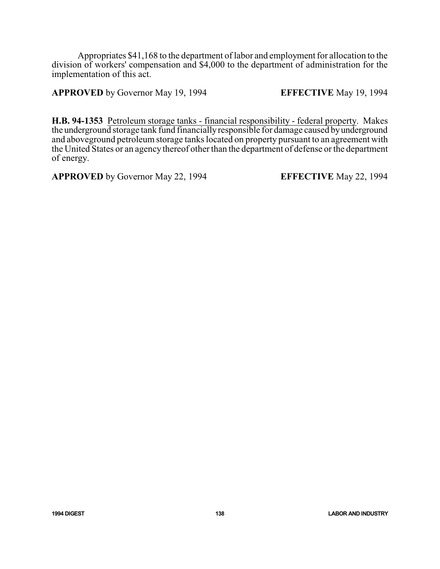Appropriates \$41,168 to the department of labor and employment for allocation to the division of workers' compensation and \$4,000 to the department of administration for the implementation of this act.

**APPROVED** by Governor May 19, 1994 **EFFECTIVE** May 19, 1994

**H.B. 94-1353** Petroleum storage tanks - financial responsibility - federal property. Makes the underground storage tank fund financiallyresponsible for damage caused byunderground and aboveground petroleum storage tanks located on property pursuant to an agreement with the United States or an agency thereof other than the department of defense or the department of energy.

**APPROVED** by Governor May 22, 1994 **EFFECTIVE** May 22, 1994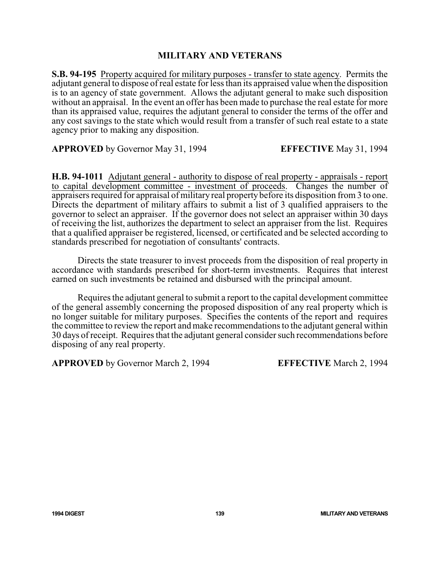## **MILITARY AND VETERANS**

**S.B. 94-195** Property acquired for military purposes - transfer to state agency. Permits the adjutant general to dispose of real estate for less than its appraised value when the disposition is to an agency of state government. Allows the adjutant general to make such disposition without an appraisal. In the event an offer has been made to purchase the real estate for more than its appraised value, requires the adjutant general to consider the terms of the offer and any cost savings to the state which would result from a transfer of such real estate to a state agency prior to making any disposition.

**APPROVED** by Governor May 31, 1994 **EFFECTIVE** May 31, 1994

**H.B. 94-1011** Adjutant general - authority to dispose of real property - appraisals - report to capital development committee - investment of proceeds. Changes the number of appraisers required for appraisal of military real property before its disposition from 3 to one. Directs the department of military affairs to submit a list of 3 qualified appraisers to the governor to select an appraiser. If the governor does not select an appraiser within 30 days of receiving the list, authorizes the department to select an appraiser from the list. Requires that a qualified appraiser be registered, licensed, or certificated and be selected according to standards prescribed for negotiation of consultants' contracts.

Directs the state treasurer to invest proceeds from the disposition of real property in accordance with standards prescribed for short-term investments. Requires that interest earned on such investments be retained and disbursed with the principal amount.

Requires the adjutant general to submit a report to the capital development committee of the general assembly concerning the proposed disposition of any real property which is no longer suitable for military purposes. Specifies the contents of the report and requires the committee to review the report and make recommendations to the adjutant general within 30 days of receipt. Requires that the adjutant general consider such recommendations before disposing of any real property.

**APPROVED** by Governor March 2, 1994 **EFFECTIVE** March 2, 1994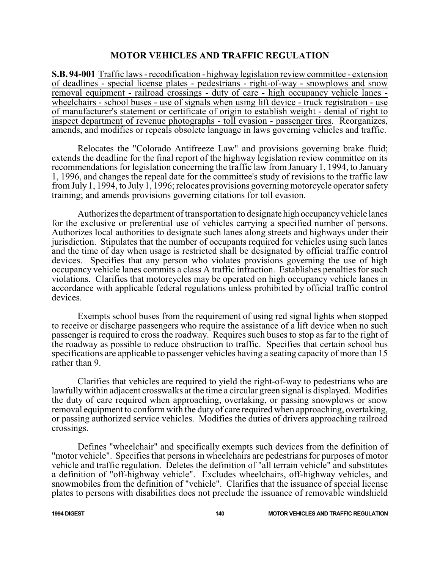### **MOTOR VEHICLES AND TRAFFIC REGULATION**

**S.B. 94-001** Traffic laws - recodification - highway legislation review committee - extension of deadlines - special license plates - pedestrians - right-of-way - snowplows and snow removal equipment - railroad crossings - duty of care - high occupancy vehicle lanes wheelchairs - school buses - use of signals when using lift device - truck registration - use of manufacturer's statement or certificate of origin to establish weight - denial of right to inspect department of revenue photographs - toll evasion - passenger tires. Reorganizes, amends, and modifies or repeals obsolete language in laws governing vehicles and traffic.

Relocates the "Colorado Antifreeze Law" and provisions governing brake fluid; extends the deadline for the final report of the highway legislation review committee on its recommendations for legislation concerning the traffic law from January 1, 1994, to January 1, 1996, and changes the repeal date for the committee's study of revisions to the traffic law from July 1, 1994, to July 1, 1996; relocates provisions governing motorcycle operator safety training; and amends provisions governing citations for toll evasion.

Authorizes the department of transportation to designate high occupancy vehicle lanes for the exclusive or preferential use of vehicles carrying a specified number of persons. Authorizes local authorities to designate such lanes along streets and highways under their jurisdiction. Stipulates that the number of occupants required for vehicles using such lanes and the time of day when usage is restricted shall be designated by official traffic control devices. Specifies that any person who violates provisions governing the use of high occupancy vehicle lanes commits a class A traffic infraction. Establishes penalties for such violations. Clarifies that motorcycles may be operated on high occupancy vehicle lanes in accordance with applicable federal regulations unless prohibited by official traffic control devices.

Exempts school buses from the requirement of using red signal lights when stopped to receive or discharge passengers who require the assistance of a lift device when no such passenger is required to cross the roadway. Requires such buses to stop as far to the right of the roadway as possible to reduce obstruction to traffic. Specifies that certain school bus specifications are applicable to passenger vehicles having a seating capacity of more than 15 rather than 9.

Clarifies that vehicles are required to yield the right-of-way to pedestrians who are lawfully within adjacent crosswalks at the time a circular green signal is displayed. Modifies the duty of care required when approaching, overtaking, or passing snowplows or snow removal equipment to conform with the duty of care required when approaching, overtaking, or passing authorized service vehicles. Modifies the duties of drivers approaching railroad crossings.

Defines "wheelchair" and specifically exempts such devices from the definition of "motor vehicle". Specifies that persons in wheelchairs are pedestrians for purposes of motor vehicle and traffic regulation. Deletes the definition of "all terrain vehicle" and substitutes a definition of "off-highway vehicle". Excludes wheelchairs, off-highway vehicles, and snowmobiles from the definition of "vehicle". Clarifies that the issuance of special license plates to persons with disabilities does not preclude the issuance of removable windshield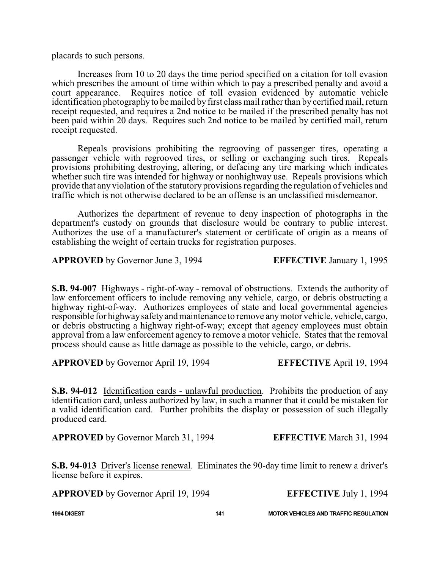placards to such persons.

Increases from 10 to 20 days the time period specified on a citation for toll evasion which prescribes the amount of time within which to pay a prescribed penalty and avoid a court appearance. Requires notice of toll evasion evidenced by automatic vehicle identification photography to be mailed by first class mail rather than by certified mail, return receipt requested, and requires a 2nd notice to be mailed if the prescribed penalty has not been paid within 20 days. Requires such 2nd notice to be mailed by certified mail, return receipt requested.

Repeals provisions prohibiting the regrooving of passenger tires, operating a passenger vehicle with regrooved tires, or selling or exchanging such tires. Repeals provisions prohibiting destroying, altering, or defacing any tire marking which indicates whether such tire was intended for highway or nonhighway use. Repeals provisions which provide that any violation of the statutory provisions regarding the regulation of vehicles and traffic which is not otherwise declared to be an offense is an unclassified misdemeanor.

Authorizes the department of revenue to deny inspection of photographs in the department's custody on grounds that disclosure would be contrary to public interest. Authorizes the use of a manufacturer's statement or certificate of origin as a means of establishing the weight of certain trucks for registration purposes.

**APPROVED** by Governor June 3, 1994 **EFFECTIVE** January 1, 1995

**S.B. 94-007** Highways - right-of-way - removal of obstructions. Extends the authority of law enforcement officers to include removing any vehicle, cargo, or debris obstructing a highway right-of-way. Authorizes employees of state and local governmental agencies responsible for highwaysafetyand maintenance to remove anymotor vehicle, vehicle, cargo, or debris obstructing a highway right-of-way; except that agency employees must obtain approval from a law enforcement agency to remove a motor vehicle. States that the removal process should cause as little damage as possible to the vehicle, cargo, or debris.

**APPROVED** by Governor April 19, 1994 **EFFECTIVE** April 19, 1994

**S.B. 94-012** Identification cards - unlawful production. Prohibits the production of any identification card, unless authorized by law, in such a manner that it could be mistaken for a valid identification card. Further prohibits the display or possession of such illegally produced card.

**APPROVED** by Governor March 31, 1994 **EFFECTIVE** March 31, 1994

**S.B. 94-013** Driver's license renewal. Eliminates the 90-day time limit to renew a driver's license before it expires.

**APPROVED** by Governor April 19, 1994 **EFFECTIVE** July 1, 1994

**1994 DIGEST 141 MOTOR VEHICLES AND TRAFFIC REGULATION**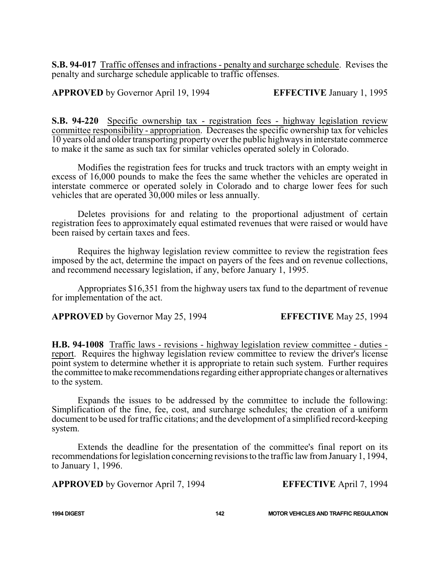**S.B. 94-017** Traffic offenses and infractions - penalty and surcharge schedule. Revises the penalty and surcharge schedule applicable to traffic offenses.

**APPROVED** by Governor April 19, 1994 **EFFECTIVE** January 1, 1995

**S.B. 94-220** Specific ownership tax - registration fees - highway legislation review committee responsibility - appropriation. Decreases the specific ownership tax for vehicles 10 years old and older transporting property over the public highways in interstate commerce to make it the same as such tax for similar vehicles operated solely in Colorado.

Modifies the registration fees for trucks and truck tractors with an empty weight in excess of 16,000 pounds to make the fees the same whether the vehicles are operated in interstate commerce or operated solely in Colorado and to charge lower fees for such vehicles that are operated 30,000 miles or less annually.

Deletes provisions for and relating to the proportional adjustment of certain registration fees to approximately equal estimated revenues that were raised or would have been raised by certain taxes and fees.

Requires the highway legislation review committee to review the registration fees imposed by the act, determine the impact on payers of the fees and on revenue collections, and recommend necessary legislation, if any, before January 1, 1995.

Appropriates \$16,351 from the highway users tax fund to the department of revenue for implementation of the act.

**APPROVED** by Governor May 25, 1994 **EFFECTIVE** May 25, 1994

**H.B. 94-1008** Traffic laws - revisions - highway legislation review committee - duties report. Requires the highway legislation review committee to review the driver's license point system to determine whether it is appropriate to retain such system. Further requires the committee tomake recommendations regarding either appropriate changes or alternatives to the system.

Expands the issues to be addressed by the committee to include the following: Simplification of the fine, fee, cost, and surcharge schedules; the creation of a uniform document to be used for traffic citations; and the development of a simplified record-keeping system.

Extends the deadline for the presentation of the committee's final report on its recommendations for legislation concerning revisions to the traffic law from January 1, 1994, to January 1, 1996.

**APPROVED** by Governor April 7, 1994 **EFFECTIVE** April 7, 1994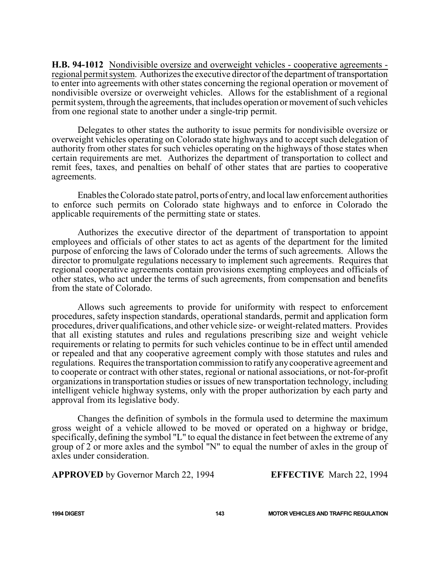**H.B. 94-1012** Nondivisible oversize and overweight vehicles - cooperative agreements regional permit system. Authorizes the executive director of the department of transportation to enter into agreements with other states concerning the regional operation or movement of nondivisible oversize or overweight vehicles. Allows for the establishment of a regional permit system, through the agreements, that includes operation or movement of such vehicles from one regional state to another under a single-trip permit.

Delegates to other states the authority to issue permits for nondivisible oversize or overweight vehicles operating on Colorado state highways and to accept such delegation of authority from other states for such vehicles operating on the highways of those states when certain requirements are met. Authorizes the department of transportation to collect and remit fees, taxes, and penalties on behalf of other states that are parties to cooperative agreements.

EnablestheColorado state patrol, ports of entry, and local law enforcement authorities to enforce such permits on Colorado state highways and to enforce in Colorado the applicable requirements of the permitting state or states.

Authorizes the executive director of the department of transportation to appoint employees and officials of other states to act as agents of the department for the limited purpose of enforcing the laws of Colorado under the terms of such agreements. Allows the director to promulgate regulations necessary to implement such agreements. Requires that regional cooperative agreements contain provisions exempting employees and officials of other states, who act under the terms of such agreements, from compensation and benefits from the state of Colorado.

Allows such agreements to provide for uniformity with respect to enforcement procedures, safety inspection standards, operational standards, permit and application form procedures, driver qualifications, and other vehicle size- or weight-related matters. Provides that all existing statutes and rules and regulations prescribing size and weight vehicle requirements or relating to permits for such vehicles continue to be in effect until amended or repealed and that any cooperative agreement comply with those statutes and rules and regulations. Requires the transportation commission to ratifyanycooperative agreement and to cooperate or contract with other states, regional or national associations, or not-for-profit organizations in transportation studies or issues of new transportation technology, including intelligent vehicle highway systems, only with the proper authorization by each party and approval from its legislative body.

Changes the definition of symbols in the formula used to determine the maximum gross weight of a vehicle allowed to be moved or operated on a highway or bridge, specifically, defining the symbol "L" to equal the distance in feet between the extreme of any group of 2 or more axles and the symbol "N" to equal the number of axles in the group of axles under consideration.

**APPROVED** by Governor March 22, 1994 **EFFECTIVE** March 22, 1994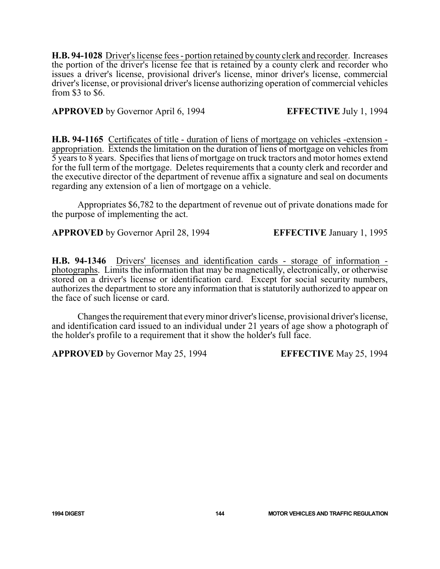**H.B. 94-1028** Driver's license fees - portion retained by county clerk and recorder. Increases the portion of the driver's license fee that is retained by a county clerk and recorder who issues a driver's license, provisional driver's license, minor driver's license, commercial driver's license, or provisional driver's license authorizing operation of commercial vehicles from \$3 to \$6.

## **APPROVED** by Governor April 6, 1994 **EFFECTIVE** July 1, 1994

**H.B. 94-1165** Certificates of title - duration of liens of mortgage on vehicles -extension appropriation. Extends the limitation on the duration of liens of mortgage on vehicles from 5 years to 8 years. Specifies that liens of mortgage on truck tractors and motor homes extend for the full term of the mortgage. Deletes requirements that a county clerk and recorder and the executive director of the department of revenue affix a signature and seal on documents regarding any extension of a lien of mortgage on a vehicle.

Appropriates \$6,782 to the department of revenue out of private donations made for the purpose of implementing the act.

**APPROVED** by Governor April 28, 1994 **EFFECTIVE** January 1, 1995

**H.B. 94-1346** Drivers' licenses and identification cards - storage of information photographs. Limits the information that may be magnetically, electronically, or otherwise stored on a driver's license or identification card. Except for social security numbers, authorizes the department to store any information that is statutorily authorized to appear on the face of such license or card.

Changesthe requirement that everyminor driver's license, provisional driver's license, and identification card issued to an individual under 21 years of age show a photograph of the holder's profile to a requirement that it show the holder's full face.

**APPROVED** by Governor May 25, 1994 **EFFECTIVE** May 25, 1994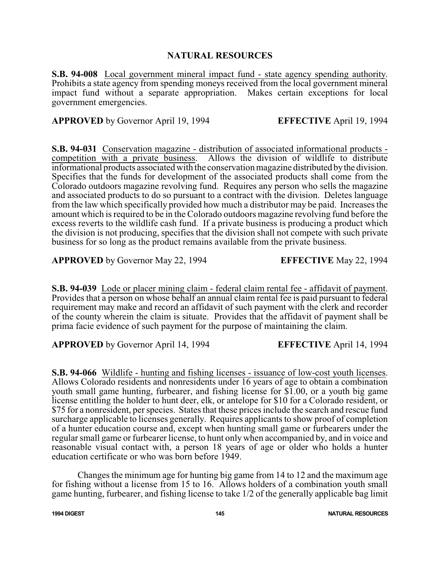# **NATURAL RESOURCES**

**S.B. 94-008** Local government mineral impact fund - state agency spending authority. Prohibits a state agency from spending moneys received from the local government mineral impact fund without a separate appropriation. Makes certain exceptions for local government emergencies.

**APPROVED** by Governor April 19, 1994 **EFFECTIVE** April 19, 1994

**S.B. 94-031** Conservation magazine - distribution of associated informational products competition with a private business. Allows the division of wildlife to distribute informational products associated with the conservation magazine distributed bythe division. Specifies that the funds for development of the associated products shall come from the Colorado outdoors magazine revolving fund. Requires any person who sells the magazine and associated products to do so pursuant to a contract with the division. Deletes language from the law which specifically provided how much a distributor may be paid. Increases the amount which is required to be in the Colorado outdoors magazine revolving fund before the excess reverts to the wildlife cash fund. If a private business is producing a product which the division is not producing, specifies that the division shall not compete with such private business for so long as the product remains available from the private business.

**APPROVED** by Governor May 22, 1994 **EFFECTIVE** May 22, 1994

**S.B. 94-039** Lode or placer mining claim - federal claim rental fee - affidavit of payment. Provides that a person on whose behalf an annual claim rental fee is paid pursuant to federal requirement may make and record an affidavit of such payment with the clerk and recorder of the county wherein the claim is situate. Provides that the affidavit of payment shall be prima facie evidence of such payment for the purpose of maintaining the claim.

**APPROVED** by Governor April 14, 1994 **EFFECTIVE** April 14, 1994

**S.B. 94-066** Wildlife - hunting and fishing licenses - issuance of low-cost youth licenses. Allows Colorado residents and nonresidents under 16 years of age to obtain a combination youth small game hunting, furbearer, and fishing license for \$1.00, or a youth big game license entitling the holder to hunt deer, elk, or antelope for \$10 for a Colorado resident, or \$75 for a nonresident, per species. States that these prices include the search and rescue fund surcharge applicable to licenses generally. Requires applicants to show proof of completion of a hunter education course and, except when hunting small game or furbearers under the regular small game or furbearer license, to hunt only when accompanied by, and in voice and reasonable visual contact with, a person 18 years of age or older who holds a hunter education certificate or who was born before 1949.

Changes the minimum age for hunting big game from 14 to 12 and the maximum age for fishing without a license from 15 to 16. Allows holders of a combination youth small game hunting, furbearer, and fishing license to take 1/2 of the generally applicable bag limit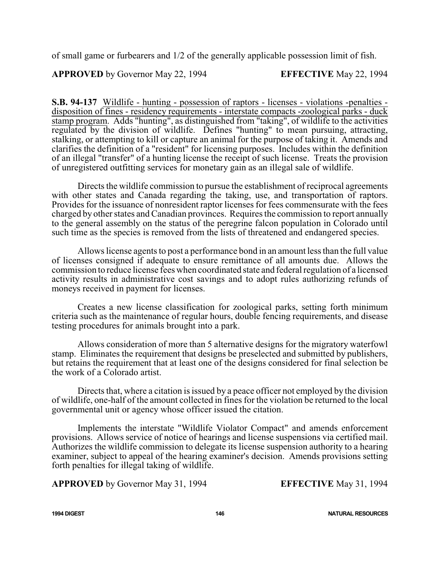of small game or furbearers and 1/2 of the generally applicable possession limit of fish.

**APPROVED** by Governor May 22, 1994 **EFFECTIVE** May 22, 1994

**S.B. 94-137** Wildlife - hunting - possession of raptors - licenses - violations -penalties disposition of fines - residency requirements - interstate compacts -zoological parks - duck stamp program. Adds "hunting", as distinguished from "taking", of wildlife to the activities regulated by the division of wildlife. Defines "hunting" to mean pursuing, attracting, stalking, or attempting to kill or capture an animal for the purpose of taking it. Amends and clarifies the definition of a "resident" for licensing purposes. Includes within the definition of an illegal "transfer" of a hunting license the receipt of such license. Treats the provision of unregistered outfitting services for monetary gain as an illegal sale of wildlife.

Directs the wildlife commission to pursue the establishment of reciprocal agreements with other states and Canada regarding the taking, use, and transportation of raptors. Provides for the issuance of nonresident raptor licenses for fees commensurate with the fees charged by other states and Canadian provinces. Requires the commission to report annually to the general assembly on the status of the peregrine falcon population in Colorado until such time as the species is removed from the lists of threatened and endangered species.

Allows license agents to post a performance bond in an amount less than the full value of licenses consigned if adequate to ensure remittance of all amounts due. Allows the commission to reduce license fees when coordinated state and federal regulation of a licensed activity results in administrative cost savings and to adopt rules authorizing refunds of moneys received in payment for licenses.

Creates a new license classification for zoological parks, setting forth minimum criteria such as the maintenance of regular hours, double fencing requirements, and disease testing procedures for animals brought into a park.

Allows consideration of more than 5 alternative designs for the migratory waterfowl stamp. Eliminates the requirement that designs be preselected and submitted by publishers, but retains the requirement that at least one of the designs considered for final selection be the work of a Colorado artist.

Directs that, where a citation is issued by a peace officer not employed by the division of wildlife, one-half of the amount collected in fines for the violation be returned to the local governmental unit or agency whose officer issued the citation.

Implements the interstate "Wildlife Violator Compact" and amends enforcement provisions. Allows service of notice of hearings and license suspensions via certified mail. Authorizes the wildlife commission to delegate its license suspension authority to a hearing examiner, subject to appeal of the hearing examiner's decision. Amends provisions setting forth penalties for illegal taking of wildlife.

**APPROVED** by Governor May 31, 1994 **EFFECTIVE** May 31, 1994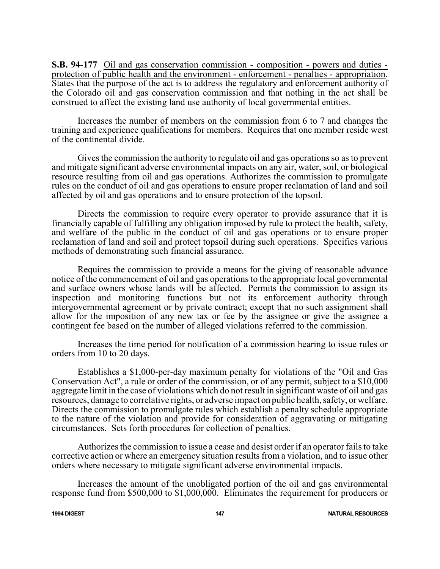**S.B. 94-177** Oil and gas conservation commission - composition - powers and duties protection of public health and the environment - enforcement - penalties - appropriation. States that the purpose of the act is to address the regulatory and enforcement authority of the Colorado oil and gas conservation commission and that nothing in the act shall be construed to affect the existing land use authority of local governmental entities.

Increases the number of members on the commission from 6 to 7 and changes the training and experience qualifications for members. Requires that one member reside west of the continental divide.

Gives the commission the authority to regulate oil and gas operations so as to prevent and mitigate significant adverse environmental impacts on any air, water, soil, or biological resource resulting from oil and gas operations. Authorizes the commission to promulgate rules on the conduct of oil and gas operations to ensure proper reclamation of land and soil affected by oil and gas operations and to ensure protection of the topsoil.

Directs the commission to require every operator to provide assurance that it is financially capable of fulfilling any obligation imposed by rule to protect the health, safety, and welfare of the public in the conduct of oil and gas operations or to ensure proper reclamation of land and soil and protect topsoil during such operations. Specifies various methods of demonstrating such financial assurance.

Requires the commission to provide a means for the giving of reasonable advance notice of the commencement of oil and gas operations to the appropriate local governmental and surface owners whose lands will be affected. Permits the commission to assign its inspection and monitoring functions but not its enforcement authority through intergovernmental agreement or by private contract; except that no such assignment shall allow for the imposition of any new tax or fee by the assignee or give the assignee a contingent fee based on the number of alleged violations referred to the commission.

Increases the time period for notification of a commission hearing to issue rules or orders from 10 to 20 days.

Establishes a \$1,000-per-day maximum penalty for violations of the "Oil and Gas Conservation Act", a rule or order of the commission, or of any permit, subject to a \$10,000 aggregate limit in the case of violations which do not result in significant waste of oil and gas resources, damage to correlative rights, or adverse impact on public health, safety, or welfare. Directs the commission to promulgate rules which establish a penalty schedule appropriate to the nature of the violation and provide for consideration of aggravating or mitigating circumstances. Sets forth procedures for collection of penalties.

Authorizes the commission to issue a cease and desist order if an operator fails to take corrective action or where an emergency situation results from a violation, and to issue other orders where necessary to mitigate significant adverse environmental impacts.

Increases the amount of the unobligated portion of the oil and gas environmental response fund from \$500,000 to \$1,000,000. Eliminates the requirement for producers or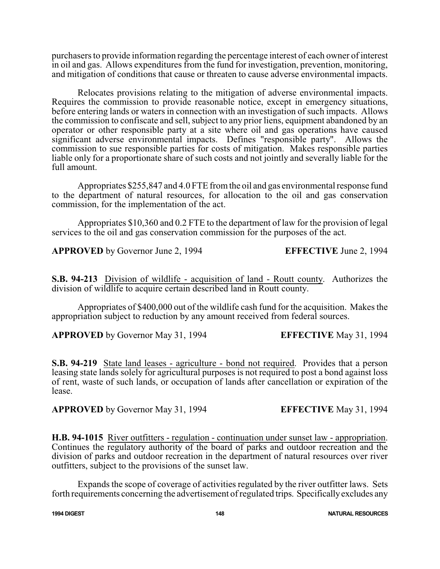purchasers to provide information regarding the percentage interest of each owner of interest in oil and gas. Allows expenditures from the fund for investigation, prevention, monitoring, and mitigation of conditions that cause or threaten to cause adverse environmental impacts.

Relocates provisions relating to the mitigation of adverse environmental impacts. Requires the commission to provide reasonable notice, except in emergency situations, before entering lands or waters in connection with an investigation of such impacts. Allows the commission to confiscate and sell, subject to any prior liens, equipment abandoned by an operator or other responsible party at a site where oil and gas operations have caused significant adverse environmental impacts. Defines "responsible party". Allows the commission to sue responsible parties for costs of mitigation. Makes responsible parties liable only for a proportionate share of such costs and not jointly and severally liable for the full amount.

Appropriates \$255,847 and 4.0 FTE fromthe oil and gas environmental response fund to the department of natural resources, for allocation to the oil and gas conservation commission, for the implementation of the act.

Appropriates \$10,360 and 0.2 FTE to the department of law for the provision of legal services to the oil and gas conservation commission for the purposes of the act.

**APPROVED** by Governor June 2, 1994 **EFFECTIVE** June 2, 1994

**S.B. 94-213** Division of wildlife - acquisition of land - Routt county. Authorizes the division of wildlife to acquire certain described land in Routt county.

Appropriates of \$400,000 out of the wildlife cash fund for the acquisition. Makes the appropriation subject to reduction by any amount received from federal sources.

**APPROVED** by Governor May 31, 1994 **EFFECTIVE** May 31, 1994

**S.B. 94-219** State land leases - agriculture - bond not required. Provides that a person leasing state lands solely for agricultural purposes is not required to post a bond against loss of rent, waste of such lands, or occupation of lands after cancellation or expiration of the lease.

**APPROVED** by Governor May 31, 1994 **EFFECTIVE** May 31, 1994

**H.B. 94-1015** River outfitters - regulation - continuation under sunset law - appropriation. Continues the regulatory authority of the board of parks and outdoor recreation and the division of parks and outdoor recreation in the department of natural resources over river outfitters, subject to the provisions of the sunset law.

Expands the scope of coverage of activities regulated by the river outfitter laws. Sets forth requirements concerning the advertisement ofregulated trips. Specificallyexcludes any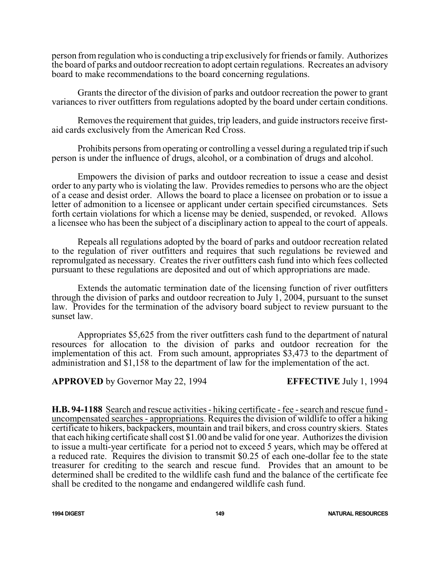person from regulation who is conducting a trip exclusively for friends or family. Authorizes the board of parks and outdoor recreation to adopt certain regulations. Recreates an advisory board to make recommendations to the board concerning regulations.

Grants the director of the division of parks and outdoor recreation the power to grant variances to river outfitters from regulations adopted by the board under certain conditions.

Removes the requirement that guides, trip leaders, and guide instructors receive firstaid cards exclusively from the American Red Cross.

Prohibits persons from operating or controlling a vessel during a regulated trip ifsuch person is under the influence of drugs, alcohol, or a combination of drugs and alcohol.

Empowers the division of parks and outdoor recreation to issue a cease and desist order to any party who is violating the law. Provides remedies to persons who are the object of a cease and desist order. Allows the board to place a licensee on probation or to issue a letter of admonition to a licensee or applicant under certain specified circumstances. Sets forth certain violations for which a license may be denied, suspended, or revoked. Allows a licensee who has been the subject of a disciplinary action to appeal to the court of appeals.

Repeals all regulations adopted by the board of parks and outdoor recreation related to the regulation of river outfitters and requires that such regulations be reviewed and repromulgated as necessary. Creates the river outfitters cash fund into which fees collected pursuant to these regulations are deposited and out of which appropriations are made.

Extends the automatic termination date of the licensing function of river outfitters through the division of parks and outdoor recreation to July 1, 2004, pursuant to the sunset law. Provides for the termination of the advisory board subject to review pursuant to the sunset law.

Appropriates \$5,625 from the river outfitters cash fund to the department of natural resources for allocation to the division of parks and outdoor recreation for the implementation of this act. From such amount, appropriates \$3,473 to the department of administration and \$1,158 to the department of law for the implementation of the act.

**APPROVED** by Governor May 22, 1994 **EFFECTIVE** July 1, 1994

**H.B. 94-1188** Search and rescue activities - hiking certificate - fee -search and rescue fund uncompensated searches - appropriations. Requires the division of wildlife to offer a hiking certificate to hikers, backpackers, mountain and trail bikers, and cross country skiers. States that each hiking certificate shall cost \$1.00 and be valid for one year. Authorizes the division to issue a multi-year certificate for a period not to exceed 5 years, which may be offered at a reduced rate. Requires the division to transmit \$0.25 of each one-dollar fee to the state treasurer for crediting to the search and rescue fund. Provides that an amount to be determined shall be credited to the wildlife cash fund and the balance of the certificate fee shall be credited to the nongame and endangered wildlife cash fund.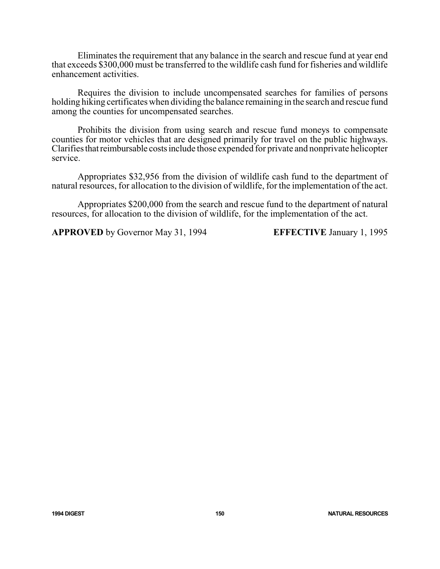Eliminates the requirement that any balance in the search and rescue fund at year end that exceeds \$300,000 must be transferred to the wildlife cash fund for fisheries and wildlife enhancement activities.

Requires the division to include uncompensated searches for families of persons holding hiking certificates when dividing the balance remaining in the search and rescue fund among the counties for uncompensated searches.

Prohibits the division from using search and rescue fund moneys to compensate counties for motor vehicles that are designed primarily for travel on the public highways. Clarifies that reimbursable costs include those expended for private and nonprivate helicopter service.

Appropriates \$32,956 from the division of wildlife cash fund to the department of natural resources, for allocation to the division of wildlife, for the implementation of the act.

Appropriates \$200,000 from the search and rescue fund to the department of natural resources, for allocation to the division of wildlife, for the implementation of the act.

**APPROVED** by Governor May 31, 1994 **EFFECTIVE** January 1, 1995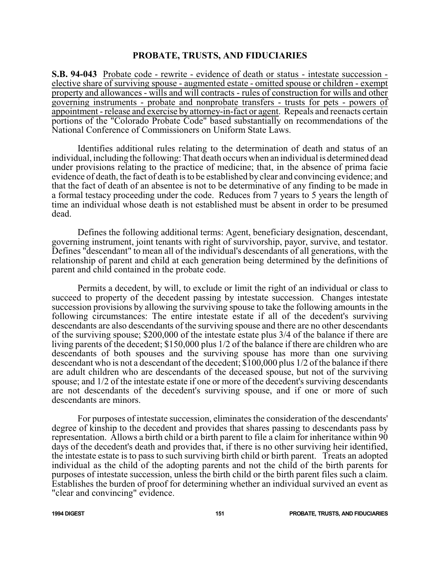### **PROBATE, TRUSTS, AND FIDUCIARIES**

**S.B. 94-043** Probate code - rewrite - evidence of death or status - intestate succession elective share of surviving spouse - augmented estate - omitted spouse or children - exempt property and allowances - wills and will contracts - rules of construction for wills and other governing instruments - probate and nonprobate transfers - trusts for pets - powers of appointment - release and exercise by attorney-in-fact or agent. Repeals and reenacts certain portions of the "Colorado Probate Code" based substantially on recommendations of the National Conference of Commissioners on Uniform State Laws.

Identifies additional rules relating to the determination of death and status of an individual, including the following: That death occurs when an individual is determined dead under provisions relating to the practice of medicine; that, in the absence of prima facie evidence of death, the fact of death is to be established by clear and convincing evidence; and that the fact of death of an absentee is not to be determinative of any finding to be made in a formal testacy proceeding under the code. Reduces from 7 years to 5 years the length of time an individual whose death is not established must be absent in order to be presumed dead.

Defines the following additional terms: Agent, beneficiary designation, descendant, governing instrument, joint tenants with right of survivorship, payor, survive, and testator. Defines "descendant" to mean all of the individual's descendants of all generations, with the relationship of parent and child at each generation being determined by the definitions of parent and child contained in the probate code.

Permits a decedent, by will, to exclude or limit the right of an individual or class to succeed to property of the decedent passing by intestate succession. Changes intestate succession provisions by allowing the surviving spouse to take the following amounts in the following circumstances: The entire intestate estate if all of the decedent's surviving descendants are also descendants of the surviving spouse and there are no other descendants of the surviving spouse; \$200,000 of the intestate estate plus 3/4 of the balance if there are living parents of the decedent; \$150,000 plus 1/2 of the balance if there are children who are descendants of both spouses and the surviving spouse has more than one surviving descendant who is not a descendant of the decedent; \$100,000 plus 1/2 of the balance if there are adult children who are descendants of the deceased spouse, but not of the surviving spouse; and 1/2 of the intestate estate if one or more of the decedent's surviving descendants are not descendants of the decedent's surviving spouse, and if one or more of such descendants are minors.

For purposes of intestate succession, eliminates the consideration of the descendants' degree of kinship to the decedent and provides that shares passing to descendants pass by representation. Allows a birth child or a birth parent to file a claim for inheritance within 90 days of the decedent's death and provides that, if there is no other surviving heir identified, the intestate estate is to pass to such surviving birth child or birth parent. Treats an adopted individual as the child of the adopting parents and not the child of the birth parents for purposes of intestate succession, unless the birth child or the birth parent files such a claim. Establishes the burden of proof for determining whether an individual survived an event as "clear and convincing" evidence.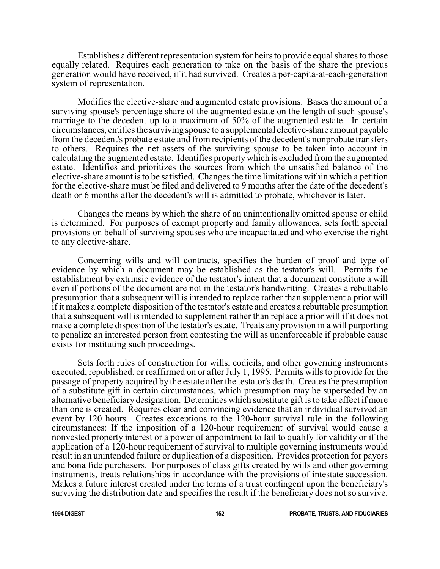Establishes a different representation system for heirs to provide equal shares to those equally related. Requires each generation to take on the basis of the share the previous generation would have received, if it had survived. Creates a per-capita-at-each-generation system of representation.

Modifies the elective-share and augmented estate provisions. Bases the amount of a surviving spouse's percentage share of the augmented estate on the length of such spouse's marriage to the decedent up to a maximum of 50% of the augmented estate. In certain circumstances, entitles the surviving spouse to a supplemental elective-share amount payable from the decedent's probate estate and from recipients of the decedent's nonprobate transfers to others. Requires the net assets of the surviving spouse to be taken into account in calculating the augmented estate. Identifies property which is excluded from the augmented estate. Identifies and prioritizes the sources from which the unsatisfied balance of the elective-share amount is to be satisfied. Changes the time limitations within which a petition for the elective-share must be filed and delivered to 9 months after the date of the decedent's death or 6 months after the decedent's will is admitted to probate, whichever is later.

Changes the means by which the share of an unintentionally omitted spouse or child is determined. For purposes of exempt property and family allowances, sets forth special provisions on behalf of surviving spouses who are incapacitated and who exercise the right to any elective-share.

Concerning wills and will contracts, specifies the burden of proof and type of evidence by which a document may be established as the testator's will. Permits the establishment by extrinsic evidence of the testator's intent that a document constitute a will even if portions of the document are not in the testator's handwriting. Creates a rebuttable presumption that a subsequent will is intended to replace rather than supplement a prior will if it makes a complete disposition of the testator's estate and creates a rebuttable presumption that a subsequent will is intended to supplement rather than replace a prior will if it does not make a complete disposition of the testator's estate. Treats any provision in a will purporting to penalize an interested person from contesting the will as unenforceable if probable cause exists for instituting such proceedings.

Sets forth rules of construction for wills, codicils, and other governing instruments executed, republished, or reaffirmed on or after July 1, 1995. Permits wills to provide for the passage of property acquired by the estate after the testator's death. Creates the presumption of a substitute gift in certain circumstances, which presumption may be superseded by an alternative beneficiary designation. Determines which substitute gift is to take effect if more than one is created. Requires clear and convincing evidence that an individual survived an event by 120 hours. Creates exceptions to the 120-hour survival rule in the following circumstances: If the imposition of a 120-hour requirement of survival would cause a nonvested property interest or a power of appointment to fail to qualify for validity or if the application of a 120-hour requirement of survival to multiple governing instruments would result in an unintended failure or duplication of a disposition. Provides protection for payors and bona fide purchasers. For purposes of class gifts created by wills and other governing instruments, treats relationships in accordance with the provisions of intestate succession. Makes a future interest created under the terms of a trust contingent upon the beneficiary's surviving the distribution date and specifies the result if the beneficiary does not so survive.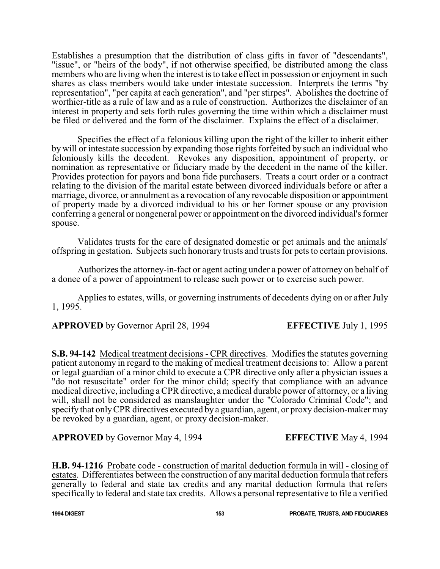Establishes a presumption that the distribution of class gifts in favor of "descendants", "issue", or "heirs of the body", if not otherwise specified, be distributed among the class members who are living when the interest is to take effect in possession or enjoyment in such shares as class members would take under intestate succession. Interprets the terms "by representation", "per capita at each generation", and "per stirpes". Abolishes the doctrine of worthier-title as a rule of law and as a rule of construction. Authorizes the disclaimer of an interest in property and sets forth rules governing the time within which a disclaimer must be filed or delivered and the form of the disclaimer. Explains the effect of a disclaimer.

Specifies the effect of a felonious killing upon the right of the killer to inherit either by will or intestate succession by expanding those rights forfeited by such an individual who feloniously kills the decedent. Revokes any disposition, appointment of property, or nomination as representative or fiduciary made by the decedent in the name of the killer. Provides protection for payors and bona fide purchasers. Treats a court order or a contract relating to the division of the marital estate between divorced individuals before or after a marriage, divorce, or annulment as a revocation of any revocable disposition or appointment of property made by a divorced individual to his or her former spouse or any provision conferring a general or nongeneral power or appointment on the divorced individual's former spouse.

Validates trusts for the care of designated domestic or pet animals and the animals' offspring in gestation. Subjects such honorary trusts and trusts for pets to certain provisions.

Authorizes the attorney-in-fact or agent acting under a power of attorney on behalf of a donee of a power of appointment to release such power or to exercise such power.

Applies to estates, wills, or governing instruments of decedents dying on or after July 1, 1995.

**APPROVED** by Governor April 28, 1994 **EFFECTIVE** July 1, 1995

**S.B. 94-142** Medical treatment decisions - CPR directives. Modifies the statutes governing patient autonomy in regard to the making of medical treatment decisions to: Allow a parent or legal guardian of a minor child to execute a CPR directive only after a physician issues a "do not resuscitate" order for the minor child; specify that compliance with an advance medical directive, including a CPR directive, a medical durable power of attorney, or a living will, shall not be considered as manslaughter under the "Colorado Criminal Code"; and specify that onlyCPR directives executed by a guardian, agent, or proxy decision-maker may be revoked by a guardian, agent, or proxy decision-maker.

**APPROVED** by Governor May 4, 1994 **EFFECTIVE** May 4, 1994

**H.B. 94-1216** Probate code - construction of marital deduction formula in will - closing of estates. Differentiates between the construction of any marital deduction formula that refers generally to federal and state tax credits and any marital deduction formula that refers specifically to federal and state tax credits. Allows a personal representative to file a verified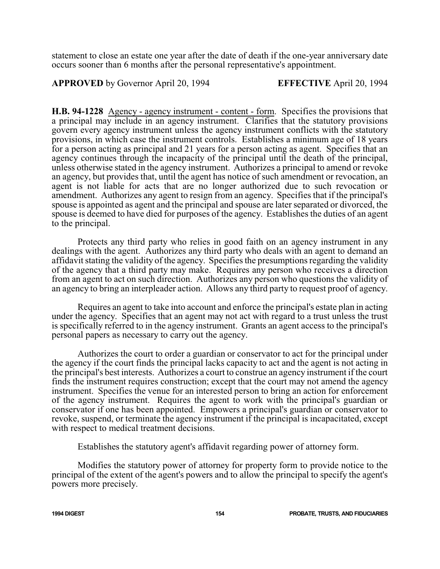statement to close an estate one year after the date of death if the one-year anniversary date occurs sooner than 6 months after the personal representative's appointment.

**APPROVED** by Governor April 20, 1994 **EFFECTIVE** April 20, 1994

**H.B. 94-1228** Agency - agency instrument - content - form. Specifies the provisions that a principal may include in an agency instrument. Clarifies that the statutory provisions govern every agency instrument unless the agency instrument conflicts with the statutory provisions, in which case the instrument controls. Establishes a minimum age of 18 years for a person acting as principal and 21 years for a person acting as agent. Specifies that an agency continues through the incapacity of the principal until the death of the principal, unless otherwise stated in the agency instrument. Authorizes a principal to amend or revoke an agency, but provides that, until the agent has notice of such amendment or revocation, an agent is not liable for acts that are no longer authorized due to such revocation or amendment. Authorizes any agent to resign from an agency. Specifies that if the principal's spouse is appointed as agent and the principal and spouse are later separated or divorced, the spouse is deemed to have died for purposes of the agency. Establishes the duties of an agent to the principal.

Protects any third party who relies in good faith on an agency instrument in any dealings with the agent. Authorizes any third party who deals with an agent to demand an affidavit stating the validity of the agency. Specifies the presumptions regarding the validity of the agency that a third party may make. Requires any person who receives a direction from an agent to act on such direction. Authorizes any person who questions the validity of an agency to bring an interpleader action. Allows any third party to request proof of agency.

Requires an agent to take into account and enforce the principal's estate plan in acting under the agency. Specifies that an agent may not act with regard to a trust unless the trust is specifically referred to in the agency instrument. Grants an agent access to the principal's personal papers as necessary to carry out the agency.

Authorizes the court to order a guardian or conservator to act for the principal under the agency if the court finds the principal lacks capacity to act and the agent is not acting in the principal's best interests. Authorizes a court to construe an agency instrument if the court finds the instrument requires construction; except that the court may not amend the agency instrument. Specifies the venue for an interested person to bring an action for enforcement of the agency instrument. Requires the agent to work with the principal's guardian or conservator if one has been appointed. Empowers a principal's guardian or conservator to revoke, suspend, or terminate the agency instrument if the principal is incapacitated, except with respect to medical treatment decisions.

Establishes the statutory agent's affidavit regarding power of attorney form.

Modifies the statutory power of attorney for property form to provide notice to the principal of the extent of the agent's powers and to allow the principal to specify the agent's powers more precisely.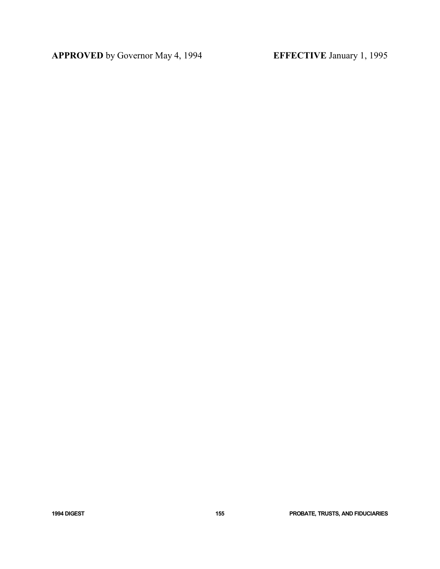**APPROVED** by Governor May 4, 1994 **EFFECTIVE** January 1, 1995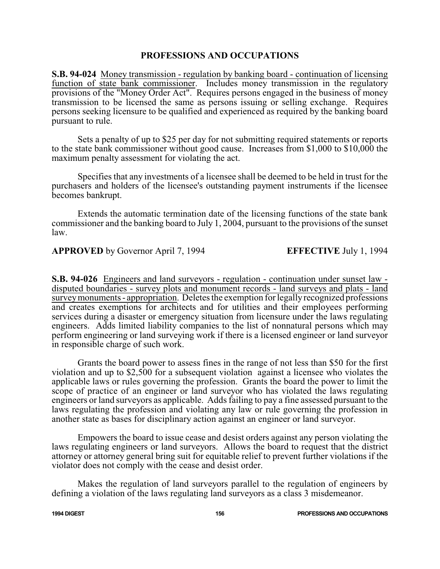# **PROFESSIONS AND OCCUPATIONS**

**S.B. 94-024** Money transmission - regulation by banking board - continuation of licensing function of state bank commissioner. Includes money transmission in the regulatory provisions of the "Money Order Act". Requires persons engaged in the business of money transmission to be licensed the same as persons issuing or selling exchange. Requires persons seeking licensure to be qualified and experienced as required by the banking board pursuant to rule.

Sets a penalty of up to \$25 per day for not submitting required statements or reports to the state bank commissioner without good cause. Increases from \$1,000 to \$10,000 the maximum penalty assessment for violating the act.

Specifies that any investments of a licensee shall be deemed to be held in trust for the purchasers and holders of the licensee's outstanding payment instruments if the licensee becomes bankrupt.

Extends the automatic termination date of the licensing functions of the state bank commissioner and the banking board to July 1, 2004, pursuant to the provisions of the sunset law.

**APPROVED** by Governor April 7, 1994 **EFFECTIVE** July 1, 1994

**S.B. 94-026** Engineers and land surveyors - regulation - continuation under sunset law disputed boundaries - survey plots and monument records - land surveys and plats - land surveymonuments - appropriation. Deletes the exemption for legallyrecognized professions and creates exemptions for architects and for utilities and their employees performing services during a disaster or emergency situation from licensure under the laws regulating engineers. Adds limited liability companies to the list of nonnatural persons which may perform engineering or land surveying work if there is a licensed engineer or land surveyor in responsible charge of such work.

Grants the board power to assess fines in the range of not less than \$50 for the first violation and up to \$2,500 for a subsequent violation against a licensee who violates the applicable laws or rules governing the profession. Grants the board the power to limit the scope of practice of an engineer or land surveyor who has violated the laws regulating engineers or land surveyors as applicable. Adds failing to pay a fine assessed pursuant to the laws regulating the profession and violating any law or rule governing the profession in another state as bases for disciplinary action against an engineer or land surveyor.

Empowers the board to issue cease and desist orders against any person violating the laws regulating engineers or land surveyors. Allows the board to request that the district attorney or attorney general bring suit for equitable relief to prevent further violations if the violator does not comply with the cease and desist order.

Makes the regulation of land surveyors parallel to the regulation of engineers by defining a violation of the laws regulating land surveyors as a class 3 misdemeanor.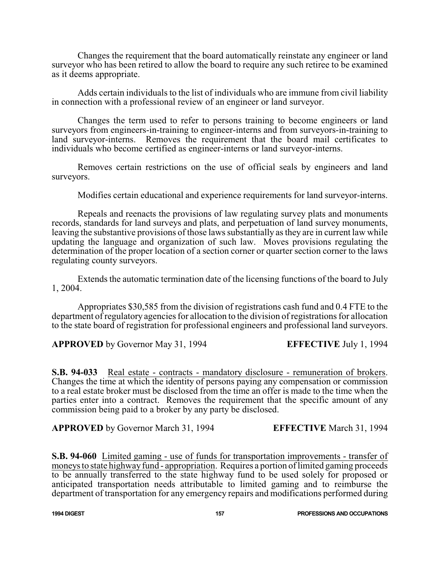Changes the requirement that the board automatically reinstate any engineer or land surveyor who has been retired to allow the board to require any such retiree to be examined as it deems appropriate.

Adds certain individuals to the list of individuals who are immune from civil liability in connection with a professional review of an engineer or land surveyor.

Changes the term used to refer to persons training to become engineers or land surveyors from engineers-in-training to engineer-interns and from surveyors-in-training to land surveyor-interns. Removes the requirement that the board mail certificates to individuals who become certified as engineer-interns or land surveyor-interns.

Removes certain restrictions on the use of official seals by engineers and land surveyors.

Modifies certain educational and experience requirements for land surveyor-interns.

Repeals and reenacts the provisions of law regulating survey plats and monuments records, standards for land surveys and plats, and perpetuation of land survey monuments, leaving the substantive provisions of those laws substantially as they are in current law while updating the language and organization of such law. Moves provisions regulating the determination of the proper location of a section corner or quarter section corner to the laws regulating county surveyors.

Extends the automatic termination date of the licensing functions of the board to July 1, 2004.

Appropriates \$30,585 from the division of registrations cash fund and 0.4 FTE to the department of regulatory agencies for allocation to the division of registrations for allocation to the state board of registration for professional engineers and professional land surveyors.

**APPROVED** by Governor May 31, 1994 **EFFECTIVE** July 1, 1994

**S.B. 94-033** Real estate - contracts - mandatory disclosure - remuneration of brokers. Changes the time at which the identity of persons paying any compensation or commission to a real estate broker must be disclosed from the time an offer is made to the time when the parties enter into a contract. Removes the requirement that the specific amount of any commission being paid to a broker by any party be disclosed.

**APPROVED** by Governor March 31, 1994 **EFFECTIVE** March 31, 1994

**S.B. 94-060** Limited gaming - use of funds for transportation improvements - transfer of moneys to state highway fund - appropriation. Requires a portion of limited gaming proceeds to be annually transferred to the state highway fund to be used solely for proposed or anticipated transportation needs attributable to limited gaming and to reimburse the department of transportation for any emergency repairs and modifications performed during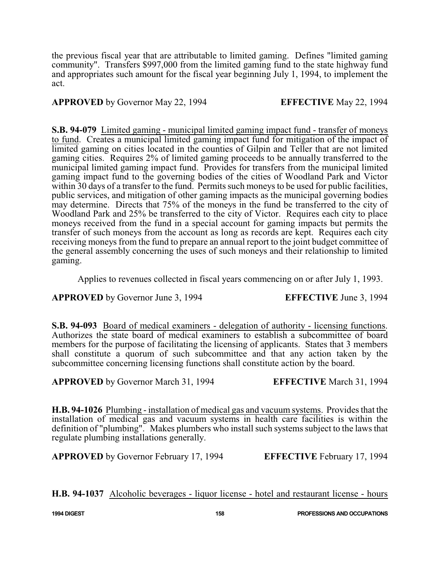the previous fiscal year that are attributable to limited gaming. Defines "limited gaming community". Transfers \$997,000 from the limited gaming fund to the state highway fund and appropriates such amount for the fiscal year beginning July 1, 1994, to implement the act.

**APPROVED** by Governor May 22, 1994 **EFFECTIVE** May 22, 1994

**S.B. 94-079** Limited gaming - municipal limited gaming impact fund - transfer of moneys to fund. Creates a municipal limited gaming impact fund for mitigation of the impact of limited gaming on cities located in the counties of Gilpin and Teller that are not limited gaming cities. Requires 2% of limited gaming proceeds to be annually transferred to the municipal limited gaming impact fund. Provides for transfers from the municipal limited gaming impact fund to the governing bodies of the cities of Woodland Park and Victor within 30 days of a transfer to the fund. Permits such moneys to be used for public facilities, public services, and mitigation of other gaming impacts as the municipal governing bodies may determine. Directs that 75% of the moneys in the fund be transferred to the city of Woodland Park and 25% be transferred to the city of Victor. Requires each city to place moneys received from the fund in a special account for gaming impacts but permits the transfer of such moneys from the account as long as records are kept. Requires each city receiving moneys from the fund to prepare an annual report to the joint budget committee of the general assembly concerning the uses of such moneys and their relationship to limited gaming.

Applies to revenues collected in fiscal years commencing on or after July 1, 1993.

# **APPROVED** by Governor June 3, 1994 **EFFECTIVE** June 3, 1994

**S.B. 94-093** Board of medical examiners - delegation of authority - licensing functions. Authorizes the state board of medical examiners to establish a subcommittee of board members for the purpose of facilitating the licensing of applicants. States that 3 members shall constitute a quorum of such subcommittee and that any action taken by the subcommittee concerning licensing functions shall constitute action by the board.

**APPROVED** by Governor March 31, 1994 **EFFECTIVE** March 31, 1994

**H.B. 94-1026** Plumbing - installation of medical gas and vacuum systems. Provides that the installation of medical gas and vacuum systems in health care facilities is within the definition of "plumbing". Makes plumbers who install such systems subject to the laws that regulate plumbing installations generally.

**APPROVED** by Governor February 17, 1994 **EFFECTIVE** February 17, 1994

**H.B. 94-1037** Alcoholic beverages - liquor license - hotel and restaurant license - hours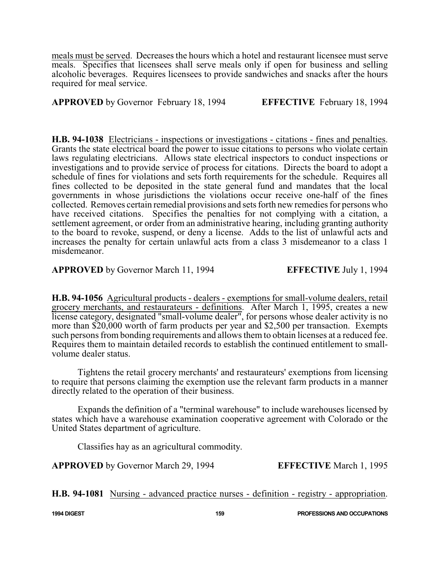meals must be served. Decreases the hours which a hotel and restaurant licensee must serve meals. Specifies that licensees shall serve meals only if open for business and selling alcoholic beverages. Requires licensees to provide sandwiches and snacks after the hours required for meal service.

**APPROVED** by Governor February 18, 1994 **EFFECTIVE** February 18, 1994

**H.B. 94-1038** Electricians - inspections or investigations - citations - fines and penalties. Grants the state electrical board the power to issue citations to persons who violate certain laws regulating electricians. Allows state electrical inspectors to conduct inspections or investigations and to provide service of process for citations. Directs the board to adopt a schedule of fines for violations and sets forth requirements for the schedule. Requires all fines collected to be deposited in the state general fund and mandates that the local governments in whose jurisdictions the violations occur receive one-half of the fines collected. Removes certain remedial provisions and sets forth new remedies for persons who have received citations. Specifies the penalties for not complying with a citation, a settlement agreement, or order from an administrative hearing, including granting authority to the board to revoke, suspend, or deny a license. Adds to the list of unlawful acts and increases the penalty for certain unlawful acts from a class 3 misdemeanor to a class 1 misdemeanor.

**APPROVED** by Governor March 11, 1994 **EFFECTIVE** July 1, 1994

**H.B. 94-1056** Agricultural products - dealers - exemptions for small-volume dealers, retail grocery merchants, and restaurateurs - definitions. After March 1, 1995, creates a new license category, designated "small-volume dealer", for persons whose dealer activity is no more than \$20,000 worth of farm products per year and \$2,500 per transaction. Exempts such persons from bonding requirements and allows them to obtain licenses at a reduced fee. Requires them to maintain detailed records to establish the continued entitlement to smallvolume dealer status.

Tightens the retail grocery merchants' and restaurateurs' exemptions from licensing to require that persons claiming the exemption use the relevant farm products in a manner directly related to the operation of their business.

Expands the definition of a "terminal warehouse" to include warehouses licensed by states which have a warehouse examination cooperative agreement with Colorado or the United States department of agriculture.

Classifies hay as an agricultural commodity.

**APPROVED** by Governor March 29, 1994 **EFFECTIVE** March 1, 1995

**H.B. 94-1081** Nursing - advanced practice nurses - definition - registry - appropriation.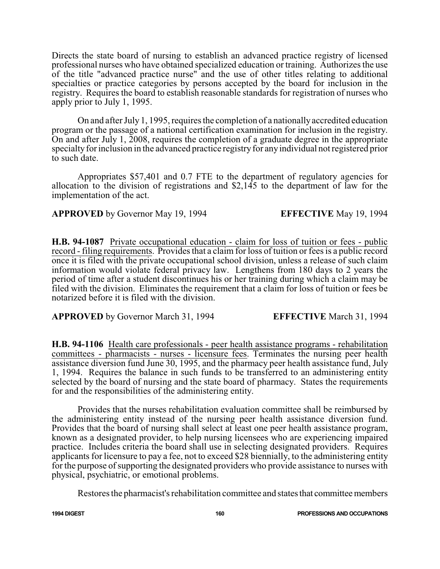Directs the state board of nursing to establish an advanced practice registry of licensed professional nurses who have obtained specialized education or training. Authorizes the use of the title "advanced practice nurse" and the use of other titles relating to additional specialties or practice categories by persons accepted by the board for inclusion in the registry. Requires the board to establish reasonable standards for registration of nurses who apply prior to July 1, 1995.

On and after July1, 1995, requires the completion of a nationallyaccredited education program or the passage of a national certification examination for inclusion in the registry. On and after July 1, 2008, requires the completion of a graduate degree in the appropriate specialty for inclusion in the advanced practice registry for any individual not registered prior to such date.

Appropriates \$57,401 and 0.7 FTE to the department of regulatory agencies for allocation to the division of registrations and \$2,145 to the department of law for the implementation of the act.

# **APPROVED** by Governor May 19, 1994 **EFFECTIVE** May 19, 1994

**H.B. 94-1087** Private occupational education - claim for loss of tuition or fees - public record - filing requirements. Provides that a claim for loss of tuition or fees is a public record once it is filed with the private occupational school division, unless a release of such claim information would violate federal privacy law. Lengthens from 180 days to 2 years the period of time after a student discontinues his or her training during which a claim may be filed with the division. Eliminates the requirement that a claim for loss of tuition or fees be notarized before it is filed with the division.

**APPROVED** by Governor March 31, 1994 **EFFECTIVE** March 31, 1994

**H.B. 94-1106** Health care professionals - peer health assistance programs - rehabilitation committees - pharmacists - nurses - licensure fees. Terminates the nursing peer health assistance diversion fund June 30, 1995, and the pharmacy peer health assistance fund, July 1, 1994. Requires the balance in such funds to be transferred to an administering entity selected by the board of nursing and the state board of pharmacy. States the requirements for and the responsibilities of the administering entity.

Provides that the nurses rehabilitation evaluation committee shall be reimbursed by the administering entity instead of the nursing peer health assistance diversion fund. Provides that the board of nursing shall select at least one peer health assistance program, known as a designated provider, to help nursing licensees who are experiencing impaired practice. Includes criteria the board shall use in selecting designated providers. Requires applicants for licensure to pay a fee, not to exceed \$28 biennially, to the administering entity for the purpose of supporting the designated providers who provide assistance to nurses with physical, psychiatric, or emotional problems.

Restores the pharmacist's rehabilitation committee and states that committee members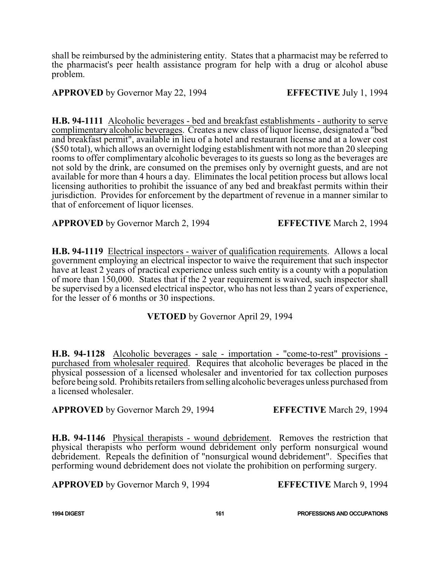shall be reimbursed by the administering entity. States that a pharmacist may be referred to the pharmacist's peer health assistance program for help with a drug or alcohol abuse problem.

**APPROVED** by Governor May 22, 1994 **EFFECTIVE** July 1, 1994

**H.B. 94-1111** Alcoholic beverages - bed and breakfast establishments - authority to serve complimentary alcoholic beverages. Creates a new class of liquor license, designated a "bed and breakfast permit", available in lieu of a hotel and restaurant license and at a lower cost (\$50 total), which allows an overnight lodging establishment with not more than 20 sleeping rooms to offer complimentary alcoholic beverages to its guests so long as the beverages are not sold by the drink, are consumed on the premises only by overnight guests, and are not available for more than 4 hours a day. Eliminates the local petition process but allows local licensing authorities to prohibit the issuance of any bed and breakfast permits within their jurisdiction. Provides for enforcement by the department of revenue in a manner similar to that of enforcement of liquor licenses.

**APPROVED** by Governor March 2, 1994 **EFFECTIVE** March 2, 1994

**H.B. 94-1119** Electrical inspectors - waiver of qualification requirements. Allows a local government employing an electrical inspector to waive the requirement that such inspector have at least 2 years of practical experience unless such entity is a county with a population of more than 150,000. States that if the 2 year requirement is waived, such inspector shall be supervised by a licensed electrical inspector, who has not less than 2 years of experience, for the lesser of 6 months or 30 inspections.

**VETOED** by Governor April 29, 1994

**H.B. 94-1128** Alcoholic beverages - sale - importation - "come-to-rest" provisions purchased from wholesaler required. Requires that alcoholic beverages be placed in the physical possession of a licensed wholesaler and inventoried for tax collection purposes before being sold. Prohibits retailers fromselling alcoholic beverages unless purchased from a licensed wholesaler.

**APPROVED** by Governor March 29, 1994 **EFFECTIVE** March 29, 1994

**H.B. 94-1146** Physical therapists - wound debridement. Removes the restriction that physical therapists who perform wound debridement only perform nonsurgical wound debridement. Repeals the definition of "nonsurgical wound debridement". Specifies that performing wound debridement does not violate the prohibition on performing surgery.

**APPROVED** by Governor March 9, 1994 **EFFECTIVE** March 9, 1994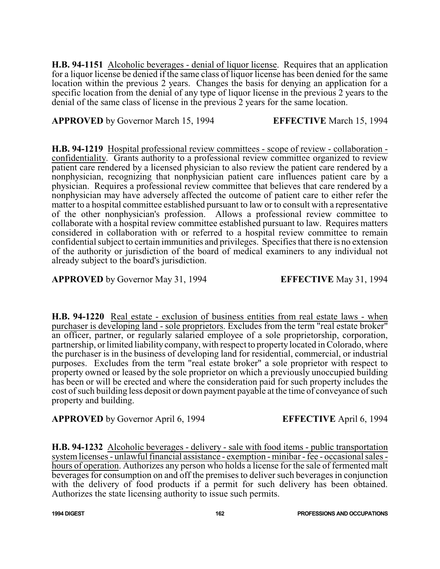**H.B. 94-1151** Alcoholic beverages - denial of liquor license. Requires that an application for a liquor license be denied if the same class of liquor license has been denied for the same location within the previous 2 years. Changes the basis for denying an application for a specific location from the denial of any type of liquor license in the previous 2 years to the denial of the same class of license in the previous 2 years for the same location.

**APPROVED** by Governor March 15, 1994 **EFFECTIVE** March 15, 1994

**H.B. 94-1219** Hospital professional review committees - scope of review - collaboration confidentiality. Grants authority to a professional review committee organized to review patient care rendered by a licensed physician to also review the patient care rendered by a nonphysician, recognizing that nonphysician patient care influences patient care by a physician. Requires a professional review committee that believes that care rendered by a nonphysician may have adversely affected the outcome of patient care to either refer the matter to a hospital committee established pursuant to law or to consult with a representative of the other nonphysician's profession. Allows a professional review committee to collaborate with a hospital review committee established pursuant to law. Requires matters considered in collaboration with or referred to a hospital review committee to remain confidential subject to certain immunities and privileges. Specifies that there is no extension of the authority or jurisdiction of the board of medical examiners to any individual not already subject to the board's jurisdiction.

**APPROVED** by Governor May 31, 1994 **EFFECTIVE** May 31, 1994

**H.B. 94-1220** Real estate - exclusion of business entities from real estate laws - when purchaser is developing land - sole proprietors. Excludes from the term "real estate broker" an officer, partner, or regularly salaried employee of a sole proprietorship, corporation, partnership, or limited liability company, with respect to property located in Colorado, where the purchaser is in the business of developing land for residential, commercial, or industrial purposes. Excludes from the term "real estate broker" a sole proprietor with respect to property owned or leased by the sole proprietor on which a previously unoccupied building has been or will be erected and where the consideration paid for such property includes the cost of such building less deposit or down payment payable at the time of conveyance of such property and building.

**APPROVED** by Governor April 6, 1994 **EFFECTIVE** April 6, 1994

**H.B. 94-1232** Alcoholic beverages - delivery - sale with food items - public transportation system licenses - unlawful financial assistance - exemption - minibar - fee - occasional sales hours of operation. Authorizes any person who holds a license for the sale of fermented malt beverages for consumption on and off the premises to deliver such beverages in conjunction with the delivery of food products if a permit for such delivery has been obtained. Authorizes the state licensing authority to issue such permits.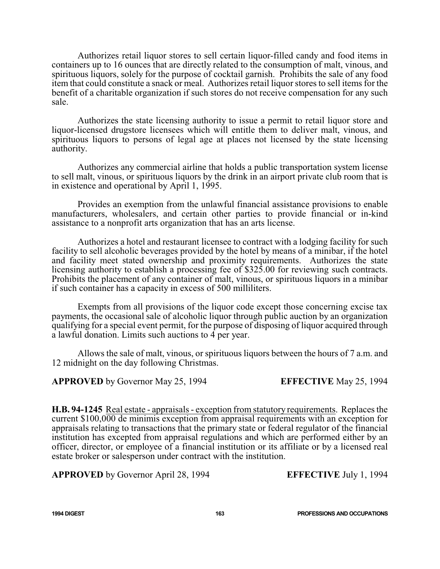Authorizes retail liquor stores to sell certain liquor-filled candy and food items in containers up to 16 ounces that are directly related to the consumption of malt, vinous, and spirituous liquors, solely for the purpose of cocktail garnish. Prohibits the sale of any food item that could constitute a snack or meal. Authorizes retail liquor stores to sell items for the benefit of a charitable organization if such stores do not receive compensation for any such sale.

Authorizes the state licensing authority to issue a permit to retail liquor store and liquor-licensed drugstore licensees which will entitle them to deliver malt, vinous, and spirituous liquors to persons of legal age at places not licensed by the state licensing authority.

Authorizes any commercial airline that holds a public transportation system license to sell malt, vinous, or spirituous liquors by the drink in an airport private club room that is in existence and operational by April 1, 1995.

Provides an exemption from the unlawful financial assistance provisions to enable manufacturers, wholesalers, and certain other parties to provide financial or in-kind assistance to a nonprofit arts organization that has an arts license.

Authorizes a hotel and restaurant licensee to contract with a lodging facility for such facility to sell alcoholic beverages provided by the hotel by means of a minibar, if the hotel and facility meet stated ownership and proximity requirements. Authorizes the state licensing authority to establish a processing fee of \$325.00 for reviewing such contracts. Prohibits the placement of any container of malt, vinous, or spirituous liquors in a minibar if such container has a capacity in excess of 500 milliliters.

Exempts from all provisions of the liquor code except those concerning excise tax payments, the occasional sale of alcoholic liquor through public auction by an organization qualifying for a special event permit, for the purpose of disposing of liquor acquired through a lawful donation. Limits such auctions to 4 per year.

Allows the sale of malt, vinous, or spirituous liquors between the hours of 7 a.m. and 12 midnight on the day following Christmas.

**APPROVED** by Governor May 25, 1994 **EFFECTIVE** May 25, 1994

**H.B. 94-1245** Real estate - appraisals - exception from statutory requirements. Replaces the current \$100,000 de minimis exception from appraisal requirements with an exception for appraisals relating to transactions that the primary state or federal regulator of the financial institution has excepted from appraisal regulations and which are performed either by an officer, director, or employee of a financial institution or its affiliate or by a licensed real estate broker or salesperson under contract with the institution.

**APPROVED** by Governor April 28, 1994 **EFFECTIVE** July 1, 1994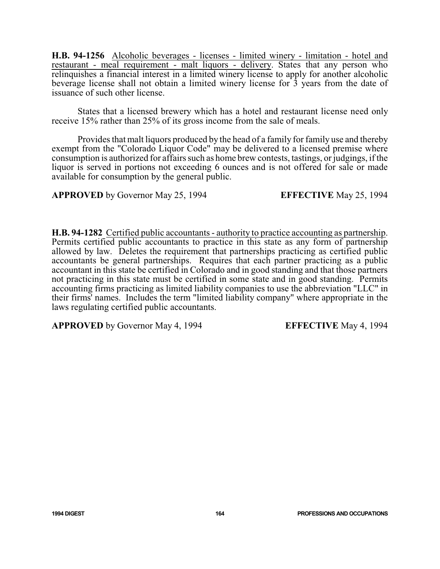**H.B. 94-1256** Alcoholic beverages - licenses - limited winery - limitation - hotel and restaurant - meal requirement - malt liquors - delivery. States that any person who relinquishes a financial interest in a limited winery license to apply for another alcoholic beverage license shall not obtain a limited winery license for 3 years from the date of issuance of such other license.

States that a licensed brewery which has a hotel and restaurant license need only receive 15% rather than 25% of its gross income from the sale of meals.

Provides that malt liquors produced by the head of a family for family use and thereby exempt from the "Colorado Liquor Code" may be delivered to a licensed premise where consumption is authorized for affairs such as home brew contests, tastings, or judgings, if the liquor is served in portions not exceeding 6 ounces and is not offered for sale or made available for consumption by the general public.

**APPROVED** by Governor May 25, 1994 **EFFECTIVE** May 25, 1994

**H.B. 94-1282** Certified public accountants - authority to practice accounting as partnership. Permits certified public accountants to practice in this state as any form of partnership allowed by law. Deletes the requirement that partnerships practicing as certified public accountants be general partnerships. Requires that each partner practicing as a public accountant in this state be certified in Colorado and in good standing and that those partners not practicing in this state must be certified in some state and in good standing. Permits accounting firms practicing as limited liability companies to use the abbreviation "LLC" in their firms' names. Includes the term "limited liability company" where appropriate in the laws regulating certified public accountants.

**APPROVED** by Governor May 4, 1994 **EFFECTIVE** May 4, 1994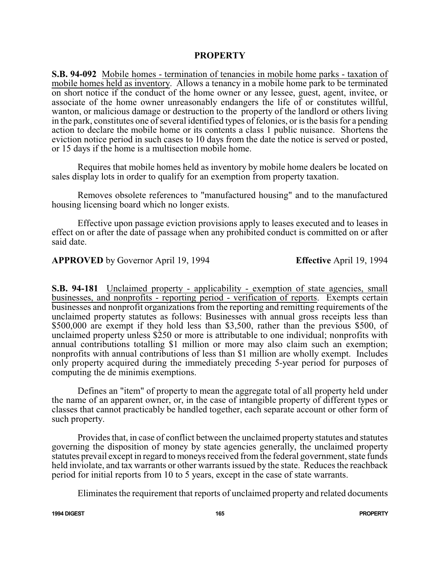## **PROPERTY**

**S.B. 94-092** Mobile homes - termination of tenancies in mobile home parks - taxation of mobile homes held as inventory. Allows a tenancy in a mobile home park to be terminated on short notice if the conduct of the home owner or any lessee, guest, agent, invitee, or associate of the home owner unreasonably endangers the life of or constitutes willful, wanton, or malicious damage or destruction to the property of the landlord or others living in the park, constitutes one of several identified types of felonies, or is the basis for a pending action to declare the mobile home or its contents a class 1 public nuisance. Shortens the eviction notice period in such cases to 10 days from the date the notice is served or posted, or 15 days if the home is a multisection mobile home.

Requires that mobile homes held as inventory by mobile home dealers be located on sales display lots in order to qualify for an exemption from property taxation.

Removes obsolete references to "manufactured housing" and to the manufactured housing licensing board which no longer exists.

Effective upon passage eviction provisions apply to leases executed and to leases in effect on or after the date of passage when any prohibited conduct is committed on or after said date.

**APPROVED** by Governor April 19, 1994 **Effective** April 19, 1994

**S.B. 94-181** Unclaimed property - applicability - exemption of state agencies, small businesses, and nonprofits - reporting period - verification of reports. Exempts certain businesses and nonprofit organizations from the reporting and remitting requirements of the unclaimed property statutes as follows: Businesses with annual gross receipts less than \$500,000 are exempt if they hold less than \$3,500, rather than the previous \$500, of unclaimed property unless \$250 or more is attributable to one individual; nonprofits with annual contributions totalling \$1 million or more may also claim such an exemption; nonprofits with annual contributions of less than \$1 million are wholly exempt. Includes only property acquired during the immediately preceding 5-year period for purposes of computing the de minimis exemptions.

Defines an "item" of property to mean the aggregate total of all property held under the name of an apparent owner, or, in the case of intangible property of different types or classes that cannot practicably be handled together, each separate account or other form of such property.

Provides that, in case of conflict between the unclaimed property statutes and statutes governing the disposition of money by state agencies generally, the unclaimed property statutes prevail except in regard to moneys received from the federal government, state funds held inviolate, and tax warrants or other warrants issued by the state. Reduces the reachback period for initial reports from 10 to 5 years, except in the case of state warrants.

Eliminates the requirement that reports of unclaimed property and related documents

**1994 DIGEST 165 PROPERTY**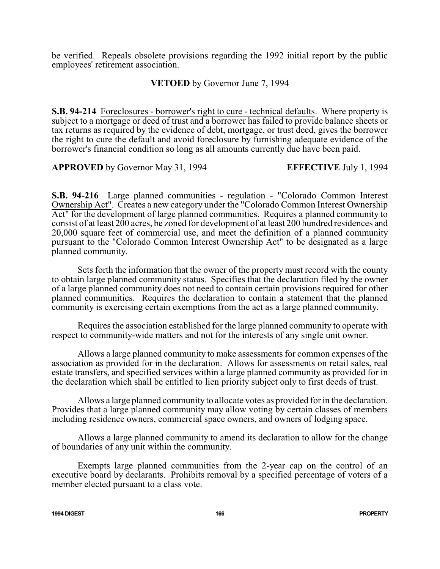be verified. Repeals obsolete provisions regarding the 1992 initial report by the public employees' retirement association.

**VETOED** by Governor June 7, 1994

**S.B. 94-214** Foreclosures - borrower's right to cure - technical defaults. Where property is subject to a mortgage or deed of trust and a borrower has failed to provide balance sheets or tax returns as required by the evidence of debt, mortgage, or trust deed, gives the borrower the right to cure the default and avoid foreclosure by furnishing adequate evidence of the borrower's financial condition so long as all amounts currently due have been paid.

**APPROVED** by Governor May 31, 1994 **EFFECTIVE** July 1, 1994

**S.B. 94-216** Large planned communities - regulation - "Colorado Common Interest Ownership Act". Creates a new category under the "Colorado Common Interest Ownership Act" for the development of large planned communities. Requires a planned community to consist of at least 200 acres, be zoned for development of at least 200 hundred residences and 20,000 square feet of commercial use, and meet the definition of a planned community pursuant to the "Colorado Common Interest Ownership Act" to be designated as a large planned community.

Sets forth the information that the owner of the property must record with the county to obtain large planned community status. Specifies that the declaration filed by the owner of a large planned community does not need to contain certain provisions required for other planned communities. Requires the declaration to contain a statement that the planned community is exercising certain exemptions from the act as a large planned community.

Requires the association established for the large planned community to operate with respect to community-wide matters and not for the interests of any single unit owner.

Allows a large planned community to make assessments for common expenses of the association as provided for in the declaration. Allows for assessments on retail sales, real estate transfers, and specified services within a large planned community as provided for in the declaration which shall be entitled to lien priority subject only to first deeds of trust.

Allows a large planned community to allocate votes as provided for in the declaration. Provides that a large planned community may allow voting by certain classes of members including residence owners, commercial space owners, and owners of lodging space.

Allows a large planned community to amend its declaration to allow for the change of boundaries of any unit within the community.

Exempts large planned communities from the 2-year cap on the control of an executive board by declarants. Prohibits removal by a specified percentage of voters of a member elected pursuant to a class vote.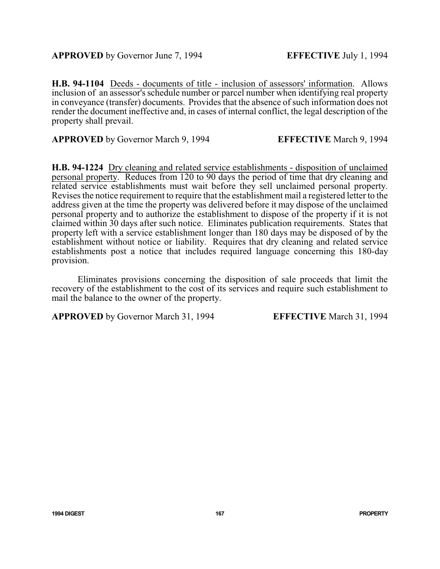**H.B. 94-1104** Deeds - documents of title - inclusion of assessors' information. Allows inclusion of an assessor's schedule number or parcel number when identifying real property in conveyance (transfer) documents. Provides that the absence of such information does not render the document ineffective and, in cases of internal conflict, the legal description of the property shall prevail.

**APPROVED** by Governor March 9, 1994 **EFFECTIVE** March 9, 1994

**H.B. 94-1224** Dry cleaning and related service establishments - disposition of unclaimed personal property. Reduces from 120 to 90 days the period of time that dry cleaning and related service establishments must wait before they sell unclaimed personal property. Revises the notice requirement to require that the establishment mail a registered letter to the address given at the time the property was delivered before it may dispose of the unclaimed personal property and to authorize the establishment to dispose of the property if it is not claimed within 30 days after such notice. Eliminates publication requirements. States that property left with a service establishment longer than 180 days may be disposed of by the establishment without notice or liability. Requires that dry cleaning and related service establishments post a notice that includes required language concerning this 180-day provision.

Eliminates provisions concerning the disposition of sale proceeds that limit the recovery of the establishment to the cost of its services and require such establishment to mail the balance to the owner of the property.

**APPROVED** by Governor March 31, 1994 **EFFECTIVE** March 31, 1994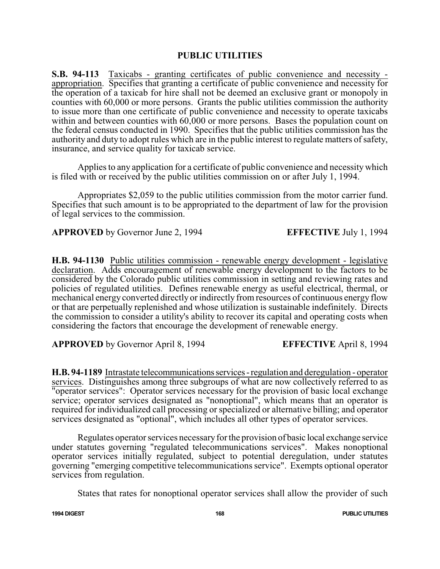# **PUBLIC UTILITIES**

**S.B. 94-113** Taxicabs - granting certificates of public convenience and necessity appropriation. Specifies that granting a certificate of public convenience and necessity for the operation of a taxicab for hire shall not be deemed an exclusive grant or monopoly in counties with 60,000 or more persons. Grants the public utilities commission the authority to issue more than one certificate of public convenience and necessity to operate taxicabs within and between counties with 60,000 or more persons. Bases the population count on the federal census conducted in 1990. Specifies that the public utilities commission has the authority and duty to adopt rules which are in the public interest to regulate matters of safety, insurance, and service quality for taxicab service.

Applies to any application for a certificate of public convenience and necessity which is filed with or received by the public utilities commission on or after July 1, 1994.

Appropriates \$2,059 to the public utilities commission from the motor carrier fund. Specifies that such amount is to be appropriated to the department of law for the provision of legal services to the commission.

**APPROVED** by Governor June 2, 1994 **EFFECTIVE** July 1, 1994

**H.B. 94-1130** Public utilities commission - renewable energy development - legislative declaration. Adds encouragement of renewable energy development to the factors to be considered by the Colorado public utilities commission in setting and reviewing rates and policies of regulated utilities. Defines renewable energy as useful electrical, thermal, or mechanical energy converted directly or indirectly from resources of continuous energy flow or that are perpetually replenished and whose utilization is sustainable indefinitely. Directs the commission to consider a utility's ability to recover its capital and operating costs when considering the factors that encourage the development of renewable energy.

**APPROVED** by Governor April 8, 1994 **EFFECTIVE** April 8, 1994

**H.B. 94-1189** Intrastate telecommunicationsservices-regulation and deregulation - operator services. Distinguishes among three subgroups of what are now collectively referred to as "operator services": Operator services necessary for the provision of basic local exchange service; operator services designated as "nonoptional", which means that an operator is required for individualized call processing or specialized or alternative billing; and operator services designated as "optional", which includes all other types of operator services.

Regulates operator services necessaryfor the provision of basic local exchange service under statutes governing "regulated telecommunications services". Makes nonoptional operator services initially regulated, subject to potential deregulation, under statutes governing "emerging competitive telecommunications service". Exempts optional operator services from regulation.

States that rates for nonoptional operator services shall allow the provider of such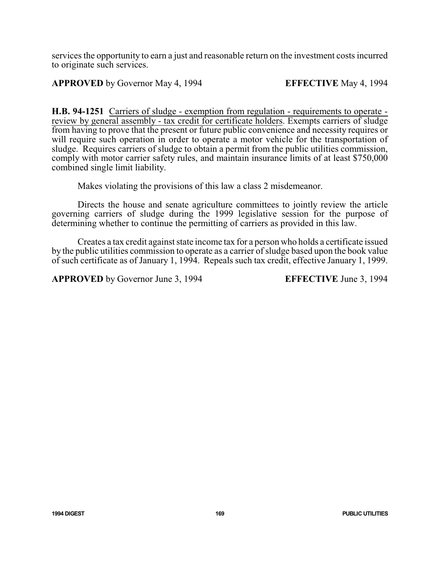services the opportunity to earn a just and reasonable return on the investment costs incurred to originate such services.

# **APPROVED** by Governor May 4, 1994 **EFFECTIVE** May 4, 1994

**H.B. 94-1251** Carriers of sludge - exemption from regulation - requirements to operate review by general assembly - tax credit for certificate holders. Exempts carriers of sludge from having to prove that the present or future public convenience and necessity requires or will require such operation in order to operate a motor vehicle for the transportation of sludge. Requires carriers of sludge to obtain a permit from the public utilities commission, comply with motor carrier safety rules, and maintain insurance limits of at least \$750,000 combined single limit liability.

Makes violating the provisions of this law a class 2 misdemeanor.

Directs the house and senate agriculture committees to jointly review the article governing carriers of sludge during the 1999 legislative session for the purpose of determining whether to continue the permitting of carriers as provided in this law.

Creates a tax credit against state income tax for a person who holds a certificate issued by the public utilities commission to operate as a carrier of sludge based upon the book value of such certificate as of January 1, 1994. Repeals such tax credit, effective January 1, 1999.

**APPROVED** by Governor June 3, 1994 **EFFECTIVE** June 3, 1994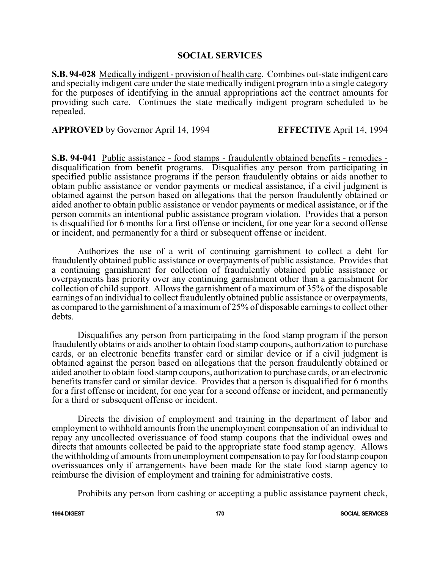### **SOCIAL SERVICES**

**S.B. 94-028** Medically indigent - provision of health care. Combines out-state indigent care and specialty indigent care under the state medically indigent program into a single category for the purposes of identifying in the annual appropriations act the contract amounts for providing such care. Continues the state medically indigent program scheduled to be repealed.

**APPROVED** by Governor April 14, 1994 **EFFECTIVE** April 14, 1994

**S.B. 94-041** Public assistance - food stamps - fraudulently obtained benefits - remedies disqualification from benefit programs. Disqualifies any person from participating in specified public assistance programs if the person fraudulently obtains or aids another to obtain public assistance or vendor payments or medical assistance, if a civil judgment is obtained against the person based on allegations that the person fraudulently obtained or aided another to obtain public assistance or vendor payments or medical assistance, or if the person commits an intentional public assistance program violation. Provides that a person is disqualified for 6 months for a first offense or incident, for one year for a second offense or incident, and permanently for a third or subsequent offense or incident.

Authorizes the use of a writ of continuing garnishment to collect a debt for fraudulently obtained public assistance or overpayments of public assistance. Provides that a continuing garnishment for collection of fraudulently obtained public assistance or overpayments has priority over any continuing garnishment other than a garnishment for collection of child support. Allows the garnishment of a maximum of 35% of the disposable earnings of an individual to collect fraudulently obtained public assistance or overpayments, as compared to the garnishment of a maximum of 25% of disposable earnings to collect other debts.

Disqualifies any person from participating in the food stamp program if the person fraudulently obtains or aids another to obtain food stamp coupons, authorization to purchase cards, or an electronic benefits transfer card or similar device or if a civil judgment is obtained against the person based on allegations that the person fraudulently obtained or aided another to obtain food stamp coupons, authorization to purchase cards, or an electronic benefits transfer card or similar device. Provides that a person is disqualified for 6 months for a first offense or incident, for one year for a second offense or incident, and permanently for a third or subsequent offense or incident.

Directs the division of employment and training in the department of labor and employment to withhold amounts from the unemployment compensation of an individual to repay any uncollected overissuance of food stamp coupons that the individual owes and directs that amounts collected be paid to the appropriate state food stamp agency. Allows the withholding of amounts fromunemployment compensation to pay for food stamp coupon overissuances only if arrangements have been made for the state food stamp agency to reimburse the division of employment and training for administrative costs.

Prohibits any person from cashing or accepting a public assistance payment check,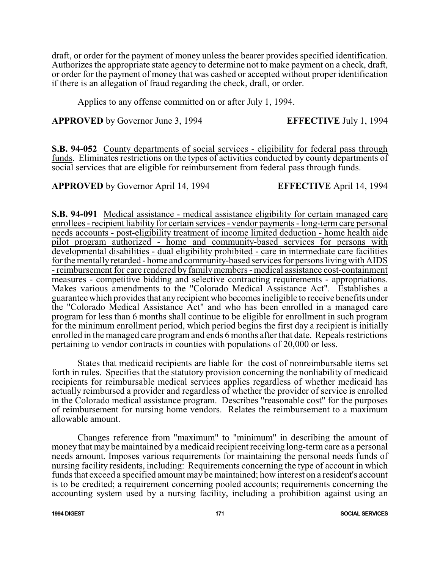draft, or order for the payment of money unless the bearer provides specified identification. Authorizes the appropriate state agency to determine not to make payment on a check, draft, or order for the payment of money that was cashed or accepted without proper identification if there is an allegation of fraud regarding the check, draft, or order.

Applies to any offense committed on or after July 1, 1994.

**APPROVED** by Governor June 3, 1994 **EFFECTIVE** July 1, 1994

**S.B. 94-052** County departments of social services - eligibility for federal pass through funds. Eliminates restrictions on the types of activities conducted by county departments of social services that are eligible for reimbursement from federal pass through funds.

**APPROVED** by Governor April 14, 1994 **EFFECTIVE** April 14, 1994

**S.B. 94-091** Medical assistance - medical assistance eligibility for certain managed care enrollees - recipient liability for certain services - vendor payments - long-term care personal needs accounts - post-eligibility treatment of income limited deduction - home health aide pilot program authorized - home and community-based services for persons with developmental disabilities - dual eligibility prohibited - care in intermediate care facilities for the mentally retarded - home and community-based services for persons living with AIDS - reimbursement for care rendered by familymembers - medical assistance cost-containment measures - competitive bidding and selective contracting requirements - appropriations. Makes various amendments to the "Colorado Medical Assistance Act". Establishes a guarantee which provides that anyrecipient who becomes ineligible to receive benefits under the "Colorado Medical Assistance Act" and who has been enrolled in a managed care program for less than 6 months shall continue to be eligible for enrollment in such program for the minimum enrollment period, which period begins the first day a recipient is initially enrolled in the managed care program and ends 6 months after that date. Repeals restrictions pertaining to vendor contracts in counties with populations of 20,000 or less.

States that medicaid recipients are liable for the cost of nonreimbursable items set forth in rules. Specifies that the statutory provision concerning the nonliability of medicaid recipients for reimbursable medical services applies regardless of whether medicaid has actually reimbursed a provider and regardless of whether the provider of service is enrolled in the Colorado medical assistance program. Describes "reasonable cost" for the purposes of reimbursement for nursing home vendors. Relates the reimbursement to a maximum allowable amount.

Changes reference from "maximum" to "minimum" in describing the amount of money that may be maintained by a medicaid recipient receiving long-termcare as a personal needs amount. Imposes various requirements for maintaining the personal needs funds of nursing facility residents, including: Requirements concerning the type of account in which funds that exceed a specified amount may be maintained; how interest on a resident's account is to be credited; a requirement concerning pooled accounts; requirements concerning the accounting system used by a nursing facility, including a prohibition against using an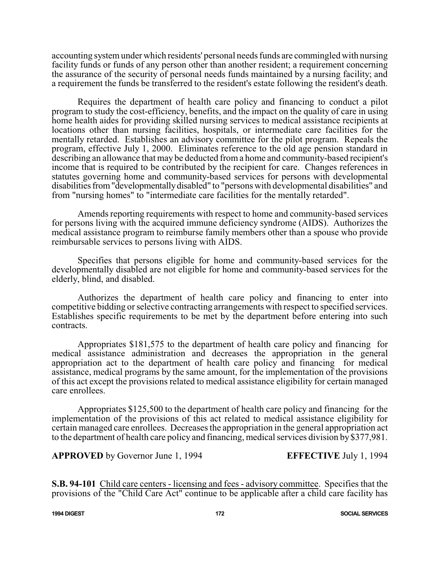accounting systemunder which residents' personal needs funds are commingled with nursing facility funds or funds of any person other than another resident; a requirement concerning the assurance of the security of personal needs funds maintained by a nursing facility; and a requirement the funds be transferred to the resident's estate following the resident's death.

Requires the department of health care policy and financing to conduct a pilot program to study the cost-efficiency, benefits, and the impact on the quality of care in using home health aides for providing skilled nursing services to medical assistance recipients at locations other than nursing facilities, hospitals, or intermediate care facilities for the mentally retarded. Establishes an advisory committee for the pilot program. Repeals the program, effective July 1, 2000. Eliminates reference to the old age pension standard in describing an allowance that may be deducted froma home and community-based recipient's income that is required to be contributed by the recipient for care. Changes references in statutes governing home and community-based services for persons with developmental disabilitiesfrom"developmentallydisabled" to "persons with developmental disabilities" and from "nursing homes" to "intermediate care facilities for the mentally retarded".

Amends reporting requirements with respect to home and community-based services for persons living with the acquired immune deficiency syndrome (AIDS). Authorizes the medical assistance program to reimburse family members other than a spouse who provide reimbursable services to persons living with AIDS.

Specifies that persons eligible for home and community-based services for the developmentally disabled are not eligible for home and community-based services for the elderly, blind, and disabled.

Authorizes the department of health care policy and financing to enter into competitive bidding or selective contracting arrangements with respect to specified services. Establishes specific requirements to be met by the department before entering into such contracts.

Appropriates \$181,575 to the department of health care policy and financing for medical assistance administration and decreases the appropriation in the general appropriation act to the department of health care policy and financing for medical assistance, medical programs by the same amount, for the implementation of the provisions of this act except the provisions related to medical assistance eligibility for certain managed care enrollees.

Appropriates \$125,500 to the department of health care policy and financing for the implementation of the provisions of this act related to medical assistance eligibility for certain managed care enrollees. Decreases the appropriation in the general appropriation act to the department of health care policy and financing, medical services division by \$377,981.

**APPROVED** by Governor June 1, 1994 **EFFECTIVE** July 1, 1994

**S.B. 94-101** Child care centers - licensing and fees - advisory committee. Specifies that the provisions of the "Child Care Act" continue to be applicable after a child care facility has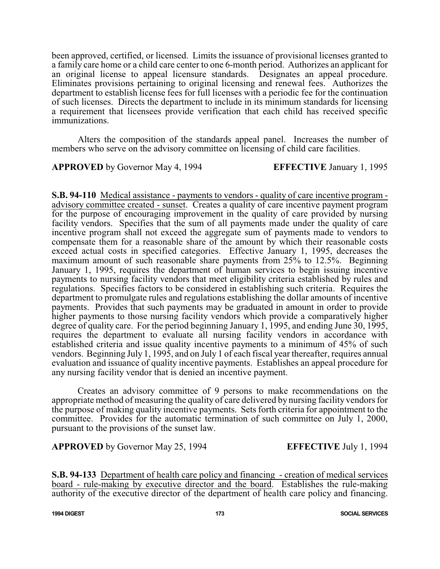been approved, certified, or licensed. Limits the issuance of provisional licenses granted to a family care home or a child care center to one 6-month period. Authorizes an applicant for an original license to appeal licensure standards. Designates an appeal procedure. Eliminates provisions pertaining to original licensing and renewal fees. Authorizes the department to establish license fees for full licenses with a periodic fee for the continuation of such licenses. Directs the department to include in its minimum standards for licensing a requirement that licensees provide verification that each child has received specific immunizations.

Alters the composition of the standards appeal panel. Increases the number of members who serve on the advisory committee on licensing of child care facilities.

**APPROVED** by Governor May 4, 1994 **EFFECTIVE** January 1, 1995

**S.B. 94-110** Medical assistance - payments to vendors - quality of care incentive program advisory committee created - sunset. Creates a quality of care incentive payment program for the purpose of encouraging improvement in the quality of care provided by nursing facility vendors. Specifies that the sum of all payments made under the quality of care incentive program shall not exceed the aggregate sum of payments made to vendors to compensate them for a reasonable share of the amount by which their reasonable costs exceed actual costs in specified categories. Effective January 1, 1995, decreases the maximum amount of such reasonable share payments from 25% to 12.5%. Beginning January 1, 1995, requires the department of human services to begin issuing incentive payments to nursing facility vendors that meet eligibility criteria established by rules and regulations. Specifies factors to be considered in establishing such criteria. Requires the department to promulgate rules and regulations establishing the dollar amounts of incentive payments. Provides that such payments may be graduated in amount in order to provide higher payments to those nursing facility vendors which provide a comparatively higher degree of quality care. For the period beginning January 1, 1995, and ending June 30, 1995, requires the department to evaluate all nursing facility vendors in accordance with established criteria and issue quality incentive payments to a minimum of 45% of such vendors. Beginning July 1, 1995, and on July 1 of each fiscal year thereafter, requires annual evaluation and issuance of quality incentive payments. Establishes an appeal procedure for any nursing facility vendor that is denied an incentive payment.

Creates an advisory committee of 9 persons to make recommendations on the appropriate method of measuring the quality of care delivered by nursing facility vendors for the purpose of making quality incentive payments. Sets forth criteria for appointment to the committee. Provides for the automatic termination of such committee on July 1, 2000, pursuant to the provisions of the sunset law.

**APPROVED** by Governor May 25, 1994 **EFFECTIVE** July 1, 1994

**S.B. 94-133** Department of health care policy and financing - creation of medical services board - rule-making by executive director and the board. Establishes the rule-making authority of the executive director of the department of health care policy and financing.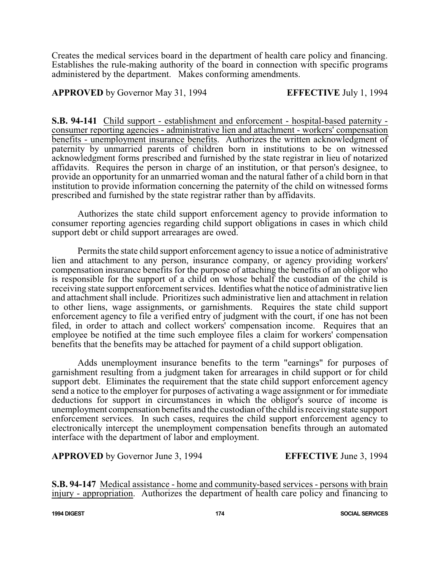Creates the medical services board in the department of health care policy and financing. Establishes the rule-making authority of the board in connection with specific programs administered by the department. Makes conforming amendments.

## **APPROVED** by Governor May 31, 1994 **EFFECTIVE** July 1, 1994

**S.B. 94-141** Child support - establishment and enforcement - hospital-based paternity consumer reporting agencies - administrative lien and attachment - workers' compensation benefits - unemployment insurance benefits. Authorizes the written acknowledgment of paternity by unmarried parents of children born in institutions to be on witnessed acknowledgment forms prescribed and furnished by the state registrar in lieu of notarized affidavits. Requires the person in charge of an institution, or that person's designee, to provide an opportunity for an unmarried woman and the natural father of a child born in that institution to provide information concerning the paternity of the child on witnessed forms prescribed and furnished by the state registrar rather than by affidavits.

Authorizes the state child support enforcement agency to provide information to consumer reporting agencies regarding child support obligations in cases in which child support debt or child support arrearages are owed.

Permits the state child support enforcement agency to issue a notice of administrative lien and attachment to any person, insurance company, or agency providing workers' compensation insurance benefits for the purpose of attaching the benefits of an obligor who is responsible for the support of a child on whose behalf the custodian of the child is receiving state support enforcement services. Identifieswhatthe notice of administrative lien and attachment shall include. Prioritizes such administrative lien and attachment in relation to other liens, wage assignments, or garnishments. Requires the state child support enforcement agency to file a verified entry of judgment with the court, if one has not been filed, in order to attach and collect workers' compensation income. Requires that an employee be notified at the time such employee files a claim for workers' compensation benefits that the benefits may be attached for payment of a child support obligation.

Adds unemployment insurance benefits to the term "earnings" for purposes of garnishment resulting from a judgment taken for arrearages in child support or for child support debt. Eliminates the requirement that the state child support enforcement agency send a notice to the employer for purposes of activating a wage assignment or for immediate deductions for support in circumstances in which the obligor's source of income is unemployment compensation benefits and the custodian of the child is receiving state support enforcement services. In such cases, requires the child support enforcement agency to electronically intercept the unemployment compensation benefits through an automated interface with the department of labor and employment.

**APPROVED** by Governor June 3, 1994 **EFFECTIVE** June 3, 1994

**S.B. 94-147** Medical assistance - home and community-based services - persons with brain injury - appropriation. Authorizes the department of health care policy and financing to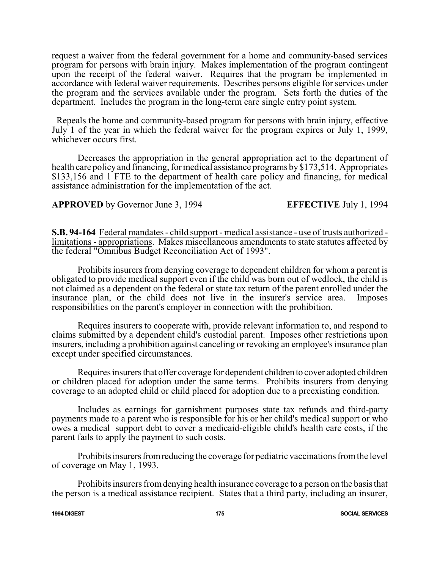request a waiver from the federal government for a home and community-based services program for persons with brain injury. Makes implementation of the program contingent upon the receipt of the federal waiver. Requires that the program be implemented in accordance with federal waiver requirements. Describes persons eligible for services under the program and the services available under the program. Sets forth the duties of the department. Includes the program in the long-term care single entry point system.

Repeals the home and community-based program for persons with brain injury, effective July 1 of the year in which the federal waiver for the program expires or July 1, 1999, whichever occurs first.

Decreases the appropriation in the general appropriation act to the department of health care policy and financing, for medical assistance programs by \$173,514. Appropriates \$133,156 and 1 FTE to the department of health care policy and financing, for medical assistance administration for the implementation of the act.

# **APPROVED** by Governor June 3, 1994 **EFFECTIVE** July 1, 1994

**S.B. 94-164** Federal mandates - child support - medical assistance - use of trusts authorized limitations - appropriations. Makes miscellaneous amendments to state statutes affected by the federal "Omnibus Budget Reconciliation Act of 1993".

Prohibits insurers from denying coverage to dependent children for whom a parent is obligated to provide medical support even if the child was born out of wedlock, the child is not claimed as a dependent on the federal or state tax return of the parent enrolled under the insurance plan, or the child does not live in the insurer's service area. Imposes responsibilities on the parent's employer in connection with the prohibition.

Requires insurers to cooperate with, provide relevant information to, and respond to claims submitted by a dependent child's custodial parent. Imposes other restrictions upon insurers, including a prohibition against canceling or revoking an employee's insurance plan except under specified circumstances.

Requires insurers that offer coverage for dependent children to cover adopted children or children placed for adoption under the same terms. Prohibits insurers from denying coverage to an adopted child or child placed for adoption due to a preexisting condition.

Includes as earnings for garnishment purposes state tax refunds and third-party payments made to a parent who is responsible for his or her child's medical support or who owes a medical support debt to cover a medicaid-eligible child's health care costs, if the parent fails to apply the payment to such costs.

Prohibits insurers from reducing the coverage for pediatric vaccinations from the level of coverage on May 1, 1993.

Prohibits insurers fromdenying health insurance coverage to a person on the basis that the person is a medical assistance recipient. States that a third party, including an insurer,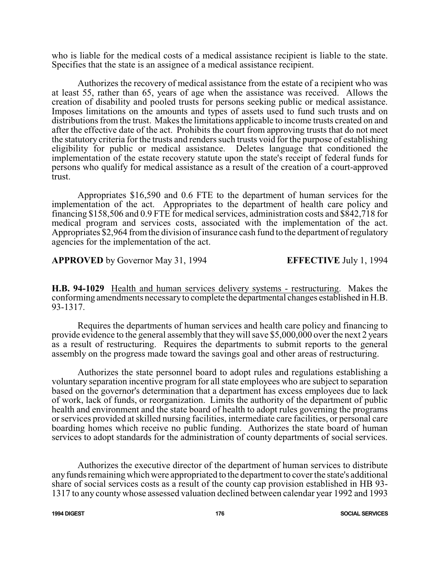who is liable for the medical costs of a medical assistance recipient is liable to the state. Specifies that the state is an assignee of a medical assistance recipient.

Authorizes the recovery of medical assistance from the estate of a recipient who was at least 55, rather than 65, years of age when the assistance was received. Allows the creation of disability and pooled trusts for persons seeking public or medical assistance. Imposes limitations on the amounts and types of assets used to fund such trusts and on distributions from the trust. Makes the limitations applicable to income trusts created on and after the effective date of the act. Prohibits the court from approving trusts that do not meet the statutory criteria for the trusts and renders such trusts void for the purpose of establishing eligibility for public or medical assistance. Deletes language that conditioned the implementation of the estate recovery statute upon the state's receipt of federal funds for persons who qualify for medical assistance as a result of the creation of a court-approved trust.

Appropriates \$16,590 and 0.6 FTE to the department of human services for the implementation of the act. Appropriates to the department of health care policy and financing \$158,506 and 0.9 FTE for medical services, administration costs and \$842,718 for medical program and services costs, associated with the implementation of the act. Appropriates \$2,964 fromthe division of insurance cash fund to the department ofregulatory agencies for the implementation of the act.

**APPROVED** by Governor May 31, 1994 **EFFECTIVE** July 1, 1994

**H.B. 94-1029** Health and human services delivery systems - restructuring. Makes the conforming amendments necessaryto complete the departmental changes established in H.B. 93-1317.

Requires the departments of human services and health care policy and financing to provide evidence to the general assembly that theywill save \$5,000,000 over the next 2 years as a result of restructuring. Requires the departments to submit reports to the general assembly on the progress made toward the savings goal and other areas of restructuring.

Authorizes the state personnel board to adopt rules and regulations establishing a voluntary separation incentive program for all state employees who are subject to separation based on the governor's determination that a department has excess employees due to lack of work, lack of funds, or reorganization. Limits the authority of the department of public health and environment and the state board of health to adopt rules governing the programs or services provided at skilled nursing facilities, intermediate care facilities, or personal care boarding homes which receive no public funding. Authorizes the state board of human services to adopt standards for the administration of county departments of social services.

Authorizes the executive director of the department of human services to distribute any funds remaining which were appropriated to the department to cover the state's additional share of social services costs as a result of the county cap provision established in HB 93- 1317 to any county whose assessed valuation declined between calendar year 1992 and 1993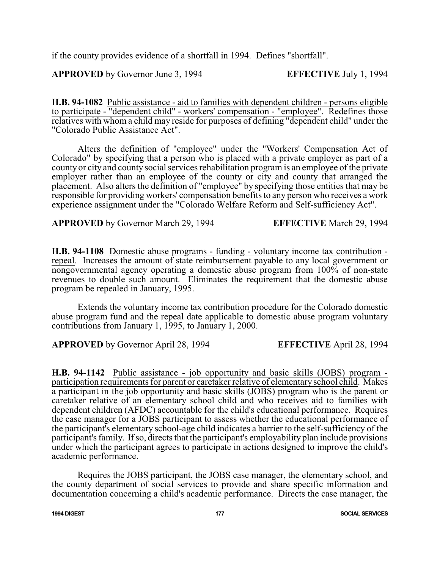if the county provides evidence of a shortfall in 1994. Defines "shortfall".

**APPROVED** by Governor June 3, 1994 **EFFECTIVE** July 1, 1994

**H.B. 94-1082** Public assistance - aid to families with dependent children - persons eligible to participate - "dependent child" - workers' compensation - "employee". Redefines those relatives with whom a child may reside for purposes of defining "dependent child" under the "Colorado Public Assistance Act".

Alters the definition of "employee" under the "Workers' Compensation Act of Colorado" by specifying that a person who is placed with a private employer as part of a county or city and county social services rehabilitation program is an employee of the private employer rather than an employee of the county or city and county that arranged the placement. Also alters the definition of "employee" by specifying those entities that may be responsible for providing workers' compensation benefits to any person who receives a work experience assignment under the "Colorado Welfare Reform and Self-sufficiency Act".

**APPROVED** by Governor March 29, 1994 **EFFECTIVE** March 29, 1994

**H.B. 94-1108** Domestic abuse programs - funding - voluntary income tax contribution repeal. Increases the amount of state reimbursement payable to any local government or nongovernmental agency operating a domestic abuse program from 100% of non-state revenues to double such amount. Eliminates the requirement that the domestic abuse program be repealed in January, 1995.

Extends the voluntary income tax contribution procedure for the Colorado domestic abuse program fund and the repeal date applicable to domestic abuse program voluntary contributions from January 1, 1995, to January 1, 2000.

**APPROVED** by Governor April 28, 1994 **EFFECTIVE** April 28, 1994

**H.B. 94-1142** Public assistance - job opportunity and basic skills (JOBS) program participation requirements for parent or caretaker relative of elementary school child. Makes a participant in the job opportunity and basic skills (JOBS) program who is the parent or caretaker relative of an elementary school child and who receives aid to families with dependent children (AFDC) accountable for the child's educational performance. Requires the case manager for a JOBS participant to assess whether the educational performance of the participant's elementary school-age child indicates a barrier to the self-sufficiency of the participant's family. Ifso, directs that the participant's employability plan include provisions under which the participant agrees to participate in actions designed to improve the child's academic performance.

Requires the JOBS participant, the JOBS case manager, the elementary school, and the county department of social services to provide and share specific information and documentation concerning a child's academic performance. Directs the case manager, the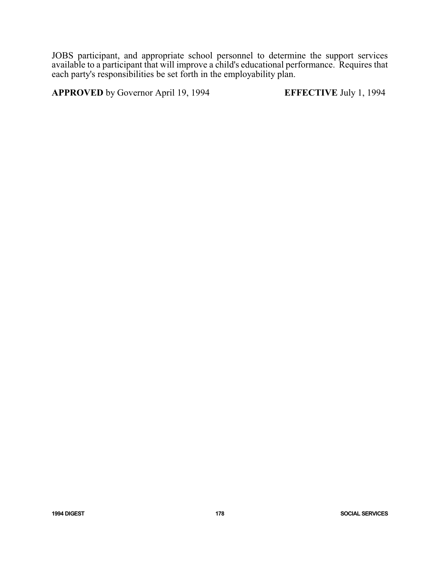JOBS participant, and appropriate school personnel to determine the support services available to a participant that will improve a child's educational performance. Requires that each party's responsibilities be set forth in the employability plan.

**APPROVED** by Governor April 19, 1994 **EFFECTIVE** July 1, 1994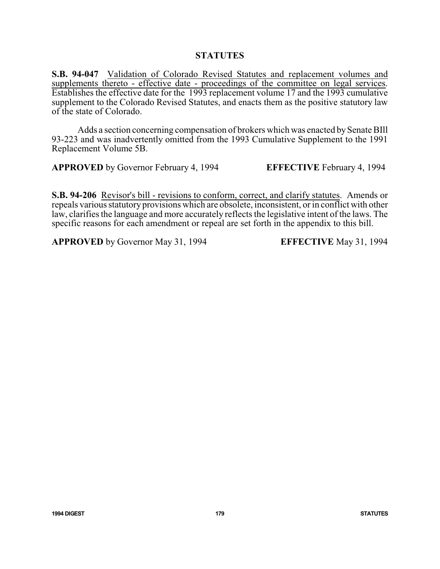# **STATUTES**

**S.B. 94-047** Validation of Colorado Revised Statutes and replacement volumes and supplements thereto - effective date - proceedings of the committee on legal services. Establishes the effective date for the 1993 replacement volume 17 and the 1993 cumulative supplement to the Colorado Revised Statutes, and enacts them as the positive statutory law of the state of Colorado.

Adds a section concerning compensation of brokers which was enacted by Senate BIII 93-223 and was inadvertently omitted from the 1993 Cumulative Supplement to the 1991 Replacement Volume 5B.

**APPROVED** by Governor February 4, 1994 **EFFECTIVE** February 4, 1994

**S.B. 94-206** Revisor's bill - revisions to conform, correct, and clarify statutes. Amends or repeals various statutory provisions which are obsolete, inconsistent, or in conflict with other law, clarifies the language and more accurately reflects the legislative intent of the laws. The specific reasons for each amendment or repeal are set forth in the appendix to this bill.

**APPROVED** by Governor May 31, 1994 **EFFECTIVE** May 31, 1994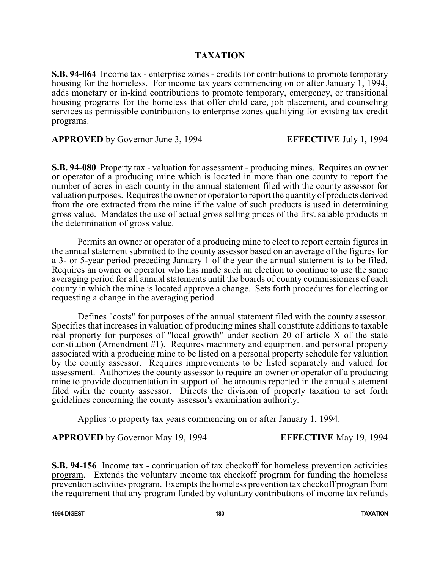## **TAXATION**

**S.B. 94-064** Income tax - enterprise zones - credits for contributions to promote temporary housing for the homeless. For income tax years commencing on or after January 1, 1994, adds monetary or in-kind contributions to promote temporary, emergency, or transitional housing programs for the homeless that offer child care, job placement, and counseling services as permissible contributions to enterprise zones qualifying for existing tax credit programs.

**APPROVED** by Governor June 3, 1994 **EFFECTIVE** July 1, 1994

**S.B. 94-080** Property tax - valuation for assessment - producing mines. Requires an owner or operator of a producing mine which is located in more than one county to report the number of acres in each county in the annual statement filed with the county assessor for valuation purposes. Requires the owner or operator to report the quantity of products derived from the ore extracted from the mine if the value of such products is used in determining gross value. Mandates the use of actual gross selling prices of the first salable products in the determination of gross value.

Permits an owner or operator of a producing mine to elect to report certain figures in the annual statement submitted to the county assessor based on an average of the figures for a 3- or 5-year period preceding January 1 of the year the annual statement is to be filed. Requires an owner or operator who has made such an election to continue to use the same averaging period for all annual statements until the boards of county commissioners of each county in which the mine is located approve a change. Sets forth procedures for electing or requesting a change in the averaging period.

Defines "costs" for purposes of the annual statement filed with the county assessor. Specifies that increases in valuation of producing mines shall constitute additions to taxable real property for purposes of "local growth" under section 20 of article X of the state constitution (Amendment #1). Requires machinery and equipment and personal property associated with a producing mine to be listed on a personal property schedule for valuation by the county assessor. Requires improvements to be listed separately and valued for assessment. Authorizes the county assessor to require an owner or operator of a producing mine to provide documentation in support of the amounts reported in the annual statement filed with the county assessor. Directs the division of property taxation to set forth guidelines concerning the county assessor's examination authority.

Applies to property tax years commencing on or after January 1, 1994.

**APPROVED** by Governor May 19, 1994 **EFFECTIVE** May 19, 1994

**S.B. 94-156** Income tax - continuation of tax checkoff for homeless prevention activities program. Extends the voluntary income tax checkoff program for funding the homeless prevention activities program. Exempts the homeless prevention tax checkoff program from the requirement that any program funded by voluntary contributions of income tax refunds

**1994 DIGEST 180 TAXATION**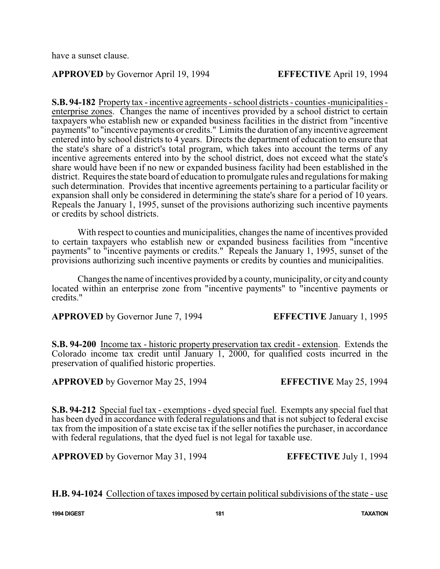have a sunset clause.

# **APPROVED** by Governor April 19, 1994 **EFFECTIVE** April 19, 1994

**S.B. 94-182** Property tax - incentive agreements - school districts - counties -municipalities enterprise zones. Changes the name of incentives provided by a school district to certain taxpayers who establish new or expanded business facilities in the district from "incentive payments" to "incentive payments or credits." Limits the duration of anyincentive agreement entered into by school districts to 4 years. Directs the department of education to ensure that the state's share of a district's total program, which takes into account the terms of any incentive agreements entered into by the school district, does not exceed what the state's share would have been if no new or expanded business facility had been established in the district. Requires the state board of education to promulgate rules and regulations for making such determination. Provides that incentive agreements pertaining to a particular facility or expansion shall only be considered in determining the state's share for a period of 10 years. Repeals the January 1, 1995, sunset of the provisions authorizing such incentive payments or credits by school districts.

With respect to counties and municipalities, changes the name of incentives provided to certain taxpayers who establish new or expanded business facilities from "incentive payments" to "incentive payments or credits." Repeals the January 1, 1995, sunset of the provisions authorizing such incentive payments or credits by counties and municipalities.

Changes the name of incentives provided by a county, municipality, or city and county located within an enterprise zone from "incentive payments" to "incentive payments or credits."

**APPROVED** by Governor June 7, 1994 **EFFECTIVE** January 1, 1995

**S.B. 94-200** Income tax - historic property preservation tax credit - extension. Extends the Colorado income tax credit until January 1, 2000, for qualified costs incurred in the

**APPROVED** by Governor May 25, 1994 **EFFECTIVE** May 25, 1994

preservation of qualified historic properties.

**S.B. 94-212** Special fuel tax - exemptions - dyed special fuel. Exempts any special fuel that has been dyed in accordance with federal regulations and that is not subject to federal excise tax from the imposition of a state excise tax if the seller notifies the purchaser, in accordance with federal regulations, that the dyed fuel is not legal for taxable use.

**APPROVED** by Governor May 31, 1994 **EFFECTIVE** July 1, 1994

**H.B. 94-1024** Collection of taxes imposed by certain political subdivisions of the state - use

**1994 DIGEST 181 TAXATION**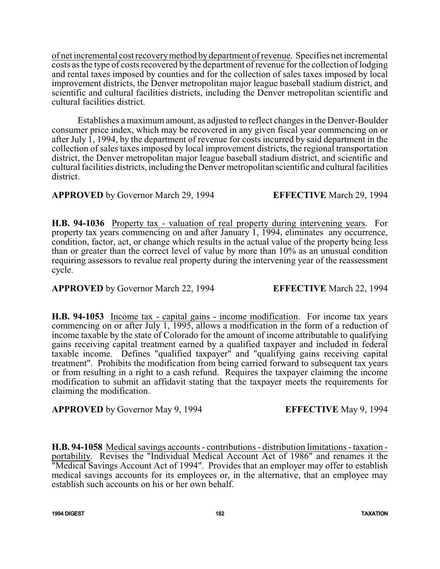of net incremental cost recoverymethod bydepartment ofrevenue. Specifies net incremental costs as the type of costs recovered by the department of revenue for the collection of lodging and rental taxes imposed by counties and for the collection of sales taxes imposed by local improvement districts, the Denver metropolitan major league baseball stadium district, and scientific and cultural facilities districts, including the Denver metropolitan scientific and cultural facilities district.

Establishes a maximum amount, as adjusted to reflect changes in the Denver-Boulder consumer price index, which may be recovered in any given fiscal year commencing on or after July 1, 1994, by the department of revenue for costs incurred by said department in the collection of sales taxes imposed by local improvement districts, the regional transportation district, the Denver metropolitan major league baseball stadium district, and scientific and cultural facilities districts, including the Denver metropolitan scientific and cultural facilities district.

**APPROVED** by Governor March 29, 1994 **EFFECTIVE** March 29, 1994

**H.B. 94-1036** Property tax - valuation of real property during intervening years. For property tax years commencing on and after January 1, 1994, eliminates any occurrence, condition, factor, act, or change which results in the actual value of the property being less than or greater than the correct level of value by more than 10% as an unusual condition requiring assessors to revalue real property during the intervening year of the reassessment cycle.

**APPROVED** by Governor March 22, 1994 **EFFECTIVE** March 22, 1994

**H.B. 94-1053** Income tax - capital gains - income modification. For income tax years commencing on or after July 1, 1995, allows a modification in the form of a reduction of income taxable by the state of Colorado for the amount of income attributable to qualifying gains receiving capital treatment earned by a qualified taxpayer and included in federal taxable income. Defines "qualified taxpayer" and "qualifying gains receiving capital treatment". Prohibits the modification from being carried forward to subsequent tax years or from resulting in a right to a cash refund. Requires the taxpayer claiming the income modification to submit an affidavit stating that the taxpayer meets the requirements for claiming the modification.

**APPROVED** by Governor May 9, 1994 **EFFECTIVE** May 9, 1994

**H.B. 94-1058** Medical savings accounts - contributions - distribution limitations - taxation portability. Revises the "Individual Medical Account Act of 1986" and renames it the "Medical Savings Account Act of 1994". Provides that an employer may offer to establish medical savings accounts for its employees or, in the alternative, that an employee may establish such accounts on his or her own behalf.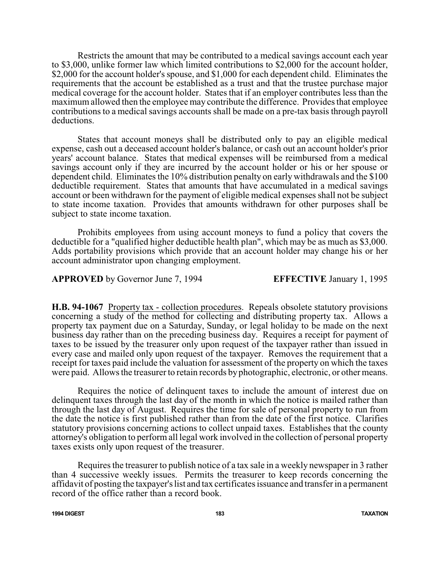Restricts the amount that may be contributed to a medical savings account each year to \$3,000, unlike former law which limited contributions to \$2,000 for the account holder, \$2,000 for the account holder's spouse, and \$1,000 for each dependent child. Eliminates the requirements that the account be established as a trust and that the trustee purchase major medical coverage for the account holder. States that if an employer contributes less than the maximum allowed then the employee may contribute the difference. Provides that employee contributions to a medical savings accounts shall be made on a pre-tax basis through payroll deductions.

States that account moneys shall be distributed only to pay an eligible medical expense, cash out a deceased account holder's balance, or cash out an account holder's prior years' account balance. States that medical expenses will be reimbursed from a medical savings account only if they are incurred by the account holder or his or her spouse or dependent child. Eliminates the 10% distribution penalty on early withdrawals and the \$100 deductible requirement. States that amounts that have accumulated in a medical savings account or been withdrawn for the payment of eligible medical expenses shall not be subject to state income taxation. Provides that amounts withdrawn for other purposes shall be subject to state income taxation.

Prohibits employees from using account moneys to fund a policy that covers the deductible for a "qualified higher deductible health plan", which may be as much as \$3,000. Adds portability provisions which provide that an account holder may change his or her account administrator upon changing employment.

**APPROVED** by Governor June 7, 1994 **EFFECTIVE** January 1, 1995

**H.B. 94-1067** Property tax - collection procedures. Repeals obsolete statutory provisions concerning a study of the method for collecting and distributing property tax. Allows a property tax payment due on a Saturday, Sunday, or legal holiday to be made on the next business day rather than on the preceding business day. Requires a receipt for payment of taxes to be issued by the treasurer only upon request of the taxpayer rather than issued in every case and mailed only upon request of the taxpayer. Removes the requirement that a receipt for taxes paid include the valuation for assessment of the property on which the taxes were paid. Allows the treasurer to retain records by photographic, electronic, or other means.

Requires the notice of delinquent taxes to include the amount of interest due on delinquent taxes through the last day of the month in which the notice is mailed rather than through the last day of August. Requires the time for sale of personal property to run from the date the notice is first published rather than from the date of the first notice. Clarifies statutory provisions concerning actions to collect unpaid taxes. Establishes that the county attorney's obligation to perform all legal work involved in the collection of personal property taxes exists only upon request of the treasurer.

Requires the treasurer to publish notice of a tax sale in a weekly newspaper in 3 rather than 4 successive weekly issues. Permits the treasurer to keep records concerning the affidavit of posting the taxpayer's list and tax certificates issuance and transfer in a permanent record of the office rather than a record book.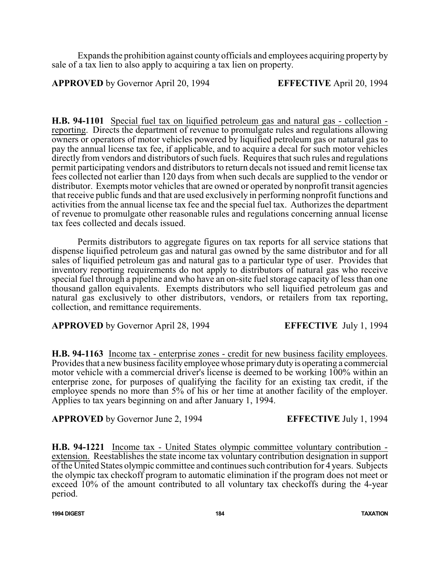Expands the prohibition against county officials and employees acquiring property by sale of a tax lien to also apply to acquiring a tax lien on property.

**APPROVED** by Governor April 20, 1994 **EFFECTIVE** April 20, 1994

**H.B. 94-1101** Special fuel tax on liquified petroleum gas and natural gas - collection reporting. Directs the department of revenue to promulgate rules and regulations allowing owners or operators of motor vehicles powered by liquified petroleum gas or natural gas to pay the annual license tax fee, if applicable, and to acquire a decal for such motor vehicles directly from vendors and distributors of such fuels. Requires that such rules and regulations permit participating vendors and distributors to return decals not issued and remit license tax fees collected not earlier than 120 days from when such decals are supplied to the vendor or distributor. Exempts motor vehicles that are owned or operated by nonprofit transit agencies that receive public funds and that are used exclusively in performing nonprofit functions and activities from the annual license tax fee and the special fuel tax. Authorizes the department of revenue to promulgate other reasonable rules and regulations concerning annual license tax fees collected and decals issued.

Permits distributors to aggregate figures on tax reports for all service stations that dispense liquified petroleum gas and natural gas owned by the same distributor and for all sales of liquified petroleum gas and natural gas to a particular type of user. Provides that inventory reporting requirements do not apply to distributors of natural gas who receive special fuel through a pipeline and who have an on-site fuel storage capacity of less than one thousand gallon equivalents. Exempts distributors who sell liquified petroleum gas and natural gas exclusively to other distributors, vendors, or retailers from tax reporting, collection, and remittance requirements.

**APPROVED** by Governor April 28, 1994 **EFFECTIVE** July 1, 1994

**H.B. 94-1163** Income tax - enterprise zones - credit for new business facility employees. Provides that a new business facility employee whose primary duty is operating a commercial motor vehicle with a commercial driver's license is deemed to be working 100% within an enterprise zone, for purposes of qualifying the facility for an existing tax credit, if the employee spends no more than 5% of his or her time at another facility of the employer. Applies to tax years beginning on and after January 1, 1994.

**APPROVED** by Governor June 2, 1994 **EFFECTIVE** July 1, 1994

**H.B. 94-1221** Income tax - United States olympic committee voluntary contribution extension. Reestablishes the state income tax voluntary contribution designation in support of the United States olympic committee and continues such contribution for 4 years. Subjects the olympic tax checkoff program to automatic elimination if the program does not meet or exceed 10% of the amount contributed to all voluntary tax checkoffs during the 4-year period.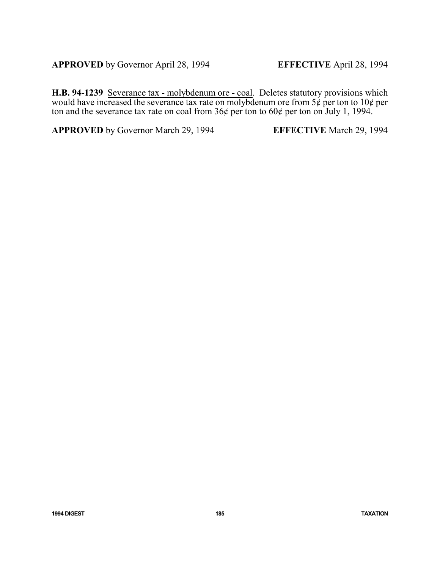**APPROVED** by Governor April 28, 1994 **EFFECTIVE** April 28, 1994

**H.B. 94-1239** Severance tax - molybdenum ore - coal. Deletes statutory provisions which would have increased the severance tax rate on molybdenum ore from  $5\phi$  per ton to  $10\phi$  per ton and the severance tax rate on coal from  $36¢$  per ton to  $60¢$  per ton on July 1, 1994.

**APPROVED** by Governor March 29, 1994 **EFFECTIVE** March 29, 1994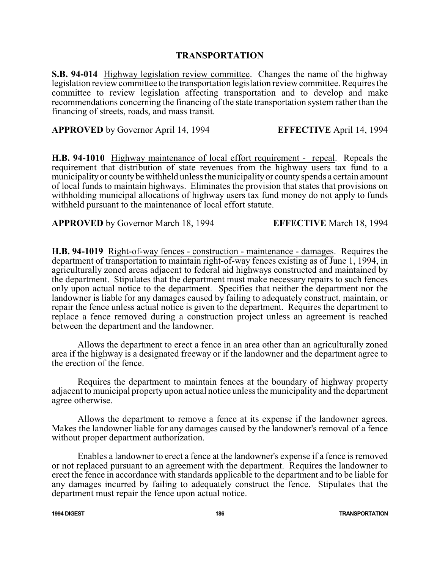#### **TRANSPORTATION**

**S.B. 94-014** Highway legislation review committee. Changes the name of the highway legislation review committee to the transportation legislation review committee. Requires the committee to review legislation affecting transportation and to develop and make recommendations concerning the financing of the state transportation system rather than the financing of streets, roads, and mass transit.

**APPROVED** by Governor April 14, 1994 **EFFECTIVE** April 14, 1994

**H.B. 94-1010** Highway maintenance of local effort requirement - repeal. Repeals the requirement that distribution of state revenues from the highway users tax fund to a municipalityor county be withheld unless the municipalityor countyspends a certain amount of local funds to maintain highways. Eliminates the provision that states that provisions on withholding municipal allocations of highway users tax fund money do not apply to funds withheld pursuant to the maintenance of local effort statute.

**APPROVED** by Governor March 18, 1994 **EFFECTIVE** March 18, 1994

**H.B. 94-1019** Right-of-way fences - construction - maintenance - damages. Requires the department of transportation to maintain right-of-way fences existing as of June 1, 1994, in agriculturally zoned areas adjacent to federal aid highways constructed and maintained by the department. Stipulates that the department must make necessary repairs to such fences only upon actual notice to the department. Specifies that neither the department nor the landowner is liable for any damages caused by failing to adequately construct, maintain, or repair the fence unless actual notice is given to the department. Requires the department to replace a fence removed during a construction project unless an agreement is reached between the department and the landowner.

 Allows the department to erect a fence in an area other than an agriculturally zoned area if the highway is a designated freeway or if the landowner and the department agree to the erection of the fence.

Requires the department to maintain fences at the boundary of highway property adjacent to municipal property upon actual notice unless the municipality and the department agree otherwise.

Allows the department to remove a fence at its expense if the landowner agrees. Makes the landowner liable for any damages caused by the landowner's removal of a fence without proper department authorization.

Enables a landowner to erect a fence at the landowner's expense if a fence is removed or not replaced pursuant to an agreement with the department. Requires the landowner to erect the fence in accordance with standards applicable to the department and to be liable for any damages incurred by failing to adequately construct the fence. Stipulates that the department must repair the fence upon actual notice.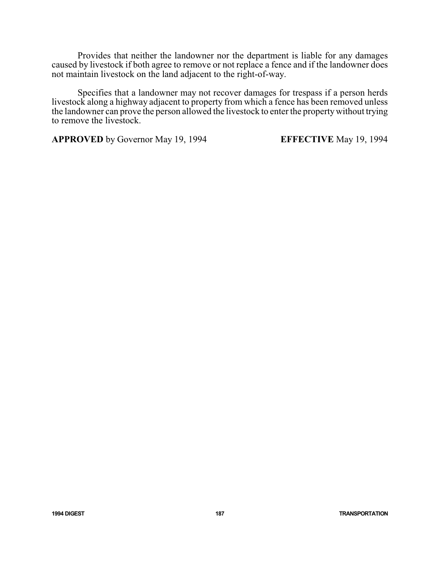Provides that neither the landowner nor the department is liable for any damages caused by livestock if both agree to remove or not replace a fence and if the landowner does not maintain livestock on the land adjacent to the right-of-way.

Specifies that a landowner may not recover damages for trespass if a person herds livestock along a highway adjacent to property from which a fence has been removed unless the landowner can prove the person allowed the livestock to enter the propertywithout trying to remove the livestock.

**APPROVED** by Governor May 19, 1994 **EFFECTIVE** May 19, 1994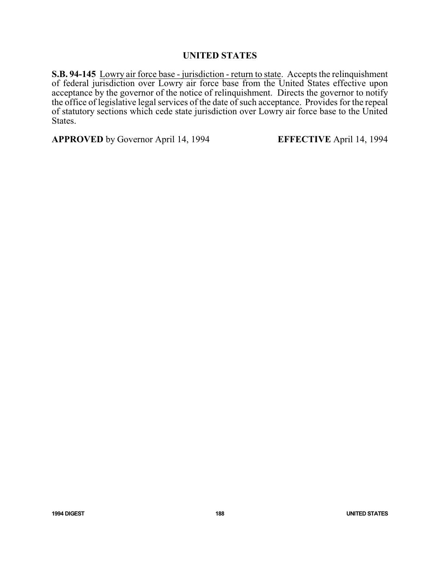#### **UNITED STATES**

**S.B. 94-145** Lowry air force base - jurisdiction - return to state. Accepts the relinquishment of federal jurisdiction over Lowry air force base from the United States effective upon acceptance by the governor of the notice of relinquishment. Directs the governor to notify the office of legislative legal services of the date of such acceptance. Provides for the repeal of statutory sections which cede state jurisdiction over Lowry air force base to the United States.

**APPROVED** by Governor April 14, 1994 **EFFECTIVE** April 14, 1994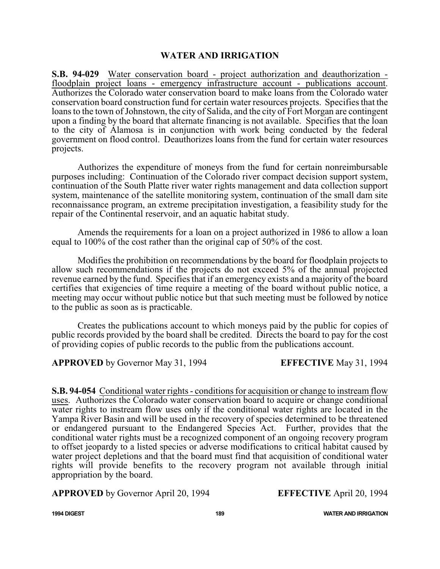### **WATER AND IRRIGATION**

**S.B. 94-029** Water conservation board - project authorization and deauthorization floodplain project loans - emergency infrastructure account - publications account. Authorizes the Colorado water conservation board to make loans from the Colorado water conservation board construction fund for certain water resources projects. Specifies that the loans to the town of Johnstown, the city of Salida, and the city of Fort Morgan are contingent upon a finding by the board that alternate financing is not available. Specifies that the loan to the city of Alamosa is in conjunction with work being conducted by the federal government on flood control. Deauthorizes loans from the fund for certain water resources projects.

Authorizes the expenditure of moneys from the fund for certain nonreimbursable purposes including: Continuation of the Colorado river compact decision support system, continuation of the South Platte river water rights management and data collection support system, maintenance of the satellite monitoring system, continuation of the small dam site reconnaissance program, an extreme precipitation investigation, a feasibility study for the repair of the Continental reservoir, and an aquatic habitat study.

Amends the requirements for a loan on a project authorized in 1986 to allow a loan equal to 100% of the cost rather than the original cap of 50% of the cost.

Modifies the prohibition on recommendations by the board for floodplain projects to allow such recommendations if the projects do not exceed 5% of the annual projected revenue earned by the fund. Specifies that if an emergency exists and a majority of the board certifies that exigencies of time require a meeting of the board without public notice, a meeting may occur without public notice but that such meeting must be followed by notice to the public as soon as is practicable.

Creates the publications account to which moneys paid by the public for copies of public records provided by the board shall be credited. Directs the board to pay for the cost of providing copies of public records to the public from the publications account.

**APPROVED** by Governor May 31, 1994 **EFFECTIVE** May 31, 1994

**S.B. 94-054** Conditional water rights - conditions for acquisition or change to instream flow uses. Authorizes the Colorado water conservation board to acquire or change conditional water rights to instream flow uses only if the conditional water rights are located in the Yampa River Basin and will be used in the recovery of species determined to be threatened or endangered pursuant to the Endangered Species Act. Further, provides that the conditional water rights must be a recognized component of an ongoing recovery program to offset jeopardy to a listed species or adverse modifications to critical habitat caused by water project depletions and that the board must find that acquisition of conditional water rights will provide benefits to the recovery program not available through initial appropriation by the board.

**APPROVED** by Governor April 20, 1994 **EFFECTIVE** April 20, 1994

**1994 DIGEST 189 WATER AND IRRIGATION**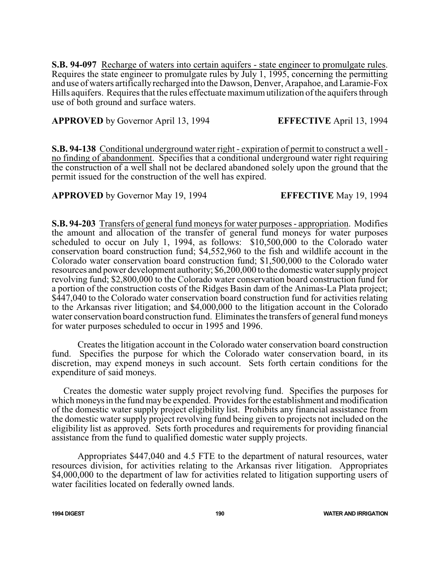**S.B. 94-097** Recharge of waters into certain aquifers - state engineer to promulgate rules. Requires the state engineer to promulgate rules by July 1, 1995, concerning the permitting and use of waters artificallyrecharged into the Dawson, Denver, Arapahoe, and Laramie-Fox Hills aquifers. Requires that the rules effectuate maximumutilization ofthe aquifers through use of both ground and surface waters.

**APPROVED** by Governor April 13, 1994 **EFFECTIVE** April 13, 1994

**S.B. 94-138** Conditional underground water right - expiration of permit to construct a well no finding of abandonment. Specifies that a conditional underground water right requiring the construction of a well shall not be declared abandoned solely upon the ground that the permit issued for the construction of the well has expired.

**APPROVED** by Governor May 19, 1994 **EFFECTIVE** May 19, 1994

**S.B. 94-203** Transfers of general fund moneys for water purposes - appropriation. Modifies the amount and allocation of the transfer of general fund moneys for water purposes scheduled to occur on July 1, 1994, as follows: \$10,500,000 to the Colorado water conservation board construction fund; \$4,552,960 to the fish and wildlife account in the Colorado water conservation board construction fund; \$1,500,000 to the Colorado water resources and power development authority; \$6,200,000 to the domestic water supplyproject revolving fund; \$2,800,000 to the Colorado water conservation board construction fund for a portion of the construction costs of the Ridges Basin dam of the Animas-La Plata project; \$447,040 to the Colorado water conservation board construction fund for activities relating to the Arkansas river litigation; and \$4,000,000 to the litigation account in the Colorado water conservation board construction fund. Eliminates the transfers of general fund moneys for water purposes scheduled to occur in 1995 and 1996.

Creates the litigation account in the Colorado water conservation board construction fund. Specifies the purpose for which the Colorado water conservation board, in its discretion, may expend moneys in such account. Sets forth certain conditions for the expenditure of said moneys.

Creates the domestic water supply project revolving fund. Specifies the purposes for which moneys in the fund may be expended. Provides for the establishment and modification of the domestic water supply project eligibility list. Prohibits any financial assistance from the domestic water supply project revolving fund being given to projects not included on the eligibility list as approved. Sets forth procedures and requirements for providing financial assistance from the fund to qualified domestic water supply projects.

Appropriates \$447,040 and 4.5 FTE to the department of natural resources, water resources division, for activities relating to the Arkansas river litigation. Appropriates \$4,000,000 to the department of law for activities related to litigation supporting users of water facilities located on federally owned lands.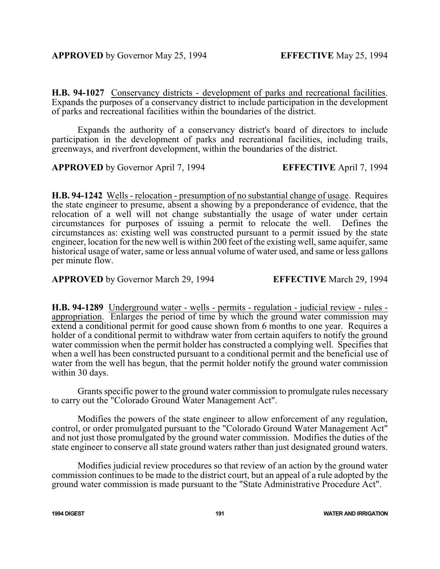**H.B. 94-1027** Conservancy districts - development of parks and recreational facilities. Expands the purposes of a conservancy district to include participation in the development of parks and recreational facilities within the boundaries of the district.

Expands the authority of a conservancy district's board of directors to include participation in the development of parks and recreational facilities, including trails, greenways, and riverfront development, within the boundaries of the district.

**APPROVED** by Governor April 7, 1994 **EFFECTIVE** April 7, 1994

**H.B. 94-1242** Wells - relocation - presumption of no substantial change of usage. Requires the state engineer to presume, absent a showing by a preponderance of evidence, that the relocation of a well will not change substantially the usage of water under certain circumstances for purposes of issuing a permit to relocate the well. Defines the circumstances as: existing well was constructed pursuant to a permit issued by the state engineer, location for the new well is within 200 feet of the existing well, same aquifer, same historical usage of water, same or less annual volume of water used, and same or less gallons per minute flow.

**APPROVED** by Governor March 29, 1994 **EFFECTIVE** March 29, 1994

**H.B. 94-1289** Underground water - wells - permits - regulation - judicial review - rules appropriation. Enlarges the period of time by which the ground water commission may extend a conditional permit for good cause shown from 6 months to one year. Requires a holder of a conditional permit to withdraw water from certain aquifers to notify the ground water commission when the permit holder has constructed a complying well. Specifies that when a well has been constructed pursuant to a conditional permit and the beneficial use of water from the well has begun, that the permit holder notify the ground water commission within 30 days.

Grants specific power to the ground water commission to promulgate rules necessary to carry out the "Colorado Ground Water Management Act".

Modifies the powers of the state engineer to allow enforcement of any regulation, control, or order promulgated pursuant to the "Colorado Ground Water Management Act" and not just those promulgated by the ground water commission. Modifies the duties of the state engineer to conserve all state ground waters rather than just designated ground waters.

Modifies judicial review procedures so that review of an action by the ground water commission continues to be made to the district court, but an appeal of a rule adopted by the ground water commission is made pursuant to the "State Administrative Procedure Act".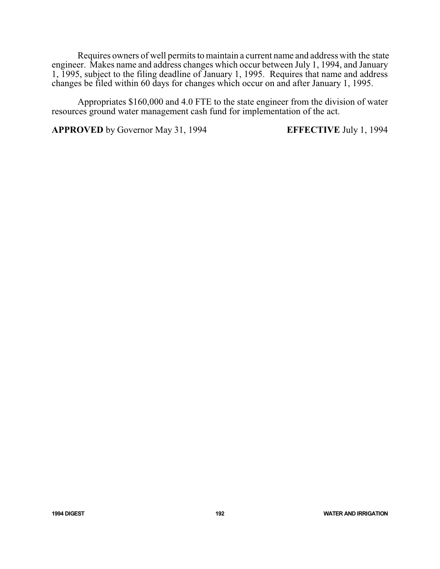Requires owners of well permits to maintain a current name and address with the state engineer. Makes name and address changes which occur between July 1, 1994, and January 1, 1995, subject to the filing deadline of January 1, 1995. Requires that name and address changes be filed within 60 days for changes which occur on and after January 1, 1995.

Appropriates \$160,000 and 4.0 FTE to the state engineer from the division of water resources ground water management cash fund for implementation of the act.

**APPROVED** by Governor May 31, 1994 **EFFECTIVE** July 1, 1994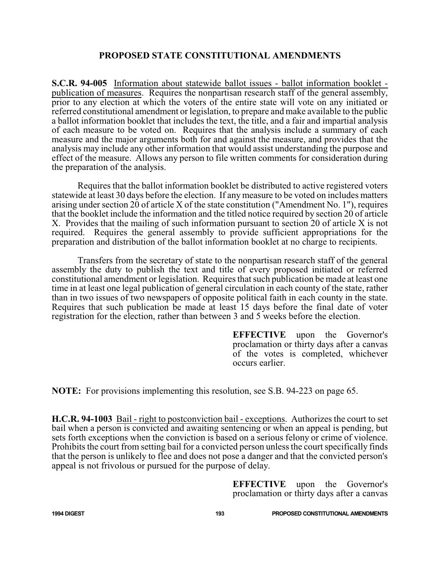# **PROPOSED STATE CONSTITUTIONAL AMENDMENTS**

**S.C.R. 94-005** Information about statewide ballot issues - ballot information booklet publication of measures. Requires the nonpartisan research staff of the general assembly, prior to any election at which the voters of the entire state will vote on any initiated or referred constitutional amendment or legislation, to prepare and make available to the public a ballot information booklet that includes the text, the title, and a fair and impartial analysis of each measure to be voted on. Requires that the analysis include a summary of each measure and the major arguments both for and against the measure, and provides that the analysis may include any other information that would assist understanding the purpose and effect of the measure. Allows any person to file written comments for consideration during the preparation of the analysis.

Requires that the ballot information booklet be distributed to active registered voters statewide at least 30 days before the election. If any measure to be voted on includes matters arising under section  $20$  of article X of the state constitution ("Amendment No. 1"), requires that the booklet include the information and the titled notice required by section 20 of article X. Provides that the mailing of such information pursuant to section 20 of article X is not required. Requires the general assembly to provide sufficient appropriations for the preparation and distribution of the ballot information booklet at no charge to recipients.

Transfers from the secretary of state to the nonpartisan research staff of the general assembly the duty to publish the text and title of every proposed initiated or referred constitutional amendment or legislation. Requires that such publication be made at least one time in at least one legal publication of general circulation in each county of the state, rather than in two issues of two newspapers of opposite political faith in each county in the state. Requires that such publication be made at least 15 days before the final date of voter registration for the election, rather than between 3 and 5 weeks before the election.

> **EFFECTIVE** upon the Governor's proclamation or thirty days after a canvas of the votes is completed, whichever occurs earlier.

**NOTE:** For provisions implementing this resolution, see S.B. 94-223 on page 65.

**H.C.R. 94-1003** Bail - right to postconviction bail - exceptions. Authorizes the court to set bail when a person is convicted and awaiting sentencing or when an appeal is pending, but sets forth exceptions when the conviction is based on a serious felony or crime of violence. Prohibits the court from setting bail for a convicted person unless the court specifically finds that the person is unlikely to flee and does not pose a danger and that the convicted person's appeal is not frivolous or pursued for the purpose of delay.

> **EFFECTIVE** upon the Governor's proclamation or thirty days after a canvas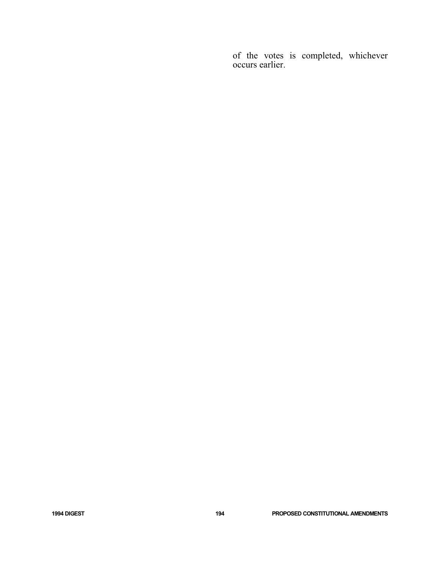of the votes is completed, whichever occurs earlier.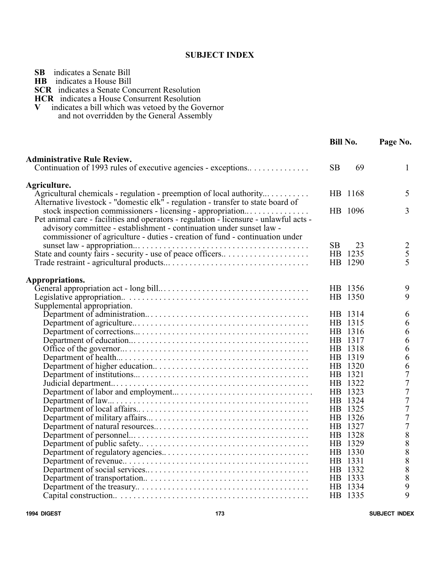#### **SUBJECT INDEX**

| SВ |  | indicates a Senate Bill |  |
|----|--|-------------------------|--|
|    |  |                         |  |

**HB** indicates a House Bill

**SCR** indicates a Senate Concurrent Resolution

**HCR** indicates a House Consurrent Resolution<br>V indicates a bill which was vetoed by the Gov

indicates a bill which was vetoed by the Governor

and not overridden by the General Assembly

|                                                                                                                                                                                                                                               | <b>Bill No.</b> | Page No.                                   |  |
|-----------------------------------------------------------------------------------------------------------------------------------------------------------------------------------------------------------------------------------------------|-----------------|--------------------------------------------|--|
| <b>Administrative Rule Review.</b>                                                                                                                                                                                                            |                 |                                            |  |
| Continuation of 1993 rules of executive agencies - exceptions                                                                                                                                                                                 | <b>SB</b><br>69 | 1                                          |  |
| Agriculture.                                                                                                                                                                                                                                  |                 |                                            |  |
| Agricultural chemicals - regulation - preemption of local authority                                                                                                                                                                           | HB 1168         | 5                                          |  |
| Alternative livestock - "domestic elk" - regulation - transfer to state board of<br>stock inspection commissioners - licensing - appropriation                                                                                                | HB 1096         | 3                                          |  |
| Pet animal care - facilities and operators - regulation - licensure - unlawful acts -<br>advisory committee - establishment - continuation under sunset law -<br>commissioner of agriculture - duties - creation of fund - continuation under |                 |                                            |  |
|                                                                                                                                                                                                                                               | <b>SB</b><br>23 | $\overline{2}$                             |  |
| State and county fairs - security - use of peace officers                                                                                                                                                                                     | HB 1235         | 5                                          |  |
|                                                                                                                                                                                                                                               | HB 1290         | 5                                          |  |
| Appropriations.                                                                                                                                                                                                                               |                 |                                            |  |
|                                                                                                                                                                                                                                               | HB 1356         | 9                                          |  |
|                                                                                                                                                                                                                                               | HB 1350         | 9                                          |  |
| Supplemental appropriation.                                                                                                                                                                                                                   |                 |                                            |  |
|                                                                                                                                                                                                                                               | HB 1314         | 6                                          |  |
|                                                                                                                                                                                                                                               | HB 1315         | 6                                          |  |
|                                                                                                                                                                                                                                               | HB 1316         | 6                                          |  |
|                                                                                                                                                                                                                                               | HB 1317         | 6                                          |  |
|                                                                                                                                                                                                                                               | HB 1318         | 6                                          |  |
|                                                                                                                                                                                                                                               | HB 1319         | 6                                          |  |
|                                                                                                                                                                                                                                               | HB 1320         | 6                                          |  |
|                                                                                                                                                                                                                                               | HB 1321         | $\overline{7}$                             |  |
|                                                                                                                                                                                                                                               | HB 1322         | $\overline{7}$                             |  |
|                                                                                                                                                                                                                                               | HB 1323         | $\sqrt{ }$                                 |  |
|                                                                                                                                                                                                                                               | HB 1324         | $\overline{7}$                             |  |
|                                                                                                                                                                                                                                               | HB 1325         | $\overline{7}$                             |  |
|                                                                                                                                                                                                                                               | HB 1326         | $\overline{7}$                             |  |
|                                                                                                                                                                                                                                               | HB 1327         | $\overline{7}$                             |  |
|                                                                                                                                                                                                                                               | HB 1328         | $\begin{array}{c} 8 \\ 8 \\ 8 \end{array}$ |  |
|                                                                                                                                                                                                                                               | HB 1329         |                                            |  |
|                                                                                                                                                                                                                                               | HB 1330         |                                            |  |
|                                                                                                                                                                                                                                               | HB 1331         | 8                                          |  |
|                                                                                                                                                                                                                                               | HB 1332         | $\begin{array}{c} 8 \\ 8 \end{array}$      |  |
|                                                                                                                                                                                                                                               | HB 1333         |                                            |  |
|                                                                                                                                                                                                                                               | HB 1334         | 9                                          |  |
|                                                                                                                                                                                                                                               | HB 1335         | $\overline{Q}$                             |  |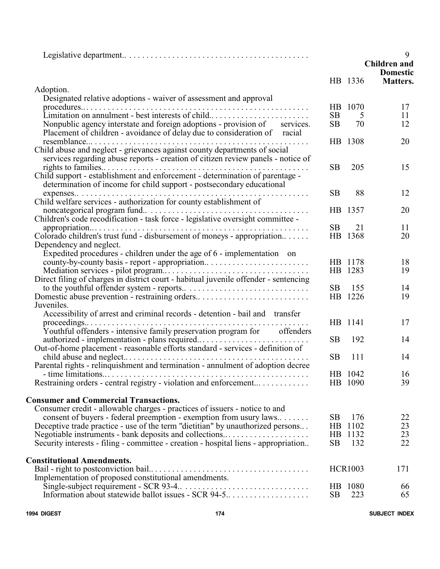|                                                                                      |                |                | 9<br><b>Children</b> and<br><b>Domestic</b> |
|--------------------------------------------------------------------------------------|----------------|----------------|---------------------------------------------|
|                                                                                      |                | HB 1336        | Matters.                                    |
| Adoption.                                                                            |                |                |                                             |
| Designated relative adoptions - waiver of assessment and approval                    |                | HB 1070        |                                             |
| Limitation on annulment - best interests of child                                    | SB             | 5              | 17<br>11                                    |
| Nonpublic agency interstate and foreign adoptions - provision of services.           | SB             | 70             | 12                                          |
| Placement of children - avoidance of delay due to consideration of racial            |                |                |                                             |
|                                                                                      |                | HB 1308        | 20                                          |
| Child abuse and neglect - grievances against county departments of social            |                |                |                                             |
| services regarding abuse reports - creation of citizen review panels - notice of     |                |                |                                             |
|                                                                                      | <b>SB</b>      | 205            | 15                                          |
| Child support - establishment and enforcement - determination of parentage -         |                |                |                                             |
| determination of income for child support - postsecondary educational                |                |                |                                             |
|                                                                                      | <b>SB</b>      | 88             | 12                                          |
| Child welfare services - authorization for county establishment of                   |                |                |                                             |
|                                                                                      | HB             | 1357           | 20                                          |
| Children's code recodification - task force - legislative oversight committee -      |                |                |                                             |
|                                                                                      | SB             | 21             | 11                                          |
| Colorado children's trust fund - disbursement of moneys - appropriation              | H <sub>B</sub> | 1368           | 20                                          |
| Dependency and neglect.                                                              |                |                |                                             |
| Expedited procedures - children under the age of 6 - implementation on               |                |                |                                             |
| county-by-county basis - report - appropriation                                      |                | HB 1178        | 18                                          |
|                                                                                      |                | HB 1283        | 19                                          |
| Direct filing of charges in district court - habitual juvenile offender - sentencing |                |                |                                             |
|                                                                                      | SB             | 155            | 14                                          |
| Domestic abuse prevention - restraining orders                                       |                | HB 1226        | 19                                          |
| Juveniles.                                                                           |                |                |                                             |
| Accessibility of arrest and criminal records - detention - bail and transfer         |                |                |                                             |
|                                                                                      |                | HB 1141        | 17                                          |
| Youthful offenders - intensive family preservation program for offenders             |                |                |                                             |
|                                                                                      | <b>SB</b>      | 192            | 14                                          |
| Out-of-home placement - reasonable efforts standard - services - definition of       |                |                |                                             |
|                                                                                      | <b>SB</b>      | 111            | 14                                          |
| Parental rights - relinquishment and termination - annulment of adoption decree      |                |                |                                             |
|                                                                                      |                | HB 1042        | 16                                          |
| Restraining orders - central registry - violation and enforcement                    |                | HB 1090        | 39                                          |
| <b>Consumer and Commercial Transactions.</b>                                         |                |                |                                             |
| Consumer credit - allowable charges - practices of issuers - notice to and           |                |                |                                             |
| consent of buyers - federal preemption - exemption from usury laws                   | <b>SB</b>      | 176            | 22                                          |
| Deceptive trade practice - use of the term "dietitian" by unauthorized persons       | HB             | 1102           | 23                                          |
| Negotiable instruments - bank deposits and collections                               |                | HB 1132        | 23                                          |
| Security interests - filing - committee - creation - hospital liens - appropriation  | SB             | 132            | 22                                          |
|                                                                                      |                |                |                                             |
| <b>Constitutional Amendments.</b>                                                    |                |                |                                             |
|                                                                                      |                | <b>HCR1003</b> | 171                                         |
| Implementation of proposed constitutional amendments.                                |                |                |                                             |
|                                                                                      |                | HB 1080        | 66                                          |
| Information about statewide ballot issues - SCR 94-5                                 | SB             | 223            | 65                                          |

**1994 DIGEST 174 SUBJECT INDEX**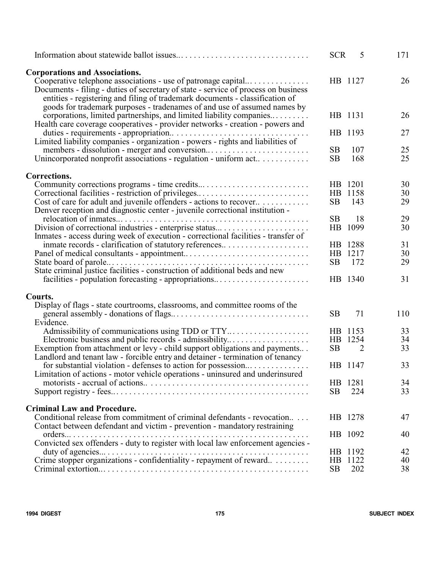|                                                                                                                                                                                                                                                | <b>SCR</b>  | 5       | 171 |
|------------------------------------------------------------------------------------------------------------------------------------------------------------------------------------------------------------------------------------------------|-------------|---------|-----|
| <b>Corporations and Associations.</b><br>Cooperative telephone associations - use of patronage capital                                                                                                                                         |             | HB 1127 | 26  |
| Documents - filing - duties of secretary of state - service of process on business<br>entities - registering and filing of trademark documents - classification of<br>goods for trademark purposes - tradenames of and use of assumed names by |             |         |     |
| corporations, limited partnerships, and limited liability companies<br>Health care coverage cooperatives - provider networks - creation - powers and                                                                                           |             | HB 1131 | 26  |
|                                                                                                                                                                                                                                                |             | HB 1193 | 27  |
| Limited liability companies - organization - powers - rights and liabilities of                                                                                                                                                                | <b>SB</b>   | 107     | 25  |
| Unincorporated nonprofit associations - regulation - uniform act                                                                                                                                                                               | <b>SB</b>   | 168     | 25  |
| Corrections.                                                                                                                                                                                                                                   |             |         |     |
|                                                                                                                                                                                                                                                |             | HB 1201 | 30  |
| Correctional facilities - restriction of privileges                                                                                                                                                                                            | HB          | 1158    | 30  |
| Cost of care for adult and juvenile offenders - actions to recover<br>Denver reception and diagnostic center - juvenile correctional institution -                                                                                             | SB          | 143     | 29  |
|                                                                                                                                                                                                                                                | <b>SB</b>   | 18      | 29  |
| Division of correctional industries - enterprise status                                                                                                                                                                                        | HB          | 1099    | 30  |
| Inmates - access during week of execution - correctional facilities - transfer of                                                                                                                                                              |             |         |     |
| inmate records - clarification of statutory references                                                                                                                                                                                         |             | HB 1288 | 31  |
|                                                                                                                                                                                                                                                |             | HB 1217 | 30  |
| State criminal justice facilities - construction of additional beds and new                                                                                                                                                                    | <b>SB</b>   | 172     | 29  |
|                                                                                                                                                                                                                                                |             | HB 1340 | 31  |
| Courts.                                                                                                                                                                                                                                        |             |         |     |
| Display of flags - state courtrooms, classrooms, and committee rooms of the                                                                                                                                                                    |             |         |     |
|                                                                                                                                                                                                                                                | <b>SB</b>   | 71      | 110 |
| Evidence.                                                                                                                                                                                                                                      |             |         |     |
|                                                                                                                                                                                                                                                |             | HB 1153 | 33  |
| Electronic business and public records - admissibility                                                                                                                                                                                         | HB          | 1254    | 34  |
| Exemption from attachment or levy - child support obligations and payments<br>Landlord and tenant law - forcible entry and detainer - termination of tenancy                                                                                   | <b>SB</b>   | 2       | 33  |
| for substantial violation - defenses to action for possession                                                                                                                                                                                  |             | HB 1147 | 33  |
| Limitation of actions - motor vehicle operations - uninsured and underinsured                                                                                                                                                                  |             |         |     |
|                                                                                                                                                                                                                                                |             | HB 1281 | 34  |
|                                                                                                                                                                                                                                                | <b>SB</b>   | 224     | 33  |
| <b>Criminal Law and Procedure.</b>                                                                                                                                                                                                             |             |         |     |
| Conditional release from commitment of criminal defendants - revocation                                                                                                                                                                        |             | HB 1278 | 47  |
| Contact between defendant and victim - prevention - mandatory restraining                                                                                                                                                                      |             |         |     |
| $orders \dots$                                                                                                                                                                                                                                 |             | HB 1092 | 40  |
| Convicted sex offenders - duty to register with local law enforcement agencies -<br>duty of agencies $\ldots$                                                                                                                                  |             | HB 1192 | 42  |
| Crime stopper organizations - confidentiality - repayment of reward                                                                                                                                                                            | $_{\rm HB}$ | 1122    | 40  |
|                                                                                                                                                                                                                                                | <b>SB</b>   | 202     | 38  |
|                                                                                                                                                                                                                                                |             |         |     |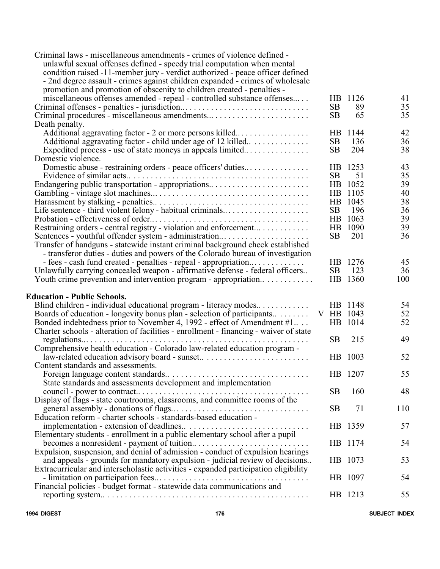| Criminal laws - miscellaneous amendments - crimes of violence defined -<br>unlawful sexual offenses defined - speedy trial computation when mental<br>condition raised -11-member jury - verdict authorized - peace officer defined<br>- 2nd degree assault - crimes against children expanded - crimes of wholesale<br>promotion and promotion of obscenity to children created - penalties - |           |         |     |
|------------------------------------------------------------------------------------------------------------------------------------------------------------------------------------------------------------------------------------------------------------------------------------------------------------------------------------------------------------------------------------------------|-----------|---------|-----|
| miscellaneous offenses amended - repeal - controlled substance offenses                                                                                                                                                                                                                                                                                                                        |           | HB 1126 | 41  |
|                                                                                                                                                                                                                                                                                                                                                                                                | <b>SB</b> | 89      | 35  |
|                                                                                                                                                                                                                                                                                                                                                                                                | <b>SB</b> | 65      | 35  |
|                                                                                                                                                                                                                                                                                                                                                                                                |           |         |     |
| Death penalty.                                                                                                                                                                                                                                                                                                                                                                                 |           |         |     |
| Additional aggravating factor - 2 or more persons killed                                                                                                                                                                                                                                                                                                                                       |           | HB 1144 | 42  |
| Additional aggravating factor - child under age of 12 killed                                                                                                                                                                                                                                                                                                                                   | <b>SB</b> | 136     | 36  |
| Expedited process - use of state moneys in appeals limited                                                                                                                                                                                                                                                                                                                                     | SB        | 204     | 38  |
| Domestic violence.                                                                                                                                                                                                                                                                                                                                                                             |           |         |     |
| Domestic abuse - restraining orders - peace officers' duties                                                                                                                                                                                                                                                                                                                                   |           | HB 1253 | 43  |
|                                                                                                                                                                                                                                                                                                                                                                                                | <b>SB</b> | 51      | 35  |
| Endangering public transportation - appropriations                                                                                                                                                                                                                                                                                                                                             |           | HB 1052 | 39  |
|                                                                                                                                                                                                                                                                                                                                                                                                |           | HB 1105 | 40  |
|                                                                                                                                                                                                                                                                                                                                                                                                |           | HB 1045 | 38  |
| Life sentence - third violent felony - habitual criminals                                                                                                                                                                                                                                                                                                                                      | SB        | 196     | 36  |
|                                                                                                                                                                                                                                                                                                                                                                                                |           | HB 1063 | 39  |
| Restraining orders - central registry - violation and enforcement                                                                                                                                                                                                                                                                                                                              |           | HB 1090 | 39  |
| Sentences - youthful offender system - administration                                                                                                                                                                                                                                                                                                                                          | SB        | 201     | 36  |
| Transfer of handguns - statewide instant criminal background check established                                                                                                                                                                                                                                                                                                                 |           |         |     |
| - transferor duties - duties and powers of the Colorado bureau of investigation                                                                                                                                                                                                                                                                                                                |           |         |     |
| - fees - cash fund created - penalties - repeal - appropriation                                                                                                                                                                                                                                                                                                                                |           | HB 1276 | 45  |
| Unlawfully carrying concealed weapon - affirmative defense - federal officers                                                                                                                                                                                                                                                                                                                  | SB        | 123     | 36  |
| Youth crime prevention and intervention program - appropriation                                                                                                                                                                                                                                                                                                                                |           | HB 1360 | 100 |
|                                                                                                                                                                                                                                                                                                                                                                                                |           |         |     |
| <b>Education - Public Schools.</b>                                                                                                                                                                                                                                                                                                                                                             |           |         |     |
| Blind children - individual educational program - literacy modes                                                                                                                                                                                                                                                                                                                               |           | HB 1148 | 54  |
| Boards of education - longevity bonus plan - selection of participants                                                                                                                                                                                                                                                                                                                         | V HB 1043 |         | 52  |
| Bonded indebtedness prior to November 4, 1992 - effect of Amendment #1                                                                                                                                                                                                                                                                                                                         |           | HB 1014 | 52  |
| Charter schools - alteration of facilities - enrollment - financing - waiver of state                                                                                                                                                                                                                                                                                                          |           |         |     |
| $regulations \ldots \ldots \ldots \ldots \ldots \ldots \ldots \ldots$<br>.                                                                                                                                                                                                                                                                                                                     | <b>SB</b> | 215     | 49  |
| Comprehensive health education - Colorado law-related education program -                                                                                                                                                                                                                                                                                                                      |           |         |     |
| law-related education advisory board - sunset                                                                                                                                                                                                                                                                                                                                                  |           | HB 1003 | 52  |
| Content standards and assessments.                                                                                                                                                                                                                                                                                                                                                             |           |         |     |
|                                                                                                                                                                                                                                                                                                                                                                                                |           | HB 1207 | 55  |
| State standards and assessments development and implementation                                                                                                                                                                                                                                                                                                                                 |           |         |     |
|                                                                                                                                                                                                                                                                                                                                                                                                | <b>SB</b> | 160     | 48  |
|                                                                                                                                                                                                                                                                                                                                                                                                |           |         |     |
|                                                                                                                                                                                                                                                                                                                                                                                                | <b>SB</b> | 71      | 110 |
| Education reform - charter schools - standards-based education -                                                                                                                                                                                                                                                                                                                               |           |         |     |
|                                                                                                                                                                                                                                                                                                                                                                                                |           | HB 1359 | 57  |
| Elementary students - enrollment in a public elementary school after a pupil                                                                                                                                                                                                                                                                                                                   |           |         |     |
|                                                                                                                                                                                                                                                                                                                                                                                                |           | HB 1174 | 54  |
|                                                                                                                                                                                                                                                                                                                                                                                                |           |         |     |
| and appeals - grounds for mandatory expulsion - judicial review of decisions                                                                                                                                                                                                                                                                                                                   |           | HB 1073 | 53  |
| Extracurricular and interscholastic activities - expanded participation eligibility                                                                                                                                                                                                                                                                                                            |           |         |     |
|                                                                                                                                                                                                                                                                                                                                                                                                |           | HB 1097 | 54  |
|                                                                                                                                                                                                                                                                                                                                                                                                |           |         |     |
|                                                                                                                                                                                                                                                                                                                                                                                                |           | HB 1213 | 55  |

**1994 DIGEST 176 SUBJECT INDEX**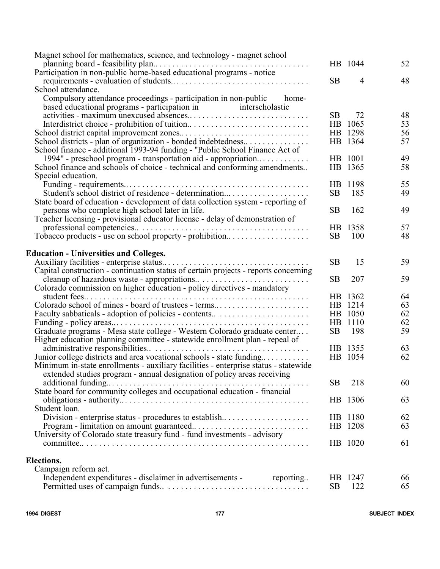| Magnet school for mathematics, science, and technology - magnet school                                                                                         |                |                |          |
|----------------------------------------------------------------------------------------------------------------------------------------------------------------|----------------|----------------|----------|
|                                                                                                                                                                |                | HB 1044        | 52       |
| Participation in non-public home-based educational programs - notice                                                                                           |                |                |          |
|                                                                                                                                                                | <b>SB</b>      | $\overline{4}$ | 48       |
| School attendance.                                                                                                                                             |                |                |          |
| Compulsory attendance proceedings - participation in non-public<br>home-                                                                                       |                |                |          |
| interscholastic<br>based educational programs - participation in                                                                                               |                |                |          |
|                                                                                                                                                                | <b>SB</b>      | 72             | 48       |
|                                                                                                                                                                |                | HB 1065        | 53       |
|                                                                                                                                                                |                | HB 1298        | 56       |
| School districts - plan of organization - bonded indebtedness                                                                                                  |                | HB 1364        | 57       |
| School finance - additional 1993-94 funding - "Public School Finance Act of                                                                                    |                |                |          |
| 1994" - preschool program - transportation aid - appropriation                                                                                                 |                | HB 1001        | 49       |
| School finance and schools of choice - technical and conforming amendments                                                                                     | HB             | 1365           | 58       |
| Special education.                                                                                                                                             |                |                |          |
|                                                                                                                                                                | H <sub>B</sub> | 1198           | 55       |
| Student's school district of residence - determination                                                                                                         | <b>SB</b>      | 185            | 49       |
| State board of education - development of data collection system - reporting of                                                                                |                |                |          |
| persons who complete high school later in life.                                                                                                                | <b>SB</b>      | 162            | 49       |
| Teacher licensing - provisional educator license - delay of demonstration of                                                                                   |                |                |          |
|                                                                                                                                                                | HB             | 1358           | 57       |
| Tobacco products - use on school property - prohibition                                                                                                        | <b>SB</b>      | 100            | 48       |
|                                                                                                                                                                |                |                |          |
| <b>Education - Universities and Colleges.</b>                                                                                                                  |                |                |          |
|                                                                                                                                                                | <b>SB</b>      | 15             | 59       |
| Capital construction - continuation status of certain projects - reports concerning                                                                            |                |                |          |
|                                                                                                                                                                | <b>SB</b>      | 207            | 59       |
| Colorado commission on higher education - policy directives - mandatory                                                                                        |                |                |          |
| student fees                                                                                                                                                   |                | HB 1362        | 64       |
| Colorado school of mines - board of trustees - terms                                                                                                           |                | HB 1214        | 63       |
|                                                                                                                                                                |                | HB 1050        | 62       |
|                                                                                                                                                                | HB             | 1110           | 62       |
| Graduate programs - Mesa state college - Western Colorado graduate center                                                                                      | <b>SB</b>      | 198            | 59       |
| Higher education planning committee - statewide enrollment plan - repeal of                                                                                    |                |                |          |
|                                                                                                                                                                |                | HB 1355        | 63       |
|                                                                                                                                                                |                | HB 1054        | 62       |
| Junior college districts and area vocational schools - state funding                                                                                           |                |                |          |
| Minimum in-state enrollments - auxiliary facilities - enterprise status - statewide<br>extended studies program - annual designation of policy areas receiving |                |                |          |
|                                                                                                                                                                | <b>SB</b>      |                | 60       |
|                                                                                                                                                                |                | 218            |          |
| State board for community colleges and occupational education - financial                                                                                      |                |                |          |
|                                                                                                                                                                |                | HB 1306        | 63       |
| Student loan.                                                                                                                                                  |                |                |          |
| Division - enterprise status - procedures to establish                                                                                                         |                | HB 1180        | 62       |
|                                                                                                                                                                |                | HB 1208        | 63       |
| University of Colorado state treasury fund - fund investments - advisory                                                                                       |                |                |          |
|                                                                                                                                                                |                | HB 1020        | 61       |
| <b>Elections.</b>                                                                                                                                              |                |                |          |
|                                                                                                                                                                |                |                |          |
| Campaign reform act.                                                                                                                                           | <b>HB</b>      | 1247           |          |
| Independent expenditures - disclaimer in advertisements - reporting                                                                                            | <b>SB</b>      | 122            | 66<br>65 |
|                                                                                                                                                                |                |                |          |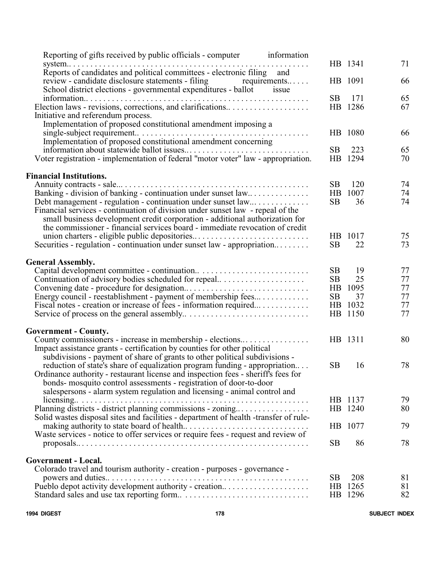| Reporting of gifts received by public officials - computer<br>information            |           |         |    |
|--------------------------------------------------------------------------------------|-----------|---------|----|
| system                                                                               |           | HB 1341 | 71 |
| Reports of candidates and political committees - electronic filing and               |           |         |    |
| review - candidate disclosure statements - filing<br>$requirements$                  |           | HB 1091 | 66 |
| School district elections - governmental expenditures - ballot<br>issue              |           |         |    |
|                                                                                      | SB        | 171     | 65 |
| Election laws - revisions, corrections, and clarifications                           |           | HB 1286 | 67 |
| Initiative and referendum process.                                                   |           |         |    |
| Implementation of proposed constitutional amendment imposing a                       |           |         |    |
|                                                                                      |           | HB 1080 | 66 |
| Implementation of proposed constitutional amendment concerning                       |           |         |    |
|                                                                                      | <b>SB</b> | 223     | 65 |
| Voter registration - implementation of federal "motor voter" law - appropriation.    |           | HB 1294 | 70 |
|                                                                                      |           |         |    |
| <b>Financial Institutions.</b>                                                       |           |         |    |
|                                                                                      | SB        | 120     | 74 |
| Banking - division of banking - continuation under sunset law                        | HB        | 1007    | 74 |
| Debt management - regulation - continuation under sunset law                         | <b>SB</b> | 36      | 74 |
| Financial services - continuation of division under sunset law - repeal of the       |           |         |    |
|                                                                                      |           |         |    |
| small business development credit corporation - additional authorization for         |           |         |    |
| the commissioner - financial services board - immediate revocation of credit         |           |         |    |
| union charters - eligible public depositories                                        |           | HB 1017 | 75 |
| Securities - regulation - continuation under sunset law - appropriation              | <b>SB</b> | 22      | 73 |
|                                                                                      |           |         |    |
| <b>General Assembly.</b>                                                             |           |         |    |
|                                                                                      | SB        | 19      | 77 |
| Continuation of advisory bodies scheduled for repeal                                 | SB        | 25      | 77 |
|                                                                                      |           | HB 1095 | 77 |
| Energy council - reestablishment - payment of membership fees                        | SB        | 37      | 77 |
| Fiscal notes - creation or increase of fees - information required                   |           | HB 1032 | 77 |
|                                                                                      |           | HB 1150 | 77 |
|                                                                                      |           |         |    |
| <b>Government - County.</b>                                                          |           |         |    |
| County commissioners - increase in membership - elections                            |           | HB 1311 | 80 |
| Impact assistance grants - certification by counties for other political             |           |         |    |
| subdivisions - payment of share of grants to other political subdivisions -          |           |         |    |
| reduction of state's share of equalization program funding - appropriation           | SB.       | 16      | 78 |
| Ordinance authority - restaurant license and inspection fees - sheriff's fees for    |           |         |    |
| bonds- mosquito control assessments - registration of door-to-door                   |           |         |    |
| salespersons - alarm system regulation and licensing - animal control and            |           |         |    |
|                                                                                      |           | HB 1137 | 79 |
| Planning districts - district planning commissions - zoning                          |           | HB 1240 | 80 |
| Solid wastes disposal sites and facilities - department of health -transfer of rule- |           |         |    |
|                                                                                      |           | HB 1077 | 79 |
| Waste services - notice to offer services or require fees - request and review of    |           |         |    |
|                                                                                      | SB        | 86      | 78 |
|                                                                                      |           |         |    |
| <b>Government - Local.</b>                                                           |           |         |    |
| Colorado travel and tourism authority - creation - purposes - governance -           |           |         |    |
|                                                                                      | SB        | 208     | 81 |
| Pueblo depot activity development authority - creation                               |           | HB 1265 | 81 |
|                                                                                      |           | HB 1296 | 82 |
|                                                                                      |           |         |    |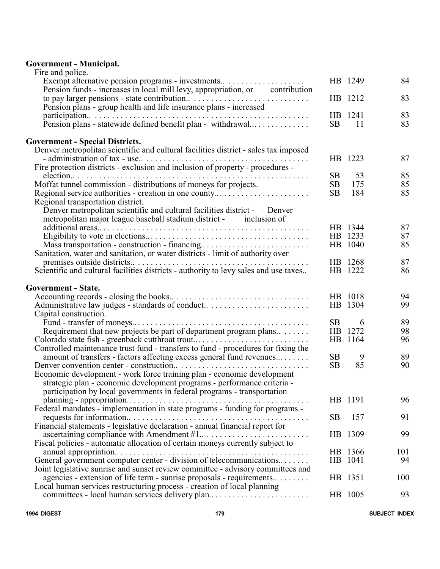# **Government - Municipal.**

| Fire and police.                                                                                             |           |         |          |
|--------------------------------------------------------------------------------------------------------------|-----------|---------|----------|
| Exempt alternative pension programs - investments                                                            |           | HB 1249 | 84       |
| Pension funds - increases in local mill levy, appropriation, or contribution                                 |           |         |          |
|                                                                                                              |           | HB 1212 | 83       |
| Pension plans - group health and life insurance plans - increased                                            |           |         |          |
| participation                                                                                                |           | HB 1241 | 83       |
| Pension plans - statewide defined benefit plan - withdrawal                                                  | <b>SB</b> | 11      | 83       |
|                                                                                                              |           |         |          |
| <b>Government - Special Districts.</b>                                                                       |           |         |          |
| Denver metropolitan scientific and cultural facilities district - sales tax imposed                          |           |         |          |
| - administration of tax - use                                                                                |           | HB 1223 | 87       |
| Fire protection districts - exclusion and inclusion of property - procedures -                               |           |         |          |
| .                                                                                                            | <b>SB</b> | 53      | 85       |
| Moffat tunnel commission - distributions of moneys for projects.                                             | SB        | 175     | 85       |
| Regional service authorities - creation in one county                                                        | <b>SB</b> | 184     | 85       |
| Regional transportation district.                                                                            |           |         |          |
| Denver metropolitan scientific and cultural facilities district - Denver                                     |           |         |          |
| metropolitan major league baseball stadium district - inclusion of                                           |           | HB 1344 |          |
|                                                                                                              |           | HB 1233 | 87<br>87 |
| Mass transportation - construction - financing                                                               |           | HB 1040 | 85       |
|                                                                                                              |           |         |          |
| Sanitation, water and sanitation, or water districts - limit of authority over<br>premises outside districts |           | HB 1268 | 87       |
| Scientific and cultural facilities districts - authority to levy sales and use taxes                         |           | HB 1222 | 86       |
|                                                                                                              |           |         |          |
| <b>Government - State.</b>                                                                                   |           |         |          |
|                                                                                                              |           | HB 1018 | 94       |
| Administrative law judges - standards of conduct                                                             |           | HB 1304 | 99       |
| Capital construction.                                                                                        |           |         |          |
|                                                                                                              | <b>SB</b> | 6       | 89       |
| Requirement that new projects be part of department program plans                                            |           | HB 1272 | 98       |
| Colorado state fish - greenback cutthroat trout                                                              |           | HB 1164 | 96       |
| Controlled maintenance trust fund - transfers to fund - procedures for fixing the                            |           |         |          |
| amount of transfers - factors affecting excess general fund revenues                                         | <b>SB</b> | 9       | 89       |
| Denver convention center - construction                                                                      | SB        | 85      | 90       |
| Economic development - work force training plan - economic development                                       |           |         |          |
| strategic plan - economic development programs - performance criteria -                                      |           |         |          |
| participation by local governments in federal programs - transportation                                      |           |         |          |
|                                                                                                              |           | HB 1191 | 96       |
| Federal mandates - implementation in state programs - funding for programs -                                 |           |         |          |
|                                                                                                              | <b>SB</b> | 157     | 91       |
| Financial statements - legislative declaration - annual financial report for                                 |           |         |          |
|                                                                                                              |           | HB 1309 | 99       |
| Fiscal policies - automatic allocation of certain moneys currently subject to                                |           |         |          |
|                                                                                                              |           | HB 1366 | 101      |
| General government computer center - division of telecommunications                                          |           | HB 1041 | 94       |
| Joint legislative sunrise and sunset review committee - advisory committees and                              |           |         |          |
| agencies - extension of life term - sunrise proposals - requirements                                         |           | HB 1351 | 100      |
| Local human services restructuring process - creation of local planning                                      |           |         |          |
| committees - local human services delivery plan                                                              |           | HB 1005 | 93       |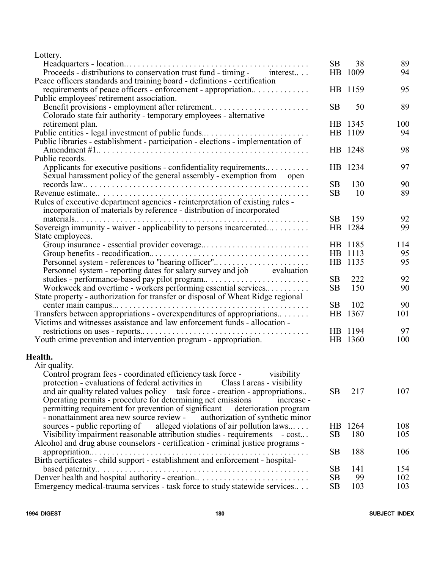Lottery.

|                                                                                  | <b>SB</b> | 38      | 89  |
|----------------------------------------------------------------------------------|-----------|---------|-----|
| Proceeds - distributions to conservation trust fund - timing - interest          |           | HB 1009 | 94  |
| Peace officers standards and training board - definitions - certification        |           |         |     |
| requirements of peace officers - enforcement - appropriation                     |           | HB 1159 | 95  |
| Public employees' retirement association.                                        |           |         |     |
| Benefit provisions - employment after retirement                                 | <b>SB</b> | 50      | 89  |
| Colorado state fair authority - temporary employees - alternative                |           |         |     |
| retirement plan.                                                                 |           | HB 1345 | 100 |
| Public entities - legal investment of public funds                               |           | HB 1109 | 94  |
| Public libraries - establishment - participation - elections - implementation of |           |         |     |
|                                                                                  |           | HB 1248 | 98  |
| Public records.                                                                  |           |         |     |
| Applicants for executive positions - confidentiality requirements                |           | HB 1234 | 97  |
| Sexual harassment policy of the general assembly - exemption from<br>open        |           |         |     |
|                                                                                  | SB        | 130     | 90  |
|                                                                                  | SB        | 10      | 89  |
| Rules of executive department agencies - reinterpretation of existing rules -    |           |         |     |
| incorporation of materials by reference - distribution of incorporated           |           |         |     |
|                                                                                  | <b>SB</b> | 159     | 92  |
| Sovereign immunity - waiver - applicability to persons incarcerated              |           | HB 1284 | 99  |
| State employees.                                                                 |           |         |     |
| Group insurance - essential provider coverage                                    |           | HB 1185 | 114 |
|                                                                                  |           | HB 1113 | 95  |
| Personnel system - references to "hearing officer"                               |           | HB 1135 | 95  |
| Personnel system - reporting dates for salary survey and job evaluation          |           |         |     |
| studies - performance-based pay pilot program                                    | <b>SB</b> | 222     | 92  |
| Workweek and overtime - workers performing essential services                    | <b>SB</b> | 150     | 90  |
| State property - authorization for transfer or disposal of Wheat Ridge regional  |           |         |     |
|                                                                                  | SB        | 102     | 90  |
| Transfers between appropriations - overexpenditures of appropriations            |           | HB 1367 | 101 |
| Victims and witnesses assistance and law enforcement funds - allocation -        |           |         |     |
|                                                                                  |           | HB 1194 | 97  |
| Youth crime prevention and intervention program - appropriation.                 |           | HB 1360 | 100 |
|                                                                                  |           |         |     |
| Health.                                                                          |           |         |     |
| Air quality.                                                                     |           |         |     |
| Control program fees - coordinated efficiency task force -<br>visibility         |           |         |     |
| protection - evaluations of federal activities in<br>Class I areas - visibility  |           |         |     |
| and air quality related values policy task force - creation - appropriations     | SВ        | 217     | 107 |
| Operating permits - procedure for determining net emissions<br>increase -        |           |         |     |
| permitting requirement for prevention of significant deterioration program       |           |         |     |
| - nonattainment area new source review -<br>authorization of synthetic minor     |           |         |     |
| sources - public reporting of alleged violations of air pollution laws           |           | HB 1264 | 108 |
| Visibility impairment reasonable attribution studies - requirements - cost       | <b>SB</b> | 180     | 105 |
| Alcohol and drug abuse counselors - certification - criminal justice programs -  |           |         |     |
|                                                                                  | <b>SB</b> | 188     | 106 |
| Birth certificates - child support - establishment and enforcement - hospital-   |           |         |     |
|                                                                                  | <b>SB</b> | 141     | 154 |
| Denver health and hospital authority - creation                                  | <b>SB</b> | 99      | 102 |

Emergency medical-trauma services - task force to study statewide services... SB 103 103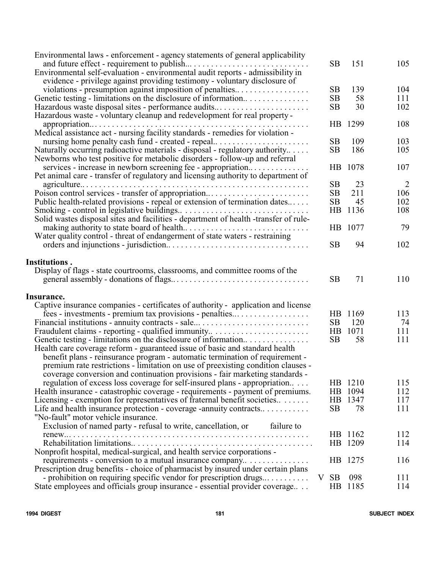| Environmental laws - enforcement - agency statements of general applicability        |                 |         |     |
|--------------------------------------------------------------------------------------|-----------------|---------|-----|
| Environmental self-evaluation - environmental audit reports - admissibility in       | <b>SB</b>       | 151     | 105 |
| evidence - privilege against providing testimony - voluntary disclosure of           |                 |         |     |
| violations - presumption against imposition of penalties                             | SB              | 139     | 104 |
| Genetic testing - limitations on the disclosure of information                       | SB              | 58      | 111 |
| Hazardous waste disposal sites - performance audits                                  | SB              | 30      | 102 |
| Hazardous waste - voluntary cleanup and redevelopment for real property -            |                 |         |     |
|                                                                                      | HB              | 1299    | 108 |
| Medical assistance act - nursing facility standards - remedies for violation -       |                 |         |     |
| nursing home penalty cash fund - created - repeal                                    | SB              | 109     | 103 |
| Naturally occurring radioactive materials - disposal - regulatory authority          | SB              | 186     | 105 |
| Newborns who test positive for metabolic disorders - follow-up and referral          |                 |         |     |
| services - increase in newborn screening fee - appropriation                         | HB              | 1078    | 107 |
| Pet animal care - transfer of regulatory and licensing authority to department of    |                 |         |     |
| $agriculture \ldots \ldots \ldots \ldots$                                            | SB              | 23      | 2   |
| Poison control services - transfer of appropriation                                  | SB              | 211     | 106 |
| Public health-related provisions - repeal or extension of termination dates          | SB              | 45      | 102 |
|                                                                                      | HB              | 1136    | 108 |
| Solid wastes disposal sites and facilities - department of health -transfer of rule- |                 |         |     |
|                                                                                      | H <sub>B</sub>  | 1077    | 79  |
| Water quality control - threat of endangerment of state waters - restraining         |                 |         |     |
|                                                                                      | <b>SB</b>       | 94      | 102 |
|                                                                                      |                 |         |     |
| Institutions.                                                                        |                 |         |     |
| Display of flags - state courtrooms, classrooms, and committee rooms of the          |                 |         |     |
|                                                                                      | <b>SB</b>       | 71      | 110 |
|                                                                                      |                 |         |     |
| Insurance.                                                                           |                 |         |     |
| Captive insurance companies - certificates of authority - application and license    |                 |         |     |
| fees - investments - premium tax provisions - penalties                              |                 | HB 1169 | 113 |
| Financial institutions - annuity contracts - sale                                    | SB              | 120     | 74  |
| Fraudulent claims - reporting - qualified immunity                                   | HB              | 1071    | 111 |
| Genetic testing - limitations on the disclosure of information                       | SB              | 58      | 111 |
| Health care coverage reform - guaranteed issue of basic and standard health          |                 |         |     |
| benefit plans - reinsurance program - automatic termination of requirement -         |                 |         |     |
| premium rate restrictions - limitation on use of preexisting condition clauses -     |                 |         |     |
| coverage conversion and continuation provisions - fair marketing standards -         |                 |         |     |
| regulation of excess loss coverage for self-insured plans - appropriation            |                 | HB 1210 | 115 |
| Health insurance - catastrophic coverage - requirements - payment of premiums.       |                 | HB 1094 | 112 |
| Licensing - exemption for representatives of fraternal benefit societies             | <b>HB</b>       | 1347    | 117 |
| Life and health insurance protection - coverage -annuity contracts                   | SB              | 78      | 111 |
| "No-fault" motor vehicle insurance.                                                  |                 |         |     |
| Exclusion of named party - refusal to write, cancellation, or<br>failure to          |                 |         |     |
|                                                                                      |                 | HB 1162 | 112 |
|                                                                                      |                 | HB 1209 | 114 |
| Nonprofit hospital, medical-surgical, and health service corporations -              |                 |         |     |
| requirements - conversion to a mutual insurance company                              |                 | HB 1275 | 116 |
| Prescription drug benefits - choice of pharmacist by insured under certain plans     |                 |         |     |
| - prohibition on requiring specific vendor for prescription drugs $\dots \dots$      | <b>SB</b><br>V  | 098     | 111 |
| State employees and officials group insurance - essential provider coverage          | $\overline{AB}$ | 1185    | 114 |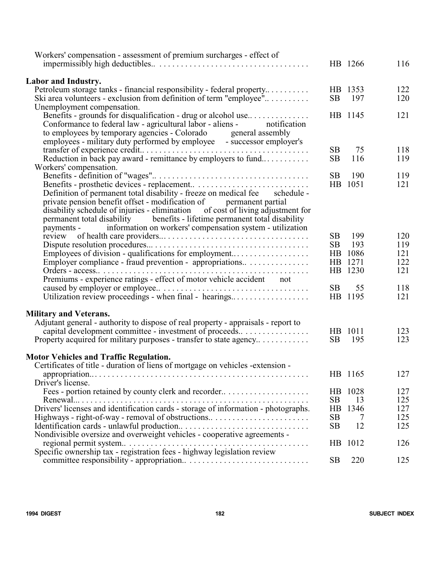| Workers' compensation - assessment of premium surcharges - effect of                                                                              |                 | HB 1266       | 116 |
|---------------------------------------------------------------------------------------------------------------------------------------------------|-----------------|---------------|-----|
|                                                                                                                                                   |                 |               |     |
| <b>Labor and Industry.</b>                                                                                                                        |                 |               |     |
| Petroleum storage tanks - financial responsibility - federal property                                                                             |                 | HB 1353       | 122 |
| Ski area volunteers - exclusion from definition of term "employee"                                                                                | <b>SB</b>       | 197           | 120 |
| Unemployment compensation.                                                                                                                        |                 |               |     |
| Benefits - grounds for disqualification - drug or alcohol use                                                                                     |                 | HB 1145       | 121 |
| Conformance to federal law - agricultural labor - aliens -<br>notification                                                                        |                 |               |     |
| to employees by temporary agencies - Colorado<br>general assembly                                                                                 |                 |               |     |
| employees - military duty performed by employee - successor employer's                                                                            |                 |               |     |
| transfer of experience credit<br>.                                                                                                                | <b>SB</b>       | 75            | 118 |
| Reduction in back pay award - remittance by employers to fund                                                                                     | <b>SB</b>       | 116           | 119 |
| Workers' compensation.                                                                                                                            |                 |               |     |
|                                                                                                                                                   | <b>SB</b>       | 190           | 119 |
|                                                                                                                                                   |                 | HB 1051       | 121 |
| Definition of permanent total disability - freeze on medical fee schedule -<br>private pension benefit offset - modification of permanent partial |                 |               |     |
| disability schedule of injuries - elimination of cost of living adjustment for                                                                    |                 |               |     |
| permanent total disability benefits - lifetime permanent total disability                                                                         |                 |               |     |
| information on workers' compensation system - utilization<br>payments -                                                                           |                 |               |     |
|                                                                                                                                                   | SB              | 199           | 120 |
|                                                                                                                                                   | SB              | 193           | 119 |
| Employees of division - qualifications for employment                                                                                             |                 | HB 1086       | 121 |
| Employer compliance - fraud prevention - appropriations                                                                                           |                 | HB 1271       | 122 |
| Orders - access<br>.                                                                                                                              |                 | HB 1230       | 121 |
| Premiums - experience ratings - effect of motor vehicle accident<br>not                                                                           |                 |               |     |
|                                                                                                                                                   | <b>SB</b>       | 55            | 118 |
| Utilization review proceedings - when final - hearings                                                                                            |                 | HB 1195       | 121 |
|                                                                                                                                                   |                 |               |     |
| <b>Military and Veterans.</b>                                                                                                                     |                 |               |     |
| Adjutant general - authority to dispose of real property - appraisals - report to                                                                 |                 |               |     |
| capital development committee - investment of proceeds                                                                                            |                 | HB 1011       | 123 |
| Property acquired for military purposes - transfer to state agency                                                                                | <b>SB</b>       | 195           | 123 |
| <b>Motor Vehicles and Traffic Regulation.</b>                                                                                                     |                 |               |     |
| Certificates of title - duration of liens of mortgage on vehicles -extension -                                                                    |                 |               |     |
|                                                                                                                                                   |                 | HB 1165       | 127 |
| Driver's license.                                                                                                                                 |                 |               |     |
| Fees - portion retained by county clerk and recorder                                                                                              | $\overline{AB}$ | 1028          | 127 |
|                                                                                                                                                   | <b>SB</b>       | 13            | 125 |
| Drivers' licenses and identification cards - storage of information - photographs.                                                                | HB              | 1346          | 127 |
| Highways - right-of-way - removal of obstructions                                                                                                 | <b>SB</b>       | $\frac{1}{2}$ | 125 |
|                                                                                                                                                   | <b>SB</b>       | 12            | 125 |
| Nondivisible oversize and overweight vehicles - cooperative agreements -                                                                          |                 |               |     |
|                                                                                                                                                   | HB              | 1012          | 126 |
|                                                                                                                                                   |                 |               |     |
|                                                                                                                                                   | <b>SB</b>       | 220           | 125 |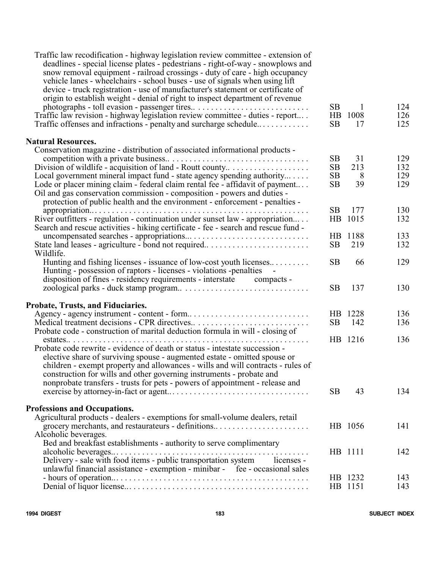| Traffic law recodification - highway legislation review committee - extension of<br>deadlines - special license plates - pedestrians - right-of-way - snowplows and<br>snow removal equipment - railroad crossings - duty of care - high occupancy<br>vehicle lanes - wheelchairs - school buses - use of signals when using lift<br>device - truck registration - use of manufacturer's statement or certificate of<br>origin to establish weight - denial of right to inspect department of revenue<br>Traffic law revision - highway legislation review committee - duties - report<br>Traffic offenses and infractions - penalty and surcharge schedule | <b>SB</b><br>HB<br><b>SB</b>       | 1<br>1008<br>17      | 124<br>126<br>125        |
|-------------------------------------------------------------------------------------------------------------------------------------------------------------------------------------------------------------------------------------------------------------------------------------------------------------------------------------------------------------------------------------------------------------------------------------------------------------------------------------------------------------------------------------------------------------------------------------------------------------------------------------------------------------|------------------------------------|----------------------|--------------------------|
| <b>Natural Resources.</b>                                                                                                                                                                                                                                                                                                                                                                                                                                                                                                                                                                                                                                   |                                    |                      |                          |
| Conservation magazine - distribution of associated informational products -<br>Division of wildlife - acquisition of land - Routt county<br>Local government mineral impact fund - state agency spending authority<br>Lode or placer mining claim - federal claim rental fee - affidavit of payment<br>Oil and gas conservation commission - composition - powers and duties -<br>protection of public health and the environment - enforcement - penalties -                                                                                                                                                                                               | <b>SB</b><br>SB<br>SB<br><b>SB</b> | 31<br>213<br>8<br>39 | 129<br>132<br>129<br>129 |
|                                                                                                                                                                                                                                                                                                                                                                                                                                                                                                                                                                                                                                                             | <b>SB</b>                          | 177                  | 130                      |
| River outfitters - regulation - continuation under sunset law - appropriation<br>Search and rescue activities - hiking certificate - fee - search and rescue fund -                                                                                                                                                                                                                                                                                                                                                                                                                                                                                         | $_{\rm HB}$                        | 1015                 | 132                      |
|                                                                                                                                                                                                                                                                                                                                                                                                                                                                                                                                                                                                                                                             | HB.                                | 1188                 | 133                      |
| State land leases - agriculture - bond not required                                                                                                                                                                                                                                                                                                                                                                                                                                                                                                                                                                                                         | SB                                 | 219                  | 132                      |
| Wildlife.<br>Hunting and fishing licenses - issuance of low-cost youth licenses<br>Hunting - possession of raptors - licenses - violations -penalties                                                                                                                                                                                                                                                                                                                                                                                                                                                                                                       | <b>SB</b>                          | 66                   | 129                      |
| disposition of fines - residency requirements - interstate compacts -                                                                                                                                                                                                                                                                                                                                                                                                                                                                                                                                                                                       | <b>SB</b>                          | 137                  | 130                      |
| Probate, Trusts, and Fiduciaries.                                                                                                                                                                                                                                                                                                                                                                                                                                                                                                                                                                                                                           |                                    |                      |                          |
| Agency - agency instrument - content - form                                                                                                                                                                                                                                                                                                                                                                                                                                                                                                                                                                                                                 |                                    | HB 1228              | 136                      |
|                                                                                                                                                                                                                                                                                                                                                                                                                                                                                                                                                                                                                                                             | <b>SB</b>                          | 142                  | 136                      |
| Probate code - construction of marital deduction formula in will - closing of                                                                                                                                                                                                                                                                                                                                                                                                                                                                                                                                                                               |                                    |                      |                          |
| Probate code rewrite - evidence of death or status - intestate succession -<br>elective share of surviving spouse - augmented estate - omitted spouse or<br>children - exempt property and allowances - wills and will contracts - rules of<br>construction for wills and other governing instruments - probate and<br>nonprobate transfers - trusts for pets - powers of appointment - release and                                                                                                                                                                                                                                                         | SB                                 | HB 1216<br>43        | 136<br>134               |
|                                                                                                                                                                                                                                                                                                                                                                                                                                                                                                                                                                                                                                                             |                                    |                      |                          |
| <b>Professions and Occupations.</b><br>Agricultural products - dealers - exemptions for small-volume dealers, retail<br>grocery merchants, and restaurateurs - definitions                                                                                                                                                                                                                                                                                                                                                                                                                                                                                  |                                    | HB 1056              | 141                      |
| Alcoholic beverages.                                                                                                                                                                                                                                                                                                                                                                                                                                                                                                                                                                                                                                        |                                    |                      |                          |
| Bed and breakfast establishments - authority to serve complimentary                                                                                                                                                                                                                                                                                                                                                                                                                                                                                                                                                                                         |                                    |                      |                          |
|                                                                                                                                                                                                                                                                                                                                                                                                                                                                                                                                                                                                                                                             |                                    | HB 1111              | 142                      |
| Delivery - sale with food items - public transportation system licenses -                                                                                                                                                                                                                                                                                                                                                                                                                                                                                                                                                                                   |                                    |                      |                          |
| unlawful financial assistance - exemption - minibar - fee - occasional sales                                                                                                                                                                                                                                                                                                                                                                                                                                                                                                                                                                                |                                    |                      |                          |
|                                                                                                                                                                                                                                                                                                                                                                                                                                                                                                                                                                                                                                                             |                                    | HB 1232<br>HB 1151   | 143<br>143               |
|                                                                                                                                                                                                                                                                                                                                                                                                                                                                                                                                                                                                                                                             |                                    |                      |                          |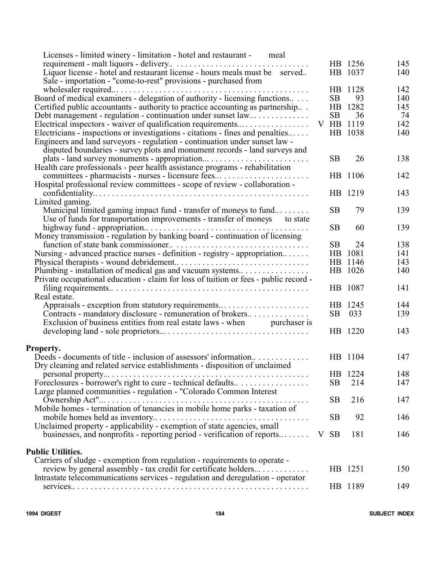| Licenses - limited winery - limitation - hotel and restaurant - meal                 |   |           |           |     |
|--------------------------------------------------------------------------------------|---|-----------|-----------|-----|
|                                                                                      |   |           | HB 1256   | 145 |
| Liquor license - hotel and restaurant license - hours meals must be served           |   |           | HB 1037   | 140 |
| Sale - importation - "come-to-rest" provisions - purchased from                      |   |           |           |     |
| wholesaler required<br>.                                                             |   |           | HB 1128   | 142 |
| Board of medical examiners - delegation of authority - licensing functions           |   | <b>SB</b> | 93        | 140 |
|                                                                                      |   |           | HB 1282   | 145 |
| Certified public accountants - authority to practice accounting as partnership       |   |           |           |     |
| Debt management - regulation - continuation under sunset law                         |   | <b>SB</b> | 36        | 74  |
| Electrical inspectors - waiver of qualification requirements                         |   |           | V HB 1119 | 142 |
| Electricians - inspections or investigations - citations - fines and penalties       |   |           | HB 1038   | 140 |
| Engineers and land surveyors - regulation - continuation under sunset law -          |   |           |           |     |
| disputed boundaries - survey plots and monument records - land surveys and           |   |           |           |     |
| plats - land survey monuments - appropriation                                        |   | <b>SB</b> | 26        | 138 |
| Health care professionals - peer health assistance programs - rehabilitation         |   |           |           |     |
| committees - pharmacists - nurses - licensure fees                                   |   | HB        | 1106      | 142 |
| Hospital professional review committees - scope of review - collaboration -          |   |           |           |     |
|                                                                                      |   |           | HB 1219   | 143 |
| Limited gaming.                                                                      |   |           |           |     |
| Municipal limited gaming impact fund - transfer of moneys to fund                    |   | <b>SB</b> | 79        | 139 |
| Use of funds for transportation improvements - transfer of moneys to state           |   |           |           |     |
|                                                                                      |   | <b>SB</b> | 60        | 139 |
| Money transmission - regulation by banking board - continuation of licensing         |   |           |           |     |
|                                                                                      |   |           | 24        |     |
| function of state bank commissioner<br>.                                             |   | <b>SB</b> |           | 138 |
| Nursing - advanced practice nurses - definition - registry - appropriation           |   |           | HB 1081   | 141 |
|                                                                                      |   |           | HB 1146   | 143 |
| Plumbing - installation of medical gas and vacuum systems                            |   |           | HB 1026   | 140 |
| Private occupational education - claim for loss of tuition or fees - public record - |   |           |           |     |
|                                                                                      |   |           | HB 1087   | 141 |
| Real estate.                                                                         |   |           |           |     |
| Appraisals - exception from statutory requirements                                   |   |           | HB 1245   | 144 |
| Contracts - mandatory disclosure - remuneration of brokers                           |   | <b>SB</b> | 033       | 139 |
| Exclusion of business entities from real estate laws - when purchaser is             |   |           |           |     |
|                                                                                      |   |           | HB 1220   | 143 |
|                                                                                      |   |           |           |     |
| Property.                                                                            |   |           |           |     |
| Deeds - documents of title - inclusion of assessors' information                     |   |           | HB 1104   | 147 |
| Dry cleaning and related service establishments - disposition of unclaimed           |   |           |           |     |
|                                                                                      |   |           | HB 1224   | 148 |
| Foreclosures - borrower's right to cure - technical defaults                         |   | <b>SB</b> | 214       | 147 |
| Large planned communities - regulation - "Colorado Common Interest                   |   |           |           |     |
|                                                                                      |   | <b>SB</b> | 216       | 147 |
| Mobile homes - termination of tenancies in mobile home parks - taxation of           |   |           |           |     |
|                                                                                      |   | <b>SB</b> | 92        | 146 |
| Unclaimed property - applicability - exemption of state agencies, small              |   |           |           |     |
| businesses, and nonprofits - reporting period - verification of reports              | V | <b>SB</b> | 181       | 146 |
|                                                                                      |   |           |           |     |
| <b>Public Utilities.</b>                                                             |   |           |           |     |
| Carriers of sludge - exemption from regulation - requirements to operate -           |   |           |           |     |
| review by general assembly - tax credit for certificate holders                      |   |           | HB 1251   | 150 |
| Intrastate telecommunications services - regulation and deregulation - operator      |   |           |           |     |
|                                                                                      |   |           | HB 1189   | 149 |
|                                                                                      |   |           |           |     |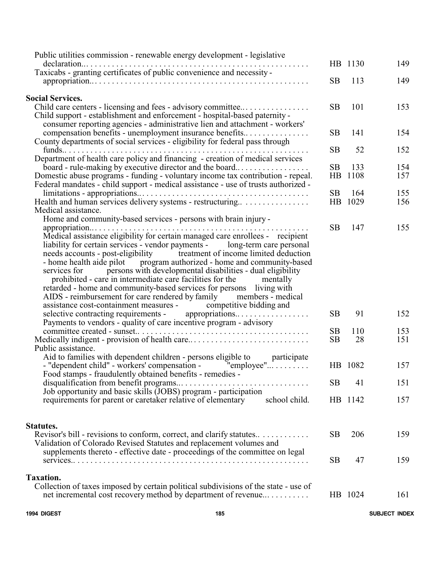| 1994 DIGEST<br>185                                                                                                                                                                                                                                                                                                                                                                                                                                                                                                                                                                                     |                              |             | SUBJECT INDEX |
|--------------------------------------------------------------------------------------------------------------------------------------------------------------------------------------------------------------------------------------------------------------------------------------------------------------------------------------------------------------------------------------------------------------------------------------------------------------------------------------------------------------------------------------------------------------------------------------------------------|------------------------------|-------------|---------------|
| Taxation.<br>Collection of taxes imposed by certain political subdivisions of the state - use of<br>net incremental cost recovery method by department of revenue                                                                                                                                                                                                                                                                                                                                                                                                                                      |                              | HB 1024     | 161           |
| Validation of Colorado Revised Statutes and replacement volumes and<br>supplements thereto - effective date - proceedings of the committee on legal                                                                                                                                                                                                                                                                                                                                                                                                                                                    | SB.                          | 47          | 159           |
| Statutes.<br>Revisor's bill - revisions to conform, correct, and clarify statures                                                                                                                                                                                                                                                                                                                                                                                                                                                                                                                      | <b>SB</b>                    | 206         | 159           |
| Job opportunity and basic skills (JOBS) program - participation<br>requirements for parent or caretaker relative of elementary<br>school child.                                                                                                                                                                                                                                                                                                                                                                                                                                                        |                              | HB 1142     | 157           |
| Food stamps - fraudulently obtained benefits - remedies -<br>disqualification from benefit programs<br>.                                                                                                                                                                                                                                                                                                                                                                                                                                                                                               | SB.                          | 41          | 151           |
| Public assistance.<br>Aid to families with dependent children - persons eligible to<br>participate<br>- "dependent child" - workers' compensation - "employee"                                                                                                                                                                                                                                                                                                                                                                                                                                         |                              | HB 1082     | 157           |
| Medically indigent - provision of health care                                                                                                                                                                                                                                                                                                                                                                                                                                                                                                                                                          | <b>SB</b>                    | 28          | 151           |
| Payments to vendors - quality of care incentive program - advisory                                                                                                                                                                                                                                                                                                                                                                                                                                                                                                                                     | <b>SB</b>                    | 110         | 153           |
| liability for certain services - vendor payments - long-term care personal<br>needs accounts - post-eligibility treatment of income limited deduction<br>- home health aide pilot program authorized - home and community-based<br>persons with developmental disabilities - dual eligibility<br>services for<br>prohibited - care in intermediate care facilities for the<br>mentally<br>retarded - home and community-based services for persons living with<br>AIDS - reimbursement for care rendered by family members - medical<br>assistance cost-containment measures - competitive bidding and | <b>SB</b>                    | 91          | 152           |
| Medical assistance.<br>Home and community-based services - persons with brain injury -<br>Medical assistance eligibility for certain managed care enrollees - recipient                                                                                                                                                                                                                                                                                                                                                                                                                                | <b>SB</b>                    | 147         | 155           |
| $limitations - approxiations \dots  \dots  \dots  \dots  \dots  \dots  \dots $<br>Health and human services delivery systems - restructuring                                                                                                                                                                                                                                                                                                                                                                                                                                                           | <b>SB</b><br>$\overline{AB}$ | 164<br>1029 | 155<br>156    |
| Department of health care policy and financing - creation of medical services<br>board - rule-making by executive director and the board<br>Domestic abuse programs - funding - voluntary income tax contribution - repeal.<br>Federal mandates - child support - medical assistance - use of trusts authorized -                                                                                                                                                                                                                                                                                      | <b>SB</b><br>HB              | 133<br>1108 | 154<br>157    |
| County departments of social services - eligibility for federal pass through<br>funds $\ldots$                                                                                                                                                                                                                                                                                                                                                                                                                                                                                                         | <b>SB</b>                    | 52          | 152           |
| Child support - establishment and enforcement - hospital-based paternity -<br>consumer reporting agencies - administrative lien and attachment - workers'<br>compensation benefits - unemployment insurance benefits                                                                                                                                                                                                                                                                                                                                                                                   | <b>SB</b>                    | 141         | 154           |
| <b>Social Services.</b><br>Child care centers - licensing and fees - advisory committee                                                                                                                                                                                                                                                                                                                                                                                                                                                                                                                | <b>SB</b>                    | 101         | 153           |
| Taxicabs - granting certificates of public convenience and necessity -                                                                                                                                                                                                                                                                                                                                                                                                                                                                                                                                 | <b>SB</b>                    | 113         | 149           |
| Public utilities commission - renewable energy development - legislative<br>$declaration \ldots \ldots \ldots$<br>.                                                                                                                                                                                                                                                                                                                                                                                                                                                                                    |                              | HB 1130     | 149           |